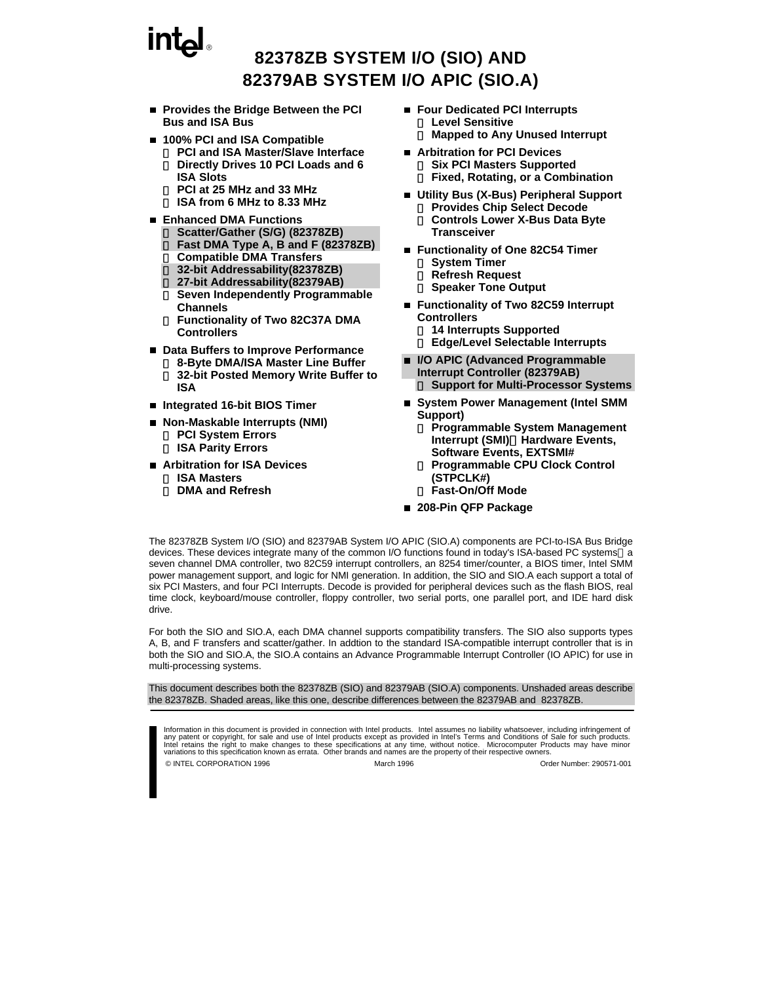## $\mathsf{int}_{\mathbf{\Theta}^{\mathbb{I}}}$ **82378ZB SYSTEM I/O (SIO) AND 82379AB SYSTEM I/O APIC (SIO.A)**

- **Provides the Bridge Between the PCI Bus and ISA Bus**
- 100% PCI and ISA Compatible
	- **PCI and ISA Master/Slave Interface Directly Drives 10 PCI Loads and 6**
	- **ISA Slots PCI at 25 MHz and 33 MHz**
	- **ISA from 6 MHz to 8.33 MHz**
- **Enhanced DMA Functions**
- - **Scatter/Gather (S/G) (82378ZB)**
	- **Fast DMA Type A, B and F (82378ZB)**
	- **Compatible DMA Transfers 32-bit Addressability(82378ZB)**
- **27-bit Addressability(82379AB)**
- **Seven Independently Programmable Channels**
- **Functionality of Two 82C37A DMA Controllers**
- Data Buffers to Improve Performance
	- **8-Byte DMA/ISA Master Line Buffer 32-bit Posted Memory Write Buffer to ISA**
- **Integrated 16-bit BIOS Timer**
- **Non-Maskable Interrupts (NMI)**
	- **PCI System Errors**
	- **ISA Parity Errors**
- **Arbitration for ISA Devices**
	- **ISA Masters**
	- **DMA and Refresh**
- **Four Dedicated PCI Interrupts Level Sensitive**
	- **Mapped to Any Unused Interrupt**
- **Arbitration for PCI Devices**  $-$  Six PCI Masters Supported **Fixed, Rotating, or a Combination**
- **Utility Bus (X-Bus) Peripheral Support**
	- **Provides Chip Select Decode**
	- **Controls Lower X-Bus Data Byte Transceiver**
- **Functionality of One 82C54 Timer System Timer**
	- **Refresh Request**
	- **Speaker Tone Output**
- **Functionality of Two 82C59 Interrupt Controllers**
	- **14 Interrupts Supported**
	- **Edge/Level Selectable Interrupts**
- **I/O APIC (Advanced Programmable Interrupt Controller (82379AB) Support for Multi-Processor Systems**
- System Power Management (Intel SMM **Support)**
	- **Programmable System Management Interrupt (SMI)Hardware Events, Software Events, EXTSMI#**
	- **Programmable CPU Clock Control (STPCLK#) Fast-On/Off Mode**
	-
- **208-Pin QFP Package**

The 82378ZB System I/O (SIO) and 82379AB System I/O APIC (SIO.A) components are PCI-to-ISA Bus Bridge devices. These devices integrate many of the common I/O functions found in today's ISA-based PC systems-a seven channel DMA controller, two 82C59 interrupt controllers, an 8254 timer/counter, a BIOS timer, Intel SMM power management support, and logic for NMI generation. In addition, the SIO and SIO.A each support a total of six PCI Masters, and four PCI Interrupts. Decode is provided for peripheral devices such as the flash BIOS, real time clock, keyboard/mouse controller, floppy controller, two serial ports, one parallel port, and IDE hard disk drive.

For both the SIO and SIO.A, each DMA channel supports compatibility transfers. The SIO also supports types A, B, and F transfers and scatter/gather. In addtion to the standard ISA-compatible interrupt controller that is in both the SIO and SIO.A, the SIO.A contains an Advance Programmable Interrupt Controller (IO APIC) for use in multi-processing systems.

This document describes both the 82378ZB (SIO) and 82379AB (SIO.A) components. Unshaded areas describe the 82378ZB. Shaded areas, like this one, describe differences between the 82379AB and 82378ZB.

Information in this document is provided in connection with Intel products. Intel assumes no liability whatsoever, including infringement of<br>Intel retains the right to make changes to theel products except as provided in I

© INTEL CORPORATION 1996 March 1996 Order Number: 290571-001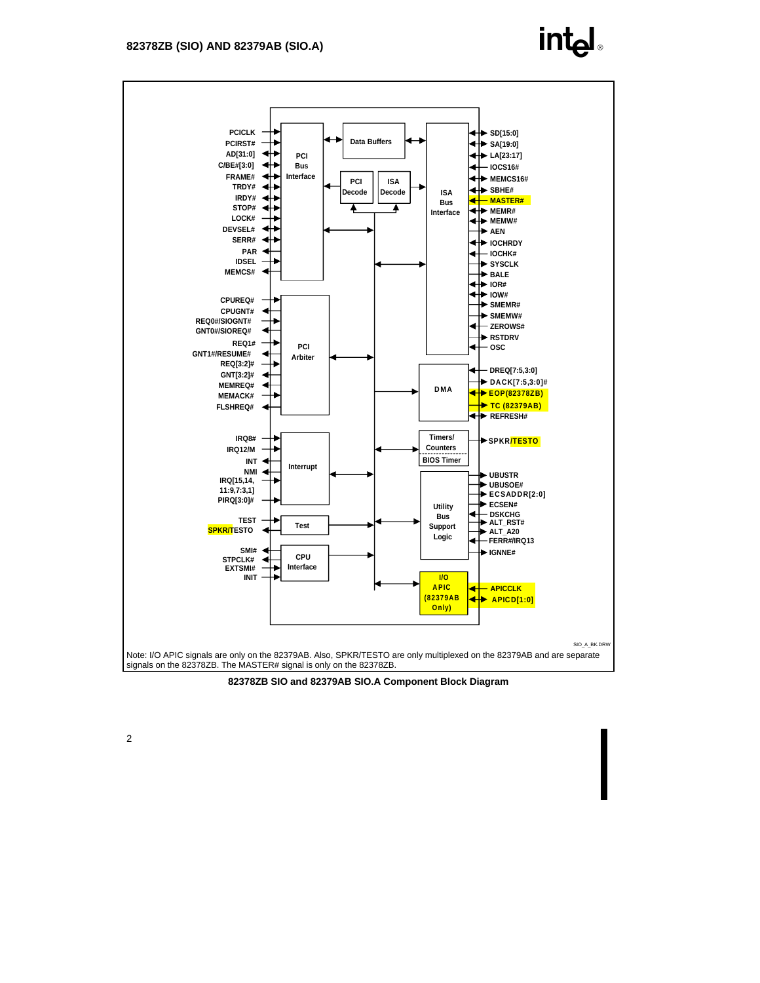# 82378ZB (SIO) AND 82379AB (SIO.A) Exercise the set of the set of the set of the set of the set of the set of the set of the set of the set of the set of the set of the set of the set of the set of the set of the set of the



**82378ZB SIO and 82379AB SIO.A Component Block Diagram**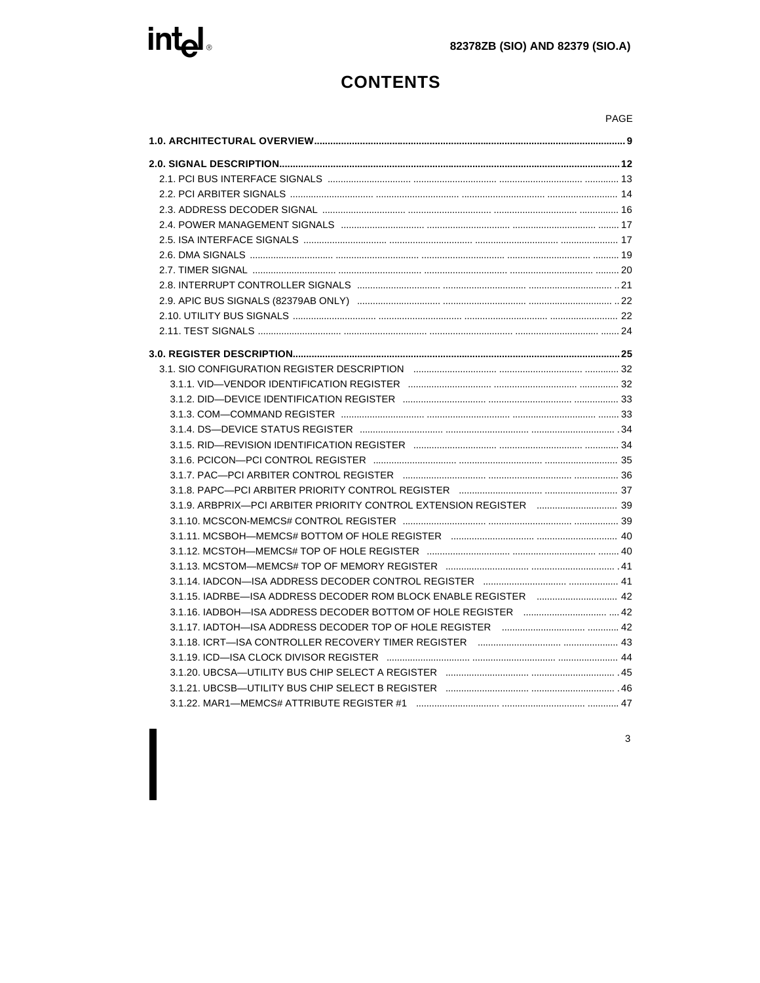

## **CONTENTS**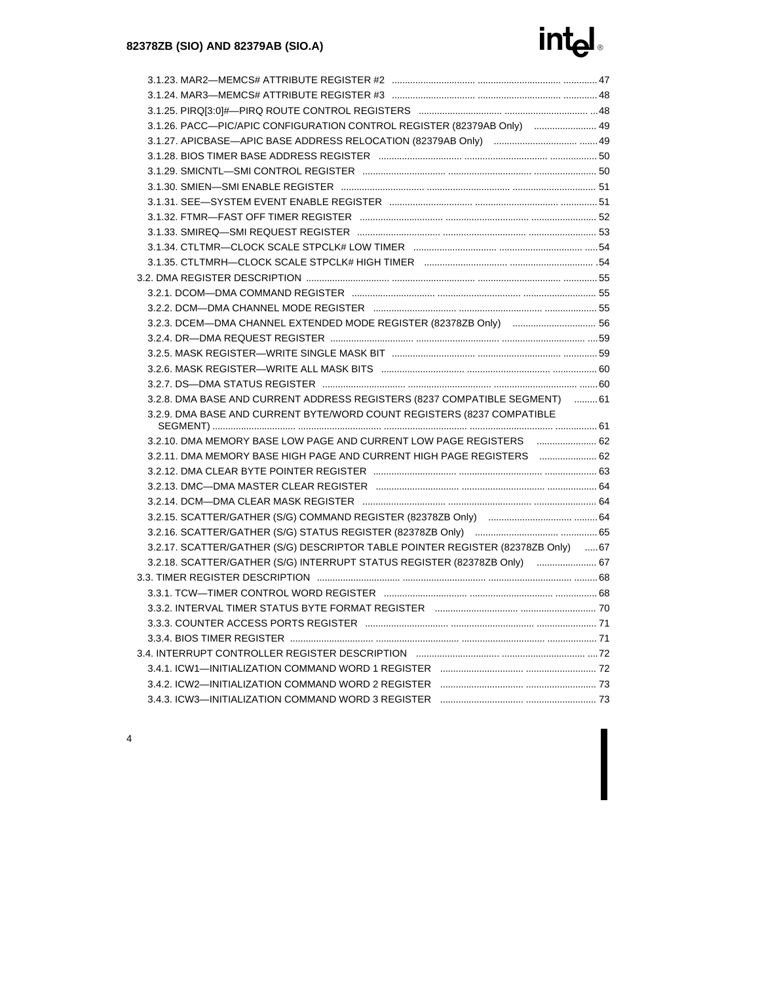# 82378ZB (SIO) AND 82379AB (SIO.A) Exercise the set of the set of the set of the set of the set of the set of the set of the set of the set of the set of the set of the set of the set of the set of the set of the set of the

I

| 3.1.26. PACC—PIC/APIC CONFIGURATION CONTROL REGISTER (82379AB Only)  49               |  |
|---------------------------------------------------------------------------------------|--|
|                                                                                       |  |
|                                                                                       |  |
|                                                                                       |  |
|                                                                                       |  |
|                                                                                       |  |
|                                                                                       |  |
|                                                                                       |  |
|                                                                                       |  |
|                                                                                       |  |
|                                                                                       |  |
|                                                                                       |  |
|                                                                                       |  |
| 3.2.3. DCEM-DMA CHANNEL EXTENDED MODE REGISTER (82378ZB Only)  56                     |  |
|                                                                                       |  |
|                                                                                       |  |
|                                                                                       |  |
|                                                                                       |  |
| 3.2.8. DMA BASE AND CURRENT ADDRESS REGISTERS (8237 COMPATIBLE SEGMENT) 61            |  |
| 3.2.9. DMA BASE AND CURRENT BYTE/WORD COUNT REGISTERS (8237 COMPATIBLE                |  |
| 3.2.10. DMA MEMORY BASE LOW PAGE AND CURRENT LOW PAGE REGISTERS Frame management of 2 |  |
| 3.2.11. DMA MEMORY BASE HIGH PAGE AND CURRENT HIGH PAGE REGISTERS Frame and the SQ    |  |
|                                                                                       |  |
|                                                                                       |  |
|                                                                                       |  |
|                                                                                       |  |
|                                                                                       |  |
| 3.2.17. SCATTER/GATHER (S/G) DESCRIPTOR TABLE POINTER REGISTER (82378ZB Only)  67     |  |
| 3.2.18. SCATTER/GATHER (S/G) INTERRUPT STATUS REGISTER (82378ZB Only)  67             |  |
|                                                                                       |  |
|                                                                                       |  |
|                                                                                       |  |
|                                                                                       |  |
|                                                                                       |  |
|                                                                                       |  |
|                                                                                       |  |
|                                                                                       |  |
|                                                                                       |  |
|                                                                                       |  |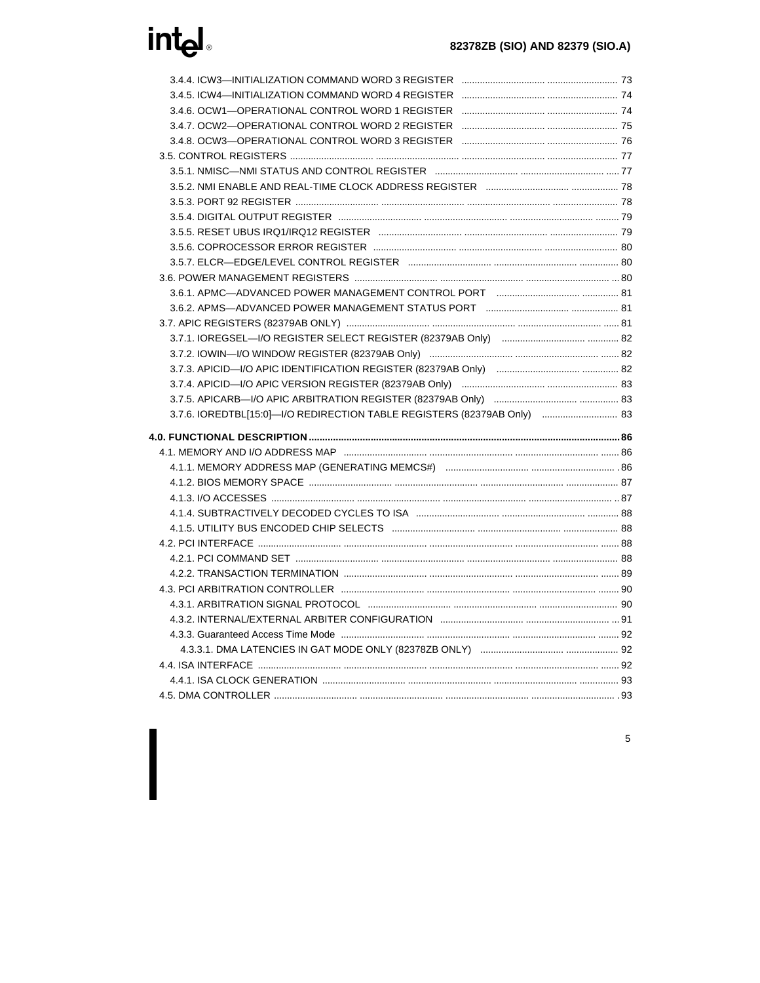### 82378ZB (SIO) AND 82379 (SIO.A)

## intel

| 3.7.6. IOREDTBL[15:0]—I/O REDIRECTION TABLE REGISTERS (82379AB Only)  83 |  |
|--------------------------------------------------------------------------|--|
|                                                                          |  |
|                                                                          |  |
|                                                                          |  |
|                                                                          |  |
|                                                                          |  |
|                                                                          |  |
|                                                                          |  |
|                                                                          |  |
|                                                                          |  |
|                                                                          |  |
|                                                                          |  |
|                                                                          |  |
|                                                                          |  |
|                                                                          |  |
|                                                                          |  |
|                                                                          |  |
|                                                                          |  |
|                                                                          |  |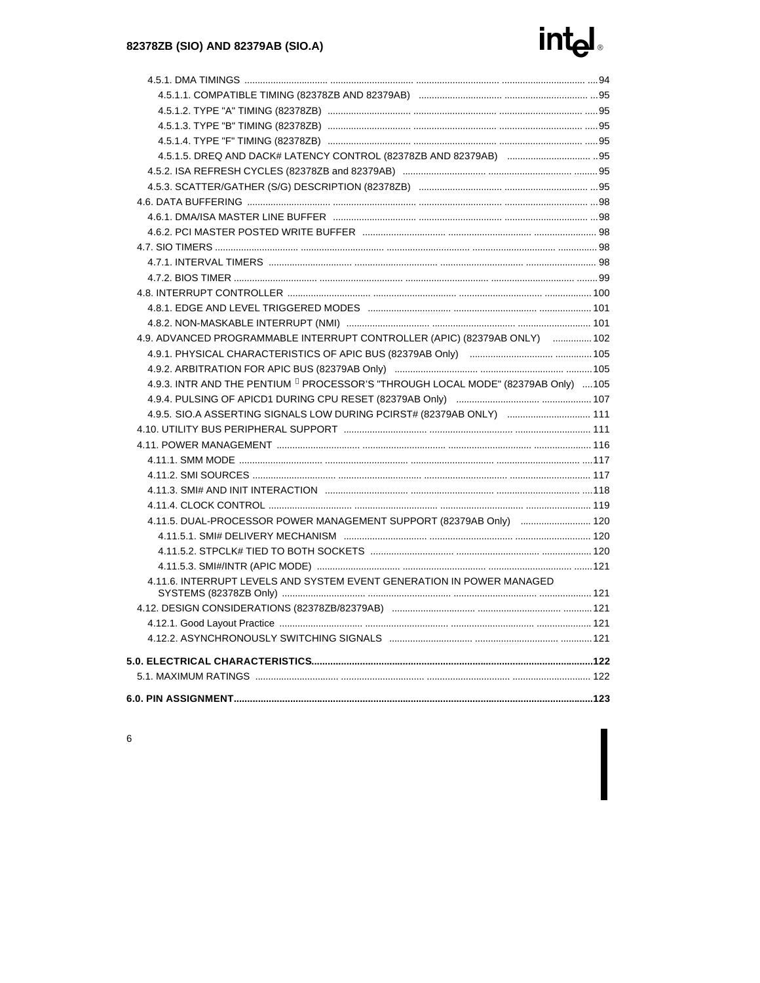## intel

I

| 4.9. ADVANCED PROGRAMMABLE INTERRUPT CONTROLLER (APIC) (82379AB ONLY)  102        |  |
|-----------------------------------------------------------------------------------|--|
|                                                                                   |  |
|                                                                                   |  |
| 4.9.3. INTR AND THE PENTIUM ® PROCESSOR'S "THROUGH LOCAL MODE" (82379AB Only) 105 |  |
|                                                                                   |  |
| 4.9.5. SIO.A ASSERTING SIGNALS LOW DURING PCIRST# (82379AB ONLY)  111             |  |
|                                                                                   |  |
|                                                                                   |  |
|                                                                                   |  |
|                                                                                   |  |
|                                                                                   |  |
|                                                                                   |  |
| 4.11.5. DUAL-PROCESSOR POWER MANAGEMENT SUPPORT (82379AB Only)  120               |  |
|                                                                                   |  |
|                                                                                   |  |
|                                                                                   |  |
| 4.11.6. INTERRUPT LEVELS AND SYSTEM EVENT GENERATION IN POWER MANAGED             |  |
|                                                                                   |  |
|                                                                                   |  |
|                                                                                   |  |
|                                                                                   |  |
|                                                                                   |  |
|                                                                                   |  |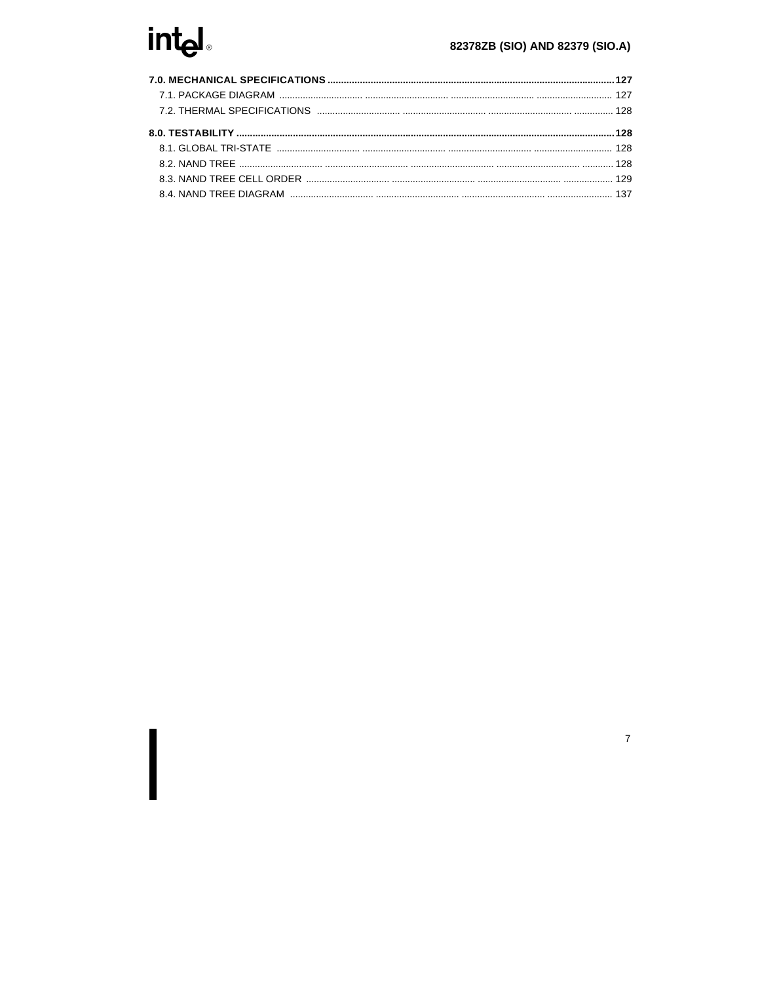## intel

### 82378ZB (SIO) AND 82379 (SIO.A)

 $\overline{7}$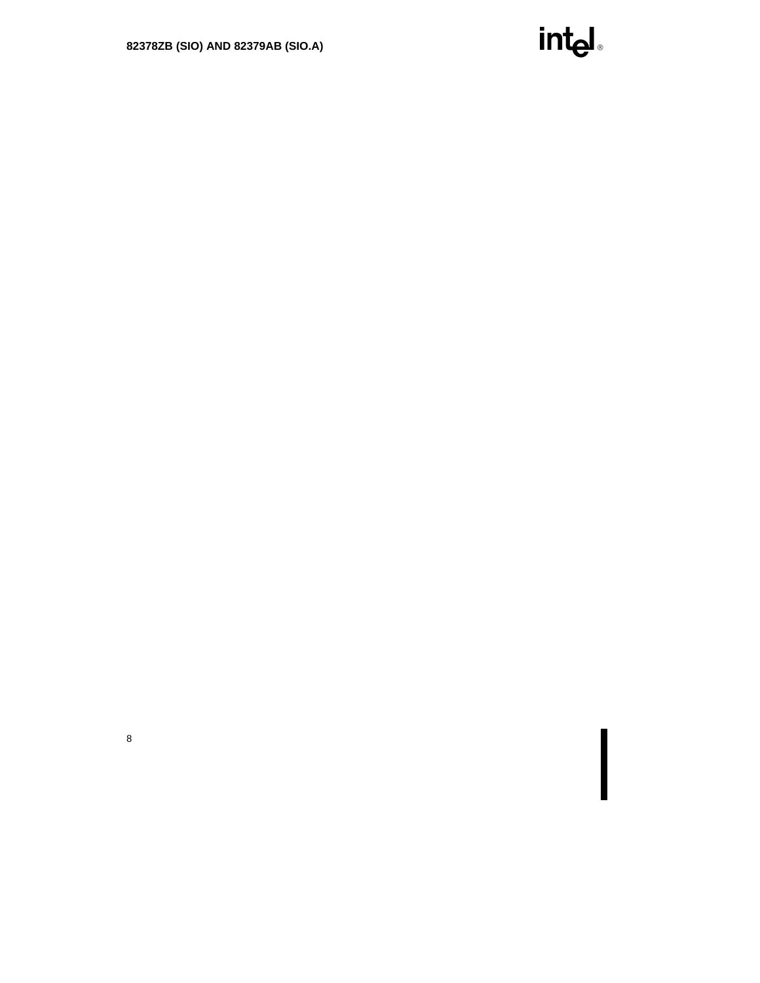I

8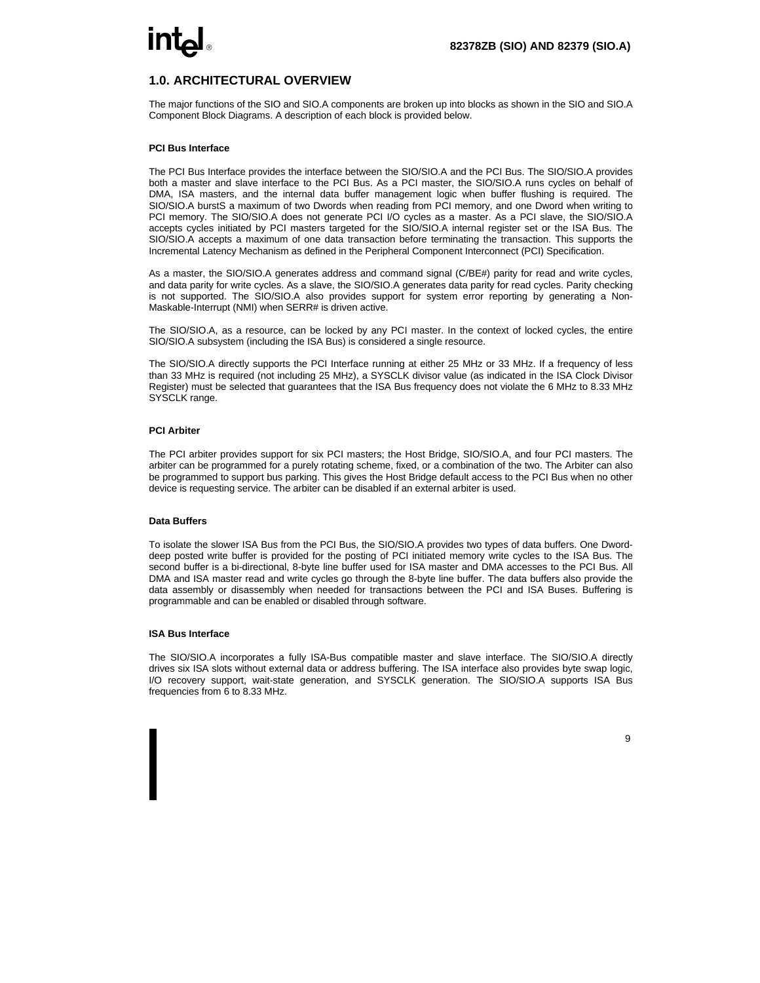# E **82378ZB (SIO) AND 82379 (SIO.A)**

#### **1.0. ARCHITECTURAL OVERVIEW**

The major functions of the SIO and SIO.A components are broken up into blocks as shown in the SIO and SIO.A Component Block Diagrams. A description of each block is provided below.

#### **PCI Bus Interface**

The PCI Bus Interface provides the interface between the SIO/SIO.A and the PCI Bus. The SIO/SIO.A provides both a master and slave interface to the PCI Bus. As a PCI master, the SIO/SIO.A runs cycles on behalf of DMA, ISA masters, and the internal data buffer management logic when buffer flushing is required. The SIO/SIO.A burstS a maximum of two Dwords when reading from PCI memory, and one Dword when writing to PCI memory. The SIO/SIO.A does not generate PCI I/O cycles as a master. As a PCI slave, the SIO/SIO.A accepts cycles initiated by PCI masters targeted for the SIO/SIO.A internal register set or the ISA Bus. The SIO/SIO.A accepts a maximum of one data transaction before terminating the transaction. This supports the Incremental Latency Mechanism as defined in the Peripheral Component Interconnect (PCI) Specification.

As a master, the SIO/SIO.A generates address and command signal (C/BE#) parity for read and write cycles, and data parity for write cycles. As a slave, the SIO/SIO.A generates data parity for read cycles. Parity checking is not supported. The SIO/SIO.A also provides support for system error reporting by generating a Non-Maskable-Interrupt (NMI) when SERR# is driven active.

The SIO/SIO.A, as a resource, can be locked by any PCI master. In the context of locked cycles, the entire SIO/SIO.A subsystem (including the ISA Bus) is considered a single resource.

The SIO/SIO.A directly supports the PCI Interface running at either 25 MHz or 33 MHz. If a frequency of less than 33 MHz is required (not including 25 MHz), a SYSCLK divisor value (as indicated in the ISA Clock Divisor Register) must be selected that guarantees that the ISA Bus frequency does not violate the 6 MHz to 8.33 MHz SYSCLK range.

#### **PCI Arbiter**

The PCI arbiter provides support for six PCI masters; the Host Bridge, SIO/SIO.A, and four PCI masters. The arbiter can be programmed for a purely rotating scheme, fixed, or a combination of the two. The Arbiter can also be programmed to support bus parking. This gives the Host Bridge default access to the PCI Bus when no other device is requesting service. The arbiter can be disabled if an external arbiter is used.

#### **Data Buffers**

To isolate the slower ISA Bus from the PCI Bus, the SIO/SIO.A provides two types of data buffers. One Dworddeep posted write buffer is provided for the posting of PCI initiated memory write cycles to the ISA Bus. The second buffer is a bi-directional, 8-byte line buffer used for ISA master and DMA accesses to the PCI Bus. All DMA and ISA master read and write cycles go through the 8-byte line buffer. The data buffers also provide the data assembly or disassembly when needed for transactions between the PCI and ISA Buses. Buffering is programmable and can be enabled or disabled through software.

#### **ISA Bus Interface**

The SIO/SIO.A incorporates a fully ISA-Bus compatible master and slave interface. The SIO/SIO.A directly drives six ISA slots without external data or address buffering. The ISA interface also provides byte swap logic, I/O recovery support, wait-state generation, and SYSCLK generation. The SIO/SIO.A supports ISA Bus frequencies from 6 to 8.33 MHz.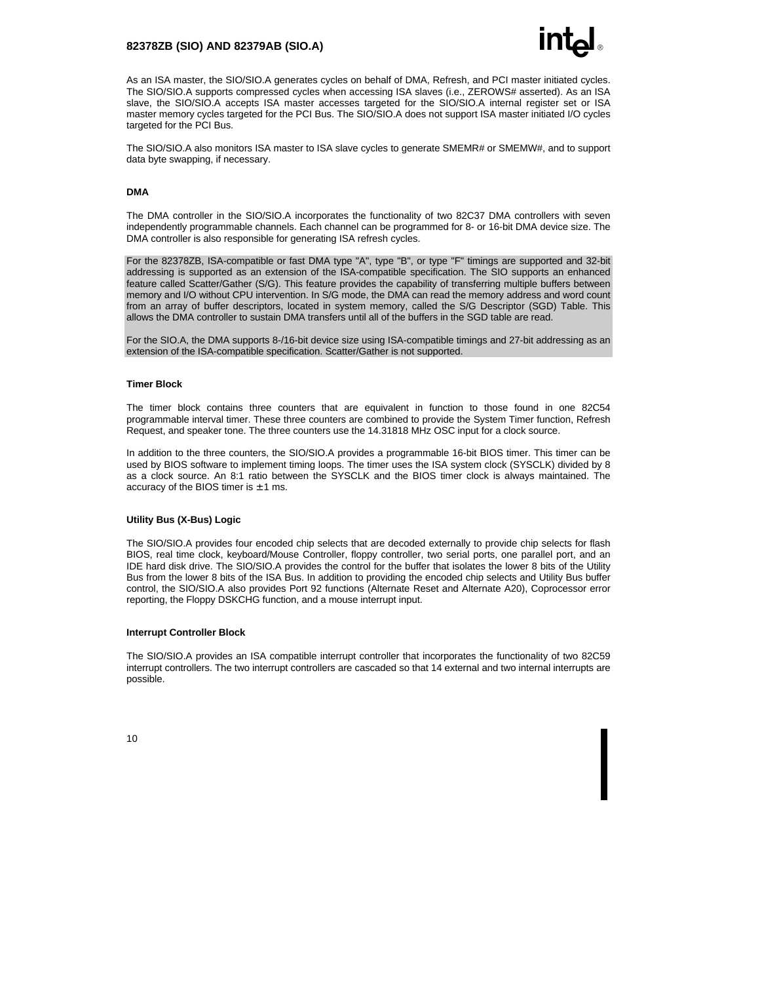

As an ISA master, the SIO/SIO.A generates cycles on behalf of DMA, Refresh, and PCI master initiated cycles. The SIO/SIO.A supports compressed cycles when accessing ISA slaves (i.e., ZEROWS# asserted). As an ISA slave, the SIO/SIO.A accepts ISA master accesses targeted for the SIO/SIO.A internal register set or ISA master memory cycles targeted for the PCI Bus. The SIO/SIO.A does not support ISA master initiated I/O cycles targeted for the PCI Bus.

The SIO/SIO.A also monitors ISA master to ISA slave cycles to generate SMEMR# or SMEMW#, and to support data byte swapping, if necessary.

#### **DMA**

The DMA controller in the SIO/SIO.A incorporates the functionality of two 82C37 DMA controllers with seven independently programmable channels. Each channel can be programmed for 8- or 16-bit DMA device size. The DMA controller is also responsible for generating ISA refresh cycles.

For the 82378ZB, ISA-compatible or fast DMA type "A", type "B", or type "F" timings are supported and 32-bit addressing is supported as an extension of the ISA-compatible specification. The SIO supports an enhanced feature called Scatter/Gather (S/G). This feature provides the capability of transferring multiple buffers between memory and I/O without CPU intervention. In S/G mode, the DMA can read the memory address and word count from an array of buffer descriptors, located in system memory, called the S/G Descriptor (SGD) Table. This allows the DMA controller to sustain DMA transfers until all of the buffers in the SGD table are read.

For the SIO.A, the DMA supports 8-/16-bit device size using ISA-compatible timings and 27-bit addressing as an extension of the ISA-compatible specification. Scatter/Gather is not supported.

#### **Timer Block**

The timer block contains three counters that are equivalent in function to those found in one 82C54 programmable interval timer. These three counters are combined to provide the System Timer function, Refresh Request, and speaker tone. The three counters use the 14.31818 MHz OSC input for a clock source.

In addition to the three counters, the SIO/SIO.A provides a programmable 16-bit BIOS timer. This timer can be used by BIOS software to implement timing loops. The timer uses the ISA system clock (SYSCLK) divided by 8 as a clock source. An 8:1 ratio between the SYSCLK and the BIOS timer clock is always maintained. The accuracy of the BIOS timer is  $\pm$  1 ms.

#### **Utility Bus (X-Bus) Logic**

The SIO/SIO.A provides four encoded chip selects that are decoded externally to provide chip selects for flash BIOS, real time clock, keyboard/Mouse Controller, floppy controller, two serial ports, one parallel port, and an IDE hard disk drive. The SIO/SIO.A provides the control for the buffer that isolates the lower 8 bits of the Utility Bus from the lower 8 bits of the ISA Bus. In addition to providing the encoded chip selects and Utility Bus buffer control, the SIO/SIO.A also provides Port 92 functions (Alternate Reset and Alternate A20), Coprocessor error reporting, the Floppy DSKCHG function, and a mouse interrupt input.

#### **Interrupt Controller Block**

The SIO/SIO.A provides an ISA compatible interrupt controller that incorporates the functionality of two 82C59 interrupt controllers. The two interrupt controllers are cascaded so that 14 external and two internal interrupts are possible.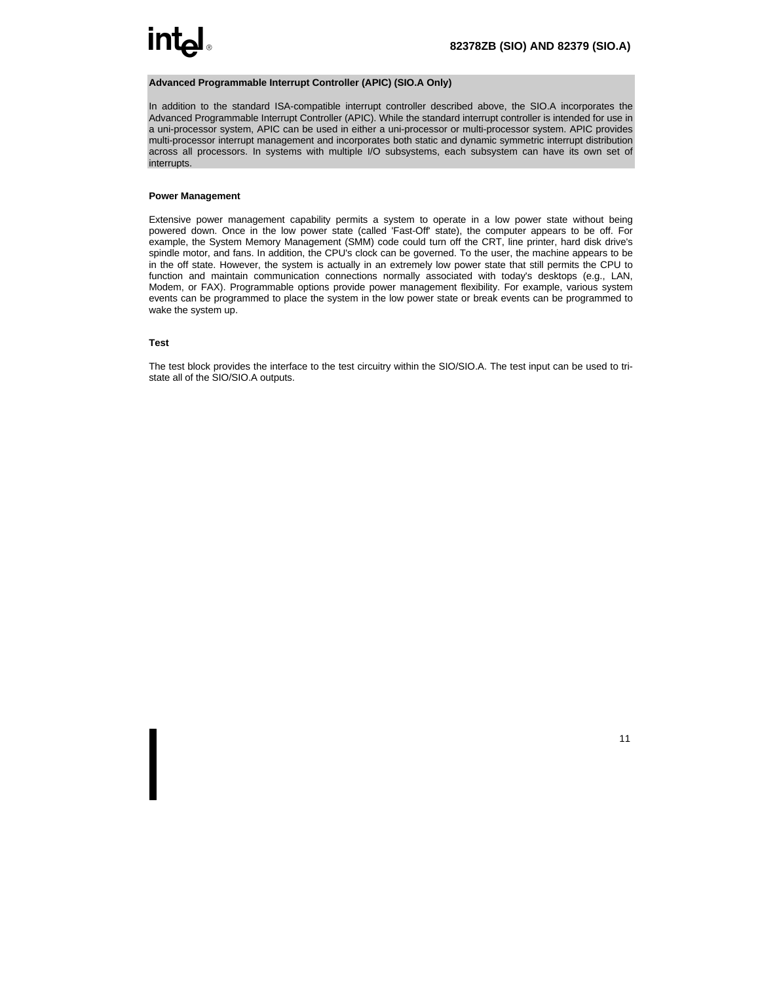

#### **Advanced Programmable Interrupt Controller (APIC) (SIO.A Only)**

In addition to the standard ISA-compatible interrupt controller described above, the SIO.A incorporates the Advanced Programmable Interrupt Controller (APIC). While the standard interrupt controller is intended for use in a uni-processor system, APIC can be used in either a uni-processor or multi-processor system. APIC provides multi-processor interrupt management and incorporates both static and dynamic symmetric interrupt distribution across all processors. In systems with multiple I/O subsystems, each subsystem can have its own set of interrupts.

#### **Power Management**

Extensive power management capability permits a system to operate in a low power state without being powered down. Once in the low power state (called 'Fast-Off' state), the computer appears to be off. For example, the System Memory Management (SMM) code could turn off the CRT, line printer, hard disk drive's spindle motor, and fans. In addition, the CPU's clock can be governed. To the user, the machine appears to be in the off state. However, the system is actually in an extremely low power state that still permits the CPU to function and maintain communication connections normally associated with today's desktops (e.g., LAN, Modem, or FAX). Programmable options provide power management flexibility. For example, various system events can be programmed to place the system in the low power state or break events can be programmed to wake the system up.

#### **Test**

The test block provides the interface to the test circuitry within the SIO/SIO.A. The test input can be used to tristate all of the SIO/SIO.A outputs.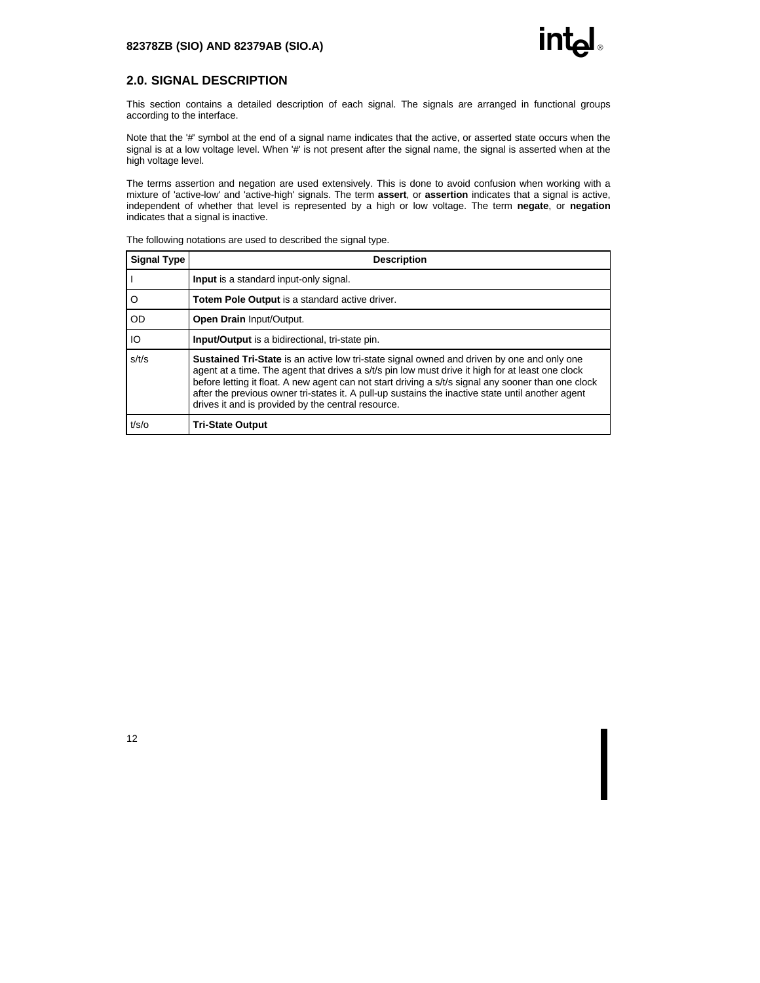

#### **2.0. SIGNAL DESCRIPTION**

This section contains a detailed description of each signal. The signals are arranged in functional groups according to the interface.

Note that the '#' symbol at the end of a signal name indicates that the active, or asserted state occurs when the signal is at a low voltage level. When '#' is not present after the signal name, the signal is asserted when at the high voltage level.

The terms assertion and negation are used extensively. This is done to avoid confusion when working with a mixture of 'active-low' and 'active-high' signals. The term **assert**, or **assertion** indicates that a signal is active, independent of whether that level is represented by a high or low voltage. The term **negate**, or **negation** indicates that a signal is inactive.

The following notations are used to described the signal type.

| <b>Signal Type</b> | <b>Description</b>                                                                                                                                                                                                                                                                                                                                                                                                                                                      |  |  |  |
|--------------------|-------------------------------------------------------------------------------------------------------------------------------------------------------------------------------------------------------------------------------------------------------------------------------------------------------------------------------------------------------------------------------------------------------------------------------------------------------------------------|--|--|--|
|                    | <b>Input</b> is a standard input-only signal.                                                                                                                                                                                                                                                                                                                                                                                                                           |  |  |  |
| O                  | Totem Pole Output is a standard active driver.                                                                                                                                                                                                                                                                                                                                                                                                                          |  |  |  |
| <b>OD</b>          | <b>Open Drain Input/Output.</b>                                                                                                                                                                                                                                                                                                                                                                                                                                         |  |  |  |
| IO                 | <b>Input/Output</b> is a bidirectional, tri-state pin.                                                                                                                                                                                                                                                                                                                                                                                                                  |  |  |  |
| s/t/s              | <b>Sustained Tri-State</b> is an active low tri-state signal owned and driven by one and only one<br>agent at a time. The agent that drives a s/t/s pin low must drive it high for at least one clock<br>before letting it float. A new agent can not start driving a s/t/s signal any sooner than one clock<br>after the previous owner tri-states it. A pull-up sustains the inactive state until another agent<br>drives it and is provided by the central resource. |  |  |  |
| t/s/o              | <b>Tri-State Output</b>                                                                                                                                                                                                                                                                                                                                                                                                                                                 |  |  |  |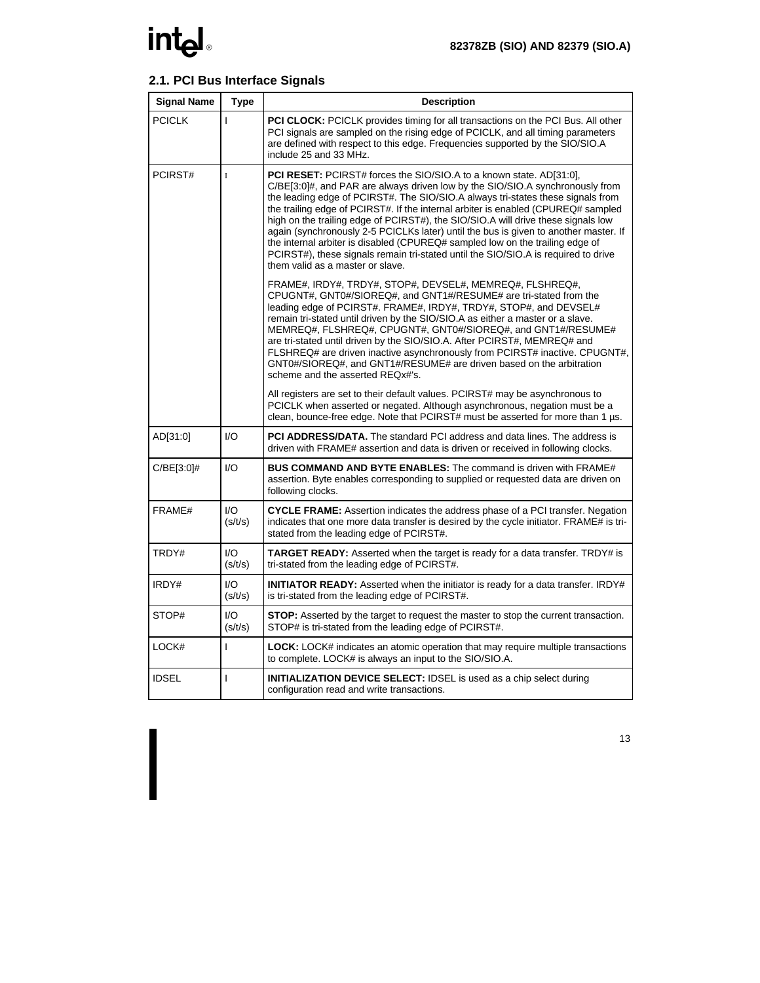

## **2.1. PCI Bus Interface Signals**

| <b>Signal Name</b> | Type           | <b>Description</b>                                                                                                                                                                                                                                                                                                                                                                                                                                                                                                                                                                                                                                                                                                   |  |  |
|--------------------|----------------|----------------------------------------------------------------------------------------------------------------------------------------------------------------------------------------------------------------------------------------------------------------------------------------------------------------------------------------------------------------------------------------------------------------------------------------------------------------------------------------------------------------------------------------------------------------------------------------------------------------------------------------------------------------------------------------------------------------------|--|--|
| <b>PCICLK</b>      | I              | <b>PCI CLOCK:</b> PCICLK provides timing for all transactions on the PCI Bus. All other<br>PCI signals are sampled on the rising edge of PCICLK, and all timing parameters<br>are defined with respect to this edge. Frequencies supported by the SIO/SIO.A<br>include 25 and 33 MHz.                                                                                                                                                                                                                                                                                                                                                                                                                                |  |  |
| PCIRST#            | T              | PCI RESET: PCIRST# forces the SIO/SIO.A to a known state. AD[31:0],<br>C/BE[3:0]#, and PAR are always driven low by the SIO/SIO.A synchronously from<br>the leading edge of PCIRST#. The SIO/SIO.A always tri-states these signals from<br>the trailing edge of PCIRST#. If the internal arbiter is enabled (CPUREQ# sampled<br>high on the trailing edge of PCIRST#), the SIO/SIO.A will drive these signals low<br>again (synchronously 2-5 PCICLKs later) until the bus is given to another master. If<br>the internal arbiter is disabled (CPUREQ# sampled low on the trailing edge of<br>PCIRST#), these signals remain tri-stated until the SIO/SIO.A is required to drive<br>them valid as a master or slave. |  |  |
|                    |                | FRAME#, IRDY#, TRDY#, STOP#, DEVSEL#, MEMREQ#, FLSHREQ#,<br>CPUGNT#, GNT0#/SIOREQ#, and GNT1#/RESUME# are tri-stated from the<br>leading edge of PCIRST#. FRAME#, IRDY#, TRDY#, STOP#, and DEVSEL#<br>remain tri-stated until driven by the SIO/SIO.A as either a master or a slave.<br>MEMREQ#, FLSHREQ#, CPUGNT#, GNT0#/SIOREQ#, and GNT1#/RESUME#<br>are tri-stated until driven by the SIO/SIO.A. After PCIRST#, MEMREQ# and<br>FLSHREQ# are driven inactive asynchronously from PCIRST# inactive. CPUGNT#,<br>GNT0#/SIOREQ#, and GNT1#/RESUME# are driven based on the arbitration<br>scheme and the asserted REQx#'s.                                                                                          |  |  |
|                    |                | All registers are set to their default values. PCIRST# may be asynchronous to<br>PCICLK when asserted or negated. Although asynchronous, negation must be a<br>clean, bounce-free edge. Note that PCIRST# must be asserted for more than 1 us.                                                                                                                                                                                                                                                                                                                                                                                                                                                                       |  |  |
| AD[31:0]           | I/O            | <b>PCI ADDRESS/DATA.</b> The standard PCI address and data lines. The address is<br>driven with FRAME# assertion and data is driven or received in following clocks.                                                                                                                                                                                                                                                                                                                                                                                                                                                                                                                                                 |  |  |
| C/BE[3:0]#         | 1/O            | <b>BUS COMMAND AND BYTE ENABLES:</b> The command is driven with FRAME#<br>assertion. Byte enables corresponding to supplied or requested data are driven on<br>following clocks.                                                                                                                                                                                                                                                                                                                                                                                                                                                                                                                                     |  |  |
| FRAME#             | 1/O<br>(s/t/s) | CYCLE FRAME: Assertion indicates the address phase of a PCI transfer. Negation<br>indicates that one more data transfer is desired by the cycle initiator. FRAME# is tri-<br>stated from the leading edge of PCIRST#.                                                                                                                                                                                                                                                                                                                                                                                                                                                                                                |  |  |
| TRDY#              | 1/O<br>(s/t/s) | TARGET READY: Asserted when the target is ready for a data transfer. TRDY# is<br>tri-stated from the leading edge of PCIRST#.                                                                                                                                                                                                                                                                                                                                                                                                                                                                                                                                                                                        |  |  |
| IRDY#              | 1/O<br>(s/t/s) | <b>INITIATOR READY:</b> Asserted when the initiator is ready for a data transfer. IRDY#<br>is tri-stated from the leading edge of PCIRST#.                                                                                                                                                                                                                                                                                                                                                                                                                                                                                                                                                                           |  |  |
| STOP#              | 1/O<br>(s/t/s) | <b>STOP:</b> Asserted by the target to request the master to stop the current transaction.<br>STOP# is tri-stated from the leading edge of PCIRST#.                                                                                                                                                                                                                                                                                                                                                                                                                                                                                                                                                                  |  |  |
| LOCK#              | I              | <b>LOCK:</b> LOCK# indicates an atomic operation that may require multiple transactions<br>to complete. LOCK# is always an input to the SIO/SIO.A.                                                                                                                                                                                                                                                                                                                                                                                                                                                                                                                                                                   |  |  |
| <b>IDSEL</b>       | I              | <b>INITIALIZATION DEVICE SELECT: IDSEL is used as a chip select during</b><br>configuration read and write transactions.                                                                                                                                                                                                                                                                                                                                                                                                                                                                                                                                                                                             |  |  |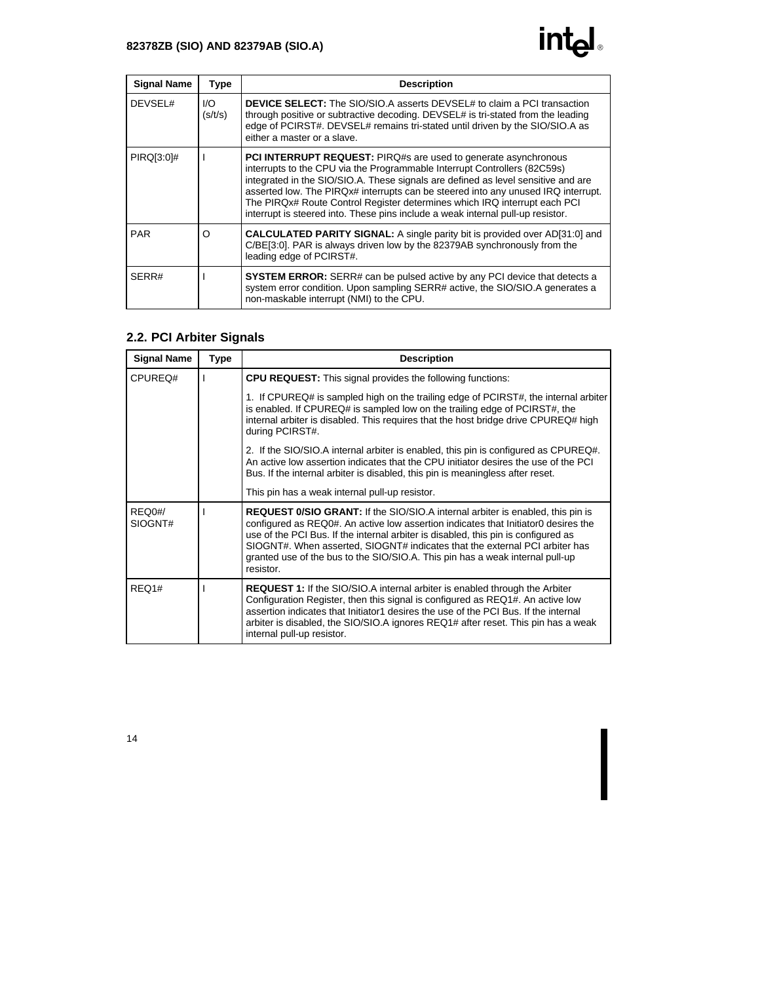

I

| <b>Signal Name</b> | Type           | <b>Description</b>                                                                                                                                                                                                                                                                                                                                                                                                                                                                     |  |
|--------------------|----------------|----------------------------------------------------------------------------------------------------------------------------------------------------------------------------------------------------------------------------------------------------------------------------------------------------------------------------------------------------------------------------------------------------------------------------------------------------------------------------------------|--|
| DEVSEL#            | 1/O<br>(s/t/s) | <b>DEVICE SELECT:</b> The SIO/SIO.A asserts DEVSEL# to claim a PCI transaction<br>through positive or subtractive decoding. DEVSEL# is tri-stated from the leading<br>edge of PCIRST#. DEVSEL# remains tri-stated until driven by the SIO/SIO.A as<br>either a master or a slave.                                                                                                                                                                                                      |  |
| PIRQ[3:0]#         |                | PCI INTERRUPT REQUEST: PIRQ#s are used to generate asynchronous<br>interrupts to the CPU via the Programmable Interrupt Controllers (82C59s)<br>integrated in the SIO/SIO.A. These signals are defined as level sensitive and are<br>asserted low. The PIRQx# interrupts can be steered into any unused IRQ interrupt.<br>The PIRQx# Route Control Register determines which IRQ interrupt each PCI<br>interrupt is steered into. These pins include a weak internal pull-up resistor. |  |
| <b>PAR</b>         | ∩              | <b>CALCULATED PARITY SIGNAL:</b> A single parity bit is provided over AD[31:0] and<br>C/BE[3:0]. PAR is always driven low by the 82379AB synchronously from the<br>leading edge of PCIRST#.                                                                                                                                                                                                                                                                                            |  |
| SFRR#              |                | <b>SYSTEM ERROR:</b> SERR# can be pulsed active by any PCI device that detects a<br>system error condition. Upon sampling SERR# active, the SIO/SIO.A generates a<br>non-maskable interrupt (NMI) to the CPU.                                                                                                                                                                                                                                                                          |  |

## **2.2. PCI Arbiter Signals**

| <b>Signal Name</b> | Type | <b>Description</b>                                                                                                                                                                                                                                                                                                                                                                                                                             |  |
|--------------------|------|------------------------------------------------------------------------------------------------------------------------------------------------------------------------------------------------------------------------------------------------------------------------------------------------------------------------------------------------------------------------------------------------------------------------------------------------|--|
| CPUREQ#            |      | <b>CPU REQUEST:</b> This signal provides the following functions:                                                                                                                                                                                                                                                                                                                                                                              |  |
|                    |      | 1. If CPUREQ# is sampled high on the trailing edge of PCIRST#, the internal arbiter<br>is enabled. If CPUREQ# is sampled low on the trailing edge of PCIRST#, the<br>internal arbiter is disabled. This requires that the host bridge drive CPUREQ# high<br>during PCIRST#.                                                                                                                                                                    |  |
|                    |      | 2. If the SIO/SIO.A internal arbiter is enabled, this pin is configured as CPUREQ#.<br>An active low assertion indicates that the CPU initiator desires the use of the PCI<br>Bus. If the internal arbiter is disabled, this pin is meaningless after reset.                                                                                                                                                                                   |  |
|                    |      | This pin has a weak internal pull-up resistor.                                                                                                                                                                                                                                                                                                                                                                                                 |  |
| REOO#/<br>SIOGNT#  |      | <b>REQUEST 0/SIO GRANT:</b> If the SIO/SIO.A internal arbiter is enabled, this pin is<br>configured as REQ0#. An active low assertion indicates that Initiator0 desires the<br>use of the PCI Bus. If the internal arbiter is disabled, this pin is configured as<br>SIOGNT#. When asserted, SIOGNT# indicates that the external PCI arbiter has<br>granted use of the bus to the SIO/SIO.A. This pin has a weak internal pull-up<br>resistor. |  |
| RFO1#              |      | <b>REQUEST 1:</b> If the SIO/SIO.A internal arbiter is enabled through the Arbiter<br>Configuration Register, then this signal is configured as REQ1#. An active low<br>assertion indicates that Initiator1 desires the use of the PCI Bus. If the internal<br>arbiter is disabled, the SIO/SIO.A ignores REQ1# after reset. This pin has a weak<br>internal pull-up resistor.                                                                 |  |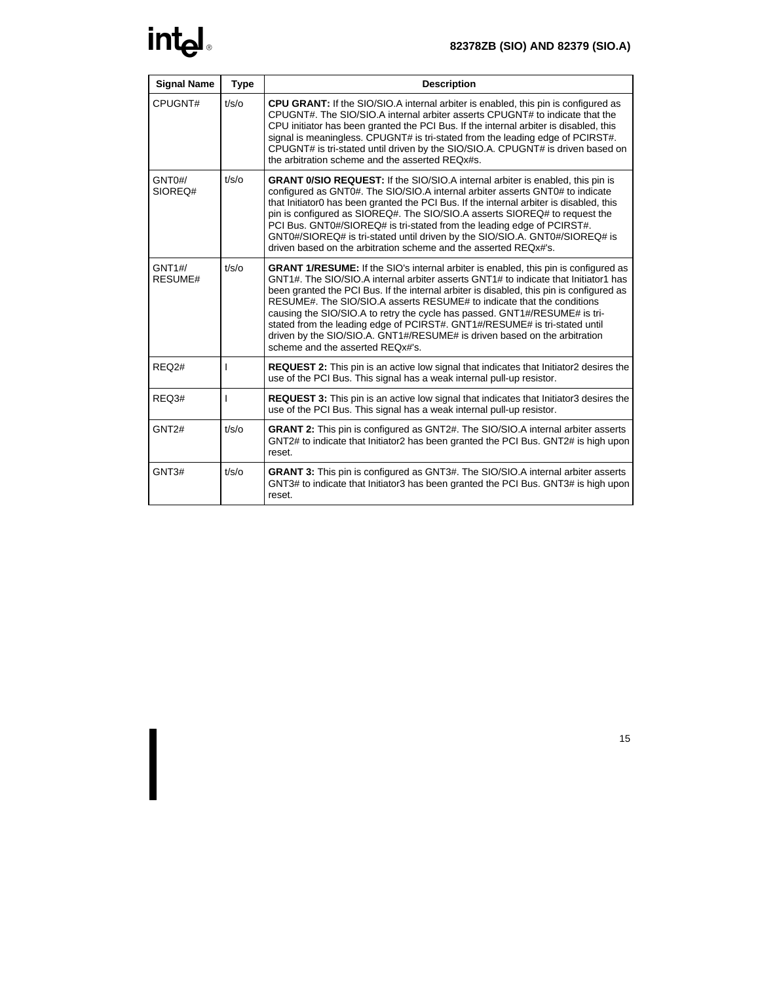| <b>Signal Name</b>             | <b>Type</b>  | <b>Description</b>                                                                                                                                                                                                                                                                                                                                                                                                                                                                                                                                                                                                            |  |
|--------------------------------|--------------|-------------------------------------------------------------------------------------------------------------------------------------------------------------------------------------------------------------------------------------------------------------------------------------------------------------------------------------------------------------------------------------------------------------------------------------------------------------------------------------------------------------------------------------------------------------------------------------------------------------------------------|--|
| CPUGNT#                        | t/s/o        | <b>CPU GRANT:</b> If the SIO/SIO.A internal arbiter is enabled, this pin is configured as<br>CPUGNT#. The SIO/SIO.A internal arbiter asserts CPUGNT# to indicate that the<br>CPU initiator has been granted the PCI Bus. If the internal arbiter is disabled, this<br>signal is meaningless. CPUGNT# is tri-stated from the leading edge of PCIRST#.<br>CPUGNT# is tri-stated until driven by the SIO/SIO.A. CPUGNT# is driven based on<br>the arbitration scheme and the asserted REQx#s.                                                                                                                                    |  |
| GNT0#/<br>SIORE <sub>O</sub> # | t/s/o        | <b>GRANT 0/SIO REQUEST:</b> If the SIO/SIO.A internal arbiter is enabled, this pin is<br>configured as GNT0#. The SIO/SIO.A internal arbiter asserts GNT0# to indicate<br>that Initiator0 has been granted the PCI Bus. If the internal arbiter is disabled, this<br>pin is configured as SIOREQ#. The SIO/SIO.A asserts SIOREQ# to request the<br>PCI Bus. GNT0#/SIOREQ# is tri-stated from the leading edge of PCIRST#.<br>GNT0#/SIOREQ# is tri-stated until driven by the SIO/SIO.A. GNT0#/SIOREQ# is<br>driven based on the arbitration scheme and the asserted REQx#'s.                                                  |  |
| <b>GNT1#/</b><br>RESUME#       | t/s/o        | GRANT 1/RESUME: If the SIO's internal arbiter is enabled, this pin is configured as<br>GNT1#. The SIO/SIO.A internal arbiter asserts GNT1# to indicate that Initiator1 has<br>been granted the PCI Bus. If the internal arbiter is disabled, this pin is configured as<br>RESUME#. The SIO/SIO.A asserts RESUME# to indicate that the conditions<br>causing the SIO/SIO.A to retry the cycle has passed. GNT1#/RESUME# is tri-<br>stated from the leading edge of PCIRST#. GNT1#/RESUME# is tri-stated until<br>driven by the SIO/SIO.A. GNT1#/RESUME# is driven based on the arbitration<br>scheme and the asserted REQx#'s. |  |
| REQ <sub>2</sub> #             | $\mathsf{I}$ | <b>REQUEST 2:</b> This pin is an active low signal that indicates that Initiator2 desires the<br>use of the PCI Bus. This signal has a weak internal pull-up resistor.                                                                                                                                                                                                                                                                                                                                                                                                                                                        |  |
| REQ3#                          | T            | <b>REQUEST 3:</b> This pin is an active low signal that indicates that Initiator3 desires the<br>use of the PCI Bus. This signal has a weak internal pull-up resistor.                                                                                                                                                                                                                                                                                                                                                                                                                                                        |  |
| GNT <sub>2#</sub>              | t/s/o        | <b>GRANT 2:</b> This pin is configured as GNT2#. The SIO/SIO.A internal arbiter asserts<br>GNT2# to indicate that Initiator2 has been granted the PCI Bus. GNT2# is high upon<br>reset.                                                                                                                                                                                                                                                                                                                                                                                                                                       |  |
| GNT3#                          | t/s/o        | <b>GRANT 3:</b> This pin is configured as GNT3#. The SIO/SIO.A internal arbiter asserts<br>GNT3# to indicate that Initiator3 has been granted the PCI Bus. GNT3# is high upon<br>reset.                                                                                                                                                                                                                                                                                                                                                                                                                                       |  |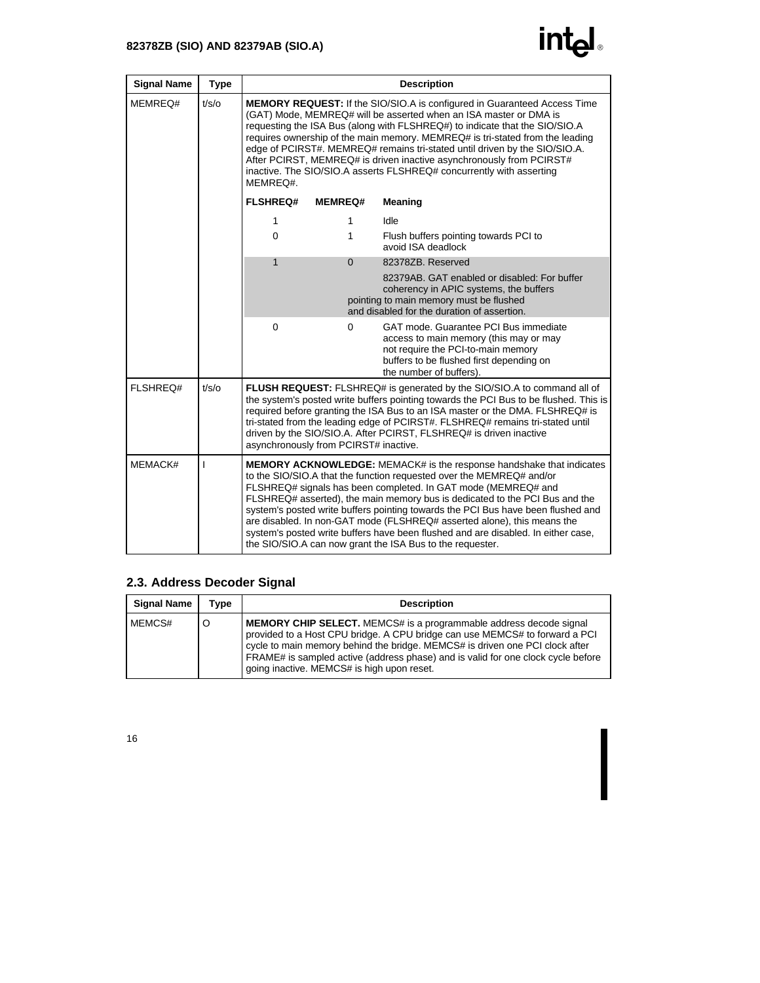

| <b>Signal Name</b> | <b>Type</b> |                                                                                                                                                                                                                                                                                                                                                                                                                                                                                                                                                                                                                      |                | <b>Description</b>                                                                                                                                                                           |
|--------------------|-------------|----------------------------------------------------------------------------------------------------------------------------------------------------------------------------------------------------------------------------------------------------------------------------------------------------------------------------------------------------------------------------------------------------------------------------------------------------------------------------------------------------------------------------------------------------------------------------------------------------------------------|----------------|----------------------------------------------------------------------------------------------------------------------------------------------------------------------------------------------|
| MEMREQ#            | t/s/o       | <b>MEMORY REQUEST:</b> If the SIO/SIO.A is configured in Guaranteed Access Time<br>(GAT) Mode, MEMREQ# will be asserted when an ISA master or DMA is<br>requesting the ISA Bus (along with FLSHREQ#) to indicate that the SIO/SIO.A<br>requires ownership of the main memory. MEMREQ# is tri-stated from the leading<br>edge of PCIRST#. MEMREQ# remains tri-stated until driven by the SIO/SIO.A.<br>After PCIRST, MEMREQ# is driven inactive asynchronously from PCIRST#<br>inactive. The SIO/SIO.A asserts FLSHREQ# concurrently with asserting<br>MEMREQ#.                                                       |                |                                                                                                                                                                                              |
|                    |             | <b>FLSHREQ#</b>                                                                                                                                                                                                                                                                                                                                                                                                                                                                                                                                                                                                      | <b>MEMREQ#</b> | Meaning                                                                                                                                                                                      |
|                    |             | 1                                                                                                                                                                                                                                                                                                                                                                                                                                                                                                                                                                                                                    | 1              | Idle                                                                                                                                                                                         |
|                    |             | $\Omega$                                                                                                                                                                                                                                                                                                                                                                                                                                                                                                                                                                                                             | 1              | Flush buffers pointing towards PCI to<br>avoid ISA deadlock                                                                                                                                  |
|                    |             | 1                                                                                                                                                                                                                                                                                                                                                                                                                                                                                                                                                                                                                    | $\Omega$       | 82378ZB, Reserved                                                                                                                                                                            |
|                    |             |                                                                                                                                                                                                                                                                                                                                                                                                                                                                                                                                                                                                                      |                | 82379AB, GAT enabled or disabled: For buffer<br>coherency in APIC systems, the buffers<br>pointing to main memory must be flushed<br>and disabled for the duration of assertion.             |
|                    |             | $\Omega$                                                                                                                                                                                                                                                                                                                                                                                                                                                                                                                                                                                                             | $\Omega$       | GAT mode. Guarantee PCI Bus immediate<br>access to main memory (this may or may<br>not require the PCI-to-main memory<br>buffers to be flushed first depending on<br>the number of buffers). |
| <b>FLSHREQ#</b>    | t/s/o       | FLUSH REQUEST: FLSHREQ# is generated by the SIO/SIO.A to command all of<br>the system's posted write buffers pointing towards the PCI Bus to be flushed. This is<br>required before granting the ISA Bus to an ISA master or the DMA. FLSHREQ# is<br>tri-stated from the leading edge of PCIRST#. FLSHREQ# remains tri-stated until<br>driven by the SIO/SIO.A. After PCIRST, FLSHREQ# is driven inactive<br>asynchronously from PCIRST# inactive.                                                                                                                                                                   |                |                                                                                                                                                                                              |
| MEMACK#            | ı           | <b>MEMORY ACKNOWLEDGE:</b> MEMACK# is the response handshake that indicates<br>to the SIO/SIO.A that the function requested over the MEMREQ# and/or<br>FLSHREQ# signals has been completed. In GAT mode (MEMREQ# and<br>FLSHREQ# asserted), the main memory bus is dedicated to the PCI Bus and the<br>system's posted write buffers pointing towards the PCI Bus have been flushed and<br>are disabled. In non-GAT mode (FLSHREQ# asserted alone), this means the<br>system's posted write buffers have been flushed and are disabled. In either case,<br>the SIO/SIO.A can now grant the ISA Bus to the requester. |                |                                                                                                                                                                                              |

## **2.3. Address Decoder Signal**

| <b>Signal Name</b> | Tvpe | <b>Description</b>                                                                                                                                                                                                                                                                                                                                                         |  |  |  |
|--------------------|------|----------------------------------------------------------------------------------------------------------------------------------------------------------------------------------------------------------------------------------------------------------------------------------------------------------------------------------------------------------------------------|--|--|--|
| MEMCS#             | O    | <b>MEMORY CHIP SELECT.</b> MEMCS# is a programmable address decode signal<br>provided to a Host CPU bridge. A CPU bridge can use MEMCS# to forward a PCI<br>cycle to main memory behind the bridge. MEMCS# is driven one PCI clock after<br>FRAME# is sampled active (address phase) and is valid for one clock cycle before<br>going inactive. MEMCS# is high upon reset. |  |  |  |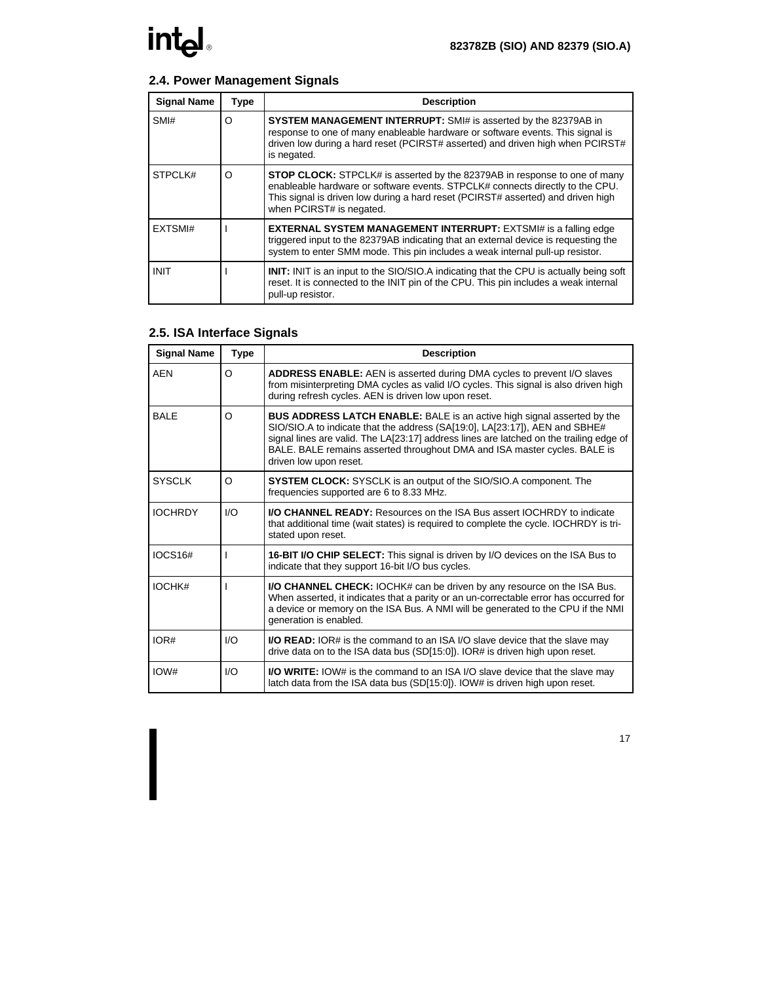## **2.4. Power Management Signals**

| <b>Signal Name</b> | Type     | <b>Description</b>                                                                                                                                                                                                                                                                |  |  |  |
|--------------------|----------|-----------------------------------------------------------------------------------------------------------------------------------------------------------------------------------------------------------------------------------------------------------------------------------|--|--|--|
| SMI#               | Ω        | <b>SYSTEM MANAGEMENT INTERRUPT:</b> SMI# is asserted by the 82379AB in<br>response to one of many enableable hardware or software events. This signal is<br>driven low during a hard reset (PCIRST# asserted) and driven high when PCIRST#<br>is negated.                         |  |  |  |
| STPCLK#            | $\Omega$ | <b>STOP CLOCK:</b> STPCLK# is asserted by the 82379AB in response to one of many<br>enableable hardware or software events. STPCLK# connects directly to the CPU.<br>This signal is driven low during a hard reset (PCIRST# asserted) and driven high<br>when PCIRST# is negated. |  |  |  |
| EXTSMI#            |          | <b>EXTERNAL SYSTEM MANAGEMENT INTERRUPT:</b> EXTSMI# is a falling edge<br>triggered input to the 82379AB indicating that an external device is requesting the<br>system to enter SMM mode. This pin includes a weak internal pull-up resistor.                                    |  |  |  |
| <b>INIT</b>        |          | <b>INIT:</b> INIT is an input to the SIO/SIO.A indicating that the CPU is actually being soft<br>reset. It is connected to the INIT pin of the CPU. This pin includes a weak internal<br>pull-up resistor.                                                                        |  |  |  |

## **2.5. ISA Interface Signals**

| <b>Signal Name</b> | <b>Type</b> | <b>Description</b>                                                                                                                                                                                                                                                                                                                                              |  |  |  |
|--------------------|-------------|-----------------------------------------------------------------------------------------------------------------------------------------------------------------------------------------------------------------------------------------------------------------------------------------------------------------------------------------------------------------|--|--|--|
| <b>AEN</b>         | O           | <b>ADDRESS ENABLE:</b> AEN is asserted during DMA cycles to prevent I/O slaves<br>from misinterpreting DMA cycles as valid I/O cycles. This signal is also driven high<br>during refresh cycles. AEN is driven low upon reset.                                                                                                                                  |  |  |  |
| <b>BAIF</b>        | O           | <b>BUS ADDRESS LATCH ENABLE:</b> BALE is an active high signal asserted by the<br>SIO/SIO.A to indicate that the address (SA[19:0], LA[23:17]), AEN and SBHE#<br>signal lines are valid. The LA[23:17] address lines are latched on the trailing edge of<br>BALE. BALE remains asserted throughout DMA and ISA master cycles. BALE is<br>driven low upon reset. |  |  |  |
| <b>SYSCLK</b>      | O           | <b>SYSTEM CLOCK:</b> SYSCLK is an output of the SIO/SIO.A component. The<br>frequencies supported are 6 to 8.33 MHz.                                                                                                                                                                                                                                            |  |  |  |
| <b>IOCHRDY</b>     | $1/\Omega$  | <b>I/O CHANNEL READY:</b> Resources on the ISA Bus assert IOCHRDY to indicate<br>that additional time (wait states) is required to complete the cycle. IOCHRDY is tri-<br>stated upon reset.                                                                                                                                                                    |  |  |  |
| <b>IOCS16#</b>     |             | 16-BIT I/O CHIP SELECT: This signal is driven by I/O devices on the ISA Bus to<br>indicate that they support 16-bit I/O bus cycles.                                                                                                                                                                                                                             |  |  |  |
| IOCHK#             |             | I/O CHANNEL CHECK: IOCHK# can be driven by any resource on the ISA Bus.<br>When asserted, it indicates that a parity or an un-correctable error has occurred for<br>a device or memory on the ISA Bus. A NMI will be generated to the CPU if the NMI<br>generation is enabled.                                                                                  |  |  |  |
| IOR#               | 1/O         | <b>I/O READ:</b> IOR# is the command to an ISA I/O slave device that the slave may<br>drive data on to the ISA data bus (SD[15:0]). IOR# is driven high upon reset.                                                                                                                                                                                             |  |  |  |
| IOW#               | 1/O         | <b>I/O WRITE:</b> IOW# is the command to an ISA I/O slave device that the slave may<br>latch data from the ISA data bus (SD[15:0]). IOW# is driven high upon reset.                                                                                                                                                                                             |  |  |  |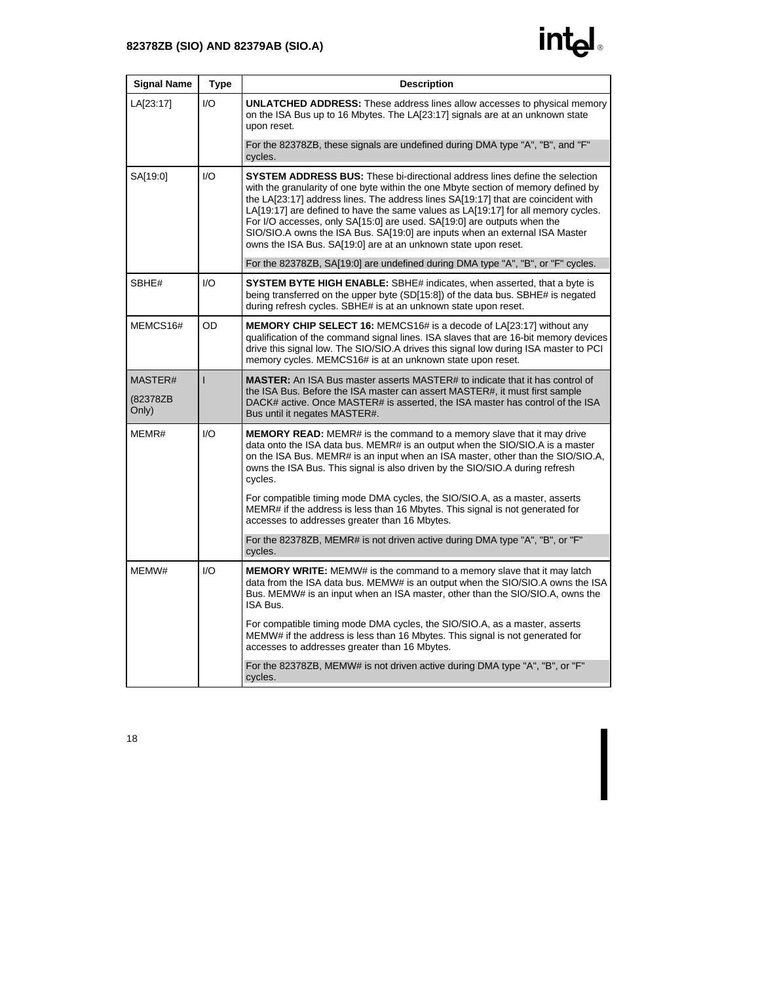

| <b>Signal Name</b>           | Type         | <b>Description</b>                                                                                                                                                                                                                                                                                                                                                                                                                                                                                                                                                             |  |  |  |
|------------------------------|--------------|--------------------------------------------------------------------------------------------------------------------------------------------------------------------------------------------------------------------------------------------------------------------------------------------------------------------------------------------------------------------------------------------------------------------------------------------------------------------------------------------------------------------------------------------------------------------------------|--|--|--|
| LA[23:17]                    | I/O          | <b>UNLATCHED ADDRESS:</b> These address lines allow accesses to physical memory<br>on the ISA Bus up to 16 Mbytes. The LA[23:17] signals are at an unknown state<br>upon reset.                                                                                                                                                                                                                                                                                                                                                                                                |  |  |  |
|                              |              | For the 82378ZB, these signals are undefined during DMA type "A", "B", and "F"<br>cycles.                                                                                                                                                                                                                                                                                                                                                                                                                                                                                      |  |  |  |
| SA[19:0]                     | 1/O          | <b>SYSTEM ADDRESS BUS:</b> These bi-directional address lines define the selection<br>with the granularity of one byte within the one Mbyte section of memory defined by<br>the LA[23:17] address lines. The address lines SA[19:17] that are coincident with<br>LA[19:17] are defined to have the same values as LA[19:17] for all memory cycles.<br>For I/O accesses, only SA[15:0] are used. SA[19:0] are outputs when the<br>SIO/SIO.A owns the ISA Bus. SA[19:0] are inputs when an external ISA Master<br>owns the ISA Bus. SA[19:0] are at an unknown state upon reset. |  |  |  |
|                              |              | For the 82378ZB, SA[19:0] are undefined during DMA type "A", "B", or "F" cycles.                                                                                                                                                                                                                                                                                                                                                                                                                                                                                               |  |  |  |
| SBHE#                        | 1/O          | <b>SYSTEM BYTE HIGH ENABLE:</b> SBHE# indicates, when asserted, that a byte is<br>being transferred on the upper byte (SD[15:8]) of the data bus. SBHE# is negated<br>during refresh cycles. SBHE# is at an unknown state upon reset.                                                                                                                                                                                                                                                                                                                                          |  |  |  |
| MEMCS16#                     | OD           | <b>MEMORY CHIP SELECT 16:</b> MEMCS16# is a decode of LA[23:17] without any<br>qualification of the command signal lines. ISA slaves that are 16-bit memory devices<br>drive this signal low. The SIO/SIO.A drives this signal low during ISA master to PCI<br>memory cycles. MEMCS16# is at an unknown state upon reset.                                                                                                                                                                                                                                                      |  |  |  |
| MASTER#<br>(82378ZB<br>Only) | $\mathbf{I}$ | <b>MASTER:</b> An ISA Bus master asserts MASTER# to indicate that it has control of<br>the ISA Bus. Before the ISA master can assert MASTER#, it must first sample<br>DACK# active. Once MASTER# is asserted, the ISA master has control of the ISA<br>Bus until it negates MASTER#.                                                                                                                                                                                                                                                                                           |  |  |  |
| MEMR#                        | 1/O          | <b>MEMORY READ:</b> MEMR# is the command to a memory slave that it may drive<br>data onto the ISA data bus. MEMR# is an output when the SIO/SIO.A is a master<br>on the ISA Bus. MEMR# is an input when an ISA master, other than the SIO/SIO.A,<br>owns the ISA Bus. This signal is also driven by the SIO/SIO.A during refresh<br>cycles.                                                                                                                                                                                                                                    |  |  |  |
|                              |              | For compatible timing mode DMA cycles, the SIO/SIO.A, as a master, asserts<br>MEMR# if the address is less than 16 Mbytes. This signal is not generated for<br>accesses to addresses greater than 16 Mbytes.                                                                                                                                                                                                                                                                                                                                                                   |  |  |  |
|                              |              | For the 82378ZB, MEMR# is not driven active during DMA type "A", "B", or "F"<br>cycles.                                                                                                                                                                                                                                                                                                                                                                                                                                                                                        |  |  |  |
| MEMW#                        | $1/\Omega$   | <b>MEMORY WRITE:</b> MEMW# is the command to a memory slave that it may latch<br>data from the ISA data bus. MEMW# is an output when the SIO/SIO.A owns the ISA<br>Bus. MEMW# is an input when an ISA master, other than the SIO/SIO.A, owns the<br>ISA Bus.                                                                                                                                                                                                                                                                                                                   |  |  |  |
|                              |              | For compatible timing mode DMA cycles, the SIO/SIO.A, as a master, asserts<br>MEMW# if the address is less than 16 Mbytes. This signal is not generated for<br>accesses to addresses greater than 16 Mbytes.                                                                                                                                                                                                                                                                                                                                                                   |  |  |  |
|                              |              | For the 82378ZB, MEMW# is not driven active during DMA type "A", "B", or "F"<br>cycles.                                                                                                                                                                                                                                                                                                                                                                                                                                                                                        |  |  |  |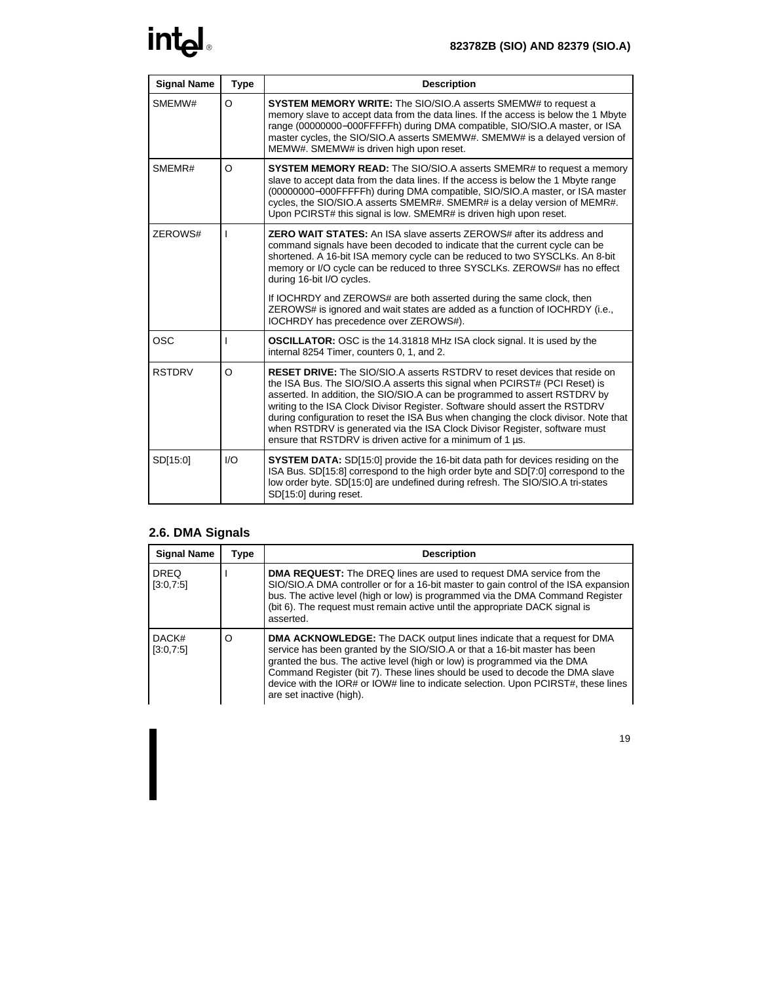| <b>Signal Name</b> | <b>Type</b> | <b>Description</b>                                                                                                                                                                                                                                                                                                                                                                                                                                                                                                                                               |  |  |  |
|--------------------|-------------|------------------------------------------------------------------------------------------------------------------------------------------------------------------------------------------------------------------------------------------------------------------------------------------------------------------------------------------------------------------------------------------------------------------------------------------------------------------------------------------------------------------------------------------------------------------|--|--|--|
| SMFMW#             | O           | <b>SYSTEM MEMORY WRITE:</b> The SIO/SIO.A asserts SMEMW# to request a<br>memory slave to accept data from the data lines. If the access is below the 1 Mbyte<br>range (00000000-000FFFFFh) during DMA compatible, SIO/SIO.A master, or ISA<br>master cycles, the SIO/SIO.A asserts SMEMW#. SMEMW# is a delayed version of<br>MEMW#. SMEMW# is driven high upon reset.                                                                                                                                                                                            |  |  |  |
| SMFMR#             | O           | <b>SYSTEM MEMORY READ:</b> The SIO/SIO.A asserts SMEMR# to request a memory<br>slave to accept data from the data lines. If the access is below the 1 Mbyte range<br>(00000000-000FFFFFh) during DMA compatible, SIO/SIO.A master, or ISA master<br>cycles, the SIO/SIO.A asserts SMEMR#. SMEMR# is a delay version of MEMR#.<br>Upon PCIRST# this signal is low. SMEMR# is driven high upon reset.                                                                                                                                                              |  |  |  |
| ZEROWS#            |             | <b>ZERO WAIT STATES:</b> An ISA slave asserts ZEROWS# after its address and<br>command signals have been decoded to indicate that the current cycle can be<br>shortened. A 16-bit ISA memory cycle can be reduced to two SYSCLKs. An 8-bit<br>memory or I/O cycle can be reduced to three SYSCLKs. ZEROWS# has no effect<br>during 16-bit I/O cycles.                                                                                                                                                                                                            |  |  |  |
|                    |             | If IOCHRDY and ZEROWS# are both asserted during the same clock, then<br>ZEROWS# is ignored and wait states are added as a function of IOCHRDY (i.e.,<br>IOCHRDY has precedence over ZEROWS#).                                                                                                                                                                                                                                                                                                                                                                    |  |  |  |
| OSC                |             | <b>OSCILLATOR:</b> OSC is the 14.31818 MHz ISA clock signal. It is used by the<br>internal 8254 Timer, counters 0, 1, and 2.                                                                                                                                                                                                                                                                                                                                                                                                                                     |  |  |  |
| <b>RSTDRV</b>      | O           | <b>RESET DRIVE:</b> The SIO/SIO.A asserts RSTDRV to reset devices that reside on<br>the ISA Bus. The SIO/SIO.A asserts this signal when PCIRST# (PCI Reset) is<br>asserted. In addition, the SIO/SIO.A can be programmed to assert RSTDRV by<br>writing to the ISA Clock Divisor Register. Software should assert the RSTDRV<br>during configuration to reset the ISA Bus when changing the clock divisor. Note that<br>when RSTDRV is generated via the ISA Clock Divisor Register, software must<br>ensure that RSTDRV is driven active for a minimum of 1 µs. |  |  |  |
| SD[15:0]           | 1/O         | <b>SYSTEM DATA:</b> SD[15:0] provide the 16-bit data path for devices residing on the<br>ISA Bus. SD[15:8] correspond to the high order byte and SD[7:0] correspond to the<br>low order byte. SD[15:0] are undefined during refresh. The SIO/SIO.A tri-states<br>SD[15:0] during reset.                                                                                                                                                                                                                                                                          |  |  |  |

### **2.6. DMA Signals**

| <b>Signal Name</b>       | Type | <b>Description</b>                                                                                                                                                                                                                                                                                                                                                                                                                         |  |  |  |
|--------------------------|------|--------------------------------------------------------------------------------------------------------------------------------------------------------------------------------------------------------------------------------------------------------------------------------------------------------------------------------------------------------------------------------------------------------------------------------------------|--|--|--|
| <b>DREQ</b><br>[3:0,7:5] |      | <b>DMA REQUEST:</b> The DREQ lines are used to request DMA service from the<br>SIO/SIO.A DMA controller or for a 16-bit master to gain control of the ISA expansion<br>bus. The active level (high or low) is programmed via the DMA Command Register<br>(bit 6). The request must remain active until the appropriate DACK signal is<br>asserted.                                                                                         |  |  |  |
| DACK#<br>[3:0,7:5]       | O    | <b>DMA ACKNOWLEDGE:</b> The DACK output lines indicate that a request for DMA<br>service has been granted by the SIO/SIO.A or that a 16-bit master has been<br>granted the bus. The active level (high or low) is programmed via the DMA<br>Command Register (bit 7). These lines should be used to decode the DMA slave<br>device with the IOR# or IOW# line to indicate selection. Upon PCIRST#, these lines<br>are set inactive (high). |  |  |  |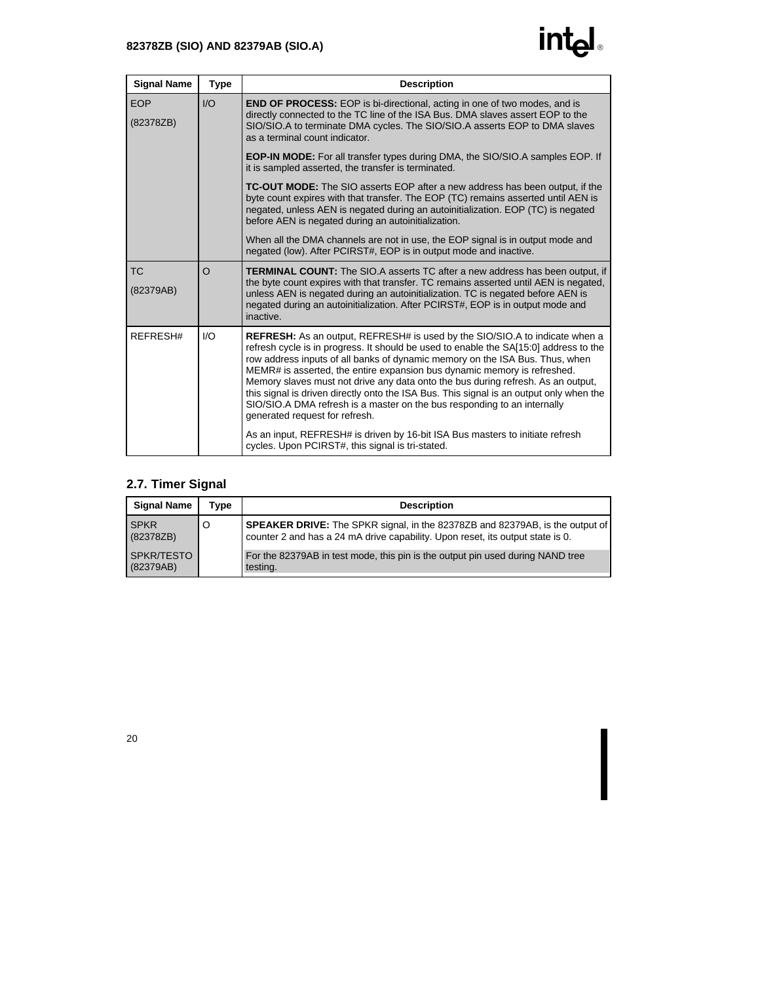

| <b>Signal Name</b>      | <b>Type</b> | <b>Description</b>                                                                                                                                                                                                                                                                                                                                                                                                                                                                                                                                                                                                                                                                                                                                                        |  |  |  |  |
|-------------------------|-------------|---------------------------------------------------------------------------------------------------------------------------------------------------------------------------------------------------------------------------------------------------------------------------------------------------------------------------------------------------------------------------------------------------------------------------------------------------------------------------------------------------------------------------------------------------------------------------------------------------------------------------------------------------------------------------------------------------------------------------------------------------------------------------|--|--|--|--|
| <b>EOP</b><br>(82378ZB) | I/O         | <b>END OF PROCESS:</b> EOP is bi-directional, acting in one of two modes, and is<br>directly connected to the TC line of the ISA Bus. DMA slaves assert EOP to the<br>SIO/SIO.A to terminate DMA cycles. The SIO/SIO.A asserts EOP to DMA slaves<br>as a terminal count indicator.                                                                                                                                                                                                                                                                                                                                                                                                                                                                                        |  |  |  |  |
|                         |             | <b>EOP-IN MODE:</b> For all transfer types during DMA, the SIO/SIO.A samples EOP. If<br>it is sampled asserted, the transfer is terminated.                                                                                                                                                                                                                                                                                                                                                                                                                                                                                                                                                                                                                               |  |  |  |  |
|                         |             | <b>TC-OUT MODE:</b> The SIO asserts EOP after a new address has been output, if the<br>byte count expires with that transfer. The EOP (TC) remains asserted until AEN is<br>negated, unless AEN is negated during an autoinitialization. EOP (TC) is negated<br>before AEN is negated during an autoinitialization.                                                                                                                                                                                                                                                                                                                                                                                                                                                       |  |  |  |  |
|                         |             | When all the DMA channels are not in use, the EOP signal is in output mode and<br>negated (low). After PCIRST#, EOP is in output mode and inactive.                                                                                                                                                                                                                                                                                                                                                                                                                                                                                                                                                                                                                       |  |  |  |  |
| <b>TC</b><br>(82379AB)  | O           | <b>TERMINAL COUNT:</b> The SIO.A asserts TC after a new address has been output, if<br>the byte count expires with that transfer. TC remains asserted until AEN is negated,<br>unless AEN is negated during an autoinitialization. TC is negated before AEN is<br>negated during an autoinitialization. After PCIRST#, EOP is in output mode and<br>inactive.                                                                                                                                                                                                                                                                                                                                                                                                             |  |  |  |  |
| REFRESH#                | 1/O         | <b>REFRESH:</b> As an output, REFRESH# is used by the SIO/SIO.A to indicate when a<br>refresh cycle is in progress. It should be used to enable the SA[15:0] address to the<br>row address inputs of all banks of dynamic memory on the ISA Bus. Thus, when<br>MEMR# is asserted, the entire expansion bus dynamic memory is refreshed.<br>Memory slaves must not drive any data onto the bus during refresh. As an output,<br>this signal is driven directly onto the ISA Bus. This signal is an output only when the<br>SIO/SIO.A DMA refresh is a master on the bus responding to an internally<br>generated request for refresh.<br>As an input, REFRESH# is driven by 16-bit ISA Bus masters to initiate refresh<br>cycles. Upon PCIRST#, this signal is tri-stated. |  |  |  |  |

## **2.7. Timer Signal**

| <b>Signal Name</b>       | Tvpe    | <b>Description</b>                                                                                                                                                    |
|--------------------------|---------|-----------------------------------------------------------------------------------------------------------------------------------------------------------------------|
| <b>SPKR</b><br>(82378ZB) | $\circ$ | <b>SPEAKER DRIVE:</b> The SPKR signal, in the 82378ZB and 82379AB, is the output of<br>counter 2 and has a 24 mA drive capability. Upon reset, its output state is 0. |
| SPKR/TESTO<br>(82379AB)  |         | For the 82379AB in test mode, this pin is the output pin used during NAND tree<br>testing.                                                                            |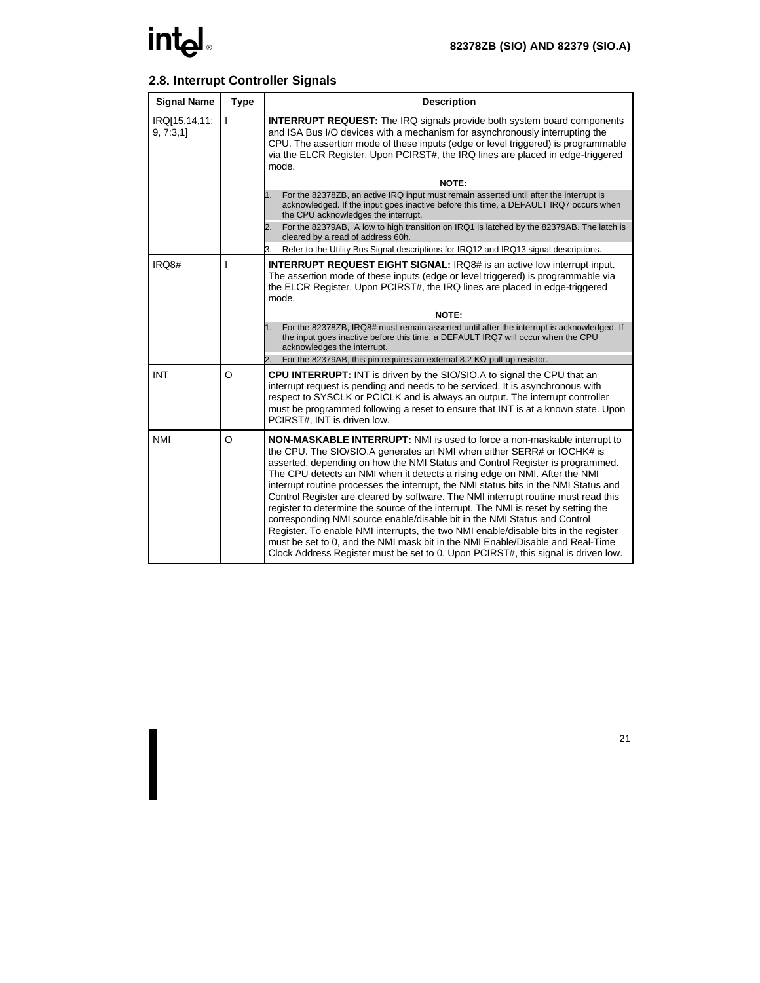### **2.8. Interrupt Controller Signals**

| <b>Signal Name</b>        | <b>Type</b> | <b>Description</b>                                                                                                                                                                                                                                                                                                                                                                                                                                                                                                                                                                                                                                                                                                                                                                                                                                                                                                                      |  |  |
|---------------------------|-------------|-----------------------------------------------------------------------------------------------------------------------------------------------------------------------------------------------------------------------------------------------------------------------------------------------------------------------------------------------------------------------------------------------------------------------------------------------------------------------------------------------------------------------------------------------------------------------------------------------------------------------------------------------------------------------------------------------------------------------------------------------------------------------------------------------------------------------------------------------------------------------------------------------------------------------------------------|--|--|
| IRQ[15,14,11:<br>9, 7:3,1 |             | <b>INTERRUPT REQUEST:</b> The IRQ signals provide both system board components<br>and ISA Bus I/O devices with a mechanism for asynchronously interrupting the<br>CPU. The assertion mode of these inputs (edge or level triggered) is programmable<br>via the ELCR Register. Upon PCIRST#, the IRQ lines are placed in edge-triggered<br>mode.                                                                                                                                                                                                                                                                                                                                                                                                                                                                                                                                                                                         |  |  |
|                           |             | <b>NOTE:</b>                                                                                                                                                                                                                                                                                                                                                                                                                                                                                                                                                                                                                                                                                                                                                                                                                                                                                                                            |  |  |
|                           |             | For the 82378ZB, an active IRQ input must remain asserted until after the interrupt is<br>1.<br>acknowledged. If the input goes inactive before this time, a DEFAULT IRQ7 occurs when<br>the CPU acknowledges the interrupt.                                                                                                                                                                                                                                                                                                                                                                                                                                                                                                                                                                                                                                                                                                            |  |  |
|                           |             | For the 82379AB. A low to high transition on IRQ1 is latched by the 82379AB. The latch is<br>$\overline{2}$ .<br>cleared by a read of address 60h.                                                                                                                                                                                                                                                                                                                                                                                                                                                                                                                                                                                                                                                                                                                                                                                      |  |  |
|                           |             | Refer to the Utility Bus Signal descriptions for IRQ12 and IRQ13 signal descriptions.<br>3.                                                                                                                                                                                                                                                                                                                                                                                                                                                                                                                                                                                                                                                                                                                                                                                                                                             |  |  |
| IRQ8#                     |             | <b>INTERRUPT REQUEST EIGHT SIGNAL: IRQ8# is an active low interrupt input.</b><br>The assertion mode of these inputs (edge or level triggered) is programmable via<br>the ELCR Register. Upon PCIRST#, the IRQ lines are placed in edge-triggered<br>mode.                                                                                                                                                                                                                                                                                                                                                                                                                                                                                                                                                                                                                                                                              |  |  |
|                           |             | <b>NOTE:</b>                                                                                                                                                                                                                                                                                                                                                                                                                                                                                                                                                                                                                                                                                                                                                                                                                                                                                                                            |  |  |
|                           |             | 1.<br>For the 82378ZB, IRQ8# must remain asserted until after the interrupt is acknowledged. If<br>the input goes inactive before this time, a DEFAULT IRQ7 will occur when the CPU<br>acknowledges the interrupt.                                                                                                                                                                                                                                                                                                                                                                                                                                                                                                                                                                                                                                                                                                                      |  |  |
|                           |             | For the 82379AB, this pin requires an external 8.2 K $\Omega$ pull-up resistor.                                                                                                                                                                                                                                                                                                                                                                                                                                                                                                                                                                                                                                                                                                                                                                                                                                                         |  |  |
| <b>INT</b>                | O           | <b>CPU INTERRUPT:</b> INT is driven by the SIO/SIO.A to signal the CPU that an<br>interrupt request is pending and needs to be serviced. It is asynchronous with<br>respect to SYSCLK or PCICLK and is always an output. The interrupt controller<br>must be programmed following a reset to ensure that INT is at a known state. Upon<br>PCIRST#, INT is driven low.                                                                                                                                                                                                                                                                                                                                                                                                                                                                                                                                                                   |  |  |
| <b>NMI</b>                | O           | <b>NON-MASKABLE INTERRUPT:</b> NMI is used to force a non-maskable interrupt to<br>the CPU. The SIO/SIO.A generates an NMI when either SERR# or IOCHK# is<br>asserted, depending on how the NMI Status and Control Register is programmed.<br>The CPU detects an NMI when it detects a rising edge on NMI. After the NMI<br>interrupt routine processes the interrupt, the NMI status bits in the NMI Status and<br>Control Register are cleared by software. The NMI interrupt routine must read this<br>register to determine the source of the interrupt. The NMI is reset by setting the<br>corresponding NMI source enable/disable bit in the NMI Status and Control<br>Register. To enable NMI interrupts, the two NMI enable/disable bits in the register<br>must be set to 0, and the NMI mask bit in the NMI Enable/Disable and Real-Time<br>Clock Address Register must be set to 0. Upon PCIRST#, this signal is driven low. |  |  |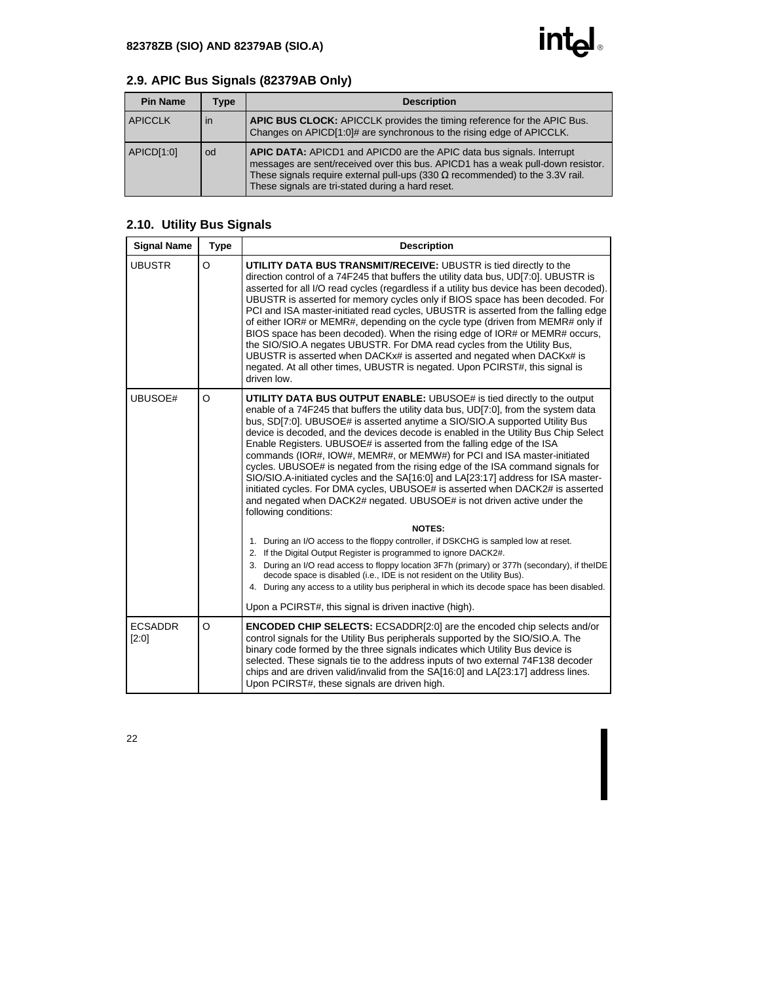

### **2.9. APIC Bus Signals (82379AB Only)**

| <b>Pin Name</b> | Type | <b>Description</b>                                                                                                                                                                                                                                                                                    |  |  |  |
|-----------------|------|-------------------------------------------------------------------------------------------------------------------------------------------------------------------------------------------------------------------------------------------------------------------------------------------------------|--|--|--|
| <b>APICCLK</b>  | in   | APIC BUS CLOCK: APICCLK provides the timing reference for the APIC Bus.<br>Changes on APICD[1:0]# are synchronous to the rising edge of APICCLK.                                                                                                                                                      |  |  |  |
| APICD[1:0]      | od   | APIC DATA: APICD1 and APICD0 are the APIC data bus signals. Interrupt<br>messages are sent/received over this bus. APICD1 has a weak pull-down resistor.<br>These signals require external pull-ups (330 $\Omega$ recommended) to the 3.3V rail.<br>These signals are tri-stated during a hard reset. |  |  |  |

### **2.10. Utility Bus Signals**

| <b>Signal Name</b>      | <b>Type</b> | <b>Description</b>                                                                                                                                                                                                                                                                                                                                                                                                                                                                                                                                                                                                                                                                                                                                                                                                                                          |  |  |  |  |  |
|-------------------------|-------------|-------------------------------------------------------------------------------------------------------------------------------------------------------------------------------------------------------------------------------------------------------------------------------------------------------------------------------------------------------------------------------------------------------------------------------------------------------------------------------------------------------------------------------------------------------------------------------------------------------------------------------------------------------------------------------------------------------------------------------------------------------------------------------------------------------------------------------------------------------------|--|--|--|--|--|
| <b>UBUSTR</b>           | O           | <b>UTILITY DATA BUS TRANSMIT/RECEIVE: UBUSTR is tied directly to the</b><br>direction control of a 74F245 that buffers the utility data bus, UD[7:0]. UBUSTR is<br>asserted for all I/O read cycles (regardless if a utility bus device has been decoded).<br>UBUSTR is asserted for memory cycles only if BIOS space has been decoded. For<br>PCI and ISA master-initiated read cycles, UBUSTR is asserted from the falling edge<br>of either IOR# or MEMR#, depending on the cycle type (driven from MEMR# only if<br>BIOS space has been decoded). When the rising edge of IOR# or MEMR# occurs,<br>the SIO/SIO.A negates UBUSTR. For DMA read cycles from the Utility Bus,<br>UBUSTR is asserted when DACKx# is asserted and negated when DACKx# is<br>negated. At all other times, UBUSTR is negated. Upon PCIRST#, this signal is<br>driven low.      |  |  |  |  |  |
| UBUSOE#                 | O           | <b>UTILITY DATA BUS OUTPUT ENABLE: UBUSOE# is tied directly to the output</b><br>enable of a 74F245 that buffers the utility data bus, UD[7:0], from the system data<br>bus, SD[7:0]. UBUSOE# is asserted anytime a SIO/SIO.A supported Utility Bus<br>device is decoded, and the devices decode is enabled in the Utility Bus Chip Select<br>Enable Registers. UBUSOE# is asserted from the falling edge of the ISA<br>commands (IOR#, IOW#, MEMR#, or MEMW#) for PCI and ISA master-initiated<br>cycles. UBUSOE# is negated from the rising edge of the ISA command signals for<br>SIO/SIO.A-initiated cycles and the SA[16:0] and LA[23:17] address for ISA master-<br>initiated cycles. For DMA cycles, UBUSOE# is asserted when DACK2# is asserted<br>and negated when DACK2# negated. UBUSOE# is not driven active under the<br>following conditions: |  |  |  |  |  |
|                         |             | <b>NOTES:</b>                                                                                                                                                                                                                                                                                                                                                                                                                                                                                                                                                                                                                                                                                                                                                                                                                                               |  |  |  |  |  |
|                         |             | 1. During an I/O access to the floppy controller, if DSKCHG is sampled low at reset.                                                                                                                                                                                                                                                                                                                                                                                                                                                                                                                                                                                                                                                                                                                                                                        |  |  |  |  |  |
|                         |             | 2. If the Digital Output Register is programmed to ignore DACK2#.<br>3. During an I/O read access to floppy location 3F7h (primary) or 377h (secondary), if the IDE<br>decode space is disabled (i.e., IDE is not resident on the Utility Bus).<br>4. During any access to a utility bus peripheral in which its decode space has been disabled.                                                                                                                                                                                                                                                                                                                                                                                                                                                                                                            |  |  |  |  |  |
|                         |             | Upon a PCIRST#, this signal is driven inactive (high).                                                                                                                                                                                                                                                                                                                                                                                                                                                                                                                                                                                                                                                                                                                                                                                                      |  |  |  |  |  |
| <b>ECSADDR</b><br>[2:0] | O           | <b>ENCODED CHIP SELECTS:</b> ECSADDR[2:0] are the encoded chip selects and/or<br>control signals for the Utility Bus peripherals supported by the SIO/SIO.A. The<br>binary code formed by the three signals indicates which Utility Bus device is<br>selected. These signals tie to the address inputs of two external 74F138 decoder<br>chips and are driven valid/invalid from the SA[16:0] and LA[23:17] address lines.<br>Upon PCIRST#, these signals are driven high.                                                                                                                                                                                                                                                                                                                                                                                  |  |  |  |  |  |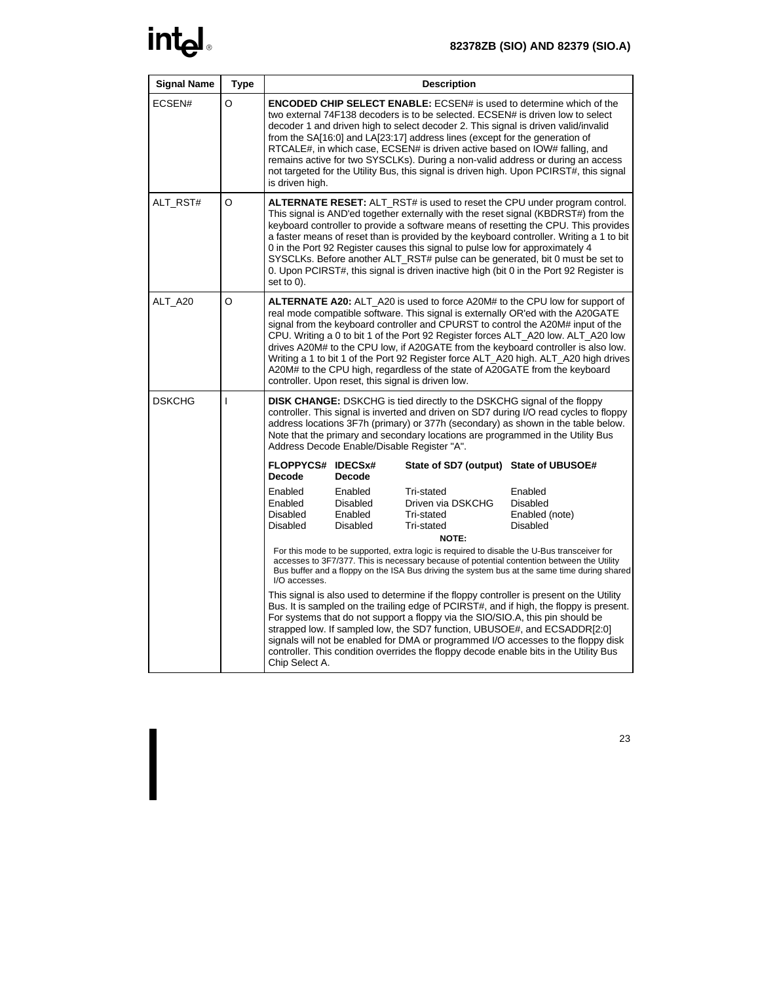| <b>Signal Name</b> | Type |                                                                                                                                                                                                                                                                                                                                                                                                                                                                                                                                                                                                                                                                  |                                                                                                                                                                                                                                                                                                                                                                                                                                                                                                                                                                                                                      | <b>Description</b>                     |  |  |  |  |
|--------------------|------|------------------------------------------------------------------------------------------------------------------------------------------------------------------------------------------------------------------------------------------------------------------------------------------------------------------------------------------------------------------------------------------------------------------------------------------------------------------------------------------------------------------------------------------------------------------------------------------------------------------------------------------------------------------|----------------------------------------------------------------------------------------------------------------------------------------------------------------------------------------------------------------------------------------------------------------------------------------------------------------------------------------------------------------------------------------------------------------------------------------------------------------------------------------------------------------------------------------------------------------------------------------------------------------------|----------------------------------------|--|--|--|--|
| ECSEN#             | O    | <b>ENCODED CHIP SELECT ENABLE:</b> ECSEN# is used to determine which of the<br>two external 74F138 decoders is to be selected. ECSEN# is driven low to select<br>decoder 1 and driven high to select decoder 2. This signal is driven valid/invalid<br>from the SA[16:0] and LA[23:17] address lines (except for the generation of<br>RTCALE#, in which case, ECSEN# is driven active based on IOW# falling, and<br>remains active for two SYSCLKs). During a non-valid address or during an access<br>not targeted for the Utility Bus, this signal is driven high. Upon PCIRST#, this signal<br>is driven high.                                                |                                                                                                                                                                                                                                                                                                                                                                                                                                                                                                                                                                                                                      |                                        |  |  |  |  |
| ALT RST#           | O    | set to $0$ ).                                                                                                                                                                                                                                                                                                                                                                                                                                                                                                                                                                                                                                                    | <b>ALTERNATE RESET:</b> ALT RST# is used to reset the CPU under program control.<br>This signal is AND'ed together externally with the reset signal (KBDRST#) from the<br>keyboard controller to provide a software means of resetting the CPU. This provides<br>a faster means of reset than is provided by the keyboard controller. Writing a 1 to bit<br>0 in the Port 92 Register causes this signal to pulse low for approximately 4<br>SYSCLKs. Before another ALT_RST# pulse can be generated, bit 0 must be set to<br>0. Upon PCIRST#, this signal is driven inactive high (bit 0 in the Port 92 Register is |                                        |  |  |  |  |
| ALT A20            | O    | <b>ALTERNATE A20:</b> ALT_A20 is used to force A20M# to the CPU low for support of<br>real mode compatible software. This signal is externally OR'ed with the A20GATE<br>signal from the keyboard controller and CPURST to control the A20M# input of the<br>CPU. Writing a 0 to bit 1 of the Port 92 Register forces ALT_A20 low. ALT_A20 low<br>drives A20M# to the CPU low, if A20GATE from the keyboard controller is also low.<br>Writing a 1 to bit 1 of the Port 92 Register force ALT_A20 high. ALT_A20 high drives<br>A20M# to the CPU high, regardless of the state of A20GATE from the keyboard<br>controller. Upon reset, this signal is driven low. |                                                                                                                                                                                                                                                                                                                                                                                                                                                                                                                                                                                                                      |                                        |  |  |  |  |
| <b>DSKCHG</b>      | I    |                                                                                                                                                                                                                                                                                                                                                                                                                                                                                                                                                                                                                                                                  | <b>DISK CHANGE:</b> DSKCHG is tied directly to the DSKCHG signal of the floppy<br>controller. This signal is inverted and driven on SD7 during I/O read cycles to floppy<br>address locations 3F7h (primary) or 377h (secondary) as shown in the table below.<br>Note that the primary and secondary locations are programmed in the Utility Bus<br>Address Decode Enable/Disable Register "A".                                                                                                                                                                                                                      |                                        |  |  |  |  |
|                    |      | FLOPPYCS# IDECSx#<br><b>Decode</b>                                                                                                                                                                                                                                                                                                                                                                                                                                                                                                                                                                                                                               | Decode                                                                                                                                                                                                                                                                                                                                                                                                                                                                                                                                                                                                               | State of SD7 (output) State of UBUSOE# |  |  |  |  |
|                    |      | Enabled<br>Enabled<br>Tri-stated<br>Enabled<br>Enabled<br><b>Disabled</b><br>Driven via DSKCHG<br><b>Disabled</b><br><b>Disabled</b><br>Enabled<br>Tri-stated<br>Enabled (note)<br><b>Disabled</b><br><b>Disabled</b><br><b>Disabled</b><br>Tri-stated<br>NOTE:<br>For this mode to be supported, extra logic is required to disable the U-Bus transceiver for<br>accesses to 3F7/377. This is necessary because of potential contention between the Utility<br>Bus buffer and a floppy on the ISA Bus driving the system bus at the same time during shared<br>I/O accesses.                                                                                    |                                                                                                                                                                                                                                                                                                                                                                                                                                                                                                                                                                                                                      |                                        |  |  |  |  |
|                    |      |                                                                                                                                                                                                                                                                                                                                                                                                                                                                                                                                                                                                                                                                  |                                                                                                                                                                                                                                                                                                                                                                                                                                                                                                                                                                                                                      |                                        |  |  |  |  |
|                    |      | This signal is also used to determine if the floppy controller is present on the Utility<br>Bus. It is sampled on the trailing edge of PCIRST#, and if high, the floppy is present.<br>For systems that do not support a floppy via the SIO/SIO.A, this pin should be<br>strapped low. If sampled low, the SD7 function, UBUSOE#, and ECSADDR[2:0]<br>signals will not be enabled for DMA or programmed I/O accesses to the floppy disk<br>controller. This condition overrides the floppy decode enable bits in the Utility Bus<br>Chip Select A.                                                                                                               |                                                                                                                                                                                                                                                                                                                                                                                                                                                                                                                                                                                                                      |                                        |  |  |  |  |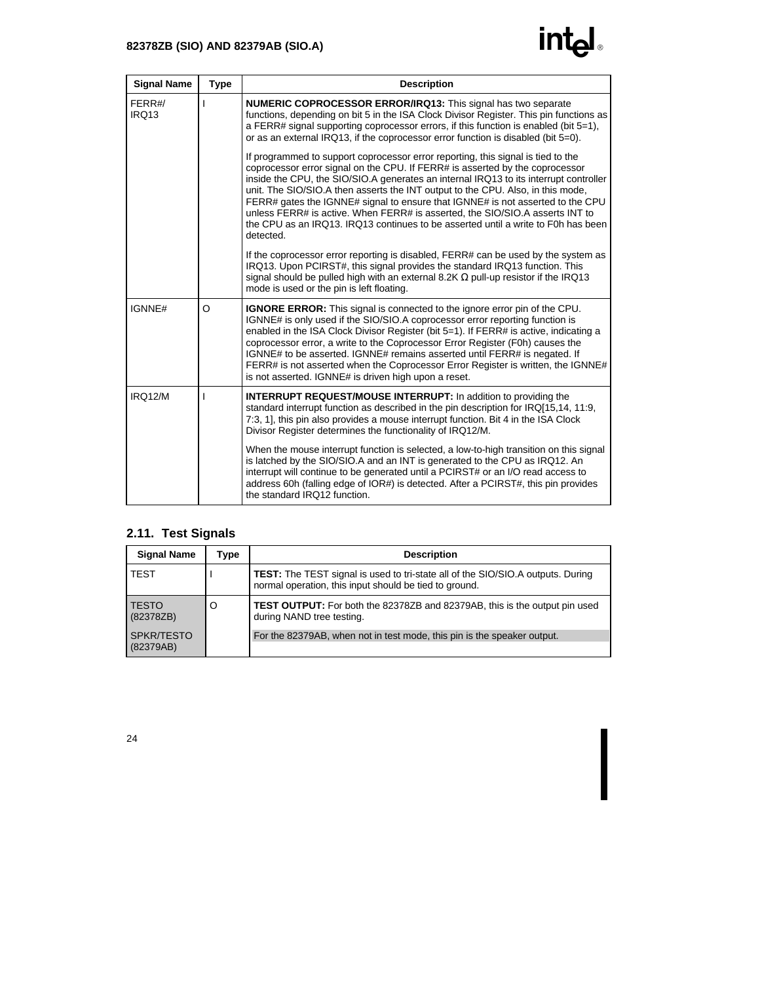

I

| <b>Signal Name</b> | <b>Type</b>  | <b>Description</b>                                                                                                                                                                                                                                                                                                                                                                                                                                                                                                                                                                                               |
|--------------------|--------------|------------------------------------------------------------------------------------------------------------------------------------------------------------------------------------------------------------------------------------------------------------------------------------------------------------------------------------------------------------------------------------------------------------------------------------------------------------------------------------------------------------------------------------------------------------------------------------------------------------------|
| FERR#/<br>IRQ13    | $\mathsf{I}$ | <b>NUMERIC COPROCESSOR ERROR/IRQ13: This signal has two separate</b><br>functions, depending on bit 5 in the ISA Clock Divisor Register. This pin functions as<br>a FERR# signal supporting coprocessor errors, if this function is enabled (bit $5=1$ ),<br>or as an external IRQ13, if the coprocessor error function is disabled (bit $5=0$ ).                                                                                                                                                                                                                                                                |
|                    |              | If programmed to support coprocessor error reporting, this signal is tied to the<br>coprocessor error signal on the CPU. If FERR# is asserted by the coprocessor<br>inside the CPU, the SIO/SIO.A generates an internal IRQ13 to its interrupt controller<br>unit. The SIO/SIO.A then asserts the INT output to the CPU. Also, in this mode,<br>FERR# gates the IGNNE# signal to ensure that IGNNE# is not asserted to the CPU<br>unless FERR# is active. When FERR# is asserted, the SIO/SIO.A asserts INT to<br>the CPU as an IRQ13. IRQ13 continues to be asserted until a write to F0h has been<br>detected. |
|                    |              | If the coprocessor error reporting is disabled, FERR# can be used by the system as<br>IRQ13. Upon PCIRST#, this signal provides the standard IRQ13 function. This<br>signal should be pulled high with an external 8.2K $\Omega$ pull-up resistor if the IRQ13<br>mode is used or the pin is left floating.                                                                                                                                                                                                                                                                                                      |
| IGNNE#             | O            | <b>IGNORE ERROR:</b> This signal is connected to the ignore error pin of the CPU.<br>IGNNE# is only used if the SIO/SIO.A coprocessor error reporting function is<br>enabled in the ISA Clock Divisor Register (bit 5=1). If FERR# is active, indicating a<br>coprocessor error, a write to the Coprocessor Error Register (F0h) causes the<br>IGNNE# to be asserted. IGNNE# remains asserted until FERR# is negated. If<br>FERR# is not asserted when the Coprocessor Error Register is written, the IGNNE#<br>is not asserted. IGNNE# is driven high upon a reset.                                             |
| <b>IRQ12/M</b>     |              | <b>INTERRUPT REQUEST/MOUSE INTERRUPT:</b> In addition to providing the<br>standard interrupt function as described in the pin description for IRQ[15,14, 11:9,<br>7:3, 1], this pin also provides a mouse interrupt function. Bit 4 in the ISA Clock<br>Divisor Register determines the functionality of IRQ12/M.                                                                                                                                                                                                                                                                                                |
|                    |              | When the mouse interrupt function is selected, a low-to-high transition on this signal<br>is latched by the SIO/SIO.A and an INT is generated to the CPU as IRQ12. An<br>interrupt will continue to be generated until a PCIRST# or an I/O read access to<br>address 60h (falling edge of IOR#) is detected. After a PCIRST#, this pin provides<br>the standard IRQ12 function.                                                                                                                                                                                                                                  |

## **2.11. Test Signals**

| <b>Signal Name</b>        | Type | <b>Description</b>                                                                                                                               |
|---------------------------|------|--------------------------------------------------------------------------------------------------------------------------------------------------|
| <b>TEST</b>               |      | <b>TEST:</b> The TEST signal is used to tri-state all of the SIO/SIO.A outputs. During<br>normal operation, this input should be tied to ground. |
| <b>TESTO</b><br>(82378ZB) | O    | <b>TEST OUTPUT:</b> For both the 82378ZB and 82379AB, this is the output pin used<br>during NAND tree testing.                                   |
| SPKR/TESTO<br>(82379AB)   |      | For the 82379AB, when not in test mode, this pin is the speaker output.                                                                          |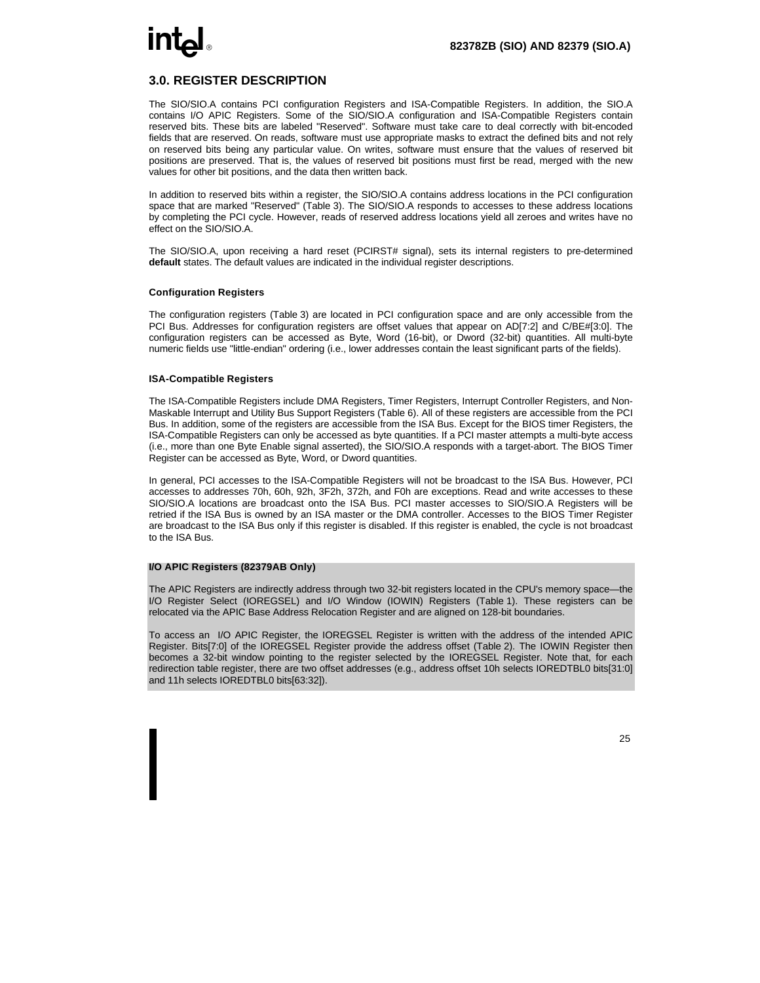#### **3.0. REGISTER DESCRIPTION**

The SIO/SIO.A contains PCI configuration Registers and ISA-Compatible Registers. In addition, the SIO.A contains I/O APIC Registers. Some of the SIO/SIO.A configuration and ISA-Compatible Registers contain reserved bits. These bits are labeled "Reserved". Software must take care to deal correctly with bit-encoded fields that are reserved. On reads, software must use appropriate masks to extract the defined bits and not rely on reserved bits being any particular value. On writes, software must ensure that the values of reserved bit positions are preserved. That is, the values of reserved bit positions must first be read, merged with the new values for other bit positions, and the data then written back.

In addition to reserved bits within a register, the SIO/SIO.A contains address locations in the PCI configuration space that are marked "Reserved" (Table 3). The SIO/SIO.A responds to accesses to these address locations by completing the PCI cycle. However, reads of reserved address locations yield all zeroes and writes have no effect on the SIO/SIO.A.

The SIO/SIO.A, upon receiving a hard reset (PCIRST# signal), sets its internal registers to pre-determined **default** states. The default values are indicated in the individual register descriptions.

#### **Configuration Registers**

The configuration registers (Table 3) are located in PCI configuration space and are only accessible from the PCI Bus. Addresses for configuration registers are offset values that appear on AD[7:2] and C/BE#[3:0]. The configuration registers can be accessed as Byte, Word (16-bit), or Dword (32-bit) quantities. All multi-byte numeric fields use "little-endian" ordering (i.e., lower addresses contain the least significant parts of the fields).

#### **ISA-Compatible Registers**

The ISA-Compatible Registers include DMA Registers, Timer Registers, Interrupt Controller Registers, and Non-Maskable Interrupt and Utility Bus Support Registers (Table 6). All of these registers are accessible from the PCI Bus. In addition, some of the registers are accessible from the ISA Bus. Except for the BIOS timer Registers, the ISA-Compatible Registers can only be accessed as byte quantities. If a PCI master attempts a multi-byte access (i.e., more than one Byte Enable signal asserted), the SIO/SIO.A responds with a target-abort. The BIOS Timer Register can be accessed as Byte, Word, or Dword quantities.

In general, PCI accesses to the ISA-Compatible Registers will not be broadcast to the ISA Bus. However, PCI accesses to addresses 70h, 60h, 92h, 3F2h, 372h, and F0h are exceptions. Read and write accesses to these SIO/SIO.A locations are broadcast onto the ISA Bus. PCI master accesses to SIO/SIO.A Registers will be retried if the ISA Bus is owned by an ISA master or the DMA controller. Accesses to the BIOS Timer Register are broadcast to the ISA Bus only if this register is disabled. If this register is enabled, the cycle is not broadcast to the ISA Bus.

#### **I/O APIC Registers (82379AB Only)**

The APIC Registers are indirectly address through two 32-bit registers located in the CPU's memory space—the I/O Register Select (IOREGSEL) and I/O Window (IOWIN) Registers (Table 1). These registers can be relocated via the APIC Base Address Relocation Register and are aligned on 128-bit boundaries.

To access an I/O APIC Register, the IOREGSEL Register is written with the address of the intended APIC Register. Bits[7:0] of the IOREGSEL Register provide the address offset (Table 2). The IOWIN Register then becomes a 32-bit window pointing to the register selected by the IOREGSEL Register. Note that, for each redirection table register, there are two offset addresses (e.g., address offset 10h selects IOREDTBL0 bits[31:0] and 11h selects IOREDTBL0 bits[63:32]).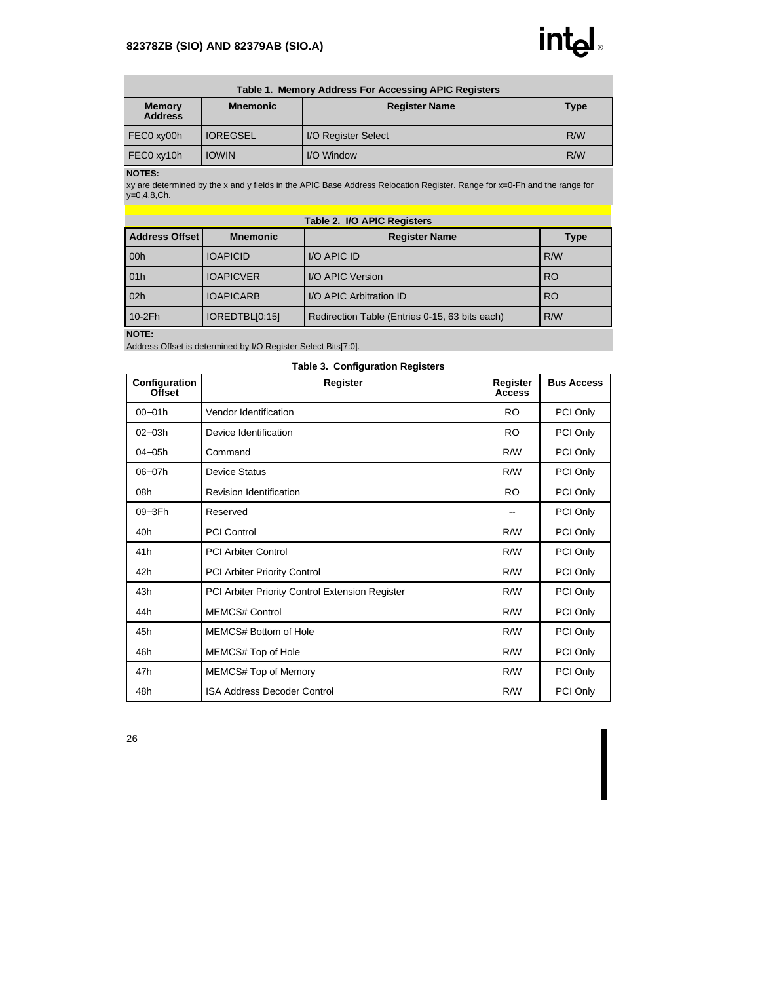

| Table 1. Memory Address For Accessing APIC Registers |                 |                      |             |  |  |  |  |
|------------------------------------------------------|-----------------|----------------------|-------------|--|--|--|--|
| <b>Memory</b><br><b>Address</b>                      | <b>Mnemonic</b> | <b>Register Name</b> | <b>Type</b> |  |  |  |  |
| FEC0 xy00h                                           | <b>IOREGSEL</b> | I/O Register Select  | R/W         |  |  |  |  |
| FEC0 xy10h                                           | <b>IOWIN</b>    | I/O Window           | R/W         |  |  |  |  |

#### **NOTES:**

xy are determined by the x and y fields in the APIC Base Address Relocation Register. Range for x=0-Fh and the range for y=0,4,8,Ch.

| Table 2. I/O APIC Registers |                  |                                                |             |  |  |  |  |
|-----------------------------|------------------|------------------------------------------------|-------------|--|--|--|--|
| <b>Address Offset</b>       | <b>Mnemonic</b>  | <b>Register Name</b>                           | <b>Type</b> |  |  |  |  |
| 00h                         | <b>IOAPICID</b>  | <b>I/O APIC ID</b>                             | R/W         |  |  |  |  |
| 01h                         | <b>IOAPICVER</b> | I/O APIC Version                               | <b>RO</b>   |  |  |  |  |
| 02h                         | <b>IOAPICARB</b> | I/O APIC Arbitration ID                        | <b>RO</b>   |  |  |  |  |
| $10-2Fh$                    | IOREDTBL[0:15]   | Redirection Table (Entries 0-15, 63 bits each) | R/W         |  |  |  |  |
| NATE.                       |                  |                                                |             |  |  |  |  |

**NOTE:**

Address Offset is determined by I/O Register Select Bits[7:0].

#### **Table 3. Configuration Registers**

| Configuration<br><b>Offset</b> | Register                                        | Register<br><b>Access</b> | <b>Bus Access</b> |
|--------------------------------|-------------------------------------------------|---------------------------|-------------------|
| $00 - 01h$                     | Vendor Identification                           | RO.                       | PCI Only          |
| $02 - 03h$                     | Device Identification                           | RO.                       | PCI Only          |
| $04 - 05h$                     | Command                                         | R/W                       | PCI Only          |
| 06-07h                         | <b>Device Status</b>                            | R/W                       | PCI Only          |
| 08h                            | <b>Revision Identification</b>                  | RO.                       | PCI Only          |
| $09 - 3Fh$                     | Reserved                                        | --                        | PCI Only          |
| 40h                            | <b>PCI</b> Control                              | R/W                       | PCI Only          |
| 41h                            | <b>PCI Arbiter Control</b>                      | R/W                       | PCI Only          |
| 42h                            | <b>PCI Arbiter Priority Control</b>             | R/W                       | PCI Only          |
| 43h                            | PCI Arbiter Priority Control Extension Register | R/W                       | PCI Only          |
| 44h                            | <b>MEMCS# Control</b>                           | R/W                       | PCI Only          |
| 45h                            | MEMCS# Bottom of Hole                           | R/W                       | PCI Only          |
| 46h                            | MEMCS# Top of Hole                              | R/W                       | PCI Only          |
| 47h                            | MEMCS# Top of Memory                            | R/W                       | PCI Only          |
| 48h                            | <b>ISA Address Decoder Control</b>              | R/W                       | PCI Only          |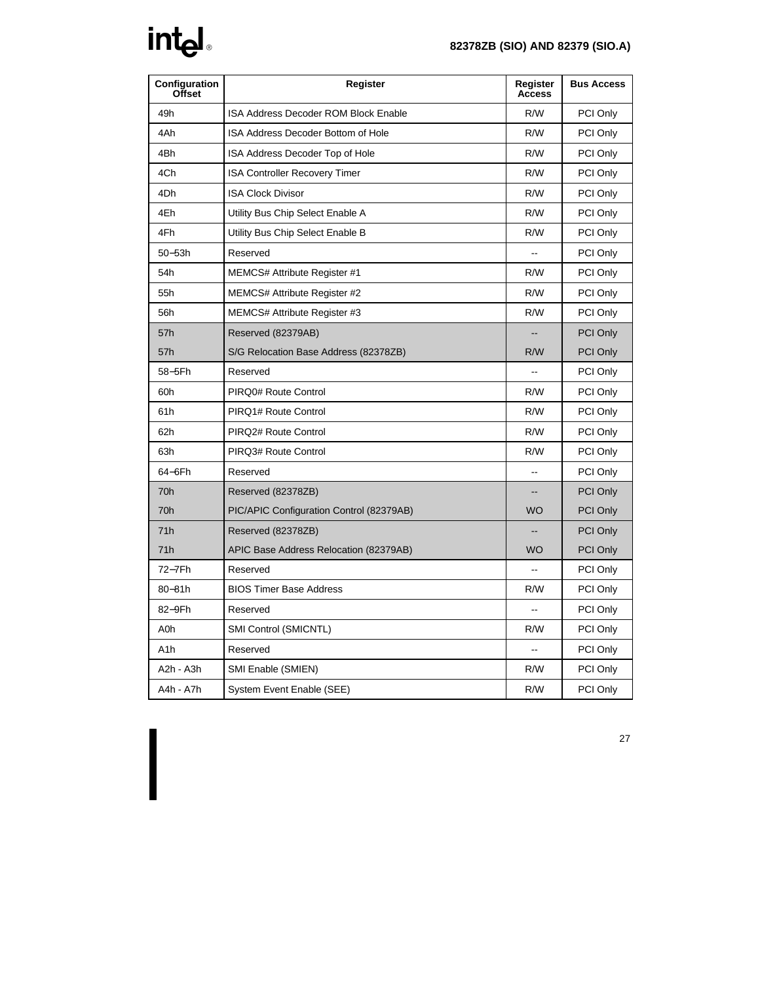# E **82378ZB (SIO) AND 82379 (SIO.A)**

| Configuration<br><b>Offset</b> | Register                                 | Register<br><b>Access</b> | <b>Bus Access</b> |
|--------------------------------|------------------------------------------|---------------------------|-------------------|
| 49h                            | ISA Address Decoder ROM Block Enable     | R/W                       | PCI Only          |
| 4Ah                            | ISA Address Decoder Bottom of Hole       | R/W                       | PCI Only          |
| 4Bh                            | ISA Address Decoder Top of Hole          | R/W                       | PCI Only          |
| 4Ch                            | <b>ISA Controller Recovery Timer</b>     | R/W                       | PCI Only          |
| 4Dh                            | <b>ISA Clock Divisor</b>                 | R/W                       | PCI Only          |
| 4Eh                            | Utility Bus Chip Select Enable A         | R/W                       | PCI Only          |
| 4Fh                            | Utility Bus Chip Select Enable B         | R/W                       | PCI Only          |
| $50 - 53h$                     | Reserved                                 |                           | PCI Only          |
| 54h                            | MEMCS# Attribute Register #1             | R/W                       | PCI Only          |
| 55h                            | MEMCS# Attribute Register #2             | R/W                       | PCI Only          |
| 56h                            | MEMCS# Attribute Register #3             | R/W                       | PCI Only          |
| 57h                            | Reserved (82379AB)                       |                           | PCI Only          |
| 57h                            | S/G Relocation Base Address (82378ZB)    | R/W                       | PCI Only          |
| 58-5Fh                         | Reserved                                 |                           | PCI Only          |
| 60h                            | PIRQ0# Route Control                     | R/W                       | PCI Only          |
| 61h                            | PIRQ1# Route Control                     | R/W                       | PCI Only          |
| 62h                            | PIRQ2# Route Control                     | R/W                       | PCI Only          |
| 63h                            | PIRQ3# Route Control                     | R/W                       | PCI Only          |
| 64-6Fh                         | Reserved                                 |                           | PCI Only          |
| 70h                            | Reserved (82378ZB)                       | --                        | PCI Only          |
| 70h                            | PIC/APIC Configuration Control (82379AB) | WO                        | PCI Only          |
| 71h                            | Reserved (82378ZB)                       |                           | PCI Only          |
| 71h                            | APIC Base Address Relocation (82379AB)   | WO                        | PCI Only          |
| 72-7Fh                         | Reserved                                 |                           | PCI Only          |
| $80 - 81h$                     | <b>BIOS Timer Base Address</b>           | R/W                       | PCI Only          |
| 82-9Fh                         | Reserved                                 | ۵.                        | PCI Only          |
| A0h                            | <b>SMI Control (SMICNTL)</b>             | R/W                       | PCI Only          |
| A1h                            | Reserved                                 |                           | PCI Only          |
| A2h - A3h                      | SMI Enable (SMIEN)                       | R/W                       | PCI Only          |
| A4h - A7h                      | System Event Enable (SEE)                | R/W                       | PCI Only          |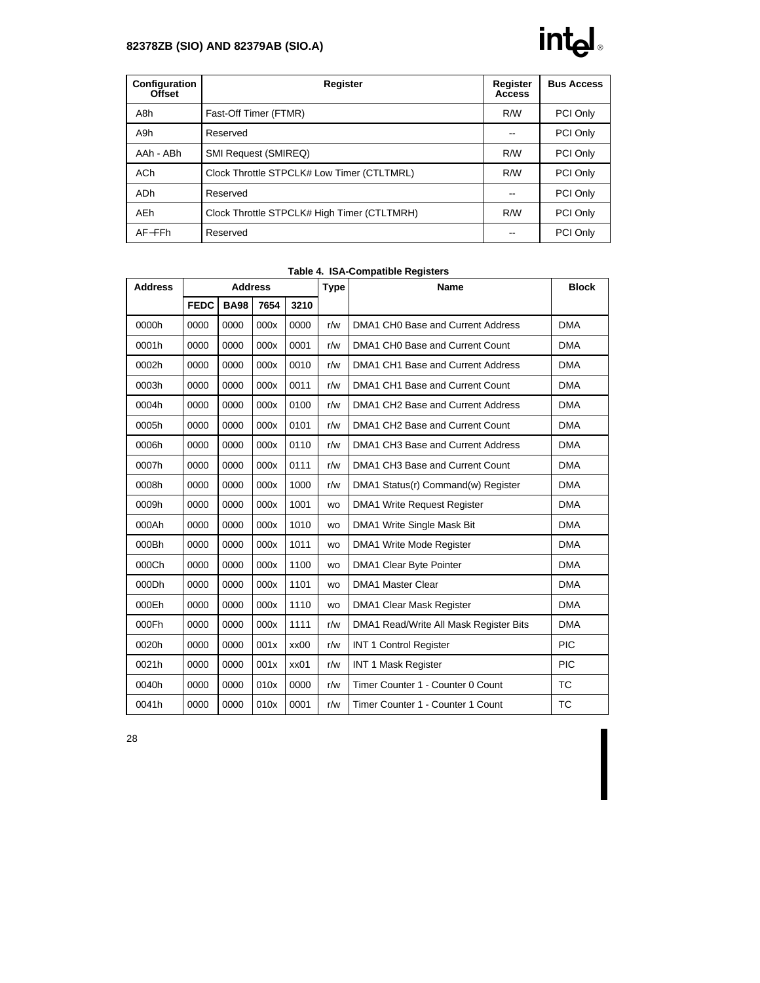

| Configuration<br><b>Offset</b> | Register                                    | Register<br><b>Access</b> | <b>Bus Access</b> |
|--------------------------------|---------------------------------------------|---------------------------|-------------------|
| A8h                            | Fast-Off Timer (FTMR)                       | R/W                       | PCI Only          |
| A9h                            | Reserved                                    |                           | PCI Only          |
| AAh - ABh                      | <b>SMI Request (SMIREQ)</b>                 | R/W                       | PCI Only          |
| <b>ACh</b>                     | Clock Throttle STPCLK# Low Timer (CTLTMRL)  | R/W                       | PCI Only          |
| <b>ADh</b>                     | Reserved                                    |                           | PCI Only          |
| AEh                            | Clock Throttle STPCLK# High Timer (CTLTMRH) | R/W                       | PCI Only          |
| AF-FFh                         | Reserved                                    |                           | PCI Only          |

#### **Table 4. ISA-Compatible Registers**

| <b>Address</b> | <b>Address</b> |             | <b>Type</b> | <b>Name</b> | <b>Block</b> |                                        |            |
|----------------|----------------|-------------|-------------|-------------|--------------|----------------------------------------|------------|
|                | <b>FEDC</b>    | <b>BA98</b> | 7654        | 3210        |              |                                        |            |
| 0000h          | 0000           | 0000        | 000x        | 0000        | r/w          | DMA1 CHO Base and Current Address      | <b>DMA</b> |
| 0001h          | 0000           | 0000        | 000x        | 0001        | r/w          | DMA1 CH0 Base and Current Count        | <b>DMA</b> |
| 0002h          | 0000           | 0000        | 000x        | 0010        | r/w          | DMA1 CH1 Base and Current Address      | <b>DMA</b> |
| 0003h          | 0000           | 0000        | 000x        | 0011        | r/w          | DMA1 CH1 Base and Current Count        | <b>DMA</b> |
| 0004h          | 0000           | 0000        | 000x        | 0100        | r/w          | DMA1 CH2 Base and Current Address      | <b>DMA</b> |
| 0005h          | 0000           | 0000        | 000x        | 0101        | r/w          | DMA1 CH2 Base and Current Count        | <b>DMA</b> |
| 0006h          | 0000           | 0000        | 000x        | 0110        | r/w          | DMA1 CH3 Base and Current Address      | <b>DMA</b> |
| 0007h          | 0000           | 0000        | 000x        | 0111        | r/w          | DMA1 CH3 Base and Current Count        | <b>DMA</b> |
| 0008h          | 0000           | 0000        | 000x        | 1000        | r/w          | DMA1 Status(r) Command(w) Register     | <b>DMA</b> |
| 0009h          | 0000           | 0000        | 000x        | 1001        | <b>WO</b>    | <b>DMA1 Write Request Register</b>     | <b>DMA</b> |
| 000Ah          | 0000           | 0000        | 000x        | 1010        | <b>WO</b>    | DMA1 Write Single Mask Bit             | <b>DMA</b> |
| 000Bh          | 0000           | 0000        | 000x        | 1011        | <b>WO</b>    | DMA1 Write Mode Register               | <b>DMA</b> |
| 000Ch          | 0000           | 0000        | 000x        | 1100        | <b>WO</b>    | <b>DMA1 Clear Byte Pointer</b>         | <b>DMA</b> |
| 000Dh          | 0000           | 0000        | 000x        | 1101        | <b>WO</b>    | <b>DMA1 Master Clear</b>               | <b>DMA</b> |
| 000Eh          | 0000           | 0000        | 000x        | 1110        | <b>WO</b>    | <b>DMA1 Clear Mask Register</b>        | <b>DMA</b> |
| 000Fh          | 0000           | 0000        | 000x        | 1111        | r/w          | DMA1 Read/Write All Mask Register Bits | <b>DMA</b> |
| 0020h          | 0000           | 0000        | 001x        | xx00        | r/w          | <b>INT 1 Control Register</b>          | <b>PIC</b> |
| 0021h          | 0000           | 0000        | 001x        | xx01        | r/w          | <b>INT 1 Mask Register</b>             | <b>PIC</b> |
| 0040h          | 0000           | 0000        | 010x        | 0000        | r/w          | Timer Counter 1 - Counter 0 Count      | <b>TC</b>  |
| 0041h          | 0000           | 0000        | 010x        | 0001        | r/w          | Timer Counter 1 - Counter 1 Count      | <b>TC</b>  |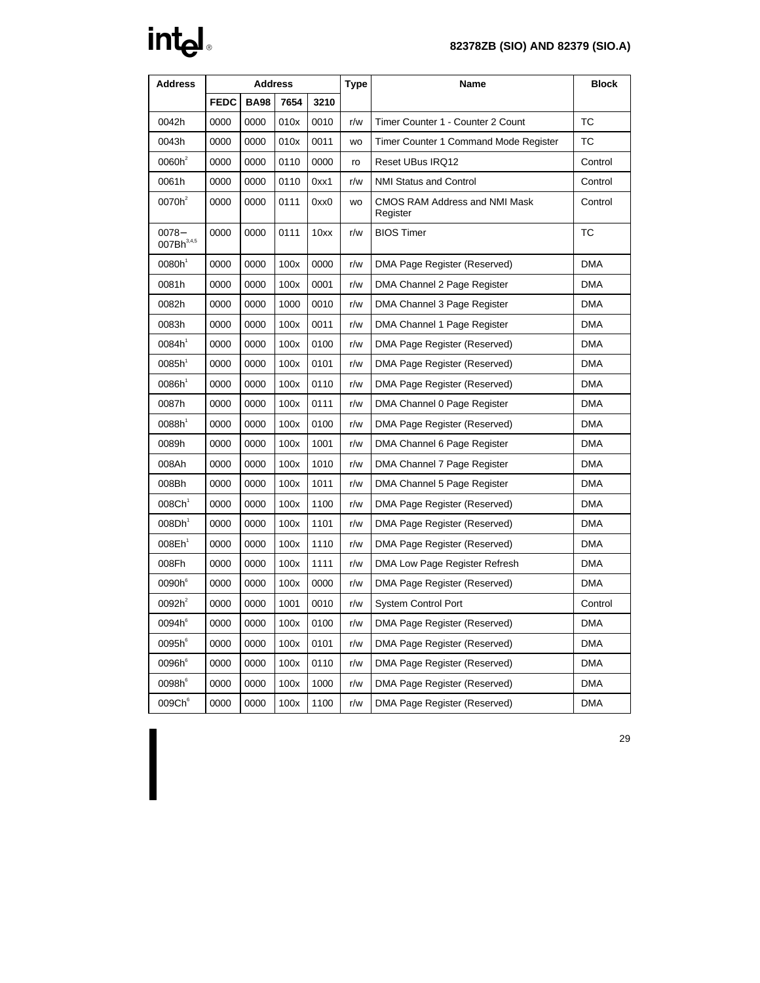| <b>intal</b> | 82378ZB (SIO) AND 82379 (SIO.A) |
|--------------|---------------------------------|

| <b>Address</b>                     |             | <b>Address</b> |      |      | <b>Type</b> | Name                                      | <b>Block</b> |
|------------------------------------|-------------|----------------|------|------|-------------|-------------------------------------------|--------------|
|                                    | <b>FEDC</b> | <b>BA98</b>    | 7654 | 3210 |             |                                           |              |
| 0042h                              | 0000        | 0000           | 010x | 0010 | r/w         | Timer Counter 1 - Counter 2 Count         | <b>TC</b>    |
| 0043h                              | 0000        | 0000           | 010x | 0011 | <b>WO</b>   | Timer Counter 1 Command Mode Register     | <b>TC</b>    |
| $0060h^2$                          | 0000        | 0000           | 0110 | 0000 | ro          | Reset UBus IRQ12                          | Control      |
| 0061h                              | 0000        | 0000           | 0110 | 0xx1 | r/w         | <b>NMI Status and Control</b>             | Control      |
| 0070h <sup>2</sup>                 | 0000        | 0000           | 0111 | 0xx0 | <b>WO</b>   | CMOS RAM Address and NMI Mask<br>Register | Control      |
| $0078 -$<br>007Bh <sup>3,4,5</sup> | 0000        | 0000           | 0111 | 10xx | r/w         | <b>BIOS Timer</b>                         | <b>TC</b>    |
| 0080h <sup>1</sup>                 | 0000        | 0000           | 100x | 0000 | r/w         | DMA Page Register (Reserved)              | <b>DMA</b>   |
| 0081h                              | 0000        | 0000           | 100x | 0001 | r/w         | DMA Channel 2 Page Register               | <b>DMA</b>   |
| 0082h                              | 0000        | 0000           | 1000 | 0010 | r/w         | DMA Channel 3 Page Register               | <b>DMA</b>   |
| 0083h                              | 0000        | 0000           | 100x | 0011 | r/w         | DMA Channel 1 Page Register               | <b>DMA</b>   |
| 0084h <sup>1</sup>                 | 0000        | 0000           | 100x | 0100 | r/w         | DMA Page Register (Reserved)              | <b>DMA</b>   |
| 0085h <sup>1</sup>                 | 0000        | 0000           | 100x | 0101 | r/w         | DMA Page Register (Reserved)              | <b>DMA</b>   |
| 0086h <sup>1</sup>                 | 0000        | 0000           | 100x | 0110 | r/w         | DMA Page Register (Reserved)              | <b>DMA</b>   |
| 0087h                              | 0000        | 0000           | 100x | 0111 | r/w         | DMA Channel 0 Page Register               | <b>DMA</b>   |
| 0088h <sup>1</sup>                 | 0000        | 0000           | 100x | 0100 | r/w         | DMA Page Register (Reserved)              | <b>DMA</b>   |
| 0089h                              | 0000        | 0000           | 100x | 1001 | r/w         | DMA Channel 6 Page Register               | <b>DMA</b>   |
| 008Ah                              | 0000        | 0000           | 100x | 1010 | r/w         | DMA Channel 7 Page Register               | DMA          |
| 008Bh                              | 0000        | 0000           | 100x | 1011 | r/w         | DMA Channel 5 Page Register               | <b>DMA</b>   |
| 008C <sub>h</sub>                  | 0000        | 0000           | 100x | 1100 | r/w         | DMA Page Register (Reserved)              | <b>DMA</b>   |
| 008Dh <sup>1</sup>                 | 0000        | 0000           | 100x | 1101 | r/w         | DMA Page Register (Reserved)              | <b>DMA</b>   |
| 008Eh <sup>1</sup>                 | 0000        | 0000           | 100x | 1110 | r/w         | DMA Page Register (Reserved)              | <b>DMA</b>   |
| 008Fh                              | 0000        | 0000           | 100x | 1111 | r/w         | DMA Low Page Register Refresh             | <b>DMA</b>   |
| $0090h^6$                          | 0000        | 0000           | 100x | 0000 | r/w         | DMA Page Register (Reserved)              | <b>DMA</b>   |
| $0092h^2$                          | 0000        | 0000           | 1001 | 0010 | r/w         | <b>System Control Port</b>                | Control      |
| 0094h <sup>6</sup>                 | 0000        | 0000           | 100x | 0100 | r/w         | DMA Page Register (Reserved)              | <b>DMA</b>   |
| 0095h <sup>6</sup>                 | 0000        | 0000           | 100x | 0101 | r/w         | DMA Page Register (Reserved)              | <b>DMA</b>   |
| 0096h <sup>6</sup>                 | 0000        | 0000           | 100x | 0110 | r/w         | DMA Page Register (Reserved)              | <b>DMA</b>   |
| 0098h <sup>6</sup>                 | 0000        | 0000           | 100x | 1000 | r/w         | DMA Page Register (Reserved)              | <b>DMA</b>   |
| 009Ch <sup>6</sup>                 | 0000        | 0000           | 100x | 1100 | r/w         | DMA Page Register (Reserved)              | <b>DMA</b>   |

29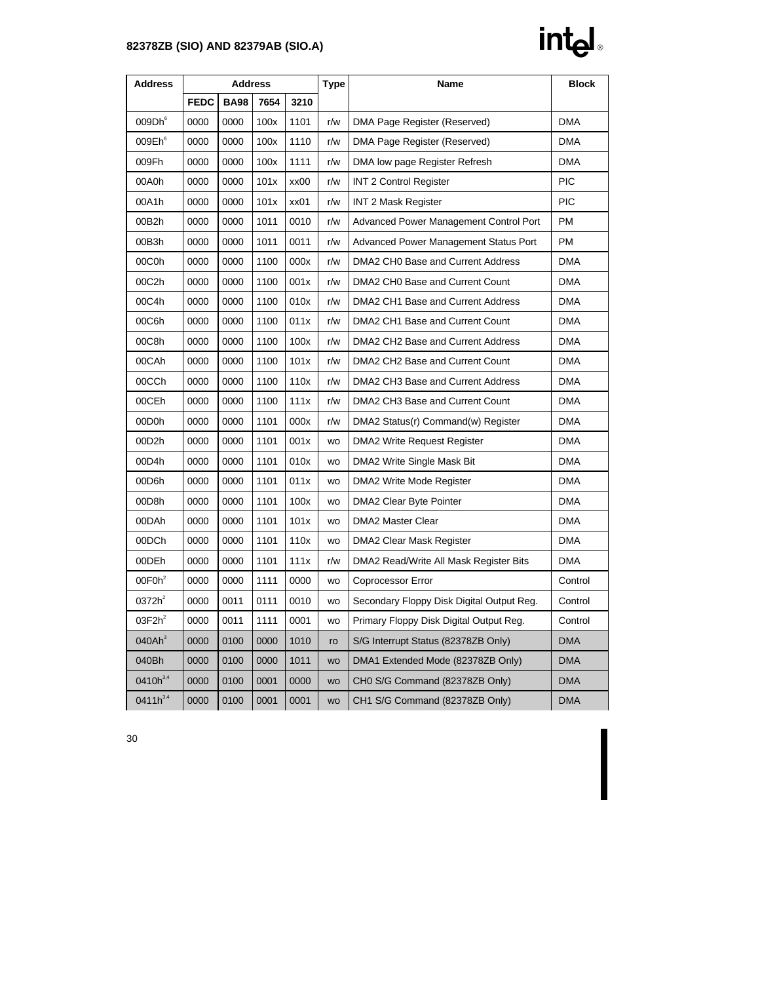

| <b>Address</b>       | <b>Address</b> |             | <b>Type</b> | Name | <b>Block</b> |                                           |            |
|----------------------|----------------|-------------|-------------|------|--------------|-------------------------------------------|------------|
|                      | <b>FEDC</b>    | <b>BA98</b> | 7654        | 3210 |              |                                           |            |
| 009Dh <sup>6</sup>   | 0000           | 0000        | 100x        | 1101 | r/w          | DMA Page Register (Reserved)              | <b>DMA</b> |
| $009Eh^6$            | 0000           | 0000        | 100x        | 1110 | r/w          | DMA Page Register (Reserved)              | <b>DMA</b> |
| 009Fh                | 0000           | 0000        | 100x        | 1111 | r/w          | DMA low page Register Refresh             | <b>DMA</b> |
| 00A0h                | 0000           | 0000        | 101x        | xx00 | r/w          | <b>INT 2 Control Register</b>             | <b>PIC</b> |
| 00A1h                | 0000           | 0000        | 101x        | xx01 | r/w          | <b>INT 2 Mask Register</b>                | <b>PIC</b> |
| 00B2h                | 0000           | 0000        | 1011        | 0010 | r/w          | Advanced Power Management Control Port    | <b>PM</b>  |
| 00B3h                | 0000           | 0000        | 1011        | 0011 | r/w          | Advanced Power Management Status Port     | PM         |
| 00C0h                | 0000           | 0000        | 1100        | 000x | r/w          | DMA2 CH0 Base and Current Address         | <b>DMA</b> |
| 00C2h                | 0000           | 0000        | 1100        | 001x | r/w          | DMA2 CH0 Base and Current Count           | <b>DMA</b> |
| 00C4h                | 0000           | 0000        | 1100        | 010x | r/w          | DMA2 CH1 Base and Current Address         | <b>DMA</b> |
| 00C6h                | 0000           | 0000        | 1100        | 011x | r/w          | DMA2 CH1 Base and Current Count           | <b>DMA</b> |
| 00C8h                | 0000           | 0000        | 1100        | 100x | r/w          | DMA2 CH2 Base and Current Address         | <b>DMA</b> |
| 00CAh                | 0000           | 0000        | 1100        | 101x | r/w          | DMA2 CH2 Base and Current Count           | <b>DMA</b> |
| 00CCh                | 0000           | 0000        | 1100        | 110x | r/w          | DMA2 CH3 Base and Current Address         | <b>DMA</b> |
| 00CEh                | 0000           | 0000        | 1100        | 111x | r/w          | DMA2 CH3 Base and Current Count           | DMA        |
| 00D0h                | 0000           | 0000        | 1101        | 000x | r/w          | DMA2 Status(r) Command(w) Register        | <b>DMA</b> |
| 00D2h                | 0000           | 0000        | 1101        | 001x | <b>WO</b>    | <b>DMA2 Write Request Register</b>        | <b>DMA</b> |
| 00D4h                | 0000           | 0000        | 1101        | 010x | <b>WO</b>    | DMA2 Write Single Mask Bit                | <b>DMA</b> |
| 00D6h                | 0000           | 0000        | 1101        | 011x | <b>WO</b>    | DMA2 Write Mode Register                  | <b>DMA</b> |
| 00D8h                | 0000           | 0000        | 1101        | 100x | <b>WO</b>    | DMA2 Clear Byte Pointer                   | <b>DMA</b> |
| 00DAh                | 0000           | 0000        | 1101        | 101x | WO           | <b>DMA2 Master Clear</b>                  | <b>DMA</b> |
| 00DCh                | 0000           | 0000        | 1101        | 110x | <b>WO</b>    | <b>DMA2 Clear Mask Register</b>           | <b>DMA</b> |
| 00DEh                | 0000           | 0000        | 1101        | 111x | r/w          | DMA2 Read/Write All Mask Register Bits    | <b>DMA</b> |
| 00F0h <sup>2</sup>   | 0000           | 0000        | 1111        | 0000 | <b>WO</b>    | Coprocessor Error                         | Control    |
| $0372h^2$            | 0000           | 0011        | 0111        | 0010 | <b>WO</b>    | Secondary Floppy Disk Digital Output Reg. | Control    |
| 03F2h <sup>2</sup>   | 0000           | 0011        | 1111        | 0001 | <b>WO</b>    | Primary Floppy Disk Digital Output Reg.   | Control    |
| 040Ah <sup>3</sup>   | 0000           | 0100        | 0000        | 1010 | ro           | S/G Interrupt Status (82378ZB Only)       | <b>DMA</b> |
| 040Bh                | 0000           | 0100        | 0000        | 1011 | <b>WO</b>    | DMA1 Extended Mode (82378ZB Only)         | <b>DMA</b> |
| 0410h <sup>3,4</sup> | 0000           | 0100        | 0001        | 0000 | <b>WO</b>    | CH0 S/G Command (82378ZB Only)            | <b>DMA</b> |
| 0411h <sup>3,4</sup> | 0000           | 0100        | 0001        | 0001 | <b>WO</b>    | CH1 S/G Command (82378ZB Only)            | <b>DMA</b> |

30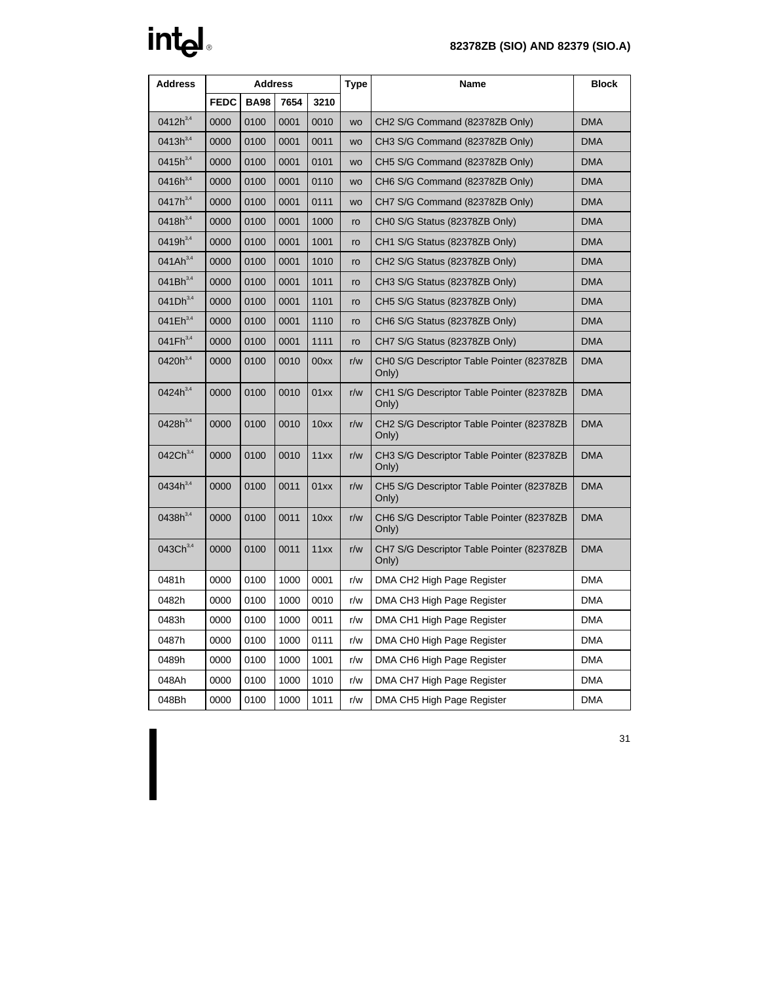# E **82378ZB (SIO) AND 82379 (SIO.A)**

| <b>Address</b>       | <b>Address</b> |             | <b>Type</b> | <b>Name</b> | <b>Block</b> |                                                     |            |
|----------------------|----------------|-------------|-------------|-------------|--------------|-----------------------------------------------------|------------|
|                      | <b>FEDC</b>    | <b>BA98</b> | 7654        | 3210        |              |                                                     |            |
| 0412h <sup>3,4</sup> | 0000           | 0100        | 0001        | 0010        | <b>WO</b>    | CH2 S/G Command (82378ZB Only)                      | <b>DMA</b> |
| $0413h^{3,4}$        | 0000           | 0100        | 0001        | 0011        | <b>WO</b>    | CH3 S/G Command (82378ZB Only)                      | <b>DMA</b> |
| $0415h^{3,4}$        | 0000           | 0100        | 0001        | 0101        | <b>WO</b>    | CH5 S/G Command (82378ZB Only)                      | <b>DMA</b> |
| 0416 $h^{3,4}$       | 0000           | 0100        | 0001        | 0110        | <b>WO</b>    | CH6 S/G Command (82378ZB Only)                      | <b>DMA</b> |
| $0417h^{3,4}$        | 0000           | 0100        | 0001        | 0111        | <b>WO</b>    | CH7 S/G Command (82378ZB Only)                      | <b>DMA</b> |
| $0418h^{3,4}$        | 0000           | 0100        | 0001        | 1000        | ro           | CH0 S/G Status (82378ZB Only)                       | <b>DMA</b> |
| 0419h <sup>3,4</sup> | 0000           | 0100        | 0001        | 1001        | ro           | CH1 S/G Status (82378ZB Only)                       | <b>DMA</b> |
| 041A $h^{3,4}$       | 0000           | 0100        | 0001        | 1010        | ro           | CH2 S/G Status (82378ZB Only)                       | <b>DMA</b> |
| 041Bh $3,4$          | 0000           | 0100        | 0001        | 1011        | ro           | CH3 S/G Status (82378ZB Only)                       | <b>DMA</b> |
| 041Dh <sup>3,4</sup> | 0000           | 0100        | 0001        | 1101        | ro           | CH5 S/G Status (82378ZB Only)                       | <b>DMA</b> |
| 041 $Eh^{3,4}$       | 0000           | 0100        | 0001        | 1110        | ro           | CH6 S/G Status (82378ZB Only)                       | <b>DMA</b> |
| $041Fh^{3,4}$        | 0000           | 0100        | 0001        | 1111        | ro           | CH7 S/G Status (82378ZB Only)                       | <b>DMA</b> |
| $0420h^{3,4}$        | 0000           | 0100        | 0010        | 00xx        | r/w          | CHO S/G Descriptor Table Pointer (82378ZB)<br>Only) | <b>DMA</b> |
| 0424 $h^{3,4}$       | 0000           | 0100        | 0010        | 01xx        | r/w          | CH1 S/G Descriptor Table Pointer (82378ZB<br>Only)  | <b>DMA</b> |
| $0428h^{3,4}$        | 0000           | 0100        | 0010        | 10xx        | r/w          | CH2 S/G Descriptor Table Pointer (82378ZB<br>Only)  | <b>DMA</b> |
| 042Ch <sup>3,4</sup> | 0000           | 0100        | 0010        | 11xx        | r/w          | CH3 S/G Descriptor Table Pointer (82378ZB)<br>Only) | <b>DMA</b> |
| 0434h <sup>3,4</sup> | 0000           | 0100        | 0011        | 01xx        | r/w          | CH5 S/G Descriptor Table Pointer (82378ZB<br>Only)  | <b>DMA</b> |
| $0438h^{3,4}$        | 0000           | 0100        | 0011        | 10xx        | r/w          | CH6 S/G Descriptor Table Pointer (82378ZB<br>Only)  | <b>DMA</b> |
| 043 $Ch^{3,4}$       | 0000           | 0100        | 0011        | 11xx        | r/w          | CH7 S/G Descriptor Table Pointer (82378ZB)<br>Only) | <b>DMA</b> |
| 0481h                | 0000           | 0100        | 1000        | 0001        | r/w          | DMA CH2 High Page Register                          | <b>DMA</b> |
| 0482h                | 0000           | 0100        | 1000        | 0010        | r/w          | DMA CH3 High Page Register                          | <b>DMA</b> |
| 0483h                | 0000           | 0100        | 1000        | 0011        | r/w          | DMA CH1 High Page Register                          | <b>DMA</b> |
| 0487h                | 0000           | 0100        | 1000        | 0111        | r/w          | DMA CH0 High Page Register                          | <b>DMA</b> |
| 0489h                | 0000           | 0100        | 1000        | 1001        | r/w          | DMA CH6 High Page Register                          | <b>DMA</b> |
| 048Ah                | 0000           | 0100        | 1000        | 1010        | r/w          | DMA CH7 High Page Register                          | <b>DMA</b> |
| 048Bh                | 0000           | 0100        | 1000        | 1011        | r/w          | DMA CH5 High Page Register                          | <b>DMA</b> |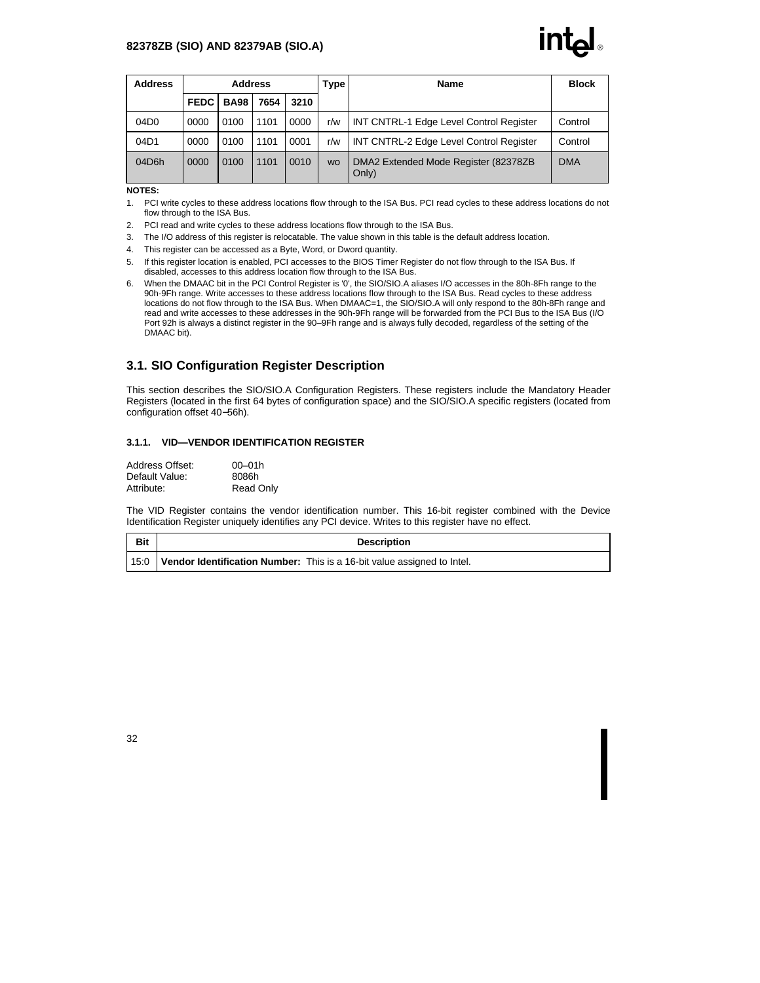

| <b>Address</b>   | <b>Address</b> |             | Type | <b>Name</b> | <b>Block</b> |                                                |            |
|------------------|----------------|-------------|------|-------------|--------------|------------------------------------------------|------------|
|                  | <b>FEDC</b>    | <b>BA98</b> | 7654 | 3210        |              |                                                |            |
| 04D <sub>0</sub> | 0000           | 0100        | 1101 | 0000        | r/w          | INT CNTRL-1 Edge Level Control Register        | Control    |
| 04D1             | 0000           | 0100        | 1101 | 0001        | r/w          | INT CNTRL-2 Edge Level Control Register        | Control    |
| 04D6h            | 0000           | 0100        | 1101 | 0010        | <b>WO</b>    | DMA2 Extended Mode Register (82378ZB)<br>Only) | <b>DMA</b> |

#### **NOTES:**

- 1. PCI write cycles to these address locations flow through to the ISA Bus. PCI read cycles to these address locations do not flow through to the ISA Bus.
- 2. PCI read and write cycles to these address locations flow through to the ISA Bus.
- 3. The I/O address of this register is relocatable. The value shown in this table is the default address location.
- 4. This register can be accessed as a Byte, Word, or Dword quantity.
- 5. If this register location is enabled, PCI accesses to the BIOS Timer Register do not flow through to the ISA Bus. If disabled, accesses to this address location flow through to the ISA Bus.
- 6. When the DMAAC bit in the PCI Control Register is '0', the SIO/SIO.A aliases I/O accesses in the 80h-8Fh range to the 90h-9Fh range. Write accesses to these address locations flow through to the ISA Bus. Read cycles to these address locations do not flow through to the ISA Bus. When DMAAC=1, the SIO/SIO.A will only respond to the 80h-8Fh range and read and write accesses to these addresses in the 90h-9Fh range will be forwarded from the PCI Bus to the ISA Bus (I/O Port 92h is always a distinct register in the 90–9Fh range and is always fully decoded, regardless of the setting of the DMAAC bit).

#### **3.1. SIO Configuration Register Description**

This section describes the SIO/SIO.A Configuration Registers. These registers include the Mandatory Header Registers (located in the first 64 bytes of configuration space) and the SIO/SIO.A specific registers (located from configuration offset 40−56h).

#### **3.1.1. VID—VENDOR IDENTIFICATION REGISTER**

| Address Offset: | $00 - 01h$ |
|-----------------|------------|
| Default Value:  | 8086h      |
| Attribute:      | Read Only  |

The VID Register contains the vendor identification number. This 16-bit register combined with the Device Identification Register uniquely identifies any PCI device. Writes to this register have no effect.

| Bit | <b>Description</b>                                                           |
|-----|------------------------------------------------------------------------------|
|     | 15:0 Vendor Identification Number: This is a 16-bit value assigned to Intel. |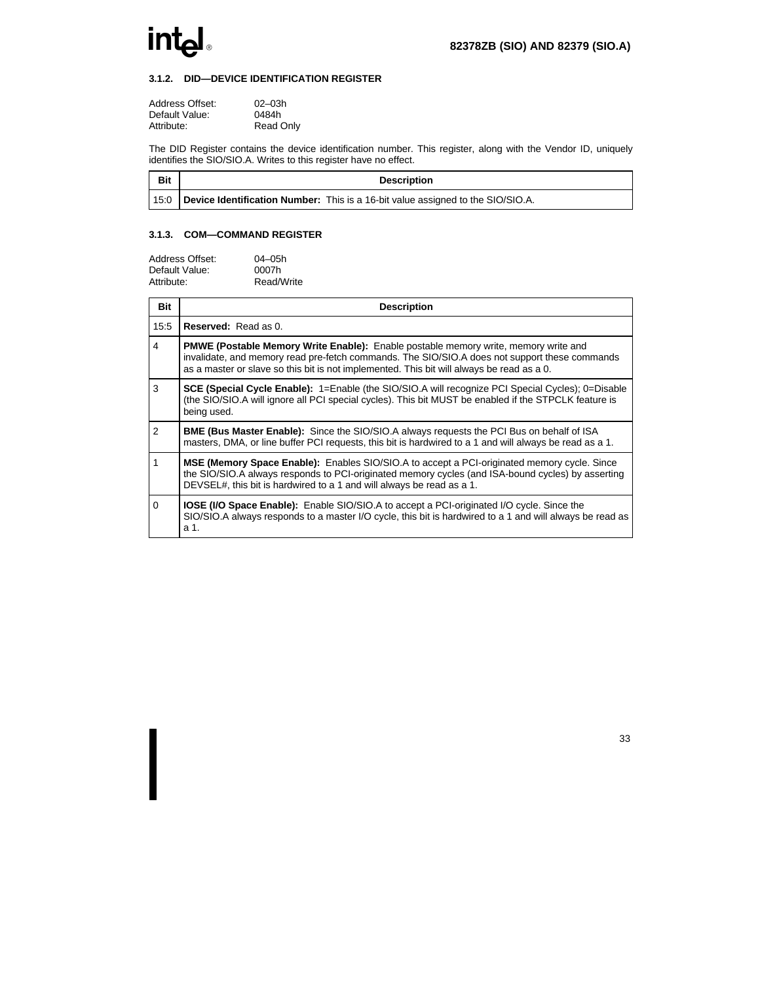#### **3.1.2. DID—DEVICE IDENTIFICATION REGISTER**

| Address Offset: | 02–03h           |
|-----------------|------------------|
| Default Value:  | 0484h            |
| Attribute:      | <b>Read Only</b> |

The DID Register contains the device identification number. This register, along with the Vendor ID, uniquely identifies the SIO/SIO.A. Writes to this register have no effect.

| Bit | <b>Description</b>                                                                     |
|-----|----------------------------------------------------------------------------------------|
|     | 15:0   Device Identification Number: This is a 16-bit value assigned to the SIO/SIO.A. |

#### **3.1.3. COM—COMMAND REGISTER**

| Address Offset: | 04–05h     |
|-----------------|------------|
| Default Value:  | 0007h      |
| Attribute:      | Read/Write |

| Bit      | <b>Description</b>                                                                                                                                                                                                                                                                       |
|----------|------------------------------------------------------------------------------------------------------------------------------------------------------------------------------------------------------------------------------------------------------------------------------------------|
| 15:5     | <b>Reserved:</b> Read as 0.                                                                                                                                                                                                                                                              |
| 4        | <b>PMWE (Postable Memory Write Enable):</b> Enable postable memory write, memory write and<br>invalidate, and memory read pre-fetch commands. The SIO/SIO.A does not support these commands<br>as a master or slave so this bit is not implemented. This bit will always be read as a 0. |
| 3        | SCE (Special Cycle Enable): 1=Enable (the SIO/SIO.A will recognize PCI Special Cycles); 0=Disable<br>(the SIO/SIO.A will ignore all PCI special cycles). This bit MUST be enabled if the STPCLK feature is<br>being used.                                                                |
| 2        | <b>BME (Bus Master Enable):</b> Since the SIO/SIO.A always requests the PCI Bus on behalf of ISA<br>masters, DMA, or line buffer PCI requests, this bit is hardwired to a 1 and will always be read as a 1.                                                                              |
|          | MSE (Memory Space Enable): Enables SIO/SIO.A to accept a PCI-originated memory cycle. Since<br>the SIO/SIO.A always responds to PCI-originated memory cycles (and ISA-bound cycles) by asserting<br>DEVSEL#, this bit is hardwired to a 1 and will always be read as a 1.                |
| $\Omega$ | <b>IOSE (I/O Space Enable):</b> Enable SIO/SIO.A to accept a PCI-originated I/O cycle. Since the<br>SIO/SIO.A always responds to a master I/O cycle, this bit is hardwired to a 1 and will always be read as<br>a 1.                                                                     |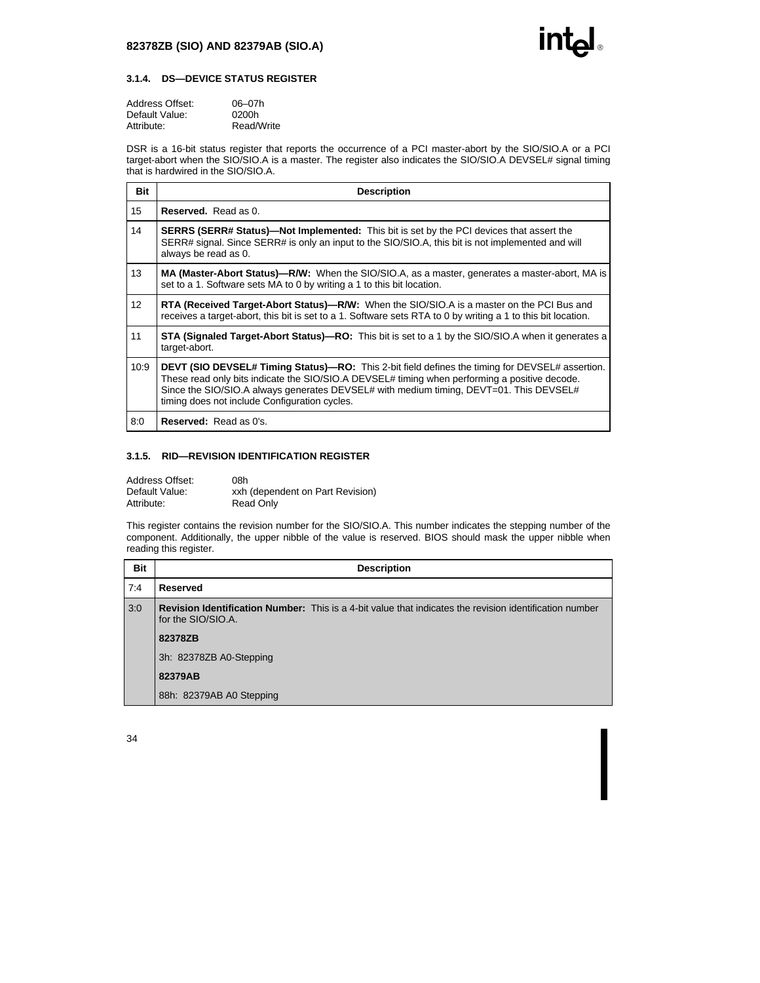# 82378ZB (SIO) AND 82379AB (SIO.A) Exercise the set of the set of the set of the set of the set of the set of the set of the set of the set of the set of the set of the set of the set of the set of the set of the set of the

#### **3.1.4. DS—DEVICE STATUS REGISTER**

| Address Offset: | 06-07h     |
|-----------------|------------|
| Default Value:  | 0200h      |
| Attribute:      | Read/Write |

DSR is a 16-bit status register that reports the occurrence of a PCI master-abort by the SIO/SIO.A or a PCI target-abort when the SIO/SIO.A is a master. The register also indicates the SIO/SIO.A DEVSEL# signal timing that is hardwired in the SIO/SIO.A.

| <b>Bit</b> | <b>Description</b>                                                                                                                                                                                                                                                                                                                                 |
|------------|----------------------------------------------------------------------------------------------------------------------------------------------------------------------------------------------------------------------------------------------------------------------------------------------------------------------------------------------------|
| 15         | <b>Reserved.</b> Read as 0.                                                                                                                                                                                                                                                                                                                        |
| 14         | <b>SERRS (SERR# Status)—Not Implemented:</b> This bit is set by the PCI devices that assert the<br>SERR# signal. Since SERR# is only an input to the SIO/SIO.A, this bit is not implemented and will<br>always be read as 0.                                                                                                                       |
| 13         | MA (Master-Abort Status)-R/W: When the SIO/SIO.A, as a master, generates a master-abort, MA is<br>set to a 1. Software sets MA to 0 by writing a 1 to this bit location.                                                                                                                                                                           |
| 12         | <b>RTA (Received Target-Abort Status)—R/W:</b> When the SIO/SIO.A is a master on the PCI Bus and<br>receives a target-abort, this bit is set to a 1. Software sets RTA to 0 by writing a 1 to this bit location.                                                                                                                                   |
| 11         | <b>STA (Signaled Target-Abort Status)—RO:</b> This bit is set to a 1 by the SIO/SIO.A when it generates a<br>target-abort.                                                                                                                                                                                                                         |
| 10:9       | <b>DEVT (SIO DEVSEL# Timing Status)—RO:</b> This 2-bit field defines the timing for DEVSEL# assertion.<br>These read only bits indicate the SIO/SIO.A DEVSEL# timing when performing a positive decode.<br>Since the SIO/SIO.A always generates DEVSEL# with medium timing, DEVT=01. This DEVSEL#<br>timing does not include Configuration cycles. |
| 8:0        | <b>Reserved:</b> Read as 0's.                                                                                                                                                                                                                                                                                                                      |

#### **3.1.5. RID—REVISION IDENTIFICATION REGISTER**

| Address Offset: | 08h                              |
|-----------------|----------------------------------|
| Default Value:  | xxh (dependent on Part Revision) |
| Attribute:      | Read Only                        |

This register contains the revision number for the SIO/SIO.A. This number indicates the stepping number of the component. Additionally, the upper nibble of the value is reserved. BIOS should mask the upper nibble when reading this register.

| Bit | <b>Description</b>                                                                                                                   |
|-----|--------------------------------------------------------------------------------------------------------------------------------------|
| 7:4 | <b>Reserved</b>                                                                                                                      |
| 3:0 | <b>Revision Identification Number:</b> This is a 4-bit value that indicates the revision identification number<br>for the SIO/SIO.A. |
|     | 82378ZB                                                                                                                              |
|     | 3h: 82378ZB A0-Stepping                                                                                                              |
|     | 82379AB                                                                                                                              |
|     | 88h: 82379AB A0 Stepping                                                                                                             |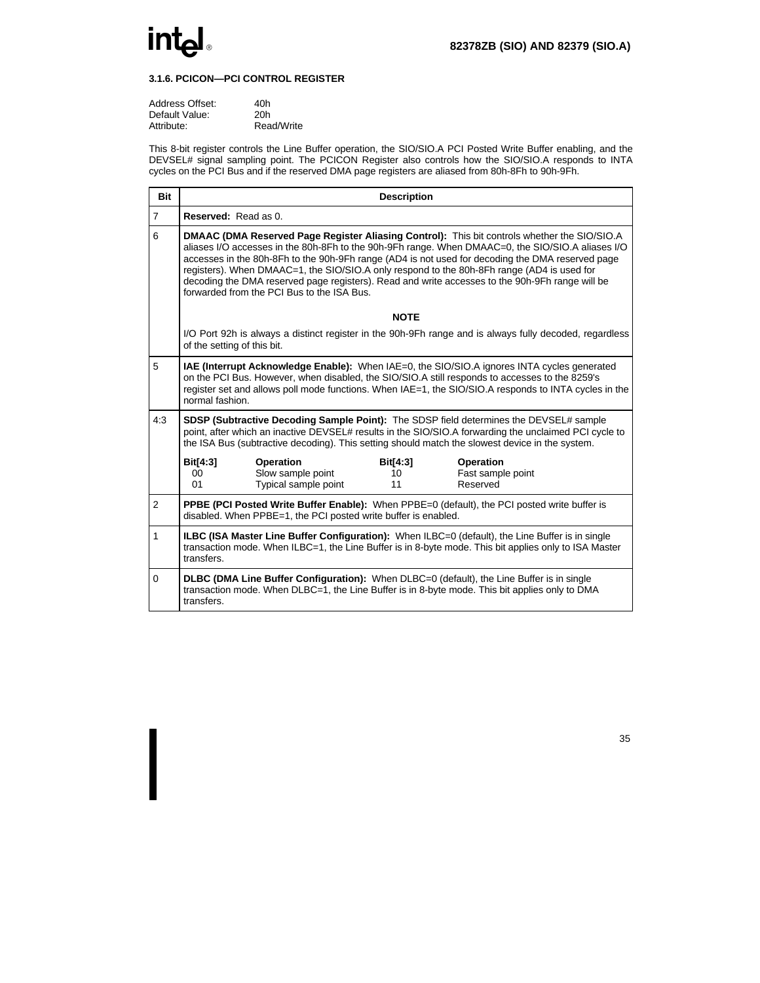#### **3.1.6. PCICON—PCI CONTROL REGISTER**

| Address Offset: | 40h             |
|-----------------|-----------------|
| Default Value:  | 20 <sub>h</sub> |
| Attribute:      | Read/Write      |

This 8-bit register controls the Line Buffer operation, the SIO/SIO.A PCI Posted Write Buffer enabling, and the DEVSEL# signal sampling point. The PCICON Register also controls how the SIO/SIO.A responds to INTA cycles on the PCI Bus and if the reserved DMA page registers are aliased from 80h-8Fh to 90h-9Fh.

| <b>Bit</b>     | <b>Description</b>                                                                                                                                                                                                                                                                                                                                                                                                                                                                                                                                   |  |  |  |
|----------------|------------------------------------------------------------------------------------------------------------------------------------------------------------------------------------------------------------------------------------------------------------------------------------------------------------------------------------------------------------------------------------------------------------------------------------------------------------------------------------------------------------------------------------------------------|--|--|--|
| $\overline{7}$ | <b>Reserved:</b> Read as 0.                                                                                                                                                                                                                                                                                                                                                                                                                                                                                                                          |  |  |  |
| 6              | DMAAC (DMA Reserved Page Register Aliasing Control): This bit controls whether the SIO/SIO.A<br>aliases I/O accesses in the 80h-8Fh to the 90h-9Fh range. When DMAAC=0, the SIO/SIO.A aliases I/O<br>accesses in the 80h-8Fh to the 90h-9Fh range (AD4 is not used for decoding the DMA reserved page<br>registers). When DMAAC=1, the SIO/SIO.A only respond to the 80h-8Fh range (AD4 is used for<br>decoding the DMA reserved page registers). Read and write accesses to the 90h-9Fh range will be<br>forwarded from the PCI Bus to the ISA Bus. |  |  |  |
|                | <b>NOTE</b>                                                                                                                                                                                                                                                                                                                                                                                                                                                                                                                                          |  |  |  |
|                | I/O Port 92h is always a distinct register in the 90h-9Fh range and is always fully decoded, regardless<br>of the setting of this bit.                                                                                                                                                                                                                                                                                                                                                                                                               |  |  |  |
| 5              | IAE (Interrupt Acknowledge Enable): When IAE=0, the SIO/SIO.A ignores INTA cycles generated<br>on the PCI Bus. However, when disabled, the SIO/SIO.A still responds to accesses to the 8259's<br>register set and allows poll mode functions. When IAE=1, the SIO/SIO.A responds to INTA cycles in the<br>normal fashion.                                                                                                                                                                                                                            |  |  |  |
| 4:3            | SDSP (Subtractive Decoding Sample Point): The SDSP field determines the DEVSEL# sample<br>point, after which an inactive DEVSEL# results in the SIO/SIO.A forwarding the unclaimed PCI cycle to<br>the ISA Bus (subtractive decoding). This setting should match the slowest device in the system.                                                                                                                                                                                                                                                   |  |  |  |
|                | <b>Bit[4:3]</b><br><b>Operation</b><br>Bit[4:3]<br>Operation<br>$00\,$<br>Slow sample point<br>Fast sample point<br>10<br>Typical sample point<br>11<br>Reserved<br>01                                                                                                                                                                                                                                                                                                                                                                               |  |  |  |
| $\overline{2}$ | <b>PPBE (PCI Posted Write Buffer Enable):</b> When PPBE=0 (default), the PCI posted write buffer is<br>disabled. When PPBE=1, the PCI posted write buffer is enabled.                                                                                                                                                                                                                                                                                                                                                                                |  |  |  |
| $\mathbf{1}$   | ILBC (ISA Master Line Buffer Configuration): When ILBC=0 (default), the Line Buffer is in single<br>transaction mode. When ILBC=1, the Line Buffer is in 8-byte mode. This bit applies only to ISA Master<br>transfers.                                                                                                                                                                                                                                                                                                                              |  |  |  |
| 0              | DLBC (DMA Line Buffer Configuration): When DLBC=0 (default), the Line Buffer is in single<br>transaction mode. When DLBC=1, the Line Buffer is in 8-byte mode. This bit applies only to DMA<br>transfers.                                                                                                                                                                                                                                                                                                                                            |  |  |  |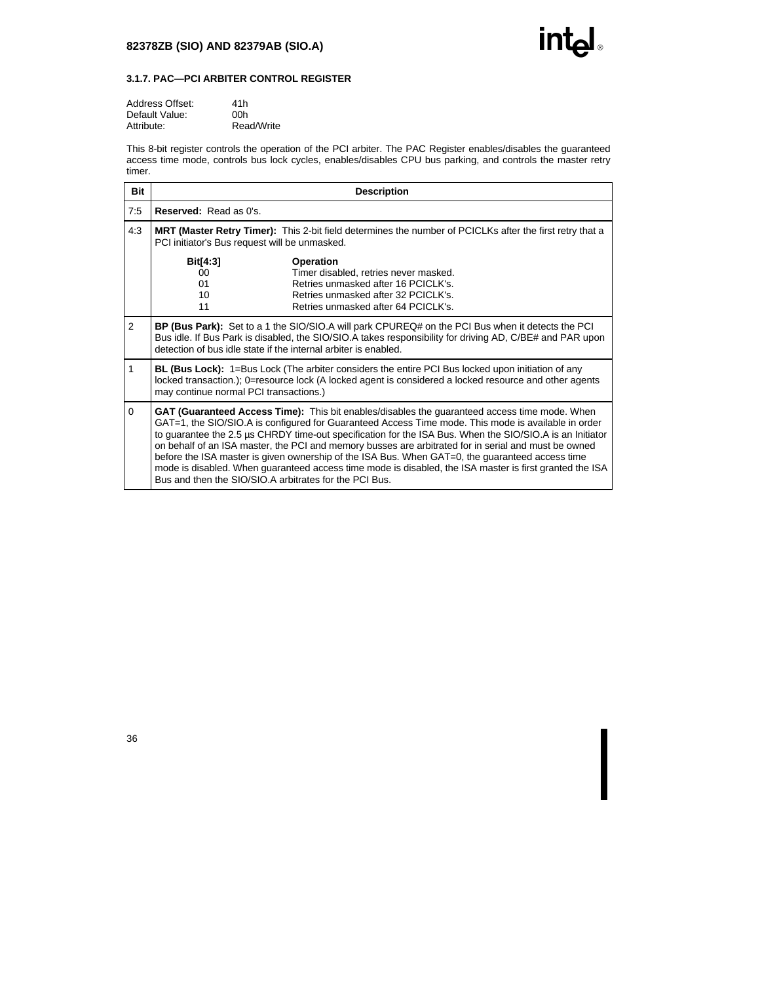

#### **3.1.7. PAC—PCI ARBITER CONTROL REGISTER**

| Address Offset: | 41h        |
|-----------------|------------|
| Default Value:  | 00h        |
| Attribute:      | Read/Write |

This 8-bit register controls the operation of the PCI arbiter. The PAC Register enables/disables the guaranteed access time mode, controls bus lock cycles, enables/disables CPU bus parking, and controls the master retry timer.

| Bit            | <b>Description</b>                                                                                                                                                                                                                                                                                                                                                                                                                                                                                                                                                                                                                                                                                      |  |
|----------------|---------------------------------------------------------------------------------------------------------------------------------------------------------------------------------------------------------------------------------------------------------------------------------------------------------------------------------------------------------------------------------------------------------------------------------------------------------------------------------------------------------------------------------------------------------------------------------------------------------------------------------------------------------------------------------------------------------|--|
| 7:5            | <b>Reserved:</b> Read as 0's.                                                                                                                                                                                                                                                                                                                                                                                                                                                                                                                                                                                                                                                                           |  |
| 4:3            | <b>MRT (Master Retry Timer):</b> This 2-bit field determines the number of PCICLKs after the first retry that a<br>PCI initiator's Bus request will be unmasked.                                                                                                                                                                                                                                                                                                                                                                                                                                                                                                                                        |  |
|                | Bit[4:3]<br>Operation<br>Timer disabled, retries never masked.<br>00<br>Retries unmasked after 16 PCICLK's.<br>01<br>Retries unmasked after 32 PCICLK's.<br>10<br>Retries unmasked after 64 PCICLK's.<br>11                                                                                                                                                                                                                                                                                                                                                                                                                                                                                             |  |
| $\mathfrak{p}$ | BP (Bus Park): Set to a 1 the SIO/SIO.A will park CPUREQ# on the PCI Bus when it detects the PCI<br>Bus idle. If Bus Park is disabled, the SIO/SIO.A takes responsibility for driving AD, C/BE# and PAR upon<br>detection of bus idle state if the internal arbiter is enabled.                                                                                                                                                                                                                                                                                                                                                                                                                         |  |
| $\mathbf{1}$   | <b>BL (Bus Lock):</b> 1=Bus Lock (The arbiter considers the entire PCI Bus locked upon initiation of any<br>locked transaction.); 0=resource lock (A locked agent is considered a locked resource and other agents<br>may continue normal PCI transactions.)                                                                                                                                                                                                                                                                                                                                                                                                                                            |  |
| $\Omega$       | <b>GAT (Guaranteed Access Time):</b> This bit enables/disables the guaranteed access time mode. When<br>GAT=1, the SIO/SIO.A is configured for Guaranteed Access Time mode. This mode is available in order<br>to guarantee the 2.5 µs CHRDY time-out specification for the ISA Bus. When the SIO/SIO.A is an Initiator<br>on behalf of an ISA master, the PCI and memory busses are arbitrated for in serial and must be owned<br>before the ISA master is given ownership of the ISA Bus. When GAT=0, the guaranteed access time<br>mode is disabled. When quaranteed access time mode is disabled, the ISA master is first granted the ISA<br>Bus and then the SIO/SIO.A arbitrates for the PCI Bus. |  |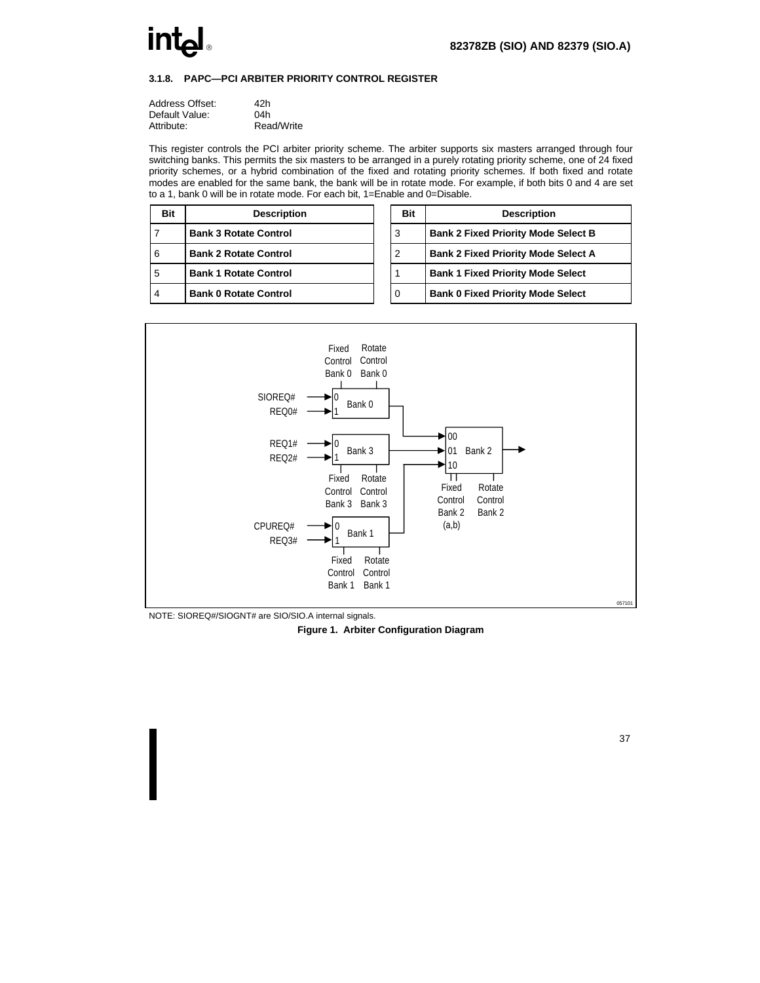# **3.1.8. PAPC—PCI ARBITER PRIORITY CONTROL REGISTER**

| Address Offset: | 42h        |
|-----------------|------------|
| Default Value:  | 04h        |
| Attribute:      | Read/Write |

This register controls the PCI arbiter priority scheme. The arbiter supports six masters arranged through four switching banks. This permits the six masters to be arranged in a purely rotating priority scheme, one of 24 fixed priority schemes, or a hybrid combination of the fixed and rotating priority schemes. If both fixed and rotate modes are enabled for the same bank, the bank will be in rotate mode. For example, if both bits 0 and 4 are set to a 1, bank 0 will be in rotate mode. For each bit, 1=Enable and 0=Disable.

| Bit | <b>Description</b>           | Bit      | <b>Description</b>                         |
|-----|------------------------------|----------|--------------------------------------------|
|     | <b>Bank 3 Rotate Control</b> | 3        | <b>Bank 2 Fixed Priority Mode Select B</b> |
| 6   | <b>Bank 2 Rotate Control</b> | 2        | <b>Bank 2 Fixed Priority Mode Select A</b> |
| 5   | <b>Bank 1 Rotate Control</b> |          | <b>Bank 1 Fixed Priority Mode Select</b>   |
|     | <b>Bank 0 Rotate Control</b> | $\Omega$ | <b>Bank 0 Fixed Priority Mode Select</b>   |

| <b>Bit</b> | <b>Description</b>                         |
|------------|--------------------------------------------|
| 3          | <b>Bank 2 Fixed Priority Mode Select B</b> |
| . 2        | <b>Bank 2 Fixed Priority Mode Select A</b> |
|            | <b>Bank 1 Fixed Priority Mode Select</b>   |
| l 0        | <b>Bank 0 Fixed Priority Mode Select</b>   |



NOTE: SIOREQ#/SIOGNT# are SIO/SIO.A internal signals.

**Figure 1. Arbiter Configuration Diagram**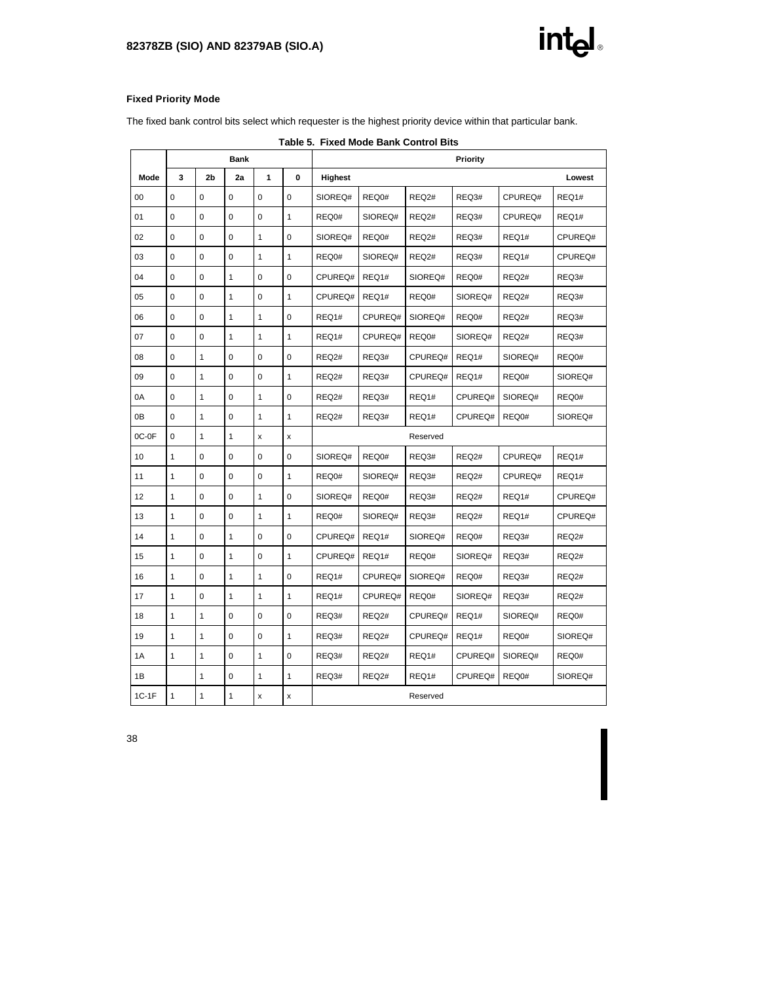

# **Fixed Priority Mode**

The fixed bank control bits select which requester is the highest priority device within that particular bank.

**Table 5. Fixed Mode Bank Control Bits**

|         |              |              | <b>Bank</b>  |   |              | Priority          |                   |                   |                   |                   |                    |
|---------|--------------|--------------|--------------|---|--------------|-------------------|-------------------|-------------------|-------------------|-------------------|--------------------|
| Mode    | 3            | 2b           | 2a           | 1 | $\mathbf 0$  | Highest           |                   |                   |                   |                   | Lowest             |
| 00      | $\mathbf 0$  | $\Omega$     | $\mathbf 0$  | 0 | $\mathbf 0$  | SIOREQ#           | REQ0#             | REQ <sub>2#</sub> | REQ3#             | CPUREQ#           | REQ1#              |
| 01      | $\mathbf 0$  | 0            | 0            | 0 | $\mathbf{1}$ | REQ0#             | SIOREQ#           | REQ2#             | REQ3#             | CPUREQ#           | REQ1#              |
| 02      | $\mathbf 0$  | $\mathbf 0$  | 0            | 1 | $\mathbf 0$  | SIOREQ#           | REQ0#             | REQ <sub>2#</sub> | REQ3#             | REQ1#             | CPUREQ#            |
| 03      | $\mathbf 0$  | $\mathbf 0$  | 0            | 1 | $\mathbf{1}$ | REQ0#             | SIOREQ#           | REQ2#             | REQ3#             | REQ1#             | CPUREQ#            |
| 04      | $\mathbf 0$  | 0            | 1            | 0 | $\mathbf 0$  | CPUREQ#           | REQ1#             | SIOREQ#           | REQ0#             | REQ2#             | REQ3#              |
| 05      | $\mathbf 0$  | 0            | 1            | 0 | $\mathbf{1}$ | CPUREQ#           | REQ1#             | REQ0#             | SIOREQ#           | REQ2#             | REQ3#              |
| 06      | $\mathbf 0$  | $\mathbf 0$  | $\mathbf{1}$ | 1 | $\mathbf 0$  | REQ1#             | CPUREQ#           | SIOREQ#           | REQ0#             | REQ <sub>2#</sub> | REQ3#              |
| 07      | $\mathbf 0$  | $\mathbf 0$  | $\mathbf{1}$ | 1 | $\mathbf{1}$ | REQ1#             | CPUREQ#           | REQ0#             | SIOREQ#           | REQ <sub>2#</sub> | REQ3#              |
| 08      | $\mathbf 0$  | $\mathbf{1}$ | $\pmb{0}$    | 0 | 0            | REQ2#             | REQ3#             | CPUREQ#           | REQ1#             | SIOREQ#           | REQ0#              |
| 09      | 0            | 1            | 0            | 0 | 1            | REQ2#             | REQ3#             | CPUREQ#           | REQ1#             | REQ0#             | SIOREQ#            |
| 0A      | $\Omega$     | $\mathbf{1}$ | $\Omega$     | 1 | $\Omega$     | REQ <sub>2#</sub> | REQ3#             | REQ1#             | CPUREQ#           | SIOREQ#           | REQ0#              |
| 0B      | $\mathbf 0$  | $\mathbf{1}$ | 0            | 1 | $\mathbf{1}$ | REQ2#             | REQ3#             | REQ1#             | CPUREQ#           | REQ0#             | SIOREQ#            |
| 0C-0F   | 0            | $\mathbf{1}$ | $\mathbf{1}$ | x | X            |                   |                   | Reserved          |                   |                   |                    |
| 10      | $\mathbf{1}$ | 0            | 0            | 0 | 0            | SIOREQ#           | REQ0#             | REQ3#             | REQ2#             | CPUREQ#           | REQ1#              |
| 11      | $\mathbf{1}$ | $\Omega$     | $\Omega$     | 0 | $\mathbf{1}$ | REQ0#             | SIOREQ#           | REQ3#             | REQ <sub>2#</sub> | CPUREQ#           | REQ1#              |
| 12      | $\mathbf{1}$ | $\mathbf 0$  | 0            | 1 | $\mathbf 0$  | SIOREQ#           | REQ0#             | REQ3#             | REQ <sub>2#</sub> | REQ1#             | CPUREQ#            |
| 13      | $\mathbf{1}$ | $\mathbf 0$  | 0            | 1 | $\mathbf{1}$ | REQ0#             | SIOREQ#           | REQ3#             | REQ2#             | REQ1#             | CPUREQ#            |
| 14      | $\mathbf{1}$ | $\mathbf 0$  | $\mathbf{1}$ | 0 | $\mathbf 0$  | CPUREQ#           | REQ1#             | SIOREQ#           | REQ0#             | REQ3#             | REQ2#              |
| 15      | $\mathbf{1}$ | $\mathbf 0$  | $\mathbf{1}$ | 0 | $\mathbf{1}$ | CPUREQ#           | REQ1#             | REQ0#             | SIOREQ#           | REQ3#             | REQ <sub>2#</sub>  |
| 16      | 1            | 0            | 1            | 1 | $\mathbf 0$  | REQ1#             | CPUREQ#           | SIOREQ#           | REQ0#             | REQ3#             | REQ <sub>2</sub> # |
| 17      | $\mathbf{1}$ | $\mathbf 0$  | $\mathbf{1}$ | 1 | $\mathbf{1}$ | REQ1#             | CPUREQ#           | REQ0#             | SIOREQ#           | REQ3#             | REQ <sub>2#</sub>  |
| 18      | $\mathbf{1}$ | $\mathbf{1}$ | 0            | 0 | 0            | REQ3#             | REQ2#             | CPUREQ#           | REQ1#             | SIOREQ#           | REQ0#              |
| 19      | $\mathbf{1}$ | $\mathbf{1}$ | 0            | 0 | $\mathbf{1}$ | REQ3#             | REQ <sub>2#</sub> | CPUREQ#           | REQ1#             | REQ0#             | SIOREQ#            |
| 1A      | $\mathbf{1}$ | $\mathbf{1}$ | $\Omega$     | 1 | $\mathbf 0$  | REQ3#             | REQ <sub>2#</sub> | REQ1#             | CPUREQ#           | SIOREQ#           | REQ0#              |
| 1B      |              | 1            | 0            | 1 | 1            | REQ3#             | REQ2#             | REQ1#             | CPUREQ#           | REQ0#             | SIOREQ#            |
| $1C-1F$ | 1            | $\mathbf{1}$ | $\mathbf{1}$ | x | x            |                   |                   | Reserved          |                   |                   |                    |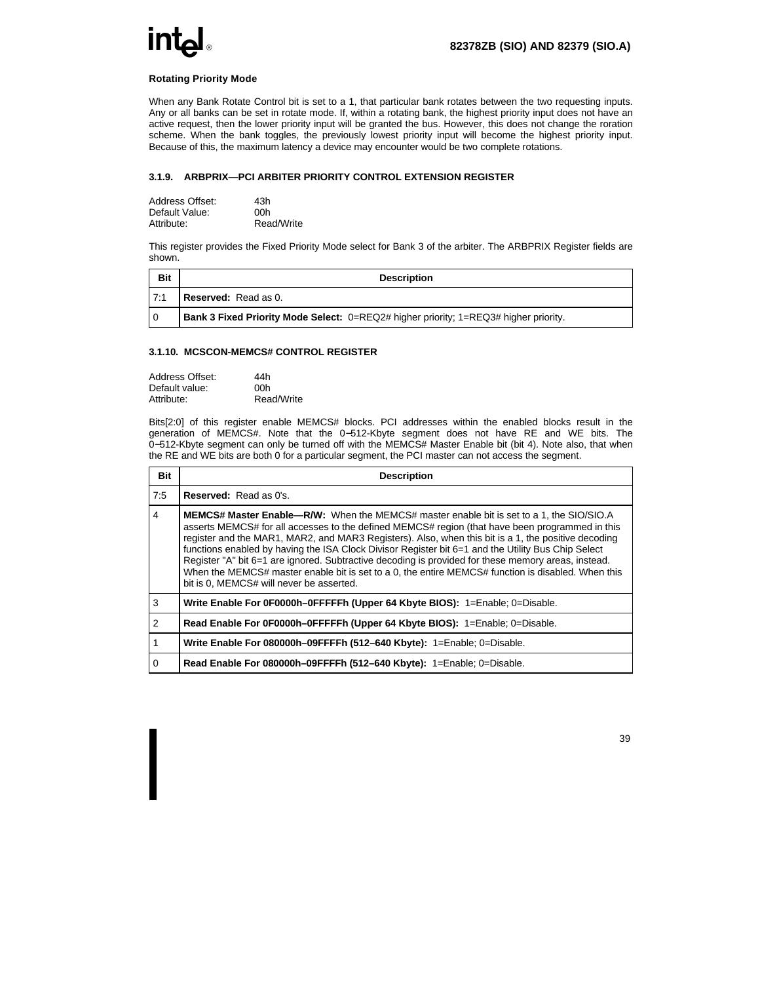

# **Rotating Priority Mode**

When any Bank Rotate Control bit is set to a 1, that particular bank rotates between the two requesting inputs. Any or all banks can be set in rotate mode. If, within a rotating bank, the highest priority input does not have an active request, then the lower priority input will be granted the bus. However, this does not change the roration scheme. When the bank toggles, the previously lowest priority input will become the highest priority input. Because of this, the maximum latency a device may encounter would be two complete rotations.

#### **3.1.9. ARBPRIX—PCI ARBITER PRIORITY CONTROL EXTENSION REGISTER**

| Address Offset: | 43h        |
|-----------------|------------|
| Default Value:  | 00h        |
| Attribute:      | Read/Write |

This register provides the Fixed Priority Mode select for Bank 3 of the arbiter. The ARBPRIX Register fields are shown.

| <b>Bit</b> | <b>Description</b>                                                                          |
|------------|---------------------------------------------------------------------------------------------|
| 17:1       | <b>Reserved:</b> Read as 0.                                                                 |
|            | <b>Bank 3 Fixed Priority Mode Select:</b> 0=REQ2# higher priority; 1=REQ3# higher priority. |

#### **3.1.10. MCSCON-MEMCS# CONTROL REGISTER**

| Address Offset: | 44h        |
|-----------------|------------|
| Default value:  | 00h        |
| Attribute:      | Read/Write |

Bits[2:0] of this register enable MEMCS# blocks. PCI addresses within the enabled blocks result in the generation of MEMCS#. Note that the 0−512-Kbyte segment does not have RE and WE bits. The 0−512-Kbyte segment can only be turned off with the MEMCS# Master Enable bit (bit 4). Note also, that when the RE and WE bits are both 0 for a particular segment, the PCI master can not access the segment.

| Bit            | <b>Description</b>                                                                                                                                                                                                                                                                                                                                                                                                                                                                                                                                                                                                                                                       |
|----------------|--------------------------------------------------------------------------------------------------------------------------------------------------------------------------------------------------------------------------------------------------------------------------------------------------------------------------------------------------------------------------------------------------------------------------------------------------------------------------------------------------------------------------------------------------------------------------------------------------------------------------------------------------------------------------|
| 7:5            | <b>Reserved:</b> Read as 0's.                                                                                                                                                                                                                                                                                                                                                                                                                                                                                                                                                                                                                                            |
| 4              | <b>MEMCS# Master Enable—R/W:</b> When the MEMCS# master enable bit is set to a 1, the SIO/SIO.A<br>asserts MEMCS# for all accesses to the defined MEMCS# region (that have been programmed in this<br>register and the MAR1, MAR2, and MAR3 Registers). Also, when this bit is a 1, the positive decoding<br>functions enabled by having the ISA Clock Divisor Register bit 6=1 and the Utility Bus Chip Select<br>Register "A" bit 6=1 are ignored. Subtractive decoding is provided for these memory areas, instead.<br>When the MEMCS# master enable bit is set to a 0, the entire MEMCS# function is disabled. When this<br>bit is 0, MEMCS# will never be asserted. |
| 3              | Write Enable For 0F0000h-OFFFFFh (Upper 64 Kbyte BIOS): 1=Enable; 0=Disable.                                                                                                                                                                                                                                                                                                                                                                                                                                                                                                                                                                                             |
| $\overline{2}$ | Read Enable For 0F0000h-OFFFFFh (Upper 64 Kbyte BIOS): 1=Enable; 0=Disable.                                                                                                                                                                                                                                                                                                                                                                                                                                                                                                                                                                                              |
|                | Write Enable For 080000h-09FFFFh (512-640 Kbyte): 1=Enable; 0=Disable.                                                                                                                                                                                                                                                                                                                                                                                                                                                                                                                                                                                                   |
| Ω              | Read Enable For 080000h-09FFFFh (512-640 Kbyte): 1=Enable; 0=Disable.                                                                                                                                                                                                                                                                                                                                                                                                                                                                                                                                                                                                    |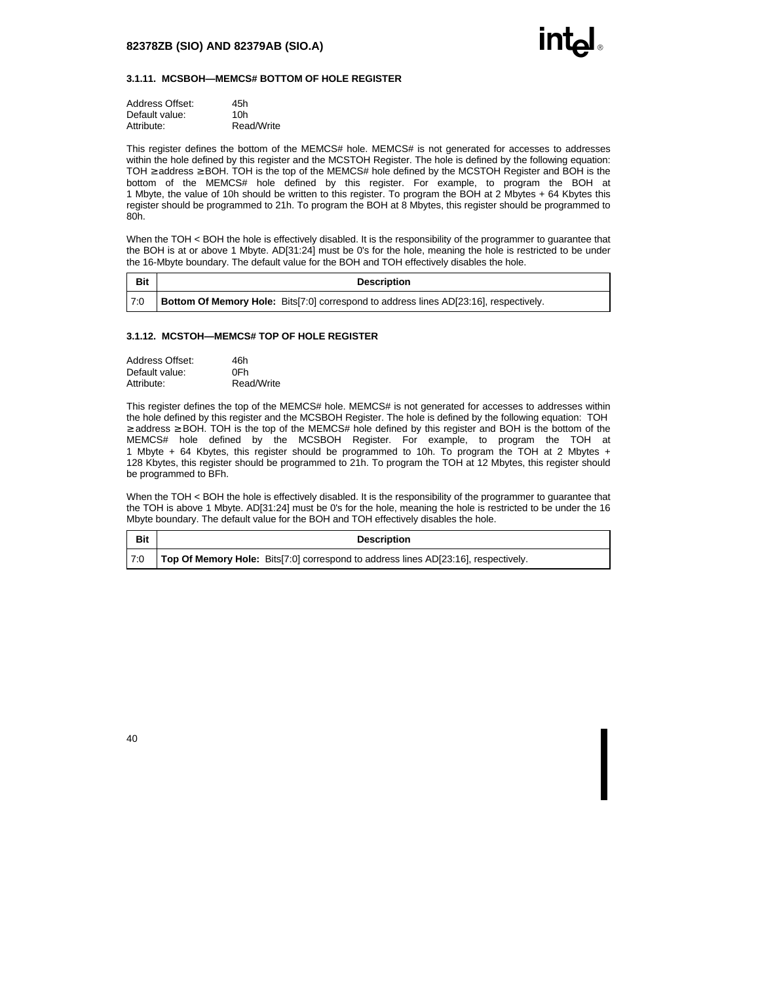

#### **3.1.11. MCSBOH—MEMCS# BOTTOM OF HOLE REGISTER**

| Address Offset: | 45h        |
|-----------------|------------|
| Default value:  | 10h        |
| Attribute:      | Read/Write |

This register defines the bottom of the MEMCS# hole. MEMCS# is not generated for accesses to addresses within the hole defined by this register and the MCSTOH Register. The hole is defined by the following equation: TOH ≥ address ≥ BOH. TOH is the top of the MEMCS# hole defined by the MCSTOH Register and BOH is the bottom of the MEMCS# hole defined by this register. For example, to program the BOH at 1 Mbyte, the value of 10h should be written to this register. To program the BOH at 2 Mbytes + 64 Kbytes this register should be programmed to 21h. To program the BOH at 8 Mbytes, this register should be programmed to 80h.

When the TOH < BOH the hole is effectively disabled. It is the responsibility of the programmer to guarantee that the BOH is at or above 1 Mbyte. AD[31:24] must be 0's for the hole, meaning the hole is restricted to be under the 16-Mbyte boundary. The default value for the BOH and TOH effectively disables the hole.

| <b>Bit</b> | <b>Description</b>                                                                           |
|------------|----------------------------------------------------------------------------------------------|
| 7:0        | <b>Bottom Of Memory Hole:</b> Bits[7:0] correspond to address lines AD[23:16], respectively. |

#### **3.1.12. MCSTOH—MEMCS# TOP OF HOLE REGISTER**

| Address Offset: | 46h        |
|-----------------|------------|
| Default value:  | 0Fh        |
| Attribute:      | Read/Write |

This register defines the top of the MEMCS# hole. MEMCS# is not generated for accesses to addresses within the hole defined by this register and the MCSBOH Register. The hole is defined by the following equation: TOH ≥ address ≥ BOH. TOH is the top of the MEMCS# hole defined by this register and BOH is the bottom of the MEMCS# hole defined by the MCSBOH Register. For example, to program the TOH at 1 Mbyte + 64 Kbytes, this register should be programmed to 10h. To program the TOH at 2 Mbytes + 128 Kbytes, this register should be programmed to 21h. To program the TOH at 12 Mbytes, this register should be programmed to BFh.

When the TOH < BOH the hole is effectively disabled. It is the responsibility of the programmer to guarantee that the TOH is above 1 Mbyte. AD[31:24] must be 0's for the hole, meaning the hole is restricted to be under the 16 Mbyte boundary. The default value for the BOH and TOH effectively disables the hole.

| Bit | <b>Description</b>                                                                        |
|-----|-------------------------------------------------------------------------------------------|
| 7:0 | <b>Top Of Memory Hole:</b> Bits[7:0] correspond to address lines AD[23:16], respectively. |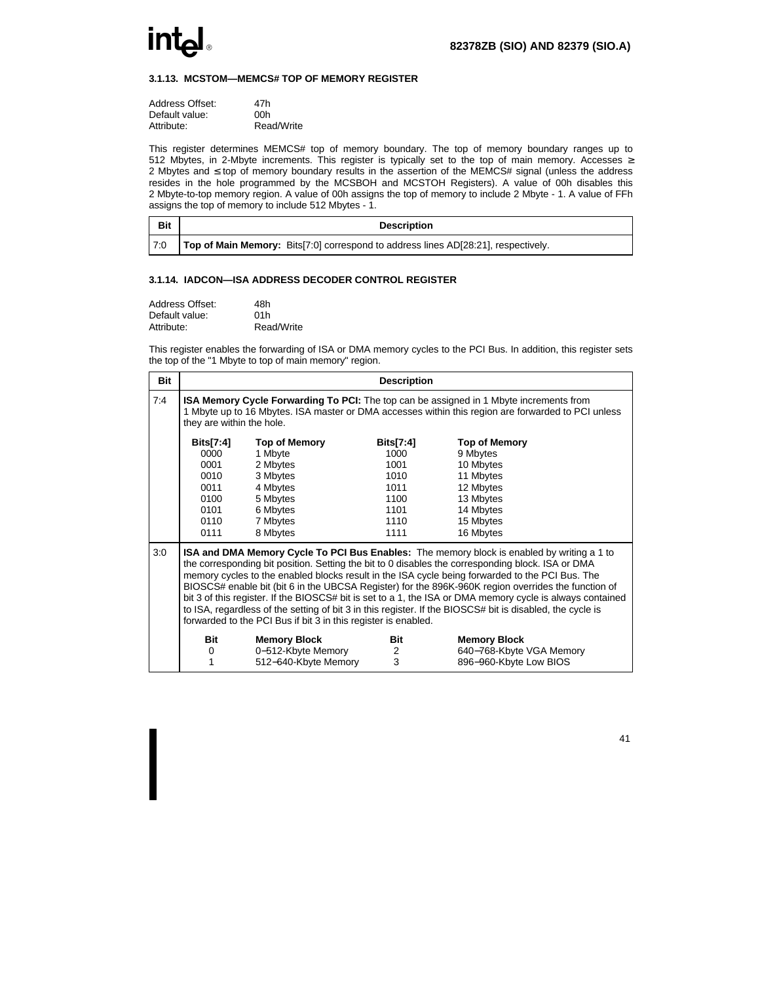#### **3.1.13. MCSTOM—MEMCS# TOP OF MEMORY REGISTER**

| Address Offset: | 47h        |
|-----------------|------------|
| Default value:  | 00h        |
| Attribute:      | Read/Write |

This register determines MEMCS# top of memory boundary. The top of memory boundary ranges up to 512 Mbytes, in 2-Mbyte increments. This register is typically set to the top of main memory. Accesses ≥ 2 Mbytes and ≤ top of memory boundary results in the assertion of the MEMCS# signal (unless the address resides in the hole programmed by the MCSBOH and MCSTOH Registers). A value of 00h disables this 2 Mbyte-to-top memory region. A value of 00h assigns the top of memory to include 2 Mbyte - 1. A value of FFh assigns the top of memory to include 512 Mbytes - 1.

| Bit | <b>Description</b>                                                                 |
|-----|------------------------------------------------------------------------------------|
| 7:0 | Top of Main Memory: Bits[7:0] correspond to address lines AD[28:21], respectively. |

## **3.1.14. IADCON—ISA ADDRESS DECODER CONTROL REGISTER**

| Address Offset: | 48h        |
|-----------------|------------|
| Default value:  | 01h        |
| Attribute:      | Read/Write |

This register enables the forwarding of ISA or DMA memory cycles to the PCI Bus. In addition, this register sets the top of the "1 Mbyte to top of main memory" region.

| Bit | <b>Description</b>                                                                                                                                                                                                                                                                                                                                                                                                                                                                                                                                                                                                                                                                                    |                      |           |                          |  |
|-----|-------------------------------------------------------------------------------------------------------------------------------------------------------------------------------------------------------------------------------------------------------------------------------------------------------------------------------------------------------------------------------------------------------------------------------------------------------------------------------------------------------------------------------------------------------------------------------------------------------------------------------------------------------------------------------------------------------|----------------------|-----------|--------------------------|--|
| 7:4 | <b>ISA Memory Cycle Forwarding To PCI:</b> The top can be assigned in 1 Mbyte increments from<br>1 Mbyte up to 16 Mbytes. ISA master or DMA accesses within this region are forwarded to PCI unless<br>they are within the hole.                                                                                                                                                                                                                                                                                                                                                                                                                                                                      |                      |           |                          |  |
|     | Bits[7:4]                                                                                                                                                                                                                                                                                                                                                                                                                                                                                                                                                                                                                                                                                             | <b>Top of Memory</b> | Bits[7:4] | <b>Top of Memory</b>     |  |
|     | 0000                                                                                                                                                                                                                                                                                                                                                                                                                                                                                                                                                                                                                                                                                                  | 1 Mbyte              | 1000      | 9 Mbytes                 |  |
|     | 0001                                                                                                                                                                                                                                                                                                                                                                                                                                                                                                                                                                                                                                                                                                  | 2 Mbytes             | 1001      | 10 Mbytes                |  |
|     | 0010                                                                                                                                                                                                                                                                                                                                                                                                                                                                                                                                                                                                                                                                                                  | 3 Mbytes             | 1010      | 11 Mbytes                |  |
|     | 0011                                                                                                                                                                                                                                                                                                                                                                                                                                                                                                                                                                                                                                                                                                  | 4 Mbytes             | 1011      | 12 Mbytes                |  |
|     | 0100                                                                                                                                                                                                                                                                                                                                                                                                                                                                                                                                                                                                                                                                                                  | 5 Mbytes             | 1100      | 13 Mbytes                |  |
|     | 0101                                                                                                                                                                                                                                                                                                                                                                                                                                                                                                                                                                                                                                                                                                  | 6 Mbytes             | 1101      | 14 Mbytes                |  |
|     | 0110                                                                                                                                                                                                                                                                                                                                                                                                                                                                                                                                                                                                                                                                                                  | 7 Mbytes             | 1110      | 15 Mbytes                |  |
|     | 0111                                                                                                                                                                                                                                                                                                                                                                                                                                                                                                                                                                                                                                                                                                  | 8 Mbytes             | 1111      | 16 Mbytes                |  |
| 3:0 | ISA and DMA Memory Cycle To PCI Bus Enables: The memory block is enabled by writing a 1 to<br>the corresponding bit position. Setting the bit to 0 disables the corresponding block. ISA or DMA<br>memory cycles to the enabled blocks result in the ISA cycle being forwarded to the PCI Bus. The<br>BIOSCS# enable bit (bit 6 in the UBCSA Register) for the 896K-960K region overrides the function of<br>bit 3 of this register. If the BIOSCS# bit is set to a 1, the ISA or DMA memory cycle is always contained<br>to ISA, regardless of the setting of bit 3 in this register. If the BIOSCS# bit is disabled, the cycle is<br>forwarded to the PCI Bus if bit 3 in this register is enabled. |                      |           |                          |  |
|     | Bit                                                                                                                                                                                                                                                                                                                                                                                                                                                                                                                                                                                                                                                                                                   | <b>Memory Block</b>  | Bit       | <b>Memory Block</b>      |  |
|     | 0                                                                                                                                                                                                                                                                                                                                                                                                                                                                                                                                                                                                                                                                                                     | 0-512-Kbyte Memory   | 2         | 640-768-Kbyte VGA Memory |  |
|     | 1                                                                                                                                                                                                                                                                                                                                                                                                                                                                                                                                                                                                                                                                                                     | 512-640-Kbyte Memory | 3         | 896-960-Kbyte Low BIOS   |  |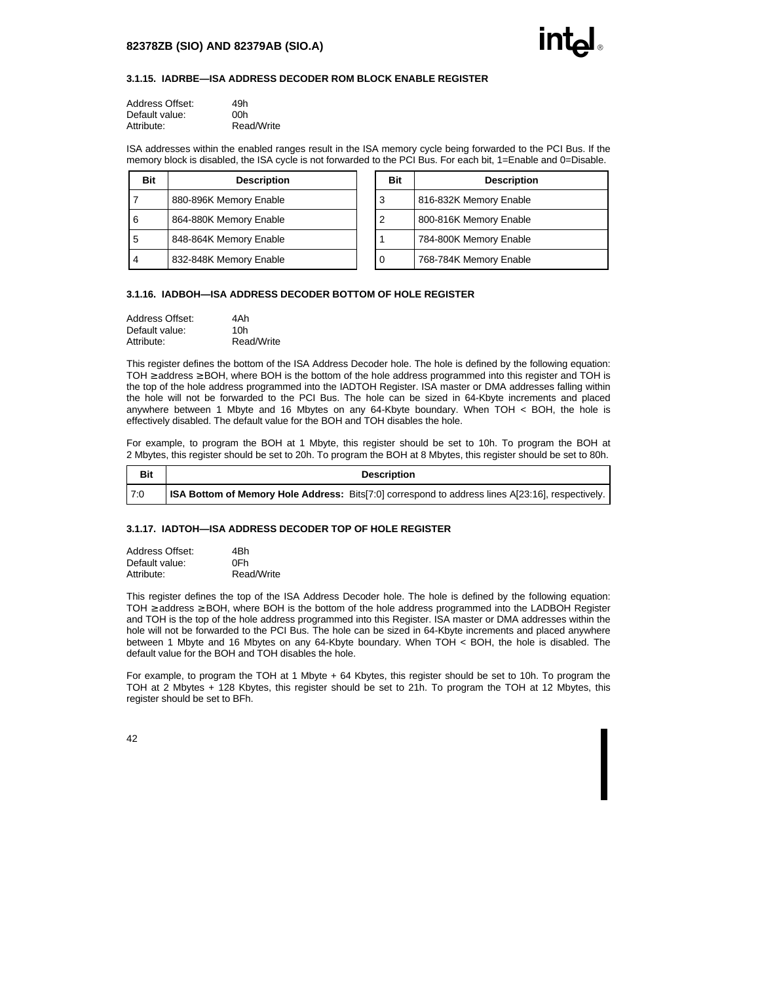

## **3.1.15. IADRBE—ISA ADDRESS DECODER ROM BLOCK ENABLE REGISTER**

| Address Offset: | 49h        |
|-----------------|------------|
| Default value:  | 00h        |
| Attribute:      | Read/Write |

ISA addresses within the enabled ranges result in the ISA memory cycle being forwarded to the PCI Bus. If the memory block is disabled, the ISA cycle is not forwarded to the PCI Bus. For each bit, 1=Enable and 0=Disable.

| Bit | <b>Description</b>     | <b>Bit</b> | <b>Description</b>     |
|-----|------------------------|------------|------------------------|
|     | 880-896K Memory Enable | 3          | 816-832K Memory Enable |
| 6   | 864-880K Memory Enable | 2          | 800-816K Memory Enable |
| 5   | 848-864K Memory Enable |            | 784-800K Memory Enable |
| 4   | 832-848K Memory Enable | 0          | 768-784K Memory Enable |

### **3.1.16. IADBOH—ISA ADDRESS DECODER BOTTOM OF HOLE REGISTER**

| Address Offset: | 4Ah        |
|-----------------|------------|
| Default value:  | 10h        |
| Attribute:      | Read/Write |

This register defines the bottom of the ISA Address Decoder hole. The hole is defined by the following equation: TOH ≥ address ≥ BOH, where BOH is the bottom of the hole address programmed into this register and TOH is the top of the hole address programmed into the IADTOH Register. ISA master or DMA addresses falling within the hole will not be forwarded to the PCI Bus. The hole can be sized in 64-Kbyte increments and placed anywhere between 1 Mbyte and 16 Mbytes on any 64-Kbyte boundary. When TOH < BOH, the hole is effectively disabled. The default value for the BOH and TOH disables the hole.

For example, to program the BOH at 1 Mbyte, this register should be set to 10h. To program the BOH at 2 Mbytes, this register should be set to 20h. To program the BOH at 8 Mbytes, this register should be set to 80h.

| <b>Bit</b> | <b>Description</b>                                                                               |
|------------|--------------------------------------------------------------------------------------------------|
| 17:0       | ISA Bottom of Memory Hole Address: Bits[7:0] correspond to address lines A[23:16], respectively. |

#### **3.1.17. IADTOH—ISA ADDRESS DECODER TOP OF HOLE REGISTER**

| Address Offset: | 4Bh        |
|-----------------|------------|
| Default value:  | 0Fh        |
| Attribute:      | Read/Write |

This register defines the top of the ISA Address Decoder hole. The hole is defined by the following equation: TOH ≥ address ≥ BOH, where BOH is the bottom of the hole address programmed into the LADBOH Register and TOH is the top of the hole address programmed into this Register. ISA master or DMA addresses within the hole will not be forwarded to the PCI Bus. The hole can be sized in 64-Kbyte increments and placed anywhere between 1 Mbyte and 16 Mbytes on any 64-Kbyte boundary. When TOH < BOH, the hole is disabled. The default value for the BOH and TOH disables the hole.

For example, to program the TOH at 1 Mbyte + 64 Kbytes, this register should be set to 10h. To program the TOH at 2 Mbytes + 128 Kbytes, this register should be set to 21h. To program the TOH at 12 Mbytes, this register should be set to BFh.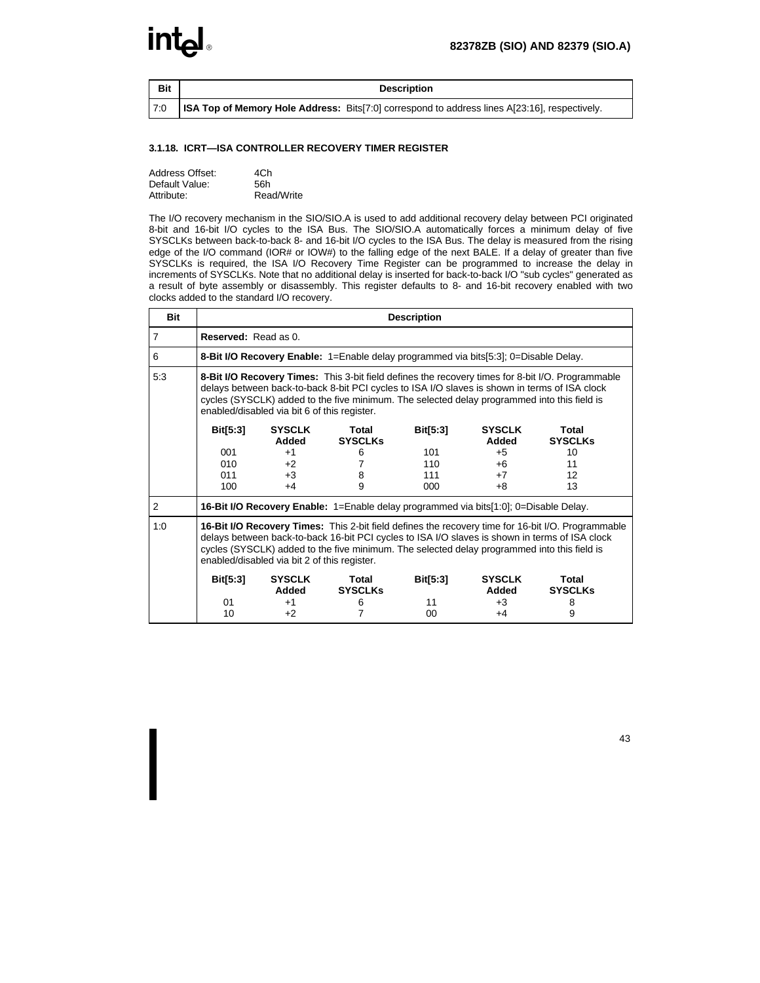

### **Bit Description**

7:0 **ISA Top of Memory Hole Address:** Bits[7:0] correspond to address lines A[23:16], respectively.

### **3.1.18. ICRT—ISA CONTROLLER RECOVERY TIMER REGISTER**

| Address Offset: | 4Ch        |
|-----------------|------------|
| Default Value:  | 56h        |
| Attribute:      | Read/Write |

The I/O recovery mechanism in the SIO/SIO.A is used to add additional recovery delay between PCI originated 8-bit and 16-bit I/O cycles to the ISA Bus. The SIO/SIO.A automatically forces a minimum delay of five SYSCLKs between back-to-back 8- and 16-bit I/O cycles to the ISA Bus. The delay is measured from the rising edge of the I/O command (IOR# or IOW#) to the falling edge of the next BALE. If a delay of greater than five SYSCLKs is required, the ISA I/O Recovery Time Register can be programmed to increase the delay in increments of SYSCLKs. Note that no additional delay is inserted for back-to-back I/O "sub cycles" generated as a result of byte assembly or disassembly. This register defaults to 8- and 16-bit recovery enabled with two clocks added to the standard I/O recovery.

| Bit            | <b>Description</b>                                                                                                                                                                                                                                                                                                                                  |                        |                                                                                      |                 |                        |                                |
|----------------|-----------------------------------------------------------------------------------------------------------------------------------------------------------------------------------------------------------------------------------------------------------------------------------------------------------------------------------------------------|------------------------|--------------------------------------------------------------------------------------|-----------------|------------------------|--------------------------------|
| $\overline{7}$ | <b>Reserved:</b> Read as 0.                                                                                                                                                                                                                                                                                                                         |                        |                                                                                      |                 |                        |                                |
| 6              |                                                                                                                                                                                                                                                                                                                                                     |                        | 8-Bit I/O Recovery Enable: 1=Enable delay programmed via bits[5:3]; 0=Disable Delay. |                 |                        |                                |
| 5:3            | 8-Bit I/O Recovery Times: This 3-bit field defines the recovery times for 8-bit I/O. Programmable<br>delays between back-to-back 8-bit PCI cycles to ISA I/O slaves is shown in terms of ISA clock<br>cycles (SYSCLK) added to the five minimum. The selected delay programmed into this field is<br>enabled/disabled via bit 6 of this register.   |                        |                                                                                      |                 |                        |                                |
|                | Bit[5:3]                                                                                                                                                                                                                                                                                                                                            | <b>SYSCLK</b><br>Added | Total<br><b>SYSCLKs</b>                                                              | Bit[5:3]        | <b>SYSCLK</b><br>Added | <b>Total</b><br><b>SYSCLKs</b> |
|                | 001                                                                                                                                                                                                                                                                                                                                                 | $+1$                   | 6                                                                                    | 101             | $+5$                   | 10                             |
|                | 010                                                                                                                                                                                                                                                                                                                                                 | $+2$                   |                                                                                      | 110             | $+6$                   | 11                             |
|                | 011                                                                                                                                                                                                                                                                                                                                                 | $+3$                   | 8                                                                                    | 111             | $+7$                   | 12                             |
|                | 100                                                                                                                                                                                                                                                                                                                                                 | $+4$                   | 9                                                                                    | 000             | $+8$                   | 13                             |
| 2              | 16-Bit I/O Recovery Enable: 1=Enable delay programmed via bits[1:0]; 0=Disable Delay.                                                                                                                                                                                                                                                               |                        |                                                                                      |                 |                        |                                |
| 1:0            | 16-Bit I/O Recovery Times: This 2-bit field defines the recovery time for 16-bit I/O. Programmable<br>delays between back-to-back 16-bit PCI cycles to ISA I/O slaves is shown in terms of ISA clock<br>cycles (SYSCLK) added to the five minimum. The selected delay programmed into this field is<br>enabled/disabled via bit 2 of this register. |                        |                                                                                      |                 |                        |                                |
|                | Bit[5:3]                                                                                                                                                                                                                                                                                                                                            | <b>SYSCLK</b><br>Added | Total<br><b>SYSCLKs</b>                                                              | <b>Bit[5:3]</b> | <b>SYSCLK</b><br>Added | <b>Total</b><br><b>SYSCLKs</b> |
|                | 01                                                                                                                                                                                                                                                                                                                                                  | $+1$                   | 6                                                                                    | 11              | $+3$                   | 8                              |
|                | 10                                                                                                                                                                                                                                                                                                                                                  | $+2$                   |                                                                                      | $00 \,$         | +4                     | 9                              |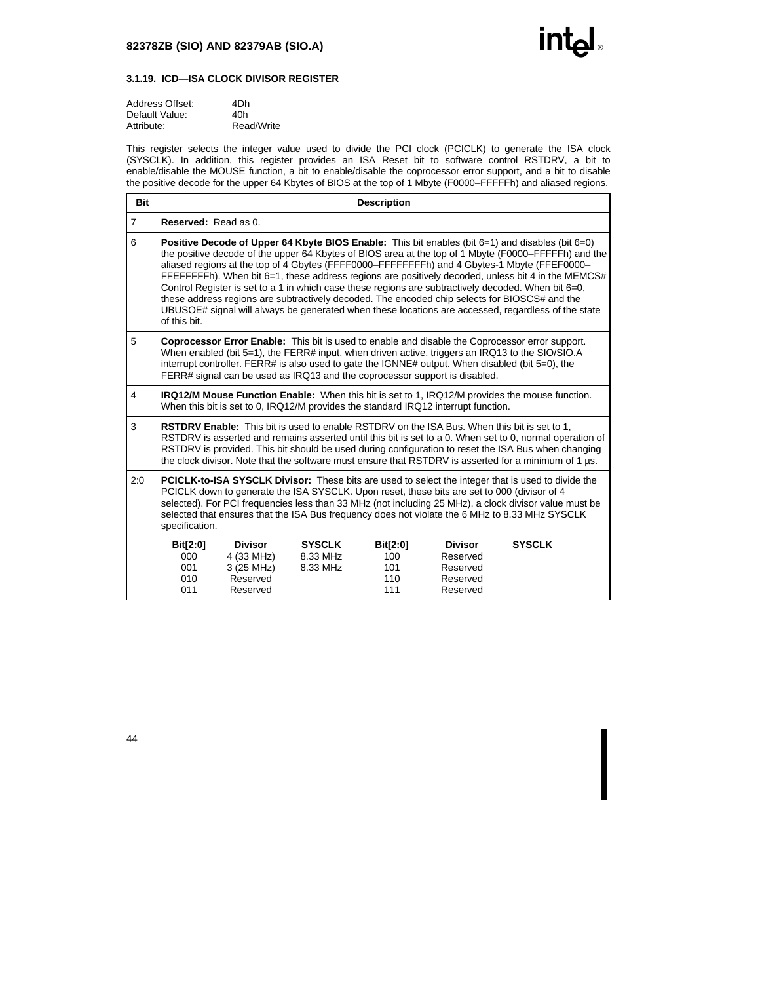

## **3.1.19. ICD—ISA CLOCK DIVISOR REGISTER**

| Address Offset: | 4Dh        |
|-----------------|------------|
| Default Value:  | 40h        |
| Attribute:      | Read/Write |

This register selects the integer value used to divide the PCI clock (PCICLK) to generate the ISA clock (SYSCLK). In addition, this register provides an ISA Reset bit to software control RSTDRV, a bit to enable/disable the MOUSE function, a bit to enable/disable the coprocessor error support, and a bit to disable the positive decode for the upper 64 Kbytes of BIOS at the top of 1 Mbyte (F0000–FFFFFh) and aliased regions.

| <b>Bit</b>     |                                      |                                                                    |                                       | <b>Description</b>                   |                                                                                                                                                                                |                                                                                                                                                                                                                                                                                                                                                                                                                                                                                                                                                                                                                                                                                                                                |
|----------------|--------------------------------------|--------------------------------------------------------------------|---------------------------------------|--------------------------------------|--------------------------------------------------------------------------------------------------------------------------------------------------------------------------------|--------------------------------------------------------------------------------------------------------------------------------------------------------------------------------------------------------------------------------------------------------------------------------------------------------------------------------------------------------------------------------------------------------------------------------------------------------------------------------------------------------------------------------------------------------------------------------------------------------------------------------------------------------------------------------------------------------------------------------|
| $\overline{7}$ | <b>Reserved: Read as 0.</b>          |                                                                    |                                       |                                      |                                                                                                                                                                                |                                                                                                                                                                                                                                                                                                                                                                                                                                                                                                                                                                                                                                                                                                                                |
| 6              | of this bit.                         |                                                                    |                                       |                                      |                                                                                                                                                                                | Positive Decode of Upper 64 Kbyte BIOS Enable: This bit enables (bit 6=1) and disables (bit 6=0)<br>the positive decode of the upper 64 Kbytes of BIOS area at the top of 1 Mbyte (F0000–FFFFFh) and the<br>aliased regions at the top of 4 Gbytes (FFFF0000–FFFFFFFFh) and 4 Gbytes-1 Mbyte (FFEF0000–<br>FFEFFFFFh). When bit 6=1, these address regions are positively decoded, unless bit 4 in the MEMCS#<br>Control Register is set to a 1 in which case these regions are subtractively decoded. When bit $6=0$ ,<br>these address regions are subtractively decoded. The encoded chip selects for BIOSCS# and the<br>UBUSOE# signal will always be generated when these locations are accessed, regardless of the state |
| 5              |                                      |                                                                    |                                       |                                      | interrupt controller. FERR# is also used to gate the IGNNE# output. When disabled (bit 5=0), the<br>FERR# signal can be used as IRQ13 and the coprocessor support is disabled. | <b>Coprocessor Error Enable:</b> This bit is used to enable and disable the Coprocessor error support.<br>When enabled (bit 5=1), the FERR# input, when driven active, triggers an IRQ13 to the SIO/SIO.A                                                                                                                                                                                                                                                                                                                                                                                                                                                                                                                      |
| $\overline{4}$ |                                      |                                                                    |                                       |                                      | When this bit is set to 0, IRQ12/M provides the standard IRQ12 interrupt function.                                                                                             | <b>IRQ12/M Mouse Function Enable:</b> When this bit is set to 1, IRQ12/M provides the mouse function.                                                                                                                                                                                                                                                                                                                                                                                                                                                                                                                                                                                                                          |
| 3              |                                      |                                                                    |                                       |                                      | <b>RSTDRV Enable:</b> This bit is used to enable RSTDRV on the ISA Bus. When this bit is set to 1,                                                                             | RSTDRV is asserted and remains asserted until this bit is set to a 0. When set to 0, normal operation of<br>RSTDRV is provided. This bit should be used during configuration to reset the ISA Bus when changing<br>the clock divisor. Note that the software must ensure that RSTDRV is asserted for a minimum of 1 µs.                                                                                                                                                                                                                                                                                                                                                                                                        |
| 2:0            | specification.                       |                                                                    |                                       |                                      | PCICLK down to generate the ISA SYSCLK. Upon reset, these bits are set to 000 (divisor of 4                                                                                    | <b>PCICLK-to-ISA SYSCLK Divisor:</b> These bits are used to select the integer that is used to divide the<br>selected). For PCI frequencies less than 33 MHz (not including 25 MHz), a clock divisor value must be<br>selected that ensures that the ISA Bus frequency does not violate the 6 MHz to 8.33 MHz SYSCLK                                                                                                                                                                                                                                                                                                                                                                                                           |
|                | Bit[2:0]<br>000<br>001<br>010<br>011 | <b>Divisor</b><br>4 (33 MHz)<br>3 (25 MHz)<br>Reserved<br>Reserved | <b>SYSCLK</b><br>8.33 MHz<br>8.33 MHz | Bit[2:0]<br>100<br>101<br>110<br>111 | <b>Divisor</b><br>Reserved<br>Reserved<br>Reserved<br>Reserved                                                                                                                 | <b>SYSCLK</b>                                                                                                                                                                                                                                                                                                                                                                                                                                                                                                                                                                                                                                                                                                                  |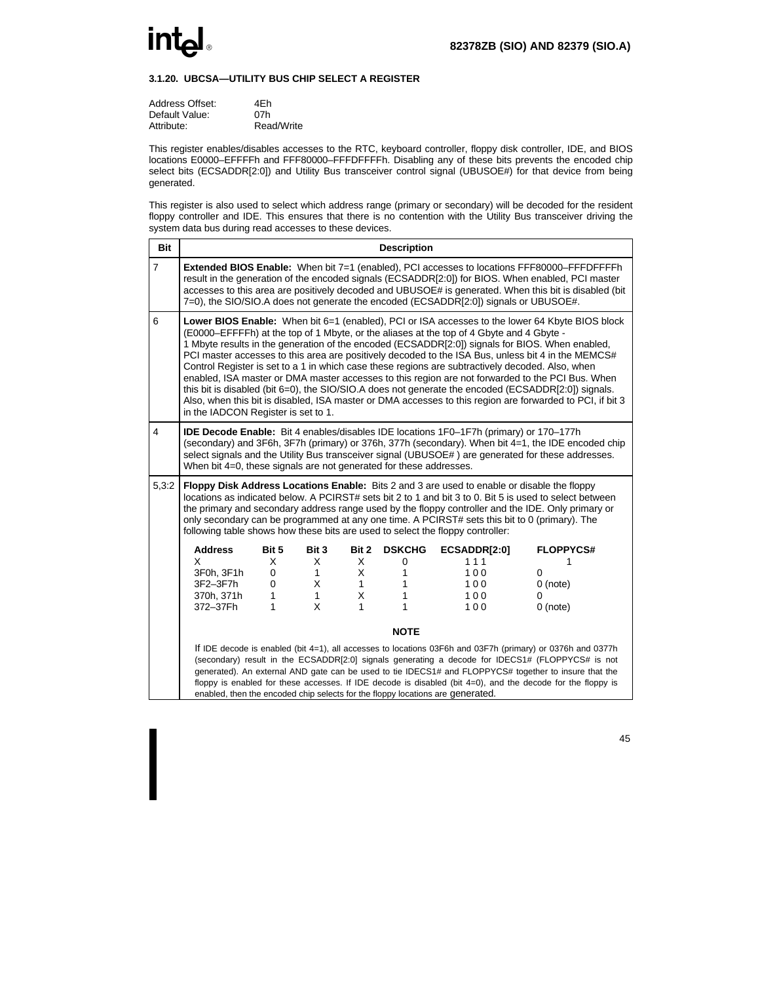## **3.1.20. UBCSA—UTILITY BUS CHIP SELECT A REGISTER**

| Address Offset: | 4Fh        |
|-----------------|------------|
| Default Value:  | 07h        |
| Attribute:      | Read/Write |

This register enables/disables accesses to the RTC, keyboard controller, floppy disk controller, IDE, and BIOS locations E0000–EFFFFh and FFF80000–FFFDFFFFh. Disabling any of these bits prevents the encoded chip select bits (ECSADDR[2:0]) and Utility Bus transceiver control signal (UBUSOE#) for that device from being generated.

This register is also used to select which address range (primary or secondary) will be decoded for the resident floppy controller and IDE. This ensures that there is no contention with the Utility Bus transceiver driving the system data bus during read accesses to these devices.

| <b>Bit</b>     | <b>Description</b>                                                                                                                                                                                                                                                                                                                                                                                                                                                                                                                                                                                                                                                                                                                                                                                                                                                             |              |              |              |              |     |            |
|----------------|--------------------------------------------------------------------------------------------------------------------------------------------------------------------------------------------------------------------------------------------------------------------------------------------------------------------------------------------------------------------------------------------------------------------------------------------------------------------------------------------------------------------------------------------------------------------------------------------------------------------------------------------------------------------------------------------------------------------------------------------------------------------------------------------------------------------------------------------------------------------------------|--------------|--------------|--------------|--------------|-----|------------|
| $\overline{7}$ | Extended BIOS Enable: When bit 7=1 (enabled), PCI accesses to locations FFF80000-FFFDFFFFh<br>result in the generation of the encoded signals (ECSADDR[2:0]) for BIOS. When enabled, PCI master<br>accesses to this area are positively decoded and UBUSOE# is generated. When this bit is disabled (bit<br>7=0), the SIO/SIO.A does not generate the encoded (ECSADDR[2:0]) signals or UBUSOE#.                                                                                                                                                                                                                                                                                                                                                                                                                                                                               |              |              |              |              |     |            |
| 6              | <b>Lower BIOS Enable:</b> When bit 6=1 (enabled), PCI or ISA accesses to the lower 64 Kbyte BIOS block<br>(E0000–EFFFFh) at the top of 1 Mbyte, or the aliases at the top of 4 Gbyte and 4 Gbyte -<br>1 Mbyte results in the generation of the encoded (ECSADDR[2:0]) signals for BIOS. When enabled,<br>PCI master accesses to this area are positively decoded to the ISA Bus, unless bit 4 in the MEMCS#<br>Control Register is set to a 1 in which case these regions are subtractively decoded. Also, when<br>enabled, ISA master or DMA master accesses to this region are not forwarded to the PCI Bus. When<br>this bit is disabled (bit 6=0), the SIO/SIO.A does not generate the encoded (ECSADDR[2:0]) signals.<br>Also, when this bit is disabled, ISA master or DMA accesses to this region are forwarded to PCI, if bit 3<br>in the IADCON Register is set to 1. |              |              |              |              |     |            |
| $\overline{4}$ | <b>IDE Decode Enable:</b> Bit 4 enables/disables IDE locations 1F0-1F7h (primary) or 170-177h<br>(secondary) and 3F6h, 3F7h (primary) or 376h, 377h (secondary). When bit 4=1, the IDE encoded chip<br>select signals and the Utility Bus transceiver signal (UBUSOE#) are generated for these addresses.<br>When bit 4=0, these signals are not generated for these addresses.                                                                                                                                                                                                                                                                                                                                                                                                                                                                                                |              |              |              |              |     |            |
| 5,3:2          | Floppy Disk Address Locations Enable: Bits 2 and 3 are used to enable or disable the floppy<br>locations as indicated below. A PCIRST# sets bit 2 to 1 and bit 3 to 0. Bit 5 is used to select between<br>the primary and secondary address range used by the floppy controller and the IDE. Only primary or<br>only secondary can be programmed at any one time. A PCIRST# sets this bit to 0 (primary). The<br>following table shows how these bits are used to select the floppy controller:                                                                                                                                                                                                                                                                                                                                                                                |              |              |              |              |     |            |
|                | Bit 5<br>Bit 3<br><b>Address</b><br>Bit 2<br><b>DSKCHG</b><br>ECSADDR[2:0]<br><b>FLOPPYCS#</b>                                                                                                                                                                                                                                                                                                                                                                                                                                                                                                                                                                                                                                                                                                                                                                                 |              |              |              |              |     |            |
|                | X                                                                                                                                                                                                                                                                                                                                                                                                                                                                                                                                                                                                                                                                                                                                                                                                                                                                              | Χ            | X            | Χ            | 0            | 111 | 1          |
|                | 3F0h, 3F1h                                                                                                                                                                                                                                                                                                                                                                                                                                                                                                                                                                                                                                                                                                                                                                                                                                                                     | 0            | 1            | X.           | $\mathbf{1}$ | 100 | 0          |
|                | 3F2-3F7h                                                                                                                                                                                                                                                                                                                                                                                                                                                                                                                                                                                                                                                                                                                                                                                                                                                                       | 0            | X.           | $\mathbf{1}$ | 1            | 100 | $0$ (note) |
|                | 370h, 371h                                                                                                                                                                                                                                                                                                                                                                                                                                                                                                                                                                                                                                                                                                                                                                                                                                                                     | $\mathbf{1}$ | $\mathbf{1}$ | X            | $\mathbf{1}$ | 100 | 0          |
|                | 372-37Fh                                                                                                                                                                                                                                                                                                                                                                                                                                                                                                                                                                                                                                                                                                                                                                                                                                                                       | $\mathbf{1}$ | X            | $\mathbf{1}$ | 1            | 100 | $0$ (note) |
|                | <b>NOTE</b>                                                                                                                                                                                                                                                                                                                                                                                                                                                                                                                                                                                                                                                                                                                                                                                                                                                                    |              |              |              |              |     |            |
|                | If IDE decode is enabled (bit 4=1), all accesses to locations 03F6h and 03F7h (primary) or 0376h and 0377h<br>(secondary) result in the ECSADDR[2:0] signals generating a decode for IDECS1# (FLOPPYCS# is not<br>generated). An external AND gate can be used to tie IDECS1# and FLOPPYCS# together to insure that the<br>floppy is enabled for these accesses. If IDE decode is disabled (bit $4=0$ ), and the decode for the floppy is<br>enabled, then the encoded chip selects for the floppy locations are generated.                                                                                                                                                                                                                                                                                                                                                    |              |              |              |              |     |            |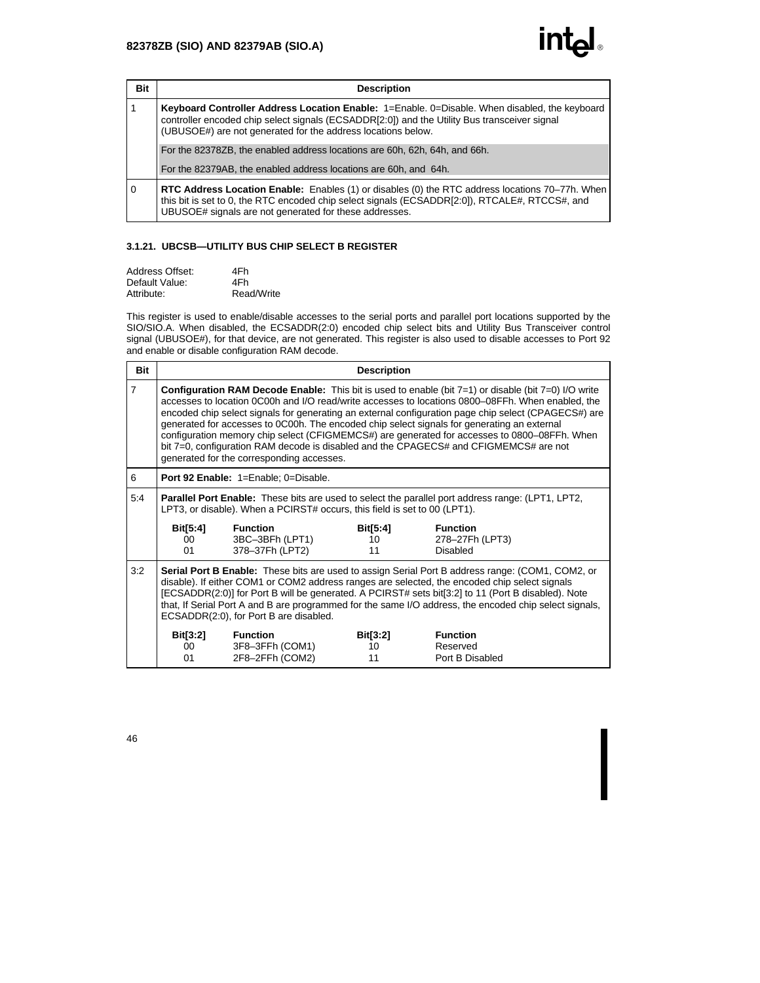

| Bit | <b>Description</b>                                                                                                                                                                                                                                                   |  |  |  |  |
|-----|----------------------------------------------------------------------------------------------------------------------------------------------------------------------------------------------------------------------------------------------------------------------|--|--|--|--|
|     | <b>Keyboard Controller Address Location Enable:</b> 1=Enable. 0=Disable. When disabled, the keyboard<br>controller encoded chip select signals (ECSADDR[2:0]) and the Utility Bus transceiver signal<br>(UBUSOE#) are not generated for the address locations below. |  |  |  |  |
|     | For the 82378ZB, the enabled address locations are 60h, 62h, 64h, and 66h.                                                                                                                                                                                           |  |  |  |  |
|     | For the 82379AB, the enabled address locations are 60h, and 64h.                                                                                                                                                                                                     |  |  |  |  |
| 0   | <b>RTC Address Location Enable:</b> Enables (1) or disables (0) the RTC address locations 70–77h. When<br>this bit is set to 0, the RTC encoded chip select signals (ECSADDR[2:0]), RTCALE#, RTCCS#, and<br>UBUSOE# signals are not generated for these addresses.   |  |  |  |  |

# **3.1.21. UBCSB—UTILITY BUS CHIP SELECT B REGISTER**

| Address Offset: | 4Fh        |
|-----------------|------------|
| Default Value:  | 4Fh        |
| Attribute:      | Read/Write |

This register is used to enable/disable accesses to the serial ports and parallel port locations supported by the SIO/SIO.A. When disabled, the ECSADDR(2:0) encoded chip select bits and Utility Bus Transceiver control signal (UBUSOE#), for that device, are not generated. This register is also used to disable accesses to Port 92 and enable or disable configuration RAM decode.

| Bit            | <b>Description</b>                                                                                                                                                                                                                                                                                                                                                                                                                                                                                                                                                                                                                                                  |                                                       |                      |                                                |  |  |
|----------------|---------------------------------------------------------------------------------------------------------------------------------------------------------------------------------------------------------------------------------------------------------------------------------------------------------------------------------------------------------------------------------------------------------------------------------------------------------------------------------------------------------------------------------------------------------------------------------------------------------------------------------------------------------------------|-------------------------------------------------------|----------------------|------------------------------------------------|--|--|
| $\overline{7}$ | <b>Configuration RAM Decode Enable:</b> This bit is used to enable (bit $7=1$ ) or disable (bit $7=0$ ) I/O write<br>accesses to location 0C00h and I/O read/write accesses to locations 0800–08FFh. When enabled, the<br>encoded chip select signals for generating an external configuration page chip select (CPAGECS#) are<br>generated for accesses to 0C00h. The encoded chip select signals for generating an external<br>configuration memory chip select (CFIGMEMCS#) are generated for accesses to 0800–08FFh. When<br>bit 7=0, configuration RAM decode is disabled and the CPAGECS# and CFIGMEMCS# are not<br>generated for the corresponding accesses. |                                                       |                      |                                                |  |  |
| 6              |                                                                                                                                                                                                                                                                                                                                                                                                                                                                                                                                                                                                                                                                     | Port 92 Enable: 1=Enable: 0=Disable.                  |                      |                                                |  |  |
| 5:4            | <b>Parallel Port Enable:</b> These bits are used to select the parallel port address range: (LPT1, LPT2,<br>LPT3, or disable). When a PCIRST# occurs, this field is set to 00 (LPT1).<br>Bit[5:4]<br><b>Function</b><br>Bit[5:4]<br><b>Function</b>                                                                                                                                                                                                                                                                                                                                                                                                                 |                                                       |                      |                                                |  |  |
|                | 00 <sup>1</sup>                                                                                                                                                                                                                                                                                                                                                                                                                                                                                                                                                                                                                                                     | 3BC-3BFh (LPT1)                                       | 10                   | 278-27Fh (LPT3)                                |  |  |
|                | 01                                                                                                                                                                                                                                                                                                                                                                                                                                                                                                                                                                                                                                                                  | 378-37Fh (LPT2)                                       | 11                   | Disabled                                       |  |  |
| 3:2            | <b>Serial Port B Enable:</b> These bits are used to assign Serial Port B address range: (COM1, COM2, or<br>disable). If either COM1 or COM2 address ranges are selected, the encoded chip select signals<br>[ECSADDR(2:0)] for Port B will be generated. A PCIRST# sets bit[3:2] to 11 (Port B disabled). Note<br>that, If Serial Port A and B are programmed for the same I/O address, the encoded chip select signals,<br>ECSADDR(2:0), for Port B are disabled.                                                                                                                                                                                                  |                                                       |                      |                                                |  |  |
|                | Bit[3:2]<br>00<br>01                                                                                                                                                                                                                                                                                                                                                                                                                                                                                                                                                                                                                                                | <b>Function</b><br>3F8-3FFh (COM1)<br>2F8-2FFh (COM2) | Bit[3:2]<br>10<br>11 | <b>Function</b><br>Reserved<br>Port B Disabled |  |  |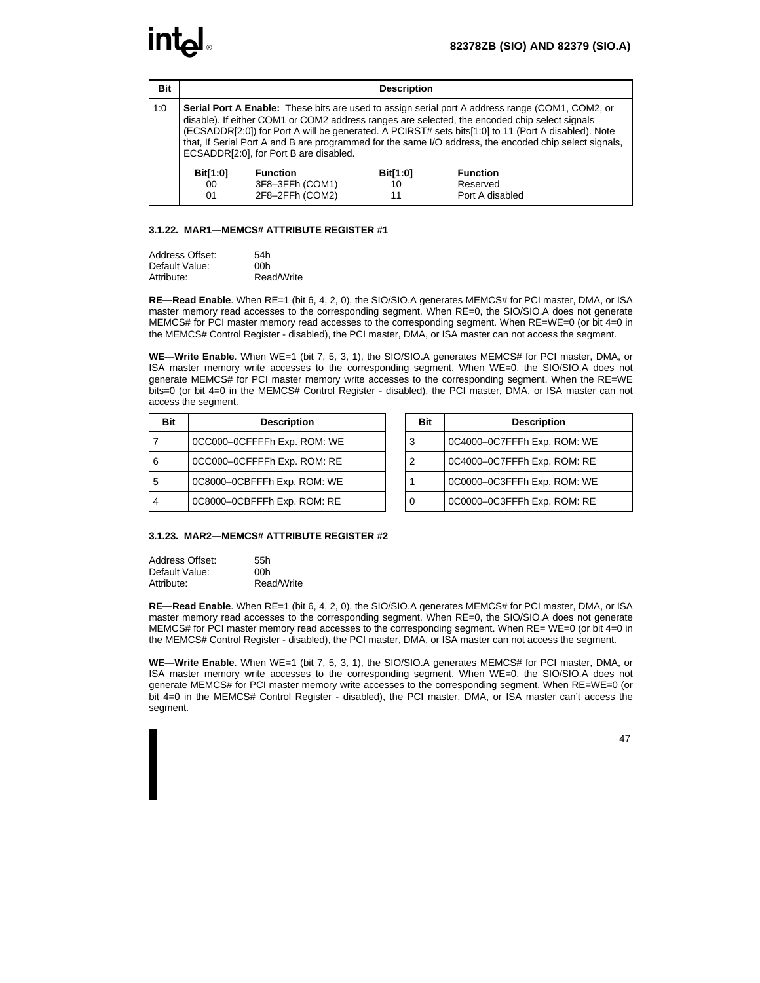| Bit | <b>Description</b>                                                                                                                                                                                                                                                                                                                                                                                                                                                 |                                                       |                      |                                                |
|-----|--------------------------------------------------------------------------------------------------------------------------------------------------------------------------------------------------------------------------------------------------------------------------------------------------------------------------------------------------------------------------------------------------------------------------------------------------------------------|-------------------------------------------------------|----------------------|------------------------------------------------|
| 1:0 | <b>Serial Port A Enable:</b> These bits are used to assign serial port A address range (COM1, COM2, or<br>disable). If either COM1 or COM2 address ranges are selected, the encoded chip select signals<br>(ECSADDR[2:0]) for Port A will be generated. A PCIRST# sets bits[1:0] to 11 (Port A disabled). Note<br>that, If Serial Port A and B are programmed for the same I/O address, the encoded chip select signals,<br>ECSADDR[2:0], for Port B are disabled. |                                                       |                      |                                                |
|     | Bit[1:0]<br>00<br>01                                                                                                                                                                                                                                                                                                                                                                                                                                               | <b>Function</b><br>3F8-3FFh (COM1)<br>2F8-2FFh (COM2) | Bit[1:0]<br>10<br>11 | <b>Function</b><br>Reserved<br>Port A disabled |

# **3.1.22. MAR1—MEMCS# ATTRIBUTE REGISTER #1**

| Address Offset: | 54h        |
|-----------------|------------|
| Default Value:  | 00h        |
| Attribute:      | Read/Write |

**RE—Read Enable**. When RE=1 (bit 6, 4, 2, 0), the SIO/SIO.A generates MEMCS# for PCI master, DMA, or ISA master memory read accesses to the corresponding segment. When RE=0, the SIO/SIO.A does not generate MEMCS# for PCI master memory read accesses to the corresponding segment. When RE=WE=0 (or bit 4=0 in the MEMCS# Control Register - disabled), the PCI master, DMA, or ISA master can not access the segment.

**WE—Write Enable**. When WE=1 (bit 7, 5, 3, 1), the SIO/SIO.A generates MEMCS# for PCI master, DMA, or ISA master memory write accesses to the corresponding segment. When WE=0, the SIO/SIO.A does not generate MEMCS# for PCI master memory write accesses to the corresponding segment. When the RE=WE bits=0 (or bit 4=0 in the MEMCS# Control Register - disabled), the PCI master, DMA, or ISA master can not access the segment.

| Bit | <b>Description</b>          | Bit | <b>Description</b>          |
|-----|-----------------------------|-----|-----------------------------|
|     | 0CC000-0CFFFFh Exp. ROM: WE | 3   | 0C4000-0C7FFFh Exp. ROM: WE |
| 6   | 0CC000-0CFFFFh Exp. ROM: RE | 2   | 0C4000-0C7FFFh Exp. ROM: RE |
| 5   | 0C8000-0CBFFFh Exp. ROM: WE |     | 0C0000-0C3FFFh Exp. ROM: WE |
|     | 0C8000-0CBFFFh Exp. ROM: RE | -0  | 0C0000-0C3FFFh Exp. ROM: RE |

### **3.1.23. MAR2—MEMCS# ATTRIBUTE REGISTER #2**

Address Offset: 55h<br>Default Value: 00b Default Value:<br>Attribute: Read/Write

**RE—Read Enable**. When RE=1 (bit 6, 4, 2, 0), the SIO/SIO.A generates MEMCS# for PCI master, DMA, or ISA master memory read accesses to the corresponding segment. When RE=0, the SIO/SIO.A does not generate MEMCS# for PCI master memory read accesses to the corresponding segment. When RE= WE=0 (or bit 4=0 in the MEMCS# Control Register - disabled), the PCI master, DMA, or ISA master can not access the segment.

**WE—Write Enable**. When WE=1 (bit 7, 5, 3, 1), the SIO/SIO.A generates MEMCS# for PCI master, DMA, or ISA master memory write accesses to the corresponding segment. When WE=0, the SIO/SIO.A does not generate MEMCS# for PCI master memory write accesses to the corresponding segment. When RE=WE=0 (or bit 4=0 in the MEMCS# Control Register - disabled), the PCI master, DMA, or ISA master can't access the segment.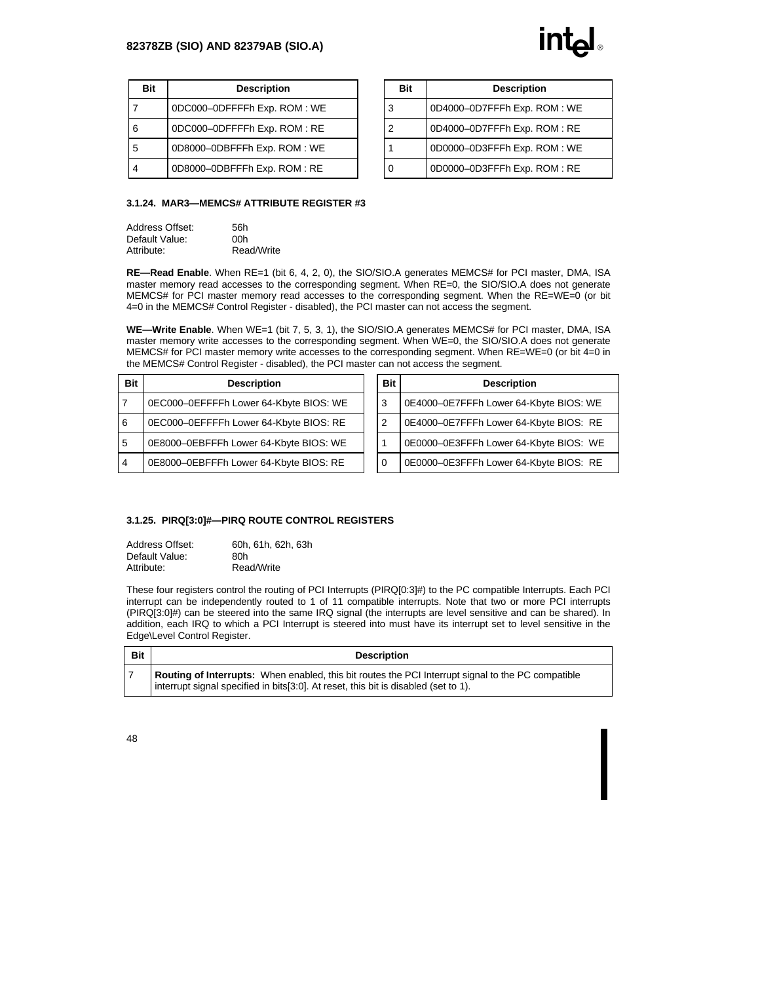

| Bit | <b>Description</b>          | <b>Bit</b> | <b>Description</b>          |
|-----|-----------------------------|------------|-----------------------------|
|     | 0DC000-0DFFFFh Exp. ROM: WE | 3          | 0D4000-0D7FFFh Exp. ROM: WE |
| -6  | 0DC000-0DFFFFh Exp. ROM: RE | 2          | 0D4000-0D7FFFh Exp. ROM: RE |
| -5  | 0D8000-0DBFFFh Exp. ROM: WE |            | 0D0000-0D3FFFh Exp. ROM: WE |
| 4   | 0D8000-0DBFFFh Exp. ROM: RE |            | 0D0000-0D3FFFh Exp. ROM: RE |

| Bit | <b>Description</b>          |
|-----|-----------------------------|
| 3   | 0D4000-0D7FFFh Exp. ROM: WE |
| 2   | 0D4000-0D7FFFh Exp. ROM: RE |
| 1   | 0D0000-0D3FFFh Exp. ROM: WE |
| 0   | 0D0000-0D3FFFh Exp. ROM: RE |

## **3.1.24. MAR3—MEMCS# ATTRIBUTE REGISTER #3**

| Address Offset: | 56h        |
|-----------------|------------|
| Default Value:  | 00h        |
| Attribute:      | Read/Write |

**RE—Read Enable**. When RE=1 (bit 6, 4, 2, 0), the SIO/SIO.A generates MEMCS# for PCI master, DMA, ISA master memory read accesses to the corresponding segment. When RE=0, the SIO/SIO.A does not generate MEMCS# for PCI master memory read accesses to the corresponding segment. When the RE=WE=0 (or bit 4=0 in the MEMCS# Control Register - disabled), the PCI master can not access the segment.

**WE—Write Enable**. When WE=1 (bit 7, 5, 3, 1), the SIO/SIO.A generates MEMCS# for PCI master, DMA, ISA master memory write accesses to the corresponding segment. When WE=0, the SIO/SIO.A does not generate MEMCS# for PCI master memory write accesses to the corresponding segment. When RE=WE=0 (or bit 4=0 in the MEMCS# Control Register - disabled), the PCI master can not access the segment.

| Bit            | <b>Description</b>                     | <b>Bit</b> | <b>Description</b>                     |
|----------------|----------------------------------------|------------|----------------------------------------|
|                | 0EC000-0EFFFFh Lower 64-Kbyte BIOS: WE | 3          | 0E4000-0E7FFFh Lower 64-Kbyte BIOS: WE |
| 6              | 0EC000-0EFFFFh Lower 64-Kbyte BIOS: RE | 2          | 0E4000-0E7FFFh Lower 64-Kbyte BIOS: RE |
| 5              | 0E8000-0EBFFFh Lower 64-Kbyte BIOS: WE |            | 0E0000-0E3FFFh Lower 64-Kbyte BIOS: WE |
| $\overline{4}$ | 0E8000-0EBFFFh Lower 64-Kbyte BIOS: RE | 0          | 0E0000-0E3FFFh Lower 64-Kbyte BIOS: RE |

### **3.1.25. PIRQ[3:0]#—PIRQ ROUTE CONTROL REGISTERS**

| Address Offset: | 60h, 61h, 62h, 63h |
|-----------------|--------------------|
| Default Value:  | 80h                |
| Attribute:      | Read/Write         |

These four registers control the routing of PCI Interrupts (PIRQ[0:3]#) to the PC compatible Interrupts. Each PCI interrupt can be independently routed to 1 of 11 compatible interrupts. Note that two or more PCI interrupts (PIRQ[3:0]#) can be steered into the same IRQ signal (the interrupts are level sensitive and can be shared). In addition, each IRQ to which a PCI Interrupt is steered into must have its interrupt set to level sensitive in the Edge\Level Control Register.

| Bit | <b>Description</b>                                                                                                                                                                               |
|-----|--------------------------------------------------------------------------------------------------------------------------------------------------------------------------------------------------|
|     | <b>Routing of Interrupts:</b> When enabled, this bit routes the PCI Interrupt signal to the PC compatible<br>interrupt signal specified in bits[3:0]. At reset, this bit is disabled (set to 1). |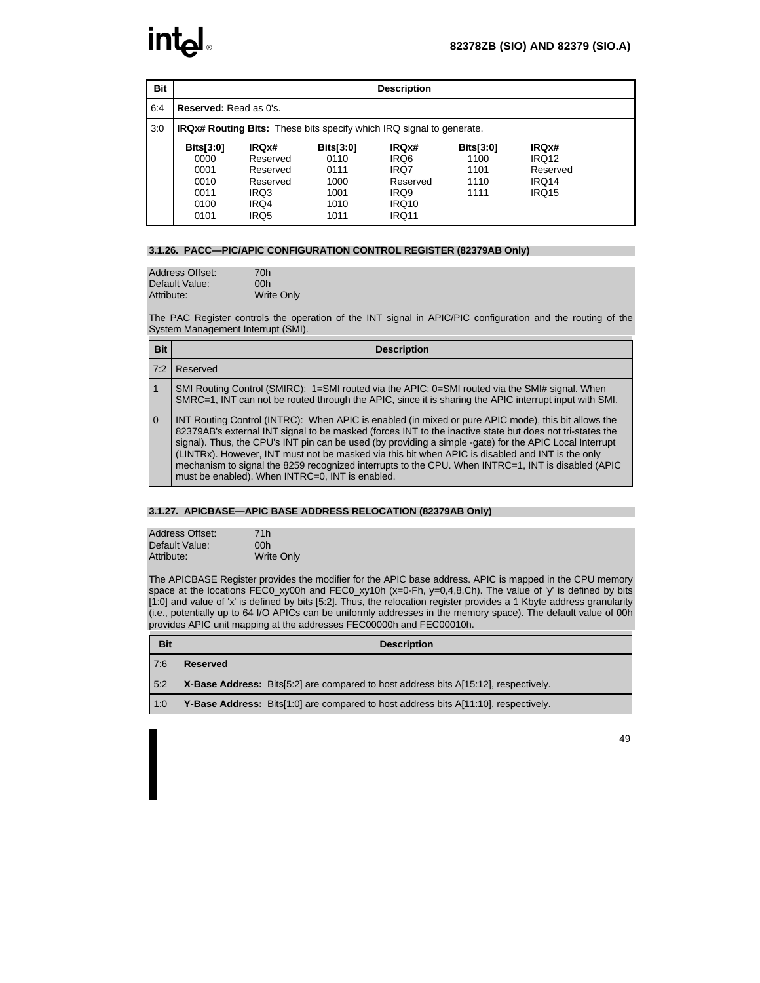| <b>Bit</b> |                                                                             |          |                  | <b>Description</b> |           |          |  |
|------------|-----------------------------------------------------------------------------|----------|------------------|--------------------|-----------|----------|--|
| 6:4        | <b>Reserved:</b> Read as 0's.                                               |          |                  |                    |           |          |  |
| 3:0        | <b>IRQx# Routing Bits:</b> These bits specify which IRQ signal to generate. |          |                  |                    |           |          |  |
|            | <b>Bits[3:0]</b>                                                            | IRQx#    | <b>Bits[3:0]</b> | IRQx#              | Bits[3:0] | IRQx#    |  |
|            | 0000                                                                        | Reserved | 0110             | IRQ6               | 1100      | IRQ12    |  |
|            | 0001                                                                        | Reserved | 0111             | IRQ7               | 1101      | Reserved |  |
|            | 0010                                                                        | Reserved | 1000             | Reserved           | 1110      | IRQ14    |  |
|            | 0011                                                                        | IRQ3     | 1001             | IRQ9               | 1111      | IRQ15    |  |
|            | 0100                                                                        | IRQ4     | 1010             | IRQ10              |           |          |  |
|            | 0101                                                                        | IRQ5     | 1011             | IRQ11              |           |          |  |

# **3.1.26. PACC—PIC/APIC CONFIGURATION CONTROL REGISTER (82379AB Only)**

| Address Offset: | 70h               |
|-----------------|-------------------|
| Default Value:  | 00h               |
| Attribute:      | <b>Write Only</b> |

The PAC Register controls the operation of the INT signal in APIC/PIC configuration and the routing of the System Management Interrupt (SMI).

| <b>Bit</b> | <b>Description</b>                                                                                                                                                                                                                                                                                                                                                                                                                                                                                                                                                                      |
|------------|-----------------------------------------------------------------------------------------------------------------------------------------------------------------------------------------------------------------------------------------------------------------------------------------------------------------------------------------------------------------------------------------------------------------------------------------------------------------------------------------------------------------------------------------------------------------------------------------|
| 7:2        | Reserved                                                                                                                                                                                                                                                                                                                                                                                                                                                                                                                                                                                |
|            | SMI Routing Control (SMIRC): 1=SMI routed via the APIC; 0=SMI routed via the SMI# signal. When<br>SMRC=1, INT can not be routed through the APIC, since it is sharing the APIC interrupt input with SMI.                                                                                                                                                                                                                                                                                                                                                                                |
| $\Omega$   | INT Routing Control (INTRC): When APIC is enabled (in mixed or pure APIC mode), this bit allows the<br>82379AB's external INT signal to be masked (forces INT to the inactive state but does not tri-states the<br>signal). Thus, the CPU's INT pin can be used (by providing a simple -gate) for the APIC Local Interrupt<br>(LINTRx). However, INT must not be masked via this bit when APIC is disabled and INT is the only<br>mechanism to signal the 8259 recognized interrupts to the CPU. When INTRC=1, INT is disabled (APIC<br>must be enabled). When INTRC=0, INT is enabled. |

# **3.1.27. APICBASE—APIC BASE ADDRESS RELOCATION (82379AB Only)**

| Address Offset: | 71h               |
|-----------------|-------------------|
| Default Value:  | 00h               |
| Attribute:      | <b>Write Only</b> |

The APICBASE Register provides the modifier for the APIC base address. APIC is mapped in the CPU memory space at the locations FEC0\_xy00h and FEC0\_xy10h (x=0-Fh, y=0,4,8,Ch). The value of 'y' is defined by bits [1:0] and value of 'x' is defined by bits [5:2]. Thus, the relocation register provides a 1 Kbyte address granularity (i.e., potentially up to 64 I/O APICs can be uniformly addresses in the memory space). The default value of 00h provides APIC unit mapping at the addresses FEC00000h and FEC00010h.

| <b>Bit</b> | <b>Description</b>                                                                         |
|------------|--------------------------------------------------------------------------------------------|
| 7:6        | <b>Reserved</b>                                                                            |
| 5:2        | X-Base Address: Bits[5:2] are compared to host address bits A[15:12], respectively.        |
| 1:0        | <b>Y-Base Address:</b> Bits[1:0] are compared to host address bits A[11:10], respectively. |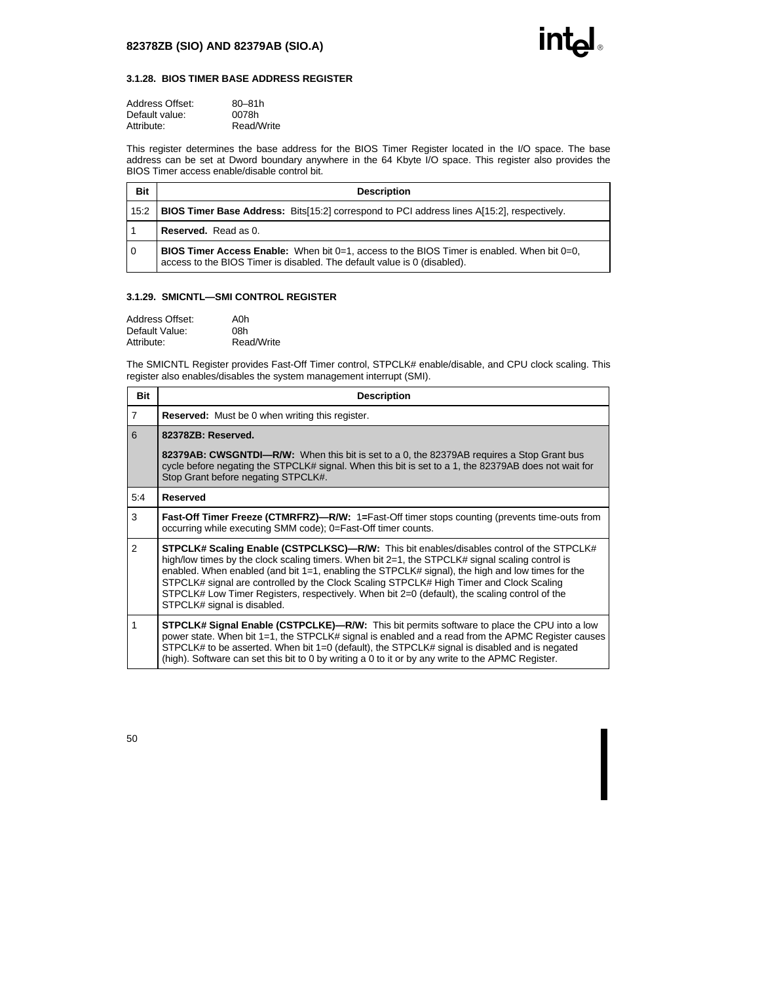

## **3.1.28. BIOS TIMER BASE ADDRESS REGISTER**

| Address Offset: | 80–81h     |
|-----------------|------------|
| Default value:  | 0078h      |
| Attribute:      | Read/Write |

This register determines the base address for the BIOS Timer Register located in the I/O space. The base address can be set at Dword boundary anywhere in the 64 Kbyte I/O space. This register also provides the BIOS Timer access enable/disable control bit.

| <b>Bit</b> | <b>Description</b>                                                                                                                                                                  |
|------------|-------------------------------------------------------------------------------------------------------------------------------------------------------------------------------------|
| 15:2       | <b>BIOS Timer Base Address:</b> Bits[15:2] correspond to PCI address lines A[15:2], respectively.                                                                                   |
|            | <b>Reserved.</b> Read as 0.                                                                                                                                                         |
| 0          | <b>BIOS Timer Access Enable:</b> When bit $0=1$ , access to the BIOS Timer is enabled. When bit $0=0$ ,<br>access to the BIOS Timer is disabled. The default value is 0 (disabled). |

# **3.1.29. SMICNTL—SMI CONTROL REGISTER**

| Address Offset: | A0h        |
|-----------------|------------|
| Default Value:  | 08h        |
| Attribute:      | Read/Write |

The SMICNTL Register provides Fast-Off Timer control, STPCLK# enable/disable, and CPU clock scaling. This register also enables/disables the system management interrupt (SMI).

| Bit            | <b>Description</b>                                                                                                                                                                                                                                                                                                                                                                                                                                                                                                                |
|----------------|-----------------------------------------------------------------------------------------------------------------------------------------------------------------------------------------------------------------------------------------------------------------------------------------------------------------------------------------------------------------------------------------------------------------------------------------------------------------------------------------------------------------------------------|
| $\overline{7}$ | <b>Reserved:</b> Must be 0 when writing this register.                                                                                                                                                                                                                                                                                                                                                                                                                                                                            |
| 6              | 82378ZB: Reserved.                                                                                                                                                                                                                                                                                                                                                                                                                                                                                                                |
|                | 82379AB: CWSGNTDI—R/W: When this bit is set to a 0, the 82379AB requires a Stop Grant bus<br>cycle before negating the STPCLK# signal. When this bit is set to a 1, the 82379AB does not wait for<br>Stop Grant before negating STPCLK#.                                                                                                                                                                                                                                                                                          |
| 5:4            | <b>Reserved</b>                                                                                                                                                                                                                                                                                                                                                                                                                                                                                                                   |
| 3              | Fast-Off Timer Freeze (CTMRFRZ)-R/W: 1=Fast-Off timer stops counting (prevents time-outs from<br>occurring while executing SMM code); 0=Fast-Off timer counts.                                                                                                                                                                                                                                                                                                                                                                    |
| $\mathfrak{p}$ | <b>STPCLK# Scaling Enable (CSTPCLKSC)—R/W:</b> This bit enables/disables control of the STPCLK#<br>high/low times by the clock scaling timers. When bit 2=1, the STPCLK# signal scaling control is<br>enabled. When enabled (and bit 1=1, enabling the STPCLK# signal), the high and low times for the<br>STPCLK# signal are controlled by the Clock Scaling STPCLK# High Timer and Clock Scaling<br>STPCLK# Low Timer Registers, respectively. When bit 2=0 (default), the scaling control of the<br>STPCLK# signal is disabled. |
|                | <b>STPCLK# Signal Enable (CSTPCLKE)—R/W:</b> This bit permits software to place the CPU into a low<br>power state. When bit 1=1, the STPCLK# signal is enabled and a read from the APMC Register causes<br>STPCLK# to be asserted. When bit 1=0 (default), the STPCLK# signal is disabled and is negated<br>(high). Software can set this bit to 0 by writing a 0 to it or by any write to the APMC Register.                                                                                                                     |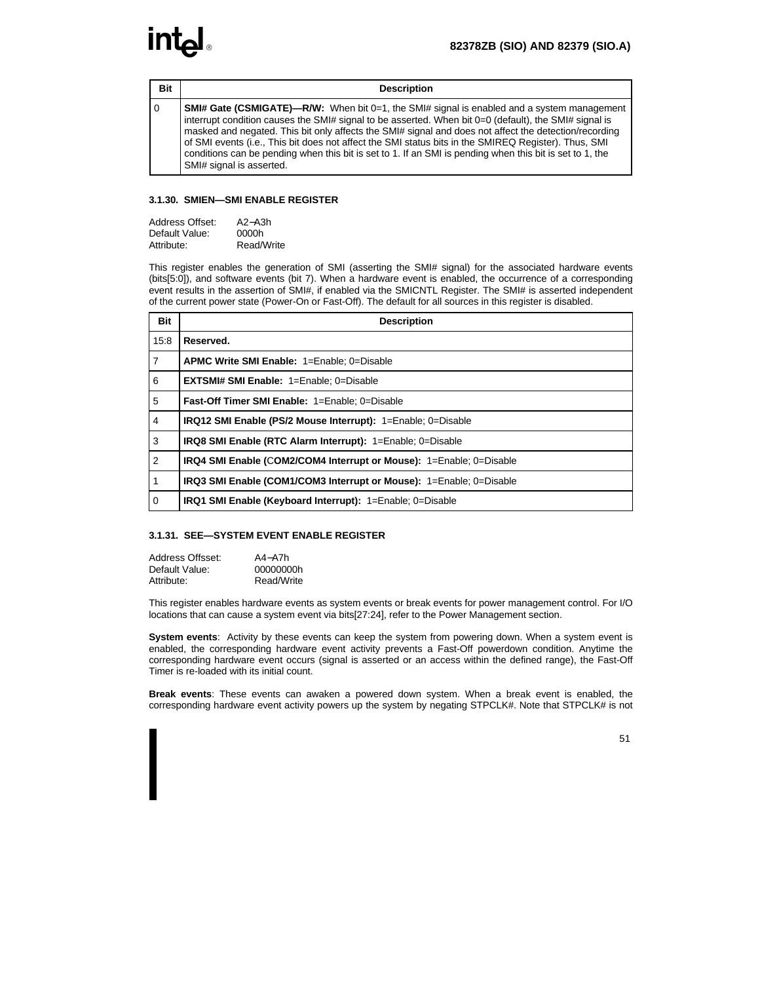# E **82378ZB (SIO) AND 82379 (SIO.A)**

| <b>Bit</b> | <b>Description</b>                                                                                                                                                                                                                                                                                                                                                                                                                                                                                                                                                  |
|------------|---------------------------------------------------------------------------------------------------------------------------------------------------------------------------------------------------------------------------------------------------------------------------------------------------------------------------------------------------------------------------------------------------------------------------------------------------------------------------------------------------------------------------------------------------------------------|
| -0         | <b>SMI# Gate (CSMIGATE)—R/W:</b> When bit 0=1, the SMI# signal is enabled and a system management<br>interrupt condition causes the SMI# signal to be asserted. When bit 0=0 (default), the SMI# signal is<br>masked and negated. This bit only affects the SMI# signal and does not affect the detection/recording<br>of SMI events (i.e., This bit does not affect the SMI status bits in the SMIREQ Register). Thus, SMI<br>conditions can be pending when this bit is set to 1. If an SMI is pending when this bit is set to 1, the<br>SMI# signal is asserted. |

# **3.1.30. SMIEN—SMI ENABLE REGISTER**

| Address Offset: | A2–A3h     |
|-----------------|------------|
| Default Value:  | 0000h      |
| Attribute:      | Read/Write |

This register enables the generation of SMI (asserting the SMI# signal) for the associated hardware events (bits[5:0]), and software events (bit 7). When a hardware event is enabled, the occurrence of a corresponding event results in the assertion of SMI#, if enabled via the SMICNTL Register. The SMI# is asserted independent of the current power state (Power-On or Fast-Off). The default for all sources in this register is disabled.

| Bit            | <b>Description</b>                                                  |
|----------------|---------------------------------------------------------------------|
| 15:8           | Reserved.                                                           |
| $\overline{7}$ | APMC Write SMI Enable: 1=Enable; 0=Disable                          |
| 6              | <b>EXTSMI# SMI Enable: 1=Enable: 0=Disable</b>                      |
| 5              | Fast-Off Timer SMI Enable: 1=Enable: 0=Disable                      |
| $\overline{4}$ | IRQ12 SMI Enable (PS/2 Mouse Interrupt): 1=Enable: 0=Disable        |
| 3              | IRQ8 SMI Enable (RTC Alarm Interrupt): 1=Enable: 0=Disable          |
| 2              | IRQ4 SMI Enable (COM2/COM4 Interrupt or Mouse): 1=Enable: 0=Disable |
| 1              | IRQ3 SMI Enable (COM1/COM3 Interrupt or Mouse): 1=Enable; 0=Disable |
| $\mathbf 0$    | IRQ1 SMI Enable (Keyboard Interrupt): 1=Enable: 0=Disable           |

### **3.1.31. SEE—SYSTEM EVENT ENABLE REGISTER**

| Address Offsset: | A4–A7h     |
|------------------|------------|
| Default Value:   | 00000000h  |
| Attribute:       | Read/Write |

This register enables hardware events as system events or break events for power management control. For I/O locations that can cause a system event via bits[27:24], refer to the Power Management section.

**System events**: Activity by these events can keep the system from powering down. When a system event is enabled, the corresponding hardware event activity prevents a Fast-Off powerdown condition. Anytime the corresponding hardware event occurs (signal is asserted or an access within the defined range), the Fast-Off Timer is re-loaded with its initial count.

**Break events**: These events can awaken a powered down system. When a break event is enabled, the corresponding hardware event activity powers up the system by negating STPCLK#. Note that STPCLK# is not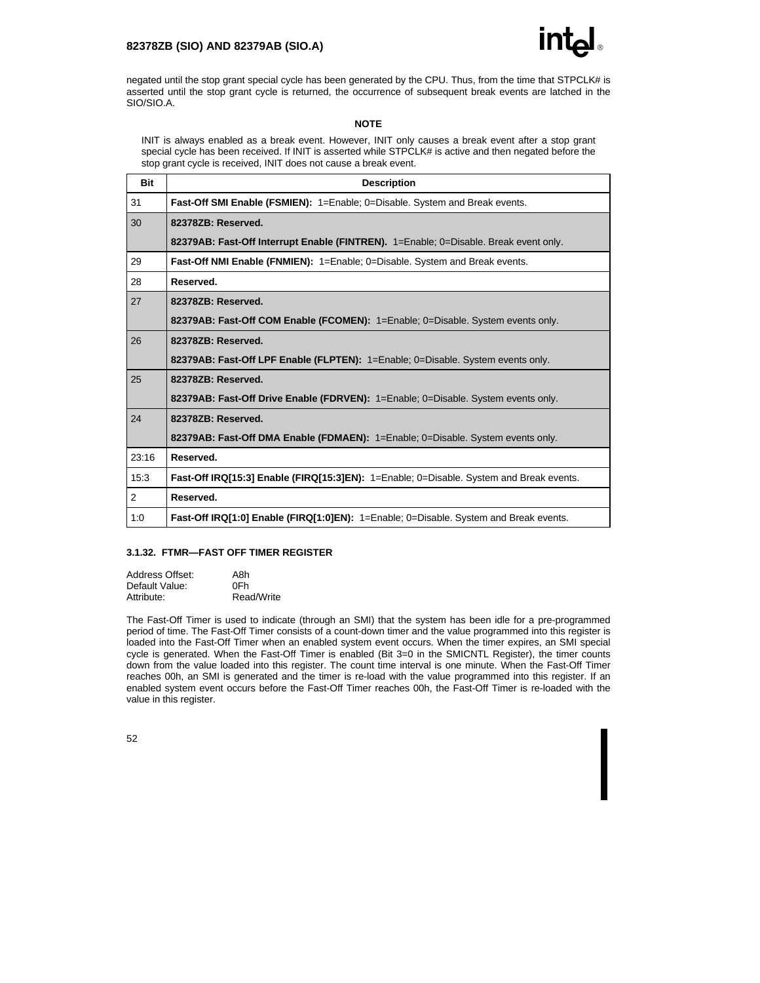

negated until the stop grant special cycle has been generated by the CPU. Thus, from the time that STPCLK# is asserted until the stop grant cycle is returned, the occurrence of subsequent break events are latched in the SIO/SIO.A.

#### **NOTE**

INIT is always enabled as a break event. However, INIT only causes a break event after a stop grant special cycle has been received. If INIT is asserted while STPCLK# is active and then negated before the stop grant cycle is received, INIT does not cause a break event.

| <b>Description</b>                                                                      |
|-----------------------------------------------------------------------------------------|
| Fast-Off SMI Enable (FSMIEN): 1=Enable; 0=Disable. System and Break events.             |
| 82378ZB: Reserved.                                                                      |
| 82379AB: Fast-Off Interrupt Enable (FINTREN). 1=Enable: 0=Disable. Break event only.    |
| <b>Fast-Off NMI Enable (FNMIEN):</b> 1=Enable: 0=Disable. System and Break events.      |
| Reserved.                                                                               |
| 82378ZB: Reserved.                                                                      |
| 82379AB: Fast-Off COM Enable (FCOMEN): 1=Enable; 0=Disable. System events only.         |
| 82378ZB: Reserved.                                                                      |
| 82379AB: Fast-Off LPF Enable (FLPTEN): 1=Enable; 0=Disable. System events only.         |
| 82378ZB: Reserved.                                                                      |
| 82379AB: Fast-Off Drive Enable (FDRVEN): 1=Enable; 0=Disable. System events only.       |
| 82378ZB: Reserved.                                                                      |
| 82379AB: Fast-Off DMA Enable (FDMAEN): 1=Enable; 0=Disable. System events only.         |
| Reserved.                                                                               |
| Fast-Off IRQ[15:3] Enable (FIRQ[15:3]EN): 1=Enable; 0=Disable. System and Break events. |
| Reserved.                                                                               |
| Fast-Off IRQ[1:0] Enable (FIRQ[1:0]EN): 1=Enable; 0=Disable. System and Break events.   |
|                                                                                         |

# **3.1.32. FTMR—FAST OFF TIMER REGISTER**

Address Offset: A8h<br>Default Value: 0Fh Default Value:<br>Attribute: Read/Write

The Fast-Off Timer is used to indicate (through an SMI) that the system has been idle for a pre-programmed period of time. The Fast-Off Timer consists of a count-down timer and the value programmed into this register is loaded into the Fast-Off Timer when an enabled system event occurs. When the timer expires, an SMI special cycle is generated. When the Fast-Off Timer is enabled (Bit 3=0 in the SMICNTL Register), the timer counts down from the value loaded into this register. The count time interval is one minute. When the Fast-Off Timer reaches 00h, an SMI is generated and the timer is re-load with the value programmed into this register. If an enabled system event occurs before the Fast-Off Timer reaches 00h, the Fast-Off Timer is re-loaded with the value in this register.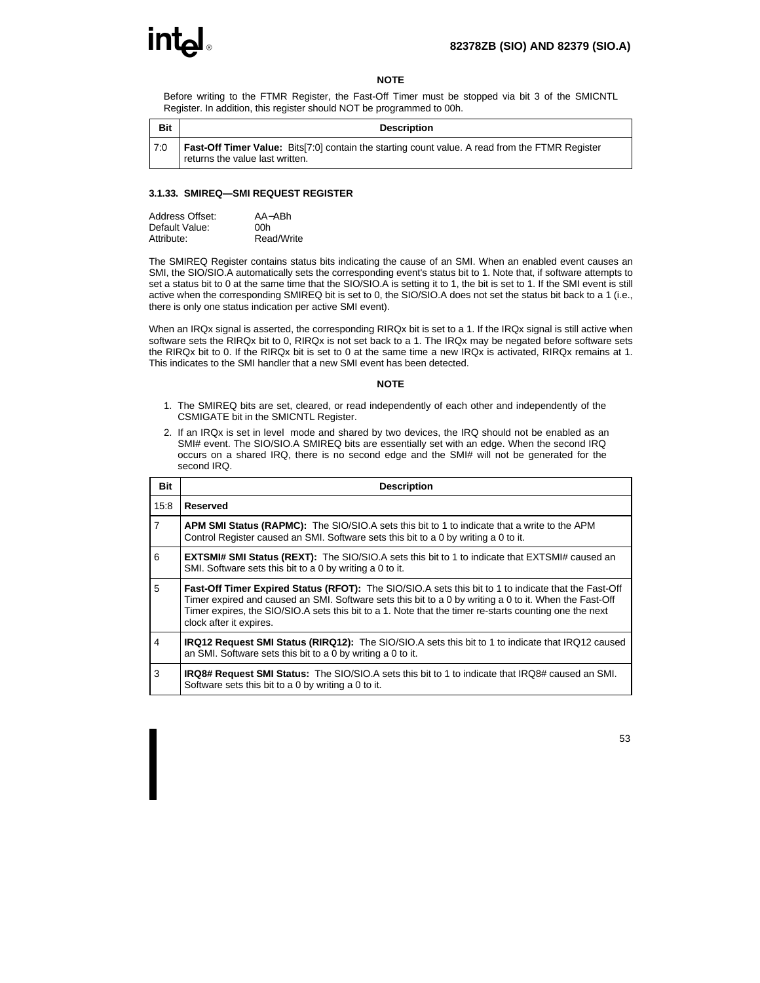# E **82378ZB (SIO) AND 82379 (SIO.A)**

## **NOTE**

Before writing to the FTMR Register, the Fast-Off Timer must be stopped via bit 3 of the SMICNTL Register. In addition, this register should NOT be programmed to 00h.

| <b>Bit</b> | <b>Description</b>                                                                                                                        |
|------------|-------------------------------------------------------------------------------------------------------------------------------------------|
| 17:0       | <b>Fast-Off Timer Value:</b> Bits[7:0] contain the starting count value. A read from the FTMR Register<br>returns the value last written. |

# **3.1.33. SMIREQ—SMI REQUEST REGISTER**

| Address Offset: | AA–ABh     |
|-----------------|------------|
| Default Value:  | 00h        |
| Attribute:      | Read/Write |

The SMIREQ Register contains status bits indicating the cause of an SMI. When an enabled event causes an SMI, the SIO/SIO.A automatically sets the corresponding event's status bit to 1. Note that, if software attempts to set a status bit to 0 at the same time that the SIO/SIO.A is setting it to 1, the bit is set to 1. If the SMI event is still active when the corresponding SMIREQ bit is set to 0, the SIO/SIO.A does not set the status bit back to a 1 (i.e., there is only one status indication per active SMI event).

When an IRQx signal is asserted, the corresponding RIRQx bit is set to a 1. If the IRQx signal is still active when software sets the RIRQx bit to 0, RIRQx is not set back to a 1. The IRQx may be negated before software sets the RIRQx bit to 0. If the RIRQx bit is set to 0 at the same time a new IRQx is activated, RIRQx remains at 1. This indicates to the SMI handler that a new SMI event has been detected.

### **NOTE**

- 1. The SMIREQ bits are set, cleared, or read independently of each other and independently of the CSMIGATE bit in the SMICNTL Register.
- 2. If an IRQx is set in level mode and shared by two devices, the IRQ should not be enabled as an SMI# event. The SIO/SIO.A SMIREQ bits are essentially set with an edge. When the second IRQ occurs on a shared IRQ, there is no second edge and the SMI# will not be generated for the second IRQ.

| <b>Bit</b>     | <b>Description</b>                                                                                                                                                                                                                                                                                                                                         |
|----------------|------------------------------------------------------------------------------------------------------------------------------------------------------------------------------------------------------------------------------------------------------------------------------------------------------------------------------------------------------------|
| 15:8           | Reserved                                                                                                                                                                                                                                                                                                                                                   |
| $\overline{7}$ | APM SMI Status (RAPMC): The SIO/SIO.A sets this bit to 1 to indicate that a write to the APM<br>Control Register caused an SMI. Software sets this bit to a 0 by writing a 0 to it.                                                                                                                                                                        |
| 6              | <b>EXTSMI# SMI Status (REXT):</b> The SIO/SIO.A sets this bit to 1 to indicate that EXTSMI# caused an<br>SMI. Software sets this bit to a 0 by writing a 0 to it.                                                                                                                                                                                          |
| 5              | <b>Fast-Off Timer Expired Status (RFOT):</b> The SIO/SIO.A sets this bit to 1 to indicate that the Fast-Off<br>Timer expired and caused an SMI. Software sets this bit to a 0 by writing a 0 to it. When the Fast-Off<br>Timer expires, the SIO/SIO.A sets this bit to a 1. Note that the timer re-starts counting one the next<br>clock after it expires. |
| 4              | <b>IRQ12 Request SMI Status (RIRQ12):</b> The SIO/SIO.A sets this bit to 1 to indicate that IRQ12 caused<br>an SMI. Software sets this bit to a 0 by writing a 0 to it.                                                                                                                                                                                    |
| 3              | <b>IRQ8# Request SMI Status:</b> The SIO/SIO.A sets this bit to 1 to indicate that IRQ8# caused an SMI.<br>Software sets this bit to a 0 by writing a 0 to it.                                                                                                                                                                                             |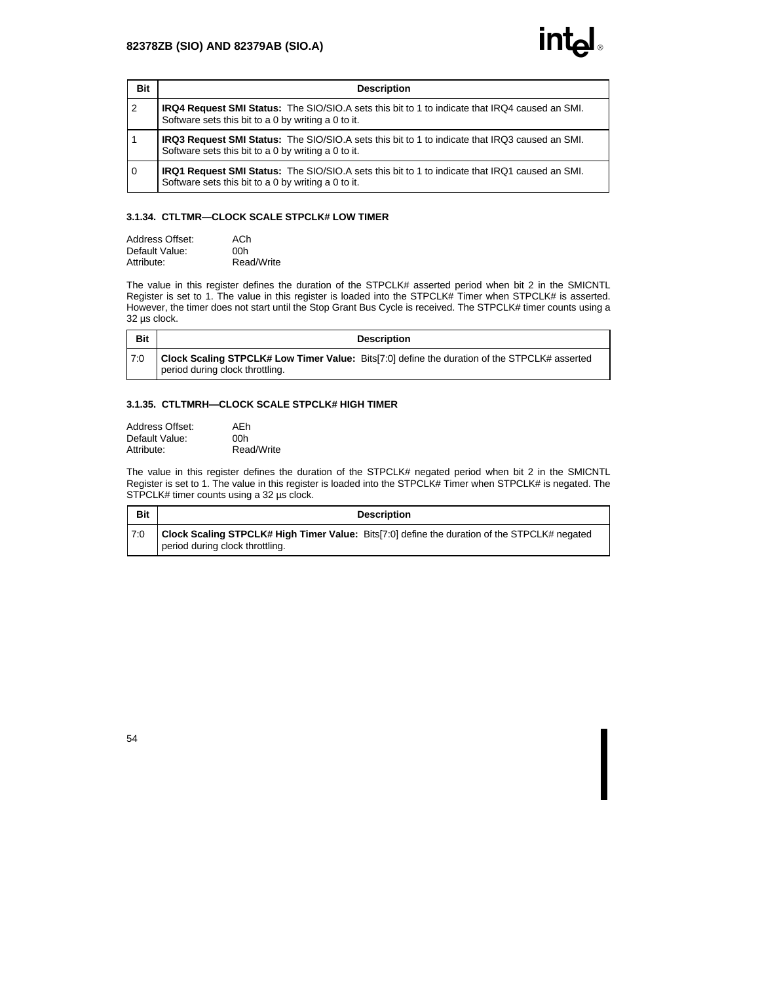

| Bit            | <b>Description</b>                                                                                                                                           |  |
|----------------|--------------------------------------------------------------------------------------------------------------------------------------------------------------|--|
| $\overline{2}$ | <b>IRQ4 Request SMI Status:</b> The SIO/SIO.A sets this bit to 1 to indicate that IRQ4 caused an SMI.<br>Software sets this bit to a 0 by writing a 0 to it. |  |
| 1              | <b>IRQ3 Request SMI Status:</b> The SIO/SIO.A sets this bit to 1 to indicate that IRQ3 caused an SMI.<br>Software sets this bit to a 0 by writing a 0 to it. |  |
| $\overline{0}$ | <b>IRQ1 Request SMI Status:</b> The SIO/SIO.A sets this bit to 1 to indicate that IRQ1 caused an SMI.<br>Software sets this bit to a 0 by writing a 0 to it. |  |

### **3.1.34. CTLTMR—CLOCK SCALE STPCLK# LOW TIMER**

| Address Offset: | ACh        |
|-----------------|------------|
| Default Value:  | 00h        |
| Attribute:      | Read/Write |

The value in this register defines the duration of the STPCLK# asserted period when bit 2 in the SMICNTL Register is set to 1. The value in this register is loaded into the STPCLK# Timer when STPCLK# is asserted. However, the timer does not start until the Stop Grant Bus Cycle is received. The STPCLK# timer counts using a 32 µs clock.

| <b>Bit</b> | <b>Description</b>                                                                                                              |
|------------|---------------------------------------------------------------------------------------------------------------------------------|
| 17:0       | Clock Scaling STPCLK# Low Timer Value: Bits[7:0] define the duration of the STPCLK# asserted<br>period during clock throttling. |

# **3.1.35. CTLTMRH—CLOCK SCALE STPCLK# HIGH TIMER**

| Address Offset: | AFh        |
|-----------------|------------|
| Default Value:  | 00h        |
| Attribute:      | Read/Write |

The value in this register defines the duration of the STPCLK# negated period when bit 2 in the SMICNTL Register is set to 1. The value in this register is loaded into the STPCLK# Timer when STPCLK# is negated. The STPCLK# timer counts using a 32 µs clock.

| <b>Bit</b> | <b>Description</b>                                                                                                                     |
|------------|----------------------------------------------------------------------------------------------------------------------------------------|
| 7:0        | <b>Clock Scaling STPCLK# High Timer Value:</b> Bits[7:0] define the duration of the STPCLK# negated<br>period during clock throttling. |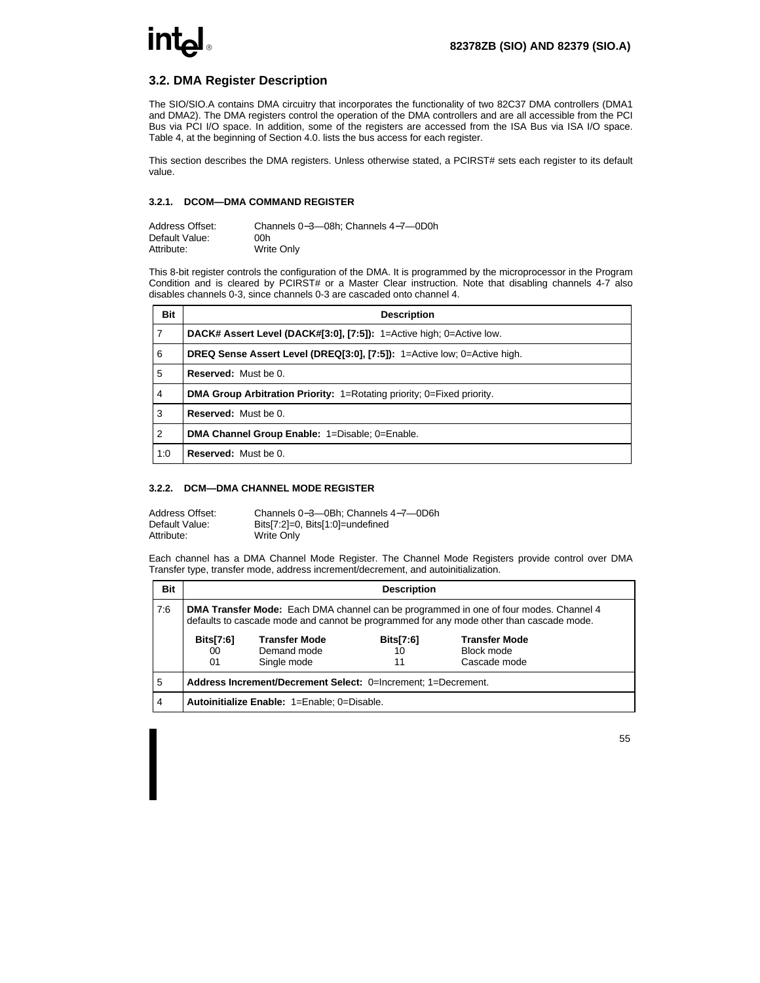

# **3.2. DMA Register Description**

The SIO/SIO.A contains DMA circuitry that incorporates the functionality of two 82C37 DMA controllers (DMA1 and DMA2). The DMA registers control the operation of the DMA controllers and are all accessible from the PCI Bus via PCI I/O space. In addition, some of the registers are accessed from the ISA Bus via ISA I/O space. Table 4, at the beginning of Section 4.0. lists the bus access for each register.

This section describes the DMA registers. Unless otherwise stated, a PCIRST# sets each register to its default value.

#### **3.2.1. DCOM—DMA COMMAND REGISTER**

| Address Offset: | Channels 0-3-08h: Channels 4-7-0D0h |
|-----------------|-------------------------------------|
| Default Value:  | 00h                                 |
| Attribute:      | Write Only                          |

This 8-bit register controls the configuration of the DMA. It is programmed by the microprocessor in the Program Condition and is cleared by PCIRST# or a Master Clear instruction. Note that disabling channels 4-7 also disables channels 0-3, since channels 0-3 are cascaded onto channel 4.

| Bit | <b>Description</b>                                                            |
|-----|-------------------------------------------------------------------------------|
| 7   | DACK# Assert Level (DACK#[3:0], [7:5]): $1 =$ Active high; 0=Active low.      |
| 6   | DREQ Sense Assert Level (DREQ[3:0], [7:5]): 1=Active low; 0=Active high.      |
| 5   | <b>Reserved:</b> Must be 0.                                                   |
| 4   | <b>DMA Group Arbitration Priority:</b> 1=Rotating priority; 0=Fixed priority. |
| 3   | <b>Reserved:</b> Must be 0.                                                   |
| 2   | DMA Channel Group Enable: 1=Disable: 0=Enable.                                |
| 1:0 | <b>Reserved:</b> Must be 0.                                                   |

#### **3.2.2. DCM—DMA CHANNEL MODE REGISTER**

| Address Offset: | Channels 0-3-0Bh; Channels 4-7-0D6h |
|-----------------|-------------------------------------|
| Default Value:  | Bits[7:2]=0, Bits[1:0]=undefined    |
| Attribute:      | Write Only                          |

Each channel has a DMA Channel Mode Register. The Channel Mode Registers provide control over DMA Transfer type, transfer mode, address increment/decrement, and autoinitialization.

| Bit | <b>Description</b>                                                                                                                                                                      |                                                                                                                                   |  |  |  |
|-----|-----------------------------------------------------------------------------------------------------------------------------------------------------------------------------------------|-----------------------------------------------------------------------------------------------------------------------------------|--|--|--|
| 7:6 | <b>DMA Transfer Mode:</b> Each DMA channel can be programmed in one of four modes. Channel 4<br>defaults to cascade mode and cannot be programmed for any mode other than cascade mode. |                                                                                                                                   |  |  |  |
|     | <b>Bits[7:6]</b><br>00<br>01                                                                                                                                                            | <b>Transfer Mode</b><br><b>Transfer Mode</b><br>Bits[7:6]<br>Block mode<br>Demand mode<br>10<br>Cascade mode<br>Single mode<br>11 |  |  |  |
| 5   | Address Increment/Decrement Select: 0=Increment; 1=Decrement.                                                                                                                           |                                                                                                                                   |  |  |  |
| 4   | Autoinitialize Enable: 1=Enable: 0=Disable.                                                                                                                                             |                                                                                                                                   |  |  |  |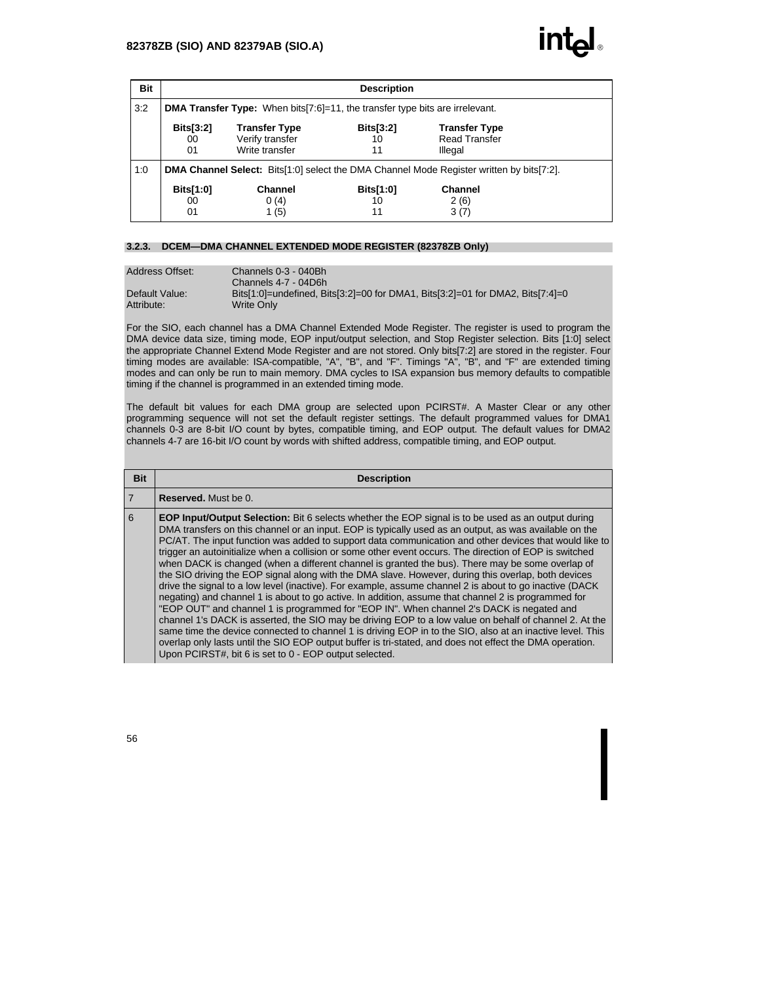

| Bit |                                                                                                                                                                        |                            | <b>Description</b>           |                         |  |
|-----|------------------------------------------------------------------------------------------------------------------------------------------------------------------------|----------------------------|------------------------------|-------------------------|--|
| 3:2 | <b>DMA Transfer Type:</b> When bits [7:6] = 11, the transfer type bits are irrelevant.                                                                                 |                            |                              |                         |  |
|     | Bits[3:2]<br>Bits[3:2]<br><b>Transfer Type</b><br><b>Transfer Type</b><br>Verify transfer<br><b>Read Transfer</b><br>10<br>00<br>Write transfer<br>01<br>11<br>Illegal |                            |                              |                         |  |
| 1:0 | <b>DMA Channel Select:</b> Bits[1:0] select the DMA Channel Mode Register written by bits[7:2].                                                                        |                            |                              |                         |  |
|     | <b>Bits[1:0]</b><br>00<br>01                                                                                                                                           | Channel<br>0(4)<br>1 $(5)$ | <b>Bits[1:0]</b><br>10<br>11 | Channel<br>2(6)<br>3(7) |  |

#### **3.2.3. DCEM—DMA CHANNEL EXTENDED MODE REGISTER (82378ZB Only)**

| Address Offset: | Channels 0-3 - 040Bh<br>Channels 4-7 - 04D6h                                   |
|-----------------|--------------------------------------------------------------------------------|
| Default Value:  | Bits[1:0]=undefined, Bits[3:2]=00 for DMA1, Bits[3:2]=01 for DMA2, Bits[7:4]=0 |
| Attribute:      | <b>Write Only</b>                                                              |

For the SIO, each channel has a DMA Channel Extended Mode Register. The register is used to program the DMA device data size, timing mode, EOP input/output selection, and Stop Register selection. Bits [1:0] select the appropriate Channel Extend Mode Register and are not stored. Only bits[7:2] are stored in the register. Four timing modes are available: ISA-compatible, "A", "B", and "F". Timings "A", "B", and "F" are extended timing modes and can only be run to main memory. DMA cycles to ISA expansion bus memory defaults to compatible timing if the channel is programmed in an extended timing mode.

The default bit values for each DMA group are selected upon PCIRST#. A Master Clear or any other programming sequence will not set the default register settings. The default programmed values for DMA1 channels 0-3 are 8-bit I/O count by bytes, compatible timing, and EOP output. The default values for DMA2 channels 4-7 are 16-bit I/O count by words with shifted address, compatible timing, and EOP output.

| <b>Bit</b>      | <b>Description</b>                                                                                                                                                                                                                                                                                                                                                                                                                                                                                                                                                                                                                                                                                                                                                                                                                                                                                                                                                                                                                                                                                                                                                                                                                                                                                                                                              |
|-----------------|-----------------------------------------------------------------------------------------------------------------------------------------------------------------------------------------------------------------------------------------------------------------------------------------------------------------------------------------------------------------------------------------------------------------------------------------------------------------------------------------------------------------------------------------------------------------------------------------------------------------------------------------------------------------------------------------------------------------------------------------------------------------------------------------------------------------------------------------------------------------------------------------------------------------------------------------------------------------------------------------------------------------------------------------------------------------------------------------------------------------------------------------------------------------------------------------------------------------------------------------------------------------------------------------------------------------------------------------------------------------|
| $\overline{7}$  | <b>Reserved.</b> Must be 0.                                                                                                                                                                                                                                                                                                                                                                                                                                                                                                                                                                                                                                                                                                                                                                                                                                                                                                                                                                                                                                                                                                                                                                                                                                                                                                                                     |
| $6\overline{6}$ | <b>EOP Input/Output Selection:</b> Bit 6 selects whether the EOP signal is to be used as an output during<br>DMA transfers on this channel or an input. EOP is typically used as an output, as was available on the<br>PC/AT. The input function was added to support data communication and other devices that would like to<br>trigger an autoinitialize when a collision or some other event occurs. The direction of EOP is switched<br>when DACK is changed (when a different channel is granted the bus). There may be some overlap of<br>the SIO driving the EOP signal along with the DMA slave. However, during this overlap, both devices<br>drive the signal to a low level (inactive). For example, assume channel 2 is about to go inactive (DACK)<br>negating) and channel 1 is about to go active. In addition, assume that channel 2 is programmed for<br>"EOP OUT" and channel 1 is programmed for "EOP IN". When channel 2's DACK is negated and<br>channel 1's DACK is asserted, the SIO may be driving EOP to a low value on behalf of channel 2. At the<br>same time the device connected to channel 1 is driving EOP in to the SIO, also at an inactive level. This<br>overlap only lasts until the SIO EOP output buffer is tri-stated, and does not effect the DMA operation.<br>Upon PCIRST#, bit 6 is set to 0 - EOP output selected. |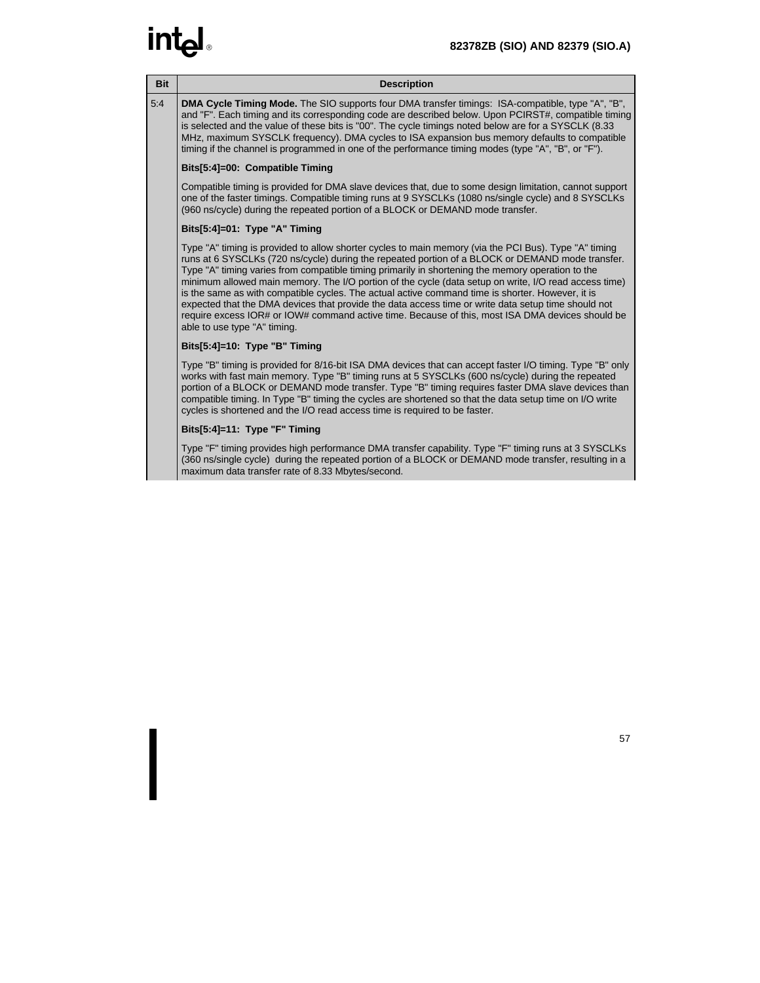# E **82378ZB (SIO) AND 82379 (SIO.A)**

# **Bit Description** 5:4 **DMA Cycle Timing Mode.** The SIO supports four DMA transfer timings: ISA-compatible, type "A", "B", and "F". Each timing and its corresponding code are described below. Upon PCIRST#, compatible timing is selected and the value of these bits is "00". The cycle timings noted below are for a SYSCLK (8.33 MHz, maximum SYSCLK frequency). DMA cycles to ISA expansion bus memory defaults to compatible timing if the channel is programmed in one of the performance timing modes (type "A", "B", or "F"). **Bits[5:4]=00: Compatible Timing** Compatible timing is provided for DMA slave devices that, due to some design limitation, cannot support one of the faster timings. Compatible timing runs at 9 SYSCLKs (1080 ns/single cycle) and 8 SYSCLKs (960 ns/cycle) during the repeated portion of a BLOCK or DEMAND mode transfer. **Bits[5:4]=01: Type "A" Timing** Type "A" timing is provided to allow shorter cycles to main memory (via the PCI Bus). Type "A" timing runs at 6 SYSCLKs (720 ns/cycle) during the repeated portion of a BLOCK or DEMAND mode transfer. Type "A" timing varies from compatible timing primarily in shortening the memory operation to the minimum allowed main memory. The I/O portion of the cycle (data setup on write, I/O read access time) is the same as with compatible cycles. The actual active command time is shorter. However, it is expected that the DMA devices that provide the data access time or write data setup time should not require excess IOR# or IOW# command active time. Because of this, most ISA DMA devices should be able to use type "A" timing. **Bits[5:4]=10: Type "B" Timing** Type "B" timing is provided for 8/16-bit ISA DMA devices that can accept faster I/O timing. Type "B" only works with fast main memory. Type "B" timing runs at 5 SYSCLKs (600 ns/cycle) during the repeated portion of a BLOCK or DEMAND mode transfer. Type "B" timing requires faster DMA slave devices than compatible timing. In Type "B" timing the cycles are shortened so that the data setup time on I/O write cycles is shortened and the I/O read access time is required to be faster. **Bits[5:4]=11: Type "F" Timing** Type "F" timing provides high performance DMA transfer capability. Type "F" timing runs at 3 SYSCLKs (360 ns/single cycle) during the repeated portion of a BLOCK or DEMAND mode transfer, resulting in a maximum data transfer rate of 8.33 Mbytes/second.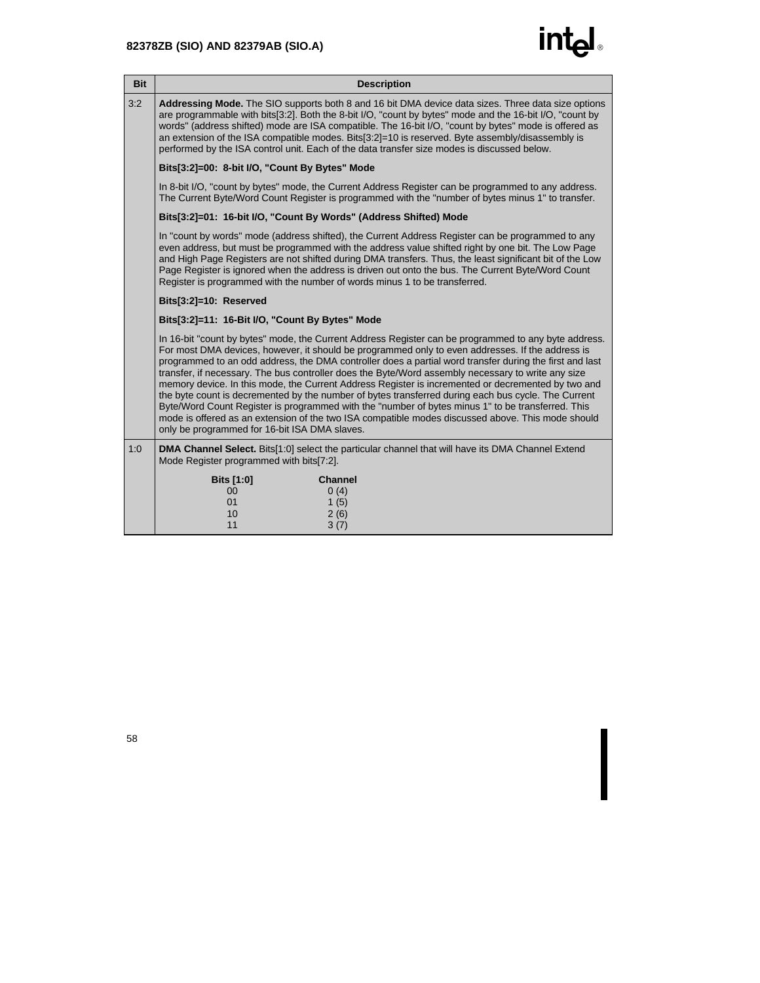

| <b>Bit</b> | <b>Description</b>                                                                                                                                                                                                                                                                                                                                                                                                                                                                                                                                                                                                                                                                                                                                                                                                                                                                                |  |  |
|------------|---------------------------------------------------------------------------------------------------------------------------------------------------------------------------------------------------------------------------------------------------------------------------------------------------------------------------------------------------------------------------------------------------------------------------------------------------------------------------------------------------------------------------------------------------------------------------------------------------------------------------------------------------------------------------------------------------------------------------------------------------------------------------------------------------------------------------------------------------------------------------------------------------|--|--|
| 3:2        | Addressing Mode. The SIO supports both 8 and 16 bit DMA device data sizes. Three data size options<br>are programmable with bits[3:2]. Both the 8-bit I/O, "count by bytes" mode and the 16-bit I/O, "count by<br>words" (address shifted) mode are ISA compatible. The 16-bit I/O, "count by bytes" mode is offered as<br>an extension of the ISA compatible modes. Bits[3:2]=10 is reserved. Byte assembly/disassembly is<br>performed by the ISA control unit. Each of the data transfer size modes is discussed below.                                                                                                                                                                                                                                                                                                                                                                        |  |  |
|            | Bits[3:2]=00: 8-bit I/O, "Count By Bytes" Mode                                                                                                                                                                                                                                                                                                                                                                                                                                                                                                                                                                                                                                                                                                                                                                                                                                                    |  |  |
|            | In 8-bit I/O, "count by bytes" mode, the Current Address Register can be programmed to any address.<br>The Current Byte/Word Count Register is programmed with the "number of bytes minus 1" to transfer.                                                                                                                                                                                                                                                                                                                                                                                                                                                                                                                                                                                                                                                                                         |  |  |
|            | Bits[3:2]=01: 16-bit I/O, "Count By Words" (Address Shifted) Mode                                                                                                                                                                                                                                                                                                                                                                                                                                                                                                                                                                                                                                                                                                                                                                                                                                 |  |  |
|            | In "count by words" mode (address shifted), the Current Address Register can be programmed to any<br>even address, but must be programmed with the address value shifted right by one bit. The Low Page<br>and High Page Registers are not shifted during DMA transfers. Thus, the least significant bit of the Low<br>Page Register is ignored when the address is driven out onto the bus. The Current Byte/Word Count<br>Register is programmed with the number of words minus 1 to be transferred.                                                                                                                                                                                                                                                                                                                                                                                            |  |  |
|            | Bits[3:2]=10: Reserved                                                                                                                                                                                                                                                                                                                                                                                                                                                                                                                                                                                                                                                                                                                                                                                                                                                                            |  |  |
|            | Bits[3:2]=11: 16-Bit I/O, "Count By Bytes" Mode                                                                                                                                                                                                                                                                                                                                                                                                                                                                                                                                                                                                                                                                                                                                                                                                                                                   |  |  |
|            | In 16-bit "count by bytes" mode, the Current Address Register can be programmed to any byte address.<br>For most DMA devices, however, it should be programmed only to even addresses. If the address is<br>programmed to an odd address, the DMA controller does a partial word transfer during the first and last<br>transfer, if necessary. The bus controller does the Byte/Word assembly necessary to write any size<br>memory device. In this mode, the Current Address Register is incremented or decremented by two and<br>the byte count is decremented by the number of bytes transferred during each bus cycle. The Current<br>Byte/Word Count Register is programmed with the "number of bytes minus 1" to be transferred. This<br>mode is offered as an extension of the two ISA compatible modes discussed above. This mode should<br>only be programmed for 16-bit ISA DMA slaves. |  |  |
| 1:0        | DMA Channel Select. Bits[1:0] select the particular channel that will have its DMA Channel Extend<br>Mode Register programmed with bits[7:2].                                                                                                                                                                                                                                                                                                                                                                                                                                                                                                                                                                                                                                                                                                                                                     |  |  |
|            | <b>Bits [1:0]</b><br>Channel<br>$00\,$<br>0(4)<br>01<br>1(5)<br>10<br>2(6)<br>11<br>3(7)                                                                                                                                                                                                                                                                                                                                                                                                                                                                                                                                                                                                                                                                                                                                                                                                          |  |  |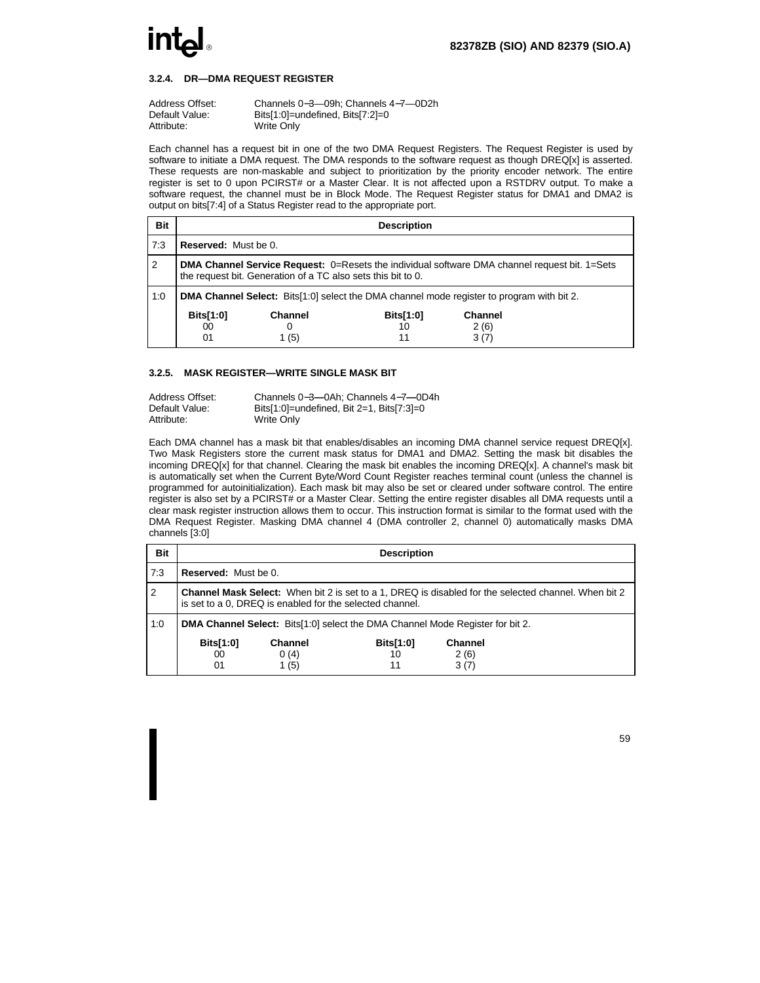# **3.2.4. DR—DMA REQUEST REGISTER**

| Address Offset: | Channels 0-3-09h: Channels 4-7-0D2h |
|-----------------|-------------------------------------|
| Default Value:  | Bits[1:0]=undefined, Bits[7:2]=0    |
| Attribute:      | Write Only                          |

Each channel has a request bit in one of the two DMA Request Registers. The Request Register is used by software to initiate a DMA request. The DMA responds to the software request as though DREQ[x] is asserted. These requests are non-maskable and subject to prioritization by the priority encoder network. The entire register is set to 0 upon PCIRST# or a Master Clear. It is not affected upon a RSTDRV output. To make a software request, the channel must be in Block Mode. The Request Register status for DMA1 and DMA2 is output on bits[7:4] of a Status Register read to the appropriate port.

| Bit | <b>Description</b>                                                                                                                                                   |                 |                              |                         |  |
|-----|----------------------------------------------------------------------------------------------------------------------------------------------------------------------|-----------------|------------------------------|-------------------------|--|
| 7:3 | <b>Reserved:</b> Must be 0.                                                                                                                                          |                 |                              |                         |  |
| 2   | <b>DMA Channel Service Request:</b> 0=Resets the individual software DMA channel request bit. 1=Sets<br>the request bit. Generation of a TC also sets this bit to 0. |                 |                              |                         |  |
| 1:0 | <b>DMA Channel Select:</b> Bits[1:0] select the DMA channel mode register to program with bit 2.                                                                     |                 |                              |                         |  |
|     | Bits[1:0]<br>00<br>01                                                                                                                                                | Channel<br>1(5) | <b>Bits[1:0]</b><br>10<br>11 | Channel<br>2(6)<br>3(7) |  |

#### **3.2.5. MASK REGISTER—WRITE SINGLE MASK BIT**

| Address Offset: | Channels 0-3-0Ah: Channels 4-7-0D4h          |
|-----------------|----------------------------------------------|
| Default Value:  | Bits[1:0]=undefined, Bit $2=1$ , Bits[7:3]=0 |
| Attribute:      | Write Only                                   |

Each DMA channel has a mask bit that enables/disables an incoming DMA channel service request DREQ[x]. Two Mask Registers store the current mask status for DMA1 and DMA2. Setting the mask bit disables the incoming DREQ[x] for that channel. Clearing the mask bit enables the incoming DREQ[x]. A channel's mask bit is automatically set when the Current Byte/Word Count Register reaches terminal count (unless the channel is programmed for autoinitialization). Each mask bit may also be set or cleared under software control. The entire register is also set by a PCIRST# or a Master Clear. Setting the entire register disables all DMA requests until a clear mask register instruction allows them to occur. This instruction format is similar to the format used with the DMA Request Register. Masking DMA channel 4 (DMA controller 2, channel 0) automatically masks DMA channels [3:0]

| <b>Bit</b>     | <b>Description</b>                                                                                                                                                      |                         |                              |                         |  |
|----------------|-------------------------------------------------------------------------------------------------------------------------------------------------------------------------|-------------------------|------------------------------|-------------------------|--|
| 7:3            | <b>Reserved:</b> Must be 0.                                                                                                                                             |                         |                              |                         |  |
| $\overline{2}$ | <b>Channel Mask Select:</b> When bit 2 is set to a 1, DREQ is disabled for the selected channel. When bit 2<br>is set to a 0, DREQ is enabled for the selected channel. |                         |                              |                         |  |
| 1:0            | <b>DMA Channel Select:</b> Bits[1:0] select the DMA Channel Mode Register for bit 2.                                                                                    |                         |                              |                         |  |
|                | <b>Bits[1:0]</b><br>00<br>01                                                                                                                                            | Channel<br>0(4)<br>1(5) | <b>Bits[1:0]</b><br>10<br>11 | Channel<br>2(6)<br>3(7) |  |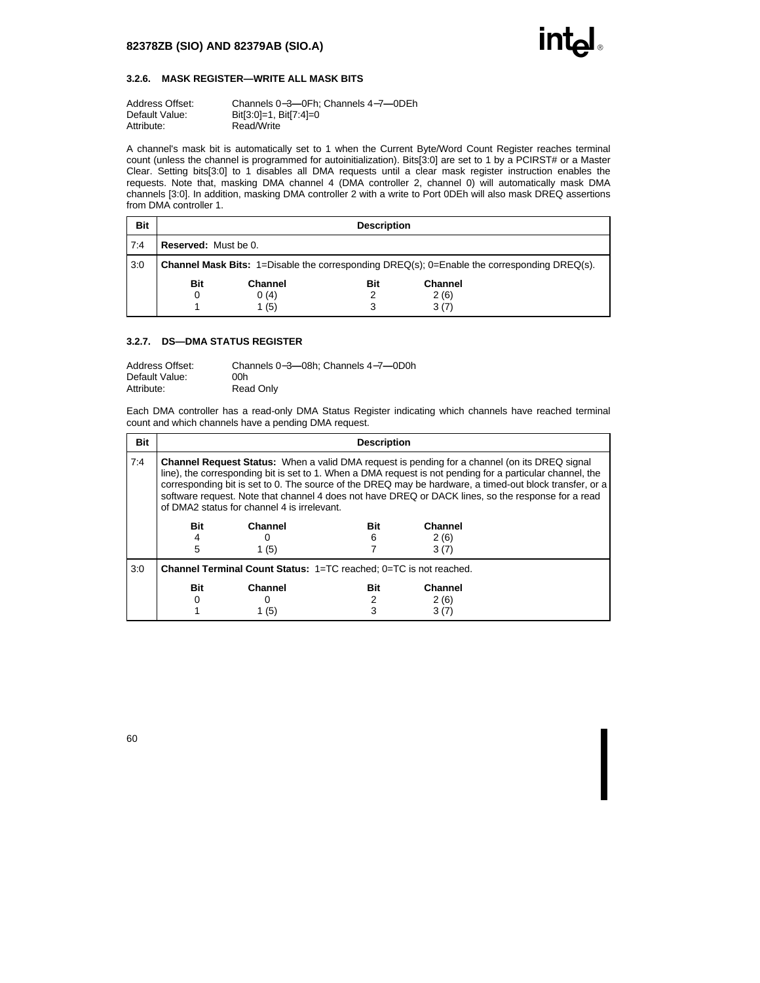

## **3.2.6. MASK REGISTER—WRITE ALL MASK BITS**

| Address Offset: | Channels 0-3-0Fh; Channels 4-7-0DEh |
|-----------------|-------------------------------------|
| Default Value:  | $Bit[3:0]=1$ , $Bit[7:4]=0$         |
| Attribute:      | Read/Write                          |

A channel's mask bit is automatically set to 1 when the Current Byte/Word Count Register reaches terminal count (unless the channel is programmed for autoinitialization). Bits[3:0] are set to 1 by a PCIRST# or a Master Clear. Setting bits[3:0] to 1 disables all DMA requests until a clear mask register instruction enables the requests. Note that, masking DMA channel 4 (DMA controller 2, channel 0) will automatically mask DMA channels [3:0]. In addition, masking DMA controller 2 with a write to Port 0DEh will also mask DREQ assertions from DMA controller 1.

| <b>Bit</b> | <b>Description</b>                                                                                 |       |  |      |
|------------|----------------------------------------------------------------------------------------------------|-------|--|------|
| 7:4        | <b>Reserved: Must be 0.</b>                                                                        |       |  |      |
| 3:0        | <b>Channel Mask Bits:</b> 1=Disable the corresponding DREQ(s); 0=Enable the corresponding DREQ(s). |       |  |      |
|            | <b>Bit</b><br>Channel<br><b>Channel</b><br>Bit                                                     |       |  |      |
|            | 0                                                                                                  | 0(4)  |  | 2(6) |
|            |                                                                                                    | 1 (5) |  | 3(7) |

# **3.2.7. DS—DMA STATUS REGISTER**

| Address Offset: | Channels 0-3-08h: Channels 4-7-0D0h |
|-----------------|-------------------------------------|
| Default Value:  | 00h                                 |
| Attribute:      | Read Only                           |

Each DMA controller has a read-only DMA Status Register indicating which channels have reached terminal count and which channels have a pending DMA request.

| Bit | <b>Description</b>                                                                                                                                                                                                                                                                                                                                                                                                                                                                |                    |          |                                |  |
|-----|-----------------------------------------------------------------------------------------------------------------------------------------------------------------------------------------------------------------------------------------------------------------------------------------------------------------------------------------------------------------------------------------------------------------------------------------------------------------------------------|--------------------|----------|--------------------------------|--|
| 7:4 | <b>Channel Request Status:</b> When a valid DMA request is pending for a channel (on its DREQ signal<br>line), the corresponding bit is set to 1. When a DMA request is not pending for a particular channel, the<br>corresponding bit is set to 0. The source of the DREQ may be hardware, a timed-out block transfer, or a<br>software request. Note that channel 4 does not have DREQ or DACK lines, so the response for a read<br>of DMA2 status for channel 4 is irrelevant. |                    |          |                                |  |
|     | Bit<br>4<br>5                                                                                                                                                                                                                                                                                                                                                                                                                                                                     | Channel<br>1 $(5)$ | Bit<br>6 | <b>Channel</b><br>2(6)<br>3(7) |  |
| 3:0 | Channel Terminal Count Status: 1=TC reached; 0=TC is not reached.                                                                                                                                                                                                                                                                                                                                                                                                                 |                    |          |                                |  |
|     | <b>Bit</b><br>$\Omega$                                                                                                                                                                                                                                                                                                                                                                                                                                                            | Channel<br>1(5)    | Bit<br>3 | Channel<br>2(6)<br>3(7)        |  |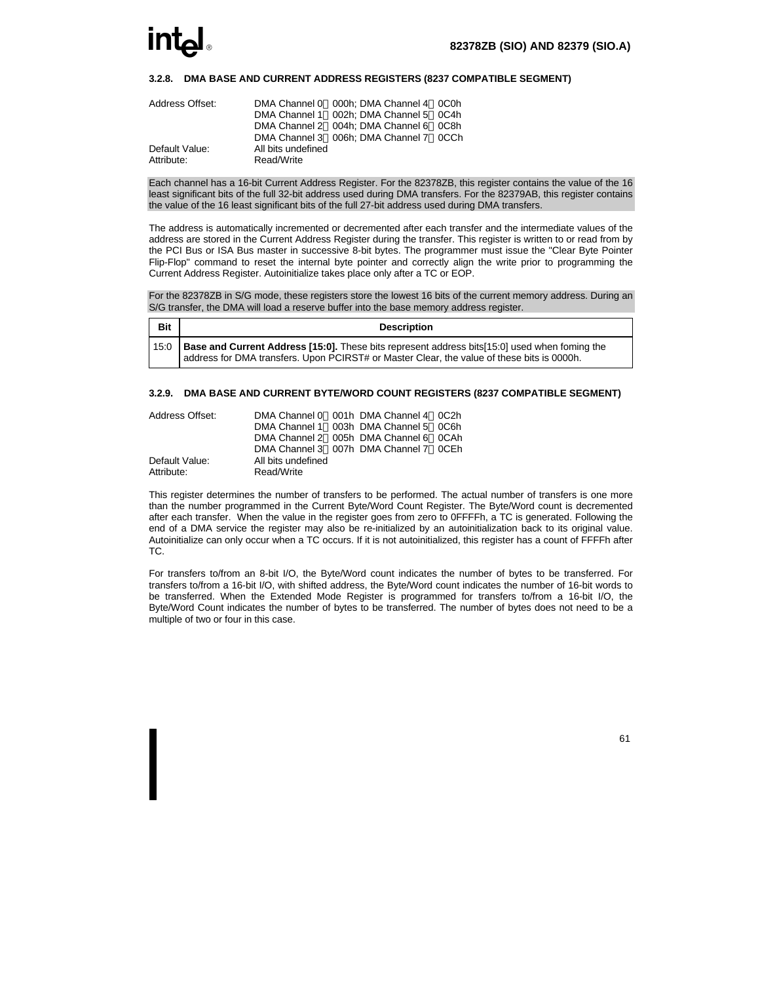

#### **3.2.8. DMA BASE AND CURRENT ADDRESS REGISTERS (8237 COMPATIBLE SEGMENT)**

| Address Offset: | DMA Channel 0-000h: DMA Channel 4-0C0h |
|-----------------|----------------------------------------|
|                 | DMA Channel 1-002h: DMA Channel 5-0C4h |
|                 | DMA Channel 2-004h; DMA Channel 6-0C8h |
|                 | DMA Channel 3-006h: DMA Channel 7-0CCh |
| Default Value:  | All bits undefined                     |
| Attribute:      | Read/Write                             |

Each channel has a 16-bit Current Address Register. For the 82378ZB, this register contains the value of the 16 least significant bits of the full 32-bit address used during DMA transfers. For the 82379AB, this register contains the value of the 16 least significant bits of the full 27-bit address used during DMA transfers.

The address is automatically incremented or decremented after each transfer and the intermediate values of the address are stored in the Current Address Register during the transfer. This register is written to or read from by the PCI Bus or ISA Bus master in successive 8-bit bytes. The programmer must issue the "Clear Byte Pointer Flip-Flop" command to reset the internal byte pointer and correctly align the write prior to programming the Current Address Register. Autoinitialize takes place only after a TC or EOP.

For the 82378ZB in S/G mode, these registers store the lowest 16 bits of the current memory address. During an S/G transfer, the DMA will load a reserve buffer into the base memory address register.

| Bit  | <b>Description</b>                                                                                                                                                                                  |
|------|-----------------------------------------------------------------------------------------------------------------------------------------------------------------------------------------------------|
| 15:0 | <b>Base and Current Address [15:0].</b> These bits represent address bits [15:0] used when foming the<br>address for DMA transfers. Upon PCIRST# or Master Clear, the value of these bits is 0000h. |

#### **3.2.9. DMA BASE AND CURRENT BYTE/WORD COUNT REGISTERS (8237 COMPATIBLE SEGMENT)**

| Address Offset: | DMA Channel 0-001h DMA Channel 4-0C2h |
|-----------------|---------------------------------------|
|                 | DMA Channel 1-003h DMA Channel 5-0C6h |
|                 | DMA Channel 2-005h DMA Channel 6-0CAh |
|                 | DMA Channel 3-007h DMA Channel 7-0CEh |
| Default Value:  | All bits undefined                    |
| Attribute:      | Read/Write                            |

This register determines the number of transfers to be performed. The actual number of transfers is one more than the number programmed in the Current Byte/Word Count Register. The Byte/Word count is decremented after each transfer. When the value in the register goes from zero to 0FFFFh, a TC is generated. Following the end of a DMA service the register may also be re-initialized by an autoinitialization back to its original value. Autoinitialize can only occur when a TC occurs. If it is not autoinitialized, this register has a count of FFFFh after TC.

For transfers to/from an 8-bit I/O, the Byte/Word count indicates the number of bytes to be transferred. For transfers to/from a 16-bit I/O, with shifted address, the Byte/Word count indicates the number of 16-bit words to be transferred. When the Extended Mode Register is programmed for transfers to/from a 16-bit I/O, the Byte/Word Count indicates the number of bytes to be transferred. The number of bytes does not need to be a multiple of two or four in this case.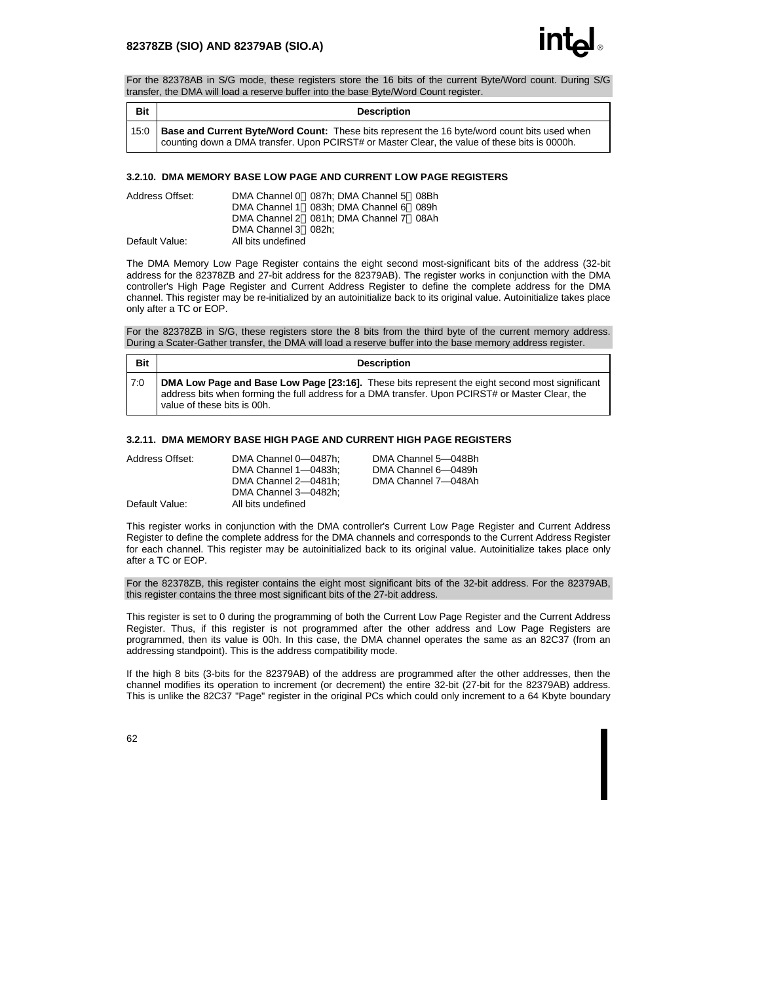# 82378ZB (SIO) AND 82379AB (SIO.A) Exercise the set of the set of the set of the set of the set of the set of the set of the set of the set of the set of the set of the set of the set of the set of the set of the set of the



For the 82378AB in S/G mode, these registers store the 16 bits of the current Byte/Word count. During S/G transfer, the DMA will load a reserve buffer into the base Byte/Word Count register.

| <b>Bit</b> | <b>Description</b>                                                                                                                                                                                   |
|------------|------------------------------------------------------------------------------------------------------------------------------------------------------------------------------------------------------|
| 15:0       | <b>Base and Current Byte/Word Count:</b> These bits represent the 16 byte/word count bits used when<br>counting down a DMA transfer. Upon PCIRST# or Master Clear, the value of these bits is 0000h. |

#### **3.2.10. DMA MEMORY BASE LOW PAGE AND CURRENT LOW PAGE REGISTERS**

| Address Offset: | DMA Channel 0-087h: DMA Channel 5-08Bh |
|-----------------|----------------------------------------|
|                 | DMA Channel 1-083h: DMA Channel 6-089h |
|                 | DMA Channel 2-081h: DMA Channel 7-08Ah |
|                 | DMA Channel 3-082h:                    |
| Default Value:  | All bits undefined                     |

The DMA Memory Low Page Register contains the eight second most-significant bits of the address (32-bit address for the 82378ZB and 27-bit address for the 82379AB). The register works in conjunction with the DMA controller's High Page Register and Current Address Register to define the complete address for the DMA channel. This register may be re-initialized by an autoinitialize back to its original value. Autoinitialize takes place only after a TC or EOP.

For the 82378ZB in S/G, these registers store the 8 bits from the third byte of the current memory address. During a Scater-Gather transfer, the DMA will load a reserve buffer into the base memory address register.

| <b>Bit</b> | <b>Description</b>                                                                                                                                                                                                                |
|------------|-----------------------------------------------------------------------------------------------------------------------------------------------------------------------------------------------------------------------------------|
| 7:0        | DMA Low Page and Base Low Page [23:16]. These bits represent the eight second most significant<br>address bits when forming the full address for a DMA transfer. Upon PCIRST# or Master Clear, the<br>value of these bits is 00h. |

#### **3.2.11. DMA MEMORY BASE HIGH PAGE AND CURRENT HIGH PAGE REGISTERS**

| Address Offset: | DMA Channel 0-0487h: | DMA Channel 5-048Bh |
|-----------------|----------------------|---------------------|
|                 | DMA Channel 1-0483h: | DMA Channel 6-0489h |
|                 | DMA Channel 2-0481h: | DMA Channel 7-048Ah |
|                 | DMA Channel 3-0482h: |                     |
| Default Value:  | All bits undefined   |                     |

This register works in conjunction with the DMA controller's Current Low Page Register and Current Address Register to define the complete address for the DMA channels and corresponds to the Current Address Register for each channel. This register may be autoinitialized back to its original value. Autoinitialize takes place only after a TC or EOP.

For the 82378ZB, this register contains the eight most significant bits of the 32-bit address. For the 82379AB, this register contains the three most significant bits of the 27-bit address.

This register is set to 0 during the programming of both the Current Low Page Register and the Current Address Register. Thus, if this register is not programmed after the other address and Low Page Registers are programmed, then its value is 00h. In this case, the DMA channel operates the same as an 82C37 (from an addressing standpoint). This is the address compatibility mode.

If the high 8 bits (3-bits for the 82379AB) of the address are programmed after the other addresses, then the channel modifies its operation to increment (or decrement) the entire 32-bit (27-bit for the 82379AB) address. This is unlike the 82C37 "Page" register in the original PCs which could only increment to a 64 Kbyte boundary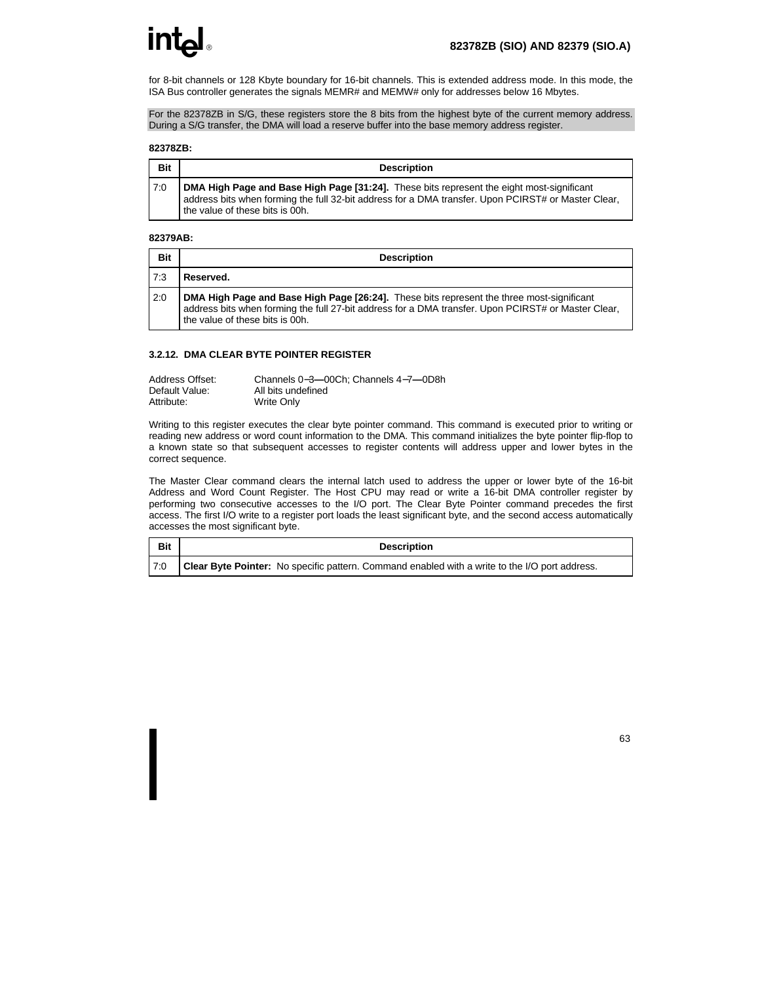for 8-bit channels or 128 Kbyte boundary for 16-bit channels. This is extended address mode. In this mode, the ISA Bus controller generates the signals MEMR# and MEMW# only for addresses below 16 Mbytes.

For the 82378ZB in S/G, these registers store the 8 bits from the highest byte of the current memory address. During a S/G transfer, the DMA will load a reserve buffer into the base memory address register.

#### **82378ZB:**

| <b>Bit</b> | <b>Description</b>                                                                                                                                                                                                                  |
|------------|-------------------------------------------------------------------------------------------------------------------------------------------------------------------------------------------------------------------------------------|
| 7:0        | DMA High Page and Base High Page [31:24]. These bits represent the eight most-significant<br>address bits when forming the full 32-bit address for a DMA transfer. Upon PCIRST# or Master Clear,<br>the value of these bits is 00h. |

#### **82379AB:**

| Bit | <b>Description</b>                                                                                                                                                                                                                  |
|-----|-------------------------------------------------------------------------------------------------------------------------------------------------------------------------------------------------------------------------------------|
| 7:3 | Reserved.                                                                                                                                                                                                                           |
| 2:0 | DMA High Page and Base High Page [26:24]. These bits represent the three most-significant<br>address bits when forming the full 27-bit address for a DMA transfer. Upon PCIRST# or Master Clear,<br>the value of these bits is 00h. |

# **3.2.12. DMA CLEAR BYTE POINTER REGISTER**

| Address Offset: | Channels 0-3-00Ch; Channels 4-7-0D8h |
|-----------------|--------------------------------------|
| Default Value:  | All bits undefined                   |
| Attribute:      | Write Only                           |

Writing to this register executes the clear byte pointer command. This command is executed prior to writing or reading new address or word count information to the DMA. This command initializes the byte pointer flip-flop to a known state so that subsequent accesses to register contents will address upper and lower bytes in the correct sequence.

The Master Clear command clears the internal latch used to address the upper or lower byte of the 16-bit Address and Word Count Register. The Host CPU may read or write a 16-bit DMA controller register by performing two consecutive accesses to the I/O port. The Clear Byte Pointer command precedes the first access. The first I/O write to a register port loads the least significant byte, and the second access automatically accesses the most significant byte.

| Bit | <b>Description</b>                                                                             |
|-----|------------------------------------------------------------------------------------------------|
| 7:0 | Clear Byte Pointer: No specific pattern. Command enabled with a write to the I/O port address. |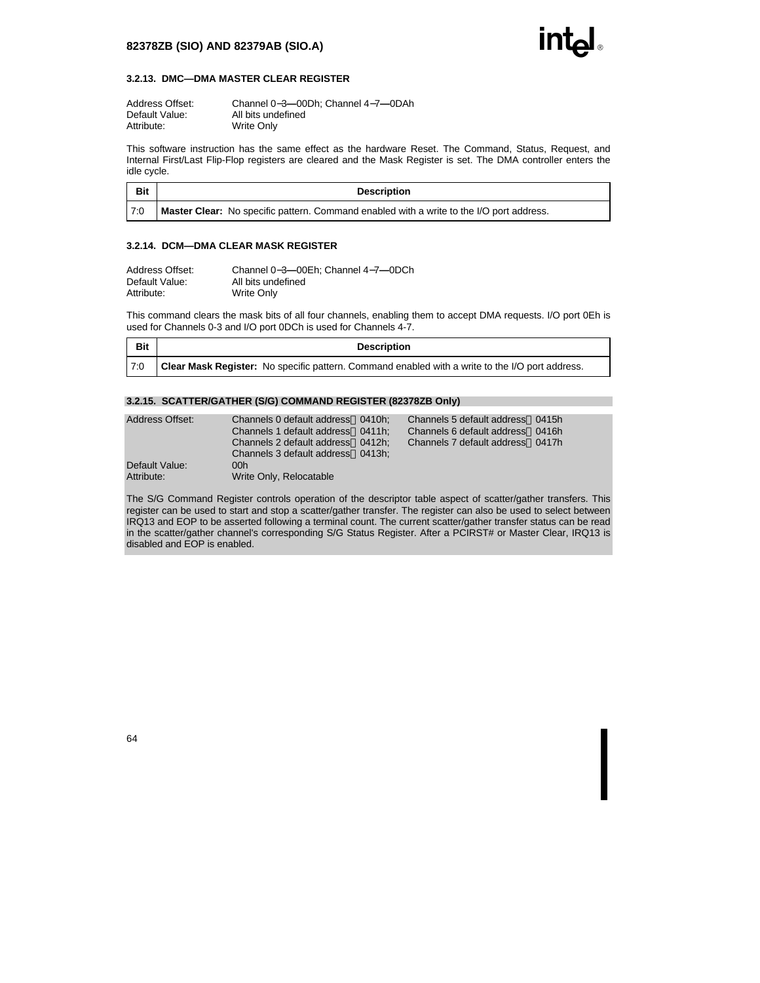

## **3.2.13. DMC—DMA MASTER CLEAR REGISTER**

Address Offset: Channel 0−3**—**00Dh; Channel 4−7**—**0DAh Default Value: All bits undefined<br>
Attribute: Write Only **Write Only** 

This software instruction has the same effect as the hardware Reset. The Command, Status, Request, and Internal First/Last Flip-Flop registers are cleared and the Mask Register is set. The DMA controller enters the idle cycle.

| Bit | <b>Description</b>                                                                              |
|-----|-------------------------------------------------------------------------------------------------|
| 7:0 | <b>Master Clear:</b> No specific pattern. Command enabled with a write to the I/O port address. |

#### **3.2.14. DCM—DMA CLEAR MASK REGISTER**

Address Offset: Channel 0−3**—**00Eh; Channel 4−7**—**0DCh Default Value: All bits undefined<br>Attribute: Write Only **Write Only** 

This command clears the mask bits of all four channels, enabling them to accept DMA requests. I/O port 0Eh is used for Channels 0-3 and I/O port 0DCh is used for Channels 4-7.

| Bit | <b>Description</b>                                                                                     |
|-----|--------------------------------------------------------------------------------------------------------|
| 7:0 | <b>Clear Mask Register:</b> No specific pattern. Command enabled with a write to the I/O port address. |

## **3.2.15. SCATTER/GATHER (S/G) COMMAND REGISTER (82378ZB Only)**

| Address Offset:              | Channels 0 default address-0410h;<br>Channels 1 default address - 0411h:<br>Channels 2 default address-0412h;<br>Channels 3 default address-0413h; | Channels 5 default address - 0415h<br>Channels 6 default address-0416h<br>Channels 7 default address-0417h |
|------------------------------|----------------------------------------------------------------------------------------------------------------------------------------------------|------------------------------------------------------------------------------------------------------------|
| Default Value:<br>Attribute: | 00h<br>Write Only, Relocatable                                                                                                                     |                                                                                                            |

The S/G Command Register controls operation of the descriptor table aspect of scatter/gather transfers. This register can be used to start and stop a scatter/gather transfer. The register can also be used to select between IRQ13 and EOP to be asserted following a terminal count. The current scatter/gather transfer status can be read in the scatter/gather channel's corresponding S/G Status Register. After a PCIRST# or Master Clear, IRQ13 is disabled and EOP is enabled.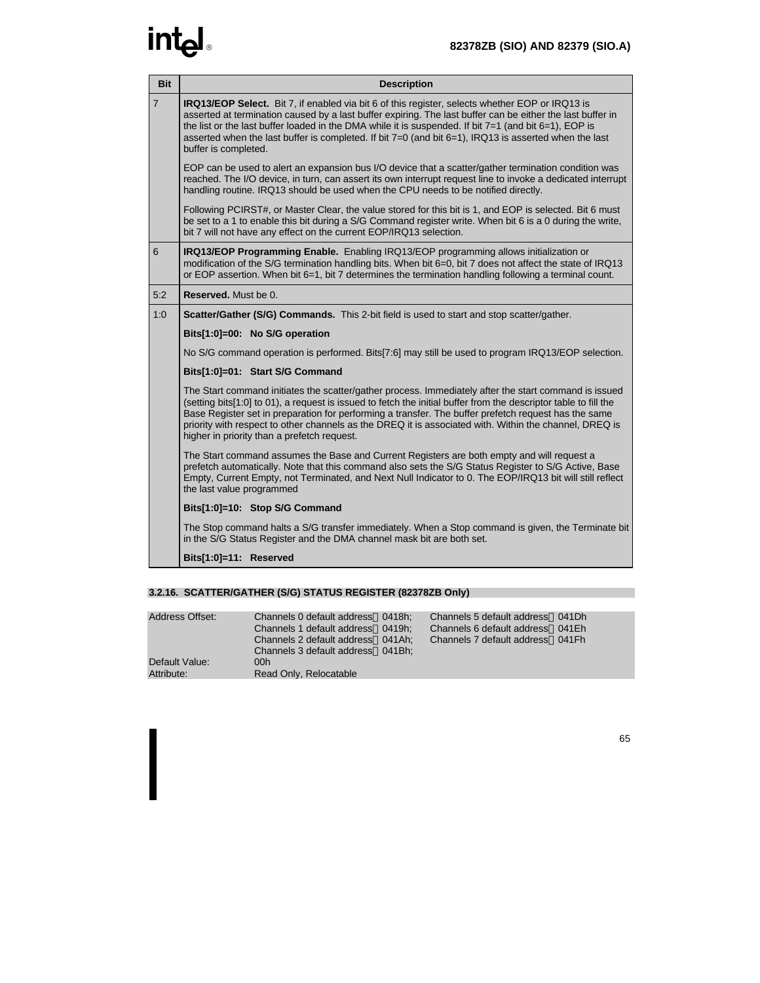# E **82378ZB (SIO) AND 82379 (SIO.A)**

| <b>Bit</b>     | <b>Description</b>                                                                                                                                                                                                                                                                                                                                                                                                                                                                         |
|----------------|--------------------------------------------------------------------------------------------------------------------------------------------------------------------------------------------------------------------------------------------------------------------------------------------------------------------------------------------------------------------------------------------------------------------------------------------------------------------------------------------|
| $\overline{7}$ | <b>IRQ13/EOP Select.</b> Bit 7, if enabled via bit 6 of this register, selects whether EOP or IRQ13 is<br>asserted at termination caused by a last buffer expiring. The last buffer can be either the last buffer in<br>the list or the last buffer loaded in the DMA while it is suspended. If bit $7=1$ (and bit $6=1$ ), EOP is<br>asserted when the last buffer is completed. If bit $7=0$ (and bit $6=1$ ), IRQ13 is asserted when the last<br>buffer is completed.                   |
|                | EOP can be used to alert an expansion bus I/O device that a scatter/gather termination condition was<br>reached. The I/O device, in turn, can assert its own interrupt request line to invoke a dedicated interrupt<br>handling routine. IRQ13 should be used when the CPU needs to be notified directly.                                                                                                                                                                                  |
|                | Following PCIRST#, or Master Clear, the value stored for this bit is 1, and EOP is selected. Bit 6 must<br>be set to a 1 to enable this bit during a S/G Command register write. When bit 6 is a 0 during the write,<br>bit 7 will not have any effect on the current EOP/IRQ13 selection.                                                                                                                                                                                                 |
| 6              | <b>IRQ13/EOP Programming Enable.</b> Enabling IRQ13/EOP programming allows initialization or<br>modification of the S/G termination handling bits. When bit 6=0, bit 7 does not affect the state of IRQ13<br>or EOP assertion. When bit 6=1, bit 7 determines the termination handling following a terminal count.                                                                                                                                                                         |
| 5:2            | <b>Reserved.</b> Must be 0.                                                                                                                                                                                                                                                                                                                                                                                                                                                                |
| 1:0            | <b>Scatter/Gather (S/G) Commands.</b> This 2-bit field is used to start and stop scatter/gather.                                                                                                                                                                                                                                                                                                                                                                                           |
|                | Bits[1:0]=00: No S/G operation                                                                                                                                                                                                                                                                                                                                                                                                                                                             |
|                | No S/G command operation is performed. Bits[7:6] may still be used to program IRQ13/EOP selection.                                                                                                                                                                                                                                                                                                                                                                                         |
|                | Bits[1:0]=01: Start S/G Command                                                                                                                                                                                                                                                                                                                                                                                                                                                            |
|                | The Start command initiates the scatter/gather process. Immediately after the start command is issued<br>(setting bits[1:0] to 01), a request is issued to fetch the initial buffer from the descriptor table to fill the<br>Base Register set in preparation for performing a transfer. The buffer prefetch request has the same<br>priority with respect to other channels as the DREQ it is associated with. Within the channel, DREQ is<br>higher in priority than a prefetch request. |
|                | The Start command assumes the Base and Current Registers are both empty and will request a<br>prefetch automatically. Note that this command also sets the S/G Status Register to S/G Active, Base<br>Empty, Current Empty, not Terminated, and Next Null Indicator to 0. The EOP/IRQ13 bit will still reflect<br>the last value programmed                                                                                                                                                |
|                | Bits[1:0]=10: Stop S/G Command                                                                                                                                                                                                                                                                                                                                                                                                                                                             |
|                | The Stop command halts a S/G transfer immediately. When a Stop command is given, the Terminate bit<br>in the S/G Status Register and the DMA channel mask bit are both set.                                                                                                                                                                                                                                                                                                                |
|                | Bits[1:0]=11: Reserved                                                                                                                                                                                                                                                                                                                                                                                                                                                                     |

# **3.2.16. SCATTER/GATHER (S/G) STATUS REGISTER (82378ZB Only)**

| Address Offset:              | Channels 0 default address-0418h;<br>Channels 1 default address - 0419h:<br>Channels 2 default address - 041Ah:<br>Channels 3 default address-041Bh; | Channels 5 default address - 041Dh<br>Channels 6 default address-041Eh<br>Channels 7 default address-041Fh |
|------------------------------|------------------------------------------------------------------------------------------------------------------------------------------------------|------------------------------------------------------------------------------------------------------------|
| Default Value:<br>Attribute: | 00h<br>Read Only, Relocatable                                                                                                                        |                                                                                                            |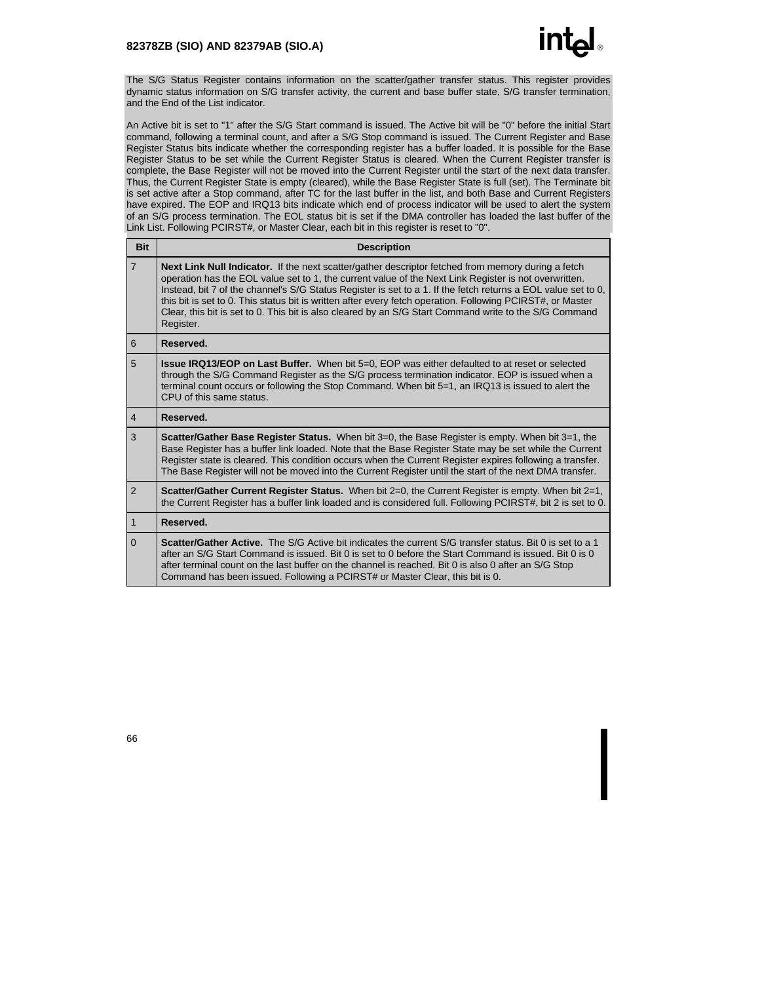

The S/G Status Register contains information on the scatter/gather transfer status. This register provides dynamic status information on S/G transfer activity, the current and base buffer state, S/G transfer termination, and the End of the List indicator.

An Active bit is set to "1" after the S/G Start command is issued. The Active bit will be "0" before the initial Start command, following a terminal count, and after a S/G Stop command is issued. The Current Register and Base Register Status bits indicate whether the corresponding register has a buffer loaded. It is possible for the Base Register Status to be set while the Current Register Status is cleared. When the Current Register transfer is complete, the Base Register will not be moved into the Current Register until the start of the next data transfer. Thus, the Current Register State is empty (cleared), while the Base Register State is full (set). The Terminate bit is set active after a Stop command, after TC for the last buffer in the list, and both Base and Current Registers have expired. The EOP and IRQ13 bits indicate which end of process indicator will be used to alert the system of an S/G process termination. The EOL status bit is set if the DMA controller has loaded the last buffer of the Link List. Following PCIRST#, or Master Clear, each bit in this register is reset to "0".

| <b>Bit</b>     | <b>Description</b>                                                                                                                                                                                                                                                                                                                                                                                                                                                                                                                                                       |
|----------------|--------------------------------------------------------------------------------------------------------------------------------------------------------------------------------------------------------------------------------------------------------------------------------------------------------------------------------------------------------------------------------------------------------------------------------------------------------------------------------------------------------------------------------------------------------------------------|
| $\overline{7}$ | <b>Next Link Null Indicator.</b> If the next scatter/gather descriptor fetched from memory during a fetch<br>operation has the EOL value set to 1, the current value of the Next Link Register is not overwritten.<br>Instead, bit 7 of the channel's S/G Status Register is set to a 1. If the fetch returns a EOL value set to 0,<br>this bit is set to 0. This status bit is written after every fetch operation. Following PCIRST#, or Master<br>Clear, this bit is set to 0. This bit is also cleared by an S/G Start Command write to the S/G Command<br>Register. |
| $6\phantom{a}$ | Reserved.                                                                                                                                                                                                                                                                                                                                                                                                                                                                                                                                                                |
| $\overline{5}$ | <b>Issue IRQ13/EOP on Last Buffer.</b> When bit 5=0, EOP was either defaulted to at reset or selected<br>through the S/G Command Register as the S/G process termination indicator. EOP is issued when a<br>terminal count occurs or following the Stop Command. When bit 5=1, an IRQ13 is issued to alert the<br>CPU of this same status.                                                                                                                                                                                                                               |
| $\overline{4}$ | Reserved.                                                                                                                                                                                                                                                                                                                                                                                                                                                                                                                                                                |
| 3              | <b>Scatter/Gather Base Register Status.</b> When bit 3=0, the Base Register is empty. When bit 3=1, the<br>Base Register has a buffer link loaded. Note that the Base Register State may be set while the Current<br>Register state is cleared. This condition occurs when the Current Register expires following a transfer.<br>The Base Register will not be moved into the Current Register until the start of the next DMA transfer.                                                                                                                                 |
| $\overline{2}$ | <b>Scatter/Gather Current Register Status.</b> When bit 2=0, the Current Register is empty. When bit 2=1,<br>the Current Register has a buffer link loaded and is considered full. Following PCIRST#, bit 2 is set to 0.                                                                                                                                                                                                                                                                                                                                                 |
| $\vert$ 1      | Reserved.                                                                                                                                                                                                                                                                                                                                                                                                                                                                                                                                                                |
| $\Omega$       | <b>Scatter/Gather Active.</b> The S/G Active bit indicates the current S/G transfer status. Bit 0 is set to a 1<br>after an S/G Start Command is issued. Bit 0 is set to 0 before the Start Command is issued. Bit 0 is 0<br>after terminal count on the last buffer on the channel is reached. Bit 0 is also 0 after an S/G Stop<br>Command has been issued. Following a PCIRST# or Master Clear, this bit is 0.                                                                                                                                                        |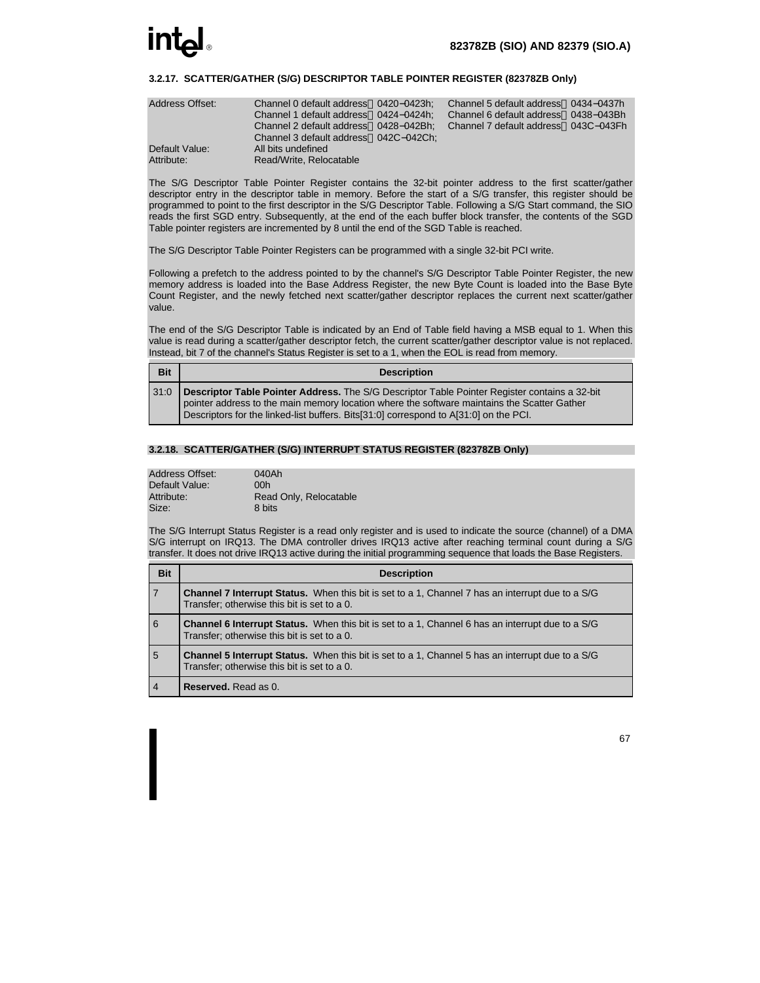

#### **3.2.17. SCATTER/GATHER (S/G) DESCRIPTOR TABLE POINTER REGISTER (82378ZB Only)**

| Address Offset: | Channel 0 default address-0420-0423h:                                          | Channel 5 default address-0434-0437h                                         |
|-----------------|--------------------------------------------------------------------------------|------------------------------------------------------------------------------|
|                 | Channel 1 default address-0424-0424h;<br>Channel 2 default address-0428-042Bh: | Channel 6 default address-0438-043Bh<br>Channel 7 default address-043C-043Fh |
|                 | Channel 3 default address-042C-042Ch:                                          |                                                                              |
| Default Value:  | All bits undefined                                                             |                                                                              |
| Attribute:      | Read/Write, Relocatable                                                        |                                                                              |

The S/G Descriptor Table Pointer Register contains the 32-bit pointer address to the first scatter/gather descriptor entry in the descriptor table in memory. Before the start of a S/G transfer, this register should be programmed to point to the first descriptor in the S/G Descriptor Table. Following a S/G Start command, the SIO reads the first SGD entry. Subsequently, at the end of the each buffer block transfer, the contents of the SGD Table pointer registers are incremented by 8 until the end of the SGD Table is reached.

The S/G Descriptor Table Pointer Registers can be programmed with a single 32-bit PCI write.

Following a prefetch to the address pointed to by the channel's S/G Descriptor Table Pointer Register, the new memory address is loaded into the Base Address Register, the new Byte Count is loaded into the Base Byte Count Register, and the newly fetched next scatter/gather descriptor replaces the current next scatter/gather value.

The end of the S/G Descriptor Table is indicated by an End of Table field having a MSB equal to 1. When this value is read during a scatter/gather descriptor fetch, the current scatter/gather descriptor value is not replaced. Instead, bit 7 of the channel's Status Register is set to a 1, when the EOL is read from memory.

| <b>Bit</b> | <b>Description</b>                                                                                                                                                                                                                                                                            |
|------------|-----------------------------------------------------------------------------------------------------------------------------------------------------------------------------------------------------------------------------------------------------------------------------------------------|
| 31:0       | <b>Descriptor Table Pointer Address.</b> The S/G Descriptor Table Pointer Register contains a 32-bit<br>pointer address to the main memory location where the software maintains the Scatter Gather<br>Descriptors for the linked-list buffers. Bits [31:0] correspond to A[31:0] on the PCI. |

# **3.2.18. SCATTER/GATHER (S/G) INTERRUPT STATUS REGISTER (82378ZB Only)**

| Address Offset: | 040Ah                  |
|-----------------|------------------------|
| Default Value:  | 00h                    |
| Attribute:      | Read Only, Relocatable |
| Size:           | 8 bits                 |

The S/G Interrupt Status Register is a read only register and is used to indicate the source (channel) of a DMA S/G interrupt on IRQ13. The DMA controller drives IRQ13 active after reaching terminal count during a S/G transfer. It does not drive IRQ13 active during the initial programming sequence that loads the Base Registers.

| <b>Bit</b>     | <b>Description</b>                                                                                                                                     |
|----------------|--------------------------------------------------------------------------------------------------------------------------------------------------------|
| $\overline{7}$ | <b>Channel 7 Interrupt Status.</b> When this bit is set to a 1, Channel 7 has an interrupt due to a S/G<br>Transfer; otherwise this bit is set to a 0. |
| 6              | <b>Channel 6 Interrupt Status.</b> When this bit is set to a 1, Channel 6 has an interrupt due to a S/G<br>Transfer; otherwise this bit is set to a 0. |
| 5              | <b>Channel 5 Interrupt Status.</b> When this bit is set to a 1, Channel 5 has an interrupt due to a S/G<br>Transfer; otherwise this bit is set to a 0. |
| 4              | <b>Reserved.</b> Read as 0.                                                                                                                            |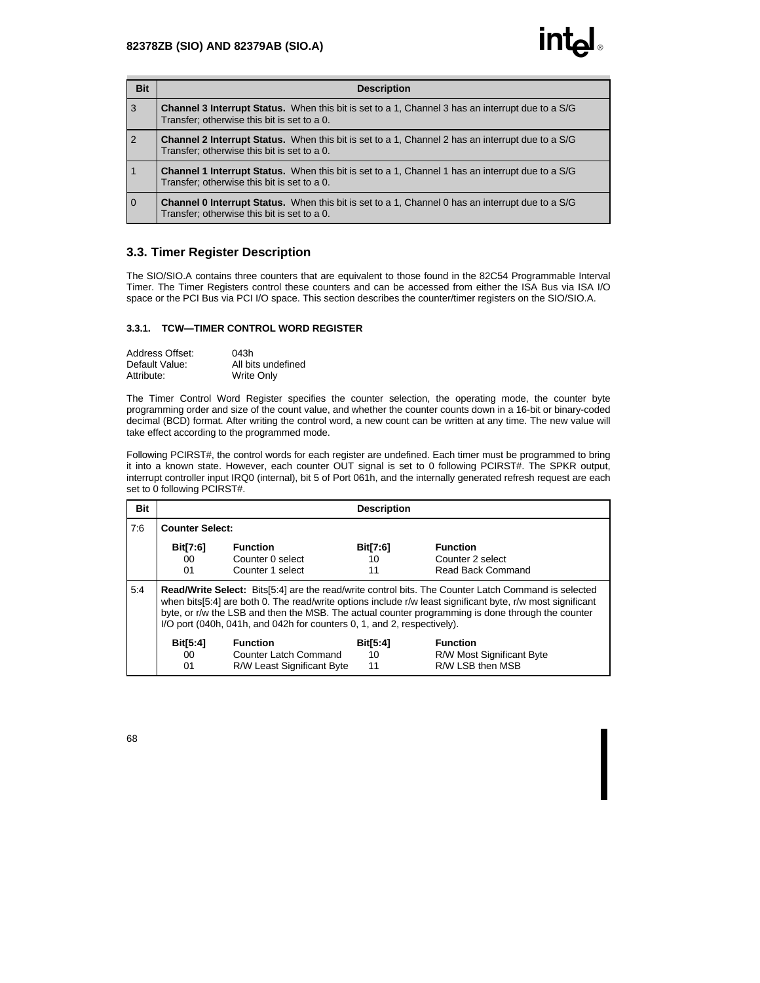

| <b>Bit</b>     | <b>Description</b>                                                                                                                                     |
|----------------|--------------------------------------------------------------------------------------------------------------------------------------------------------|
| $\overline{3}$ | <b>Channel 3 Interrupt Status.</b> When this bit is set to a 1, Channel 3 has an interrupt due to a S/G<br>Transfer; otherwise this bit is set to a 0. |
| $\overline{2}$ | <b>Channel 2 Interrupt Status.</b> When this bit is set to a 1, Channel 2 has an interrupt due to a S/G<br>Transfer; otherwise this bit is set to a 0. |
| $\vert$ 1      | <b>Channel 1 Interrupt Status.</b> When this bit is set to a 1, Channel 1 has an interrupt due to a S/G<br>Transfer; otherwise this bit is set to a 0. |
| $\overline{0}$ | <b>Channel 0 Interrupt Status.</b> When this bit is set to a 1, Channel 0 has an interrupt due to a S/G<br>Transfer; otherwise this bit is set to a 0. |

# **3.3. Timer Register Description**

The SIO/SIO.A contains three counters that are equivalent to those found in the 82C54 Programmable Interval Timer. The Timer Registers control these counters and can be accessed from either the ISA Bus via ISA I/O space or the PCI Bus via PCI I/O space. This section describes the counter/timer registers on the SIO/SIO.A.

# **3.3.1. TCW—TIMER CONTROL WORD REGISTER**

| Address Offset: | 043h               |
|-----------------|--------------------|
| Default Value:  | All bits undefined |
| Attribute:      | Write Only         |

The Timer Control Word Register specifies the counter selection, the operating mode, the counter byte programming order and size of the count value, and whether the counter counts down in a 16-bit or binary-coded decimal (BCD) format. After writing the control word, a new count can be written at any time. The new value will take effect according to the programmed mode.

Following PCIRST#, the control words for each register are undefined. Each timer must be programmed to bring it into a known state. However, each counter OUT signal is set to 0 following PCIRST#. The SPKR output, interrupt controller input IRQ0 (internal), bit 5 of Port 061h, and the internally generated refresh request are each set to 0 following PCIRST#.

| Bit |                                                                                                                                                                                                                                                                                                                                                                                                          |                                                                        | <b>Description</b>   |                                                                  |
|-----|----------------------------------------------------------------------------------------------------------------------------------------------------------------------------------------------------------------------------------------------------------------------------------------------------------------------------------------------------------------------------------------------------------|------------------------------------------------------------------------|----------------------|------------------------------------------------------------------|
| 7:6 | <b>Counter Select:</b>                                                                                                                                                                                                                                                                                                                                                                                   |                                                                        |                      |                                                                  |
|     | <b>Bit[7:6]</b><br>00<br>01                                                                                                                                                                                                                                                                                                                                                                              | <b>Function</b><br>Counter 0 select<br>Counter 1 select                | Bit[7:6]<br>10<br>11 | <b>Function</b><br>Counter 2 select<br>Read Back Command         |
| 5:4 | <b>Read/Write Select:</b> Bits[5:4] are the read/write control bits. The Counter Latch Command is selected<br>when bits[5:4] are both 0. The read/write options include r/w least significant byte, r/w most significant<br>byte, or r/w the LSB and then the MSB. The actual counter programming is done through the counter<br>I/O port (040h, 041h, and 042h for counters 0, 1, and 2, respectively). |                                                                        |                      |                                                                  |
|     | <b>Bit[5:4]</b><br>$00 \,$<br>01                                                                                                                                                                                                                                                                                                                                                                         | <b>Function</b><br>Counter Latch Command<br>R/W Least Significant Byte | Bit[5:4]<br>10<br>11 | <b>Function</b><br>R/W Most Significant Byte<br>R/W LSB then MSB |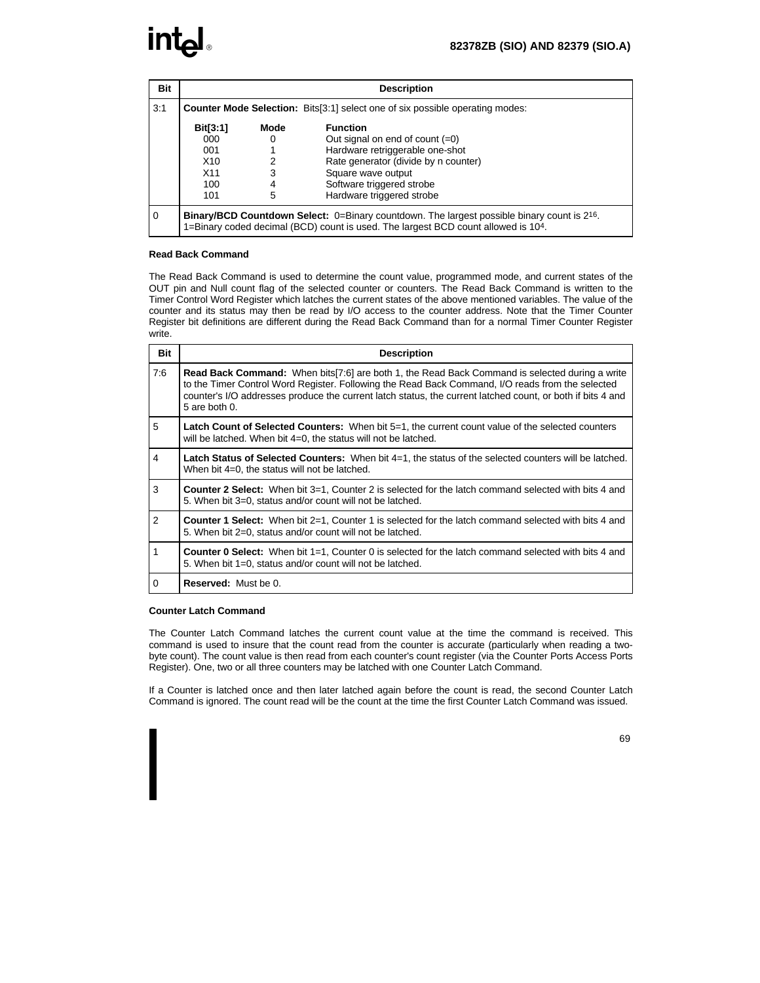| Bit | <b>Description</b> |      |                                                                                                                                                                                 |
|-----|--------------------|------|---------------------------------------------------------------------------------------------------------------------------------------------------------------------------------|
| 3:1 |                    |      | <b>Counter Mode Selection:</b> Bits[3:1] select one of six possible operating modes:                                                                                            |
|     | <b>Bit[3:1]</b>    | Mode | <b>Function</b>                                                                                                                                                                 |
|     | 000                |      | Out signal on end of count $(=0)$                                                                                                                                               |
|     | 001                |      | Hardware retriggerable one-shot                                                                                                                                                 |
|     | X10                |      | Rate generator (divide by n counter)                                                                                                                                            |
|     | X11                | 3    | Square wave output                                                                                                                                                              |
|     | 100                | 4    | Software triggered strobe                                                                                                                                                       |
|     | 101                | 5    | Hardware triggered strobe                                                                                                                                                       |
| 0   |                    |      | Binary/BCD Countdown Select: 0=Binary countdown. The largest possible binary count is 216.<br>1=Binary coded decimal (BCD) count is used. The largest BCD count allowed is 104. |

### **Read Back Command**

The Read Back Command is used to determine the count value, programmed mode, and current states of the OUT pin and Null count flag of the selected counter or counters. The Read Back Command is written to the Timer Control Word Register which latches the current states of the above mentioned variables. The value of the counter and its status may then be read by I/O access to the counter address. Note that the Timer Counter Register bit definitions are different during the Read Back Command than for a normal Timer Counter Register write.

| Bit | <b>Description</b>                                                                                                                                                                                                                                                                                                                |
|-----|-----------------------------------------------------------------------------------------------------------------------------------------------------------------------------------------------------------------------------------------------------------------------------------------------------------------------------------|
| 7:6 | Read Back Command: When bits[7:6] are both 1, the Read Back Command is selected during a write<br>to the Timer Control Word Register. Following the Read Back Command, I/O reads from the selected<br>counter's I/O addresses produce the current latch status, the current latched count, or both if bits 4 and<br>5 are both 0. |
| 5   | <b>Latch Count of Selected Counters:</b> When bit 5=1, the current count value of the selected counters<br>will be latched. When bit 4=0, the status will not be latched.                                                                                                                                                         |
| 4   | <b>Latch Status of Selected Counters:</b> When bit 4=1, the status of the selected counters will be latched.<br>When bit 4=0, the status will not be latched.                                                                                                                                                                     |
| 3   | <b>Counter 2 Select:</b> When bit 3=1, Counter 2 is selected for the latch command selected with bits 4 and<br>5. When bit 3=0, status and/or count will not be latched.                                                                                                                                                          |
| 2   | <b>Counter 1 Select:</b> When bit 2=1, Counter 1 is selected for the latch command selected with bits 4 and<br>5. When bit 2=0, status and/or count will not be latched.                                                                                                                                                          |
| 1   | <b>Counter 0 Select:</b> When bit 1=1, Counter 0 is selected for the latch command selected with bits 4 and<br>5. When bit 1=0, status and/or count will not be latched.                                                                                                                                                          |
| 0   | <b>Reserved: Must be 0.</b>                                                                                                                                                                                                                                                                                                       |

## **Counter Latch Command**

The Counter Latch Command latches the current count value at the time the command is received. This command is used to insure that the count read from the counter is accurate (particularly when reading a twobyte count). The count value is then read from each counter's count register (via the Counter Ports Access Ports Register). One, two or all three counters may be latched with one Counter Latch Command.

If a Counter is latched once and then later latched again before the count is read, the second Counter Latch Command is ignored. The count read will be the count at the time the first Counter Latch Command was issued.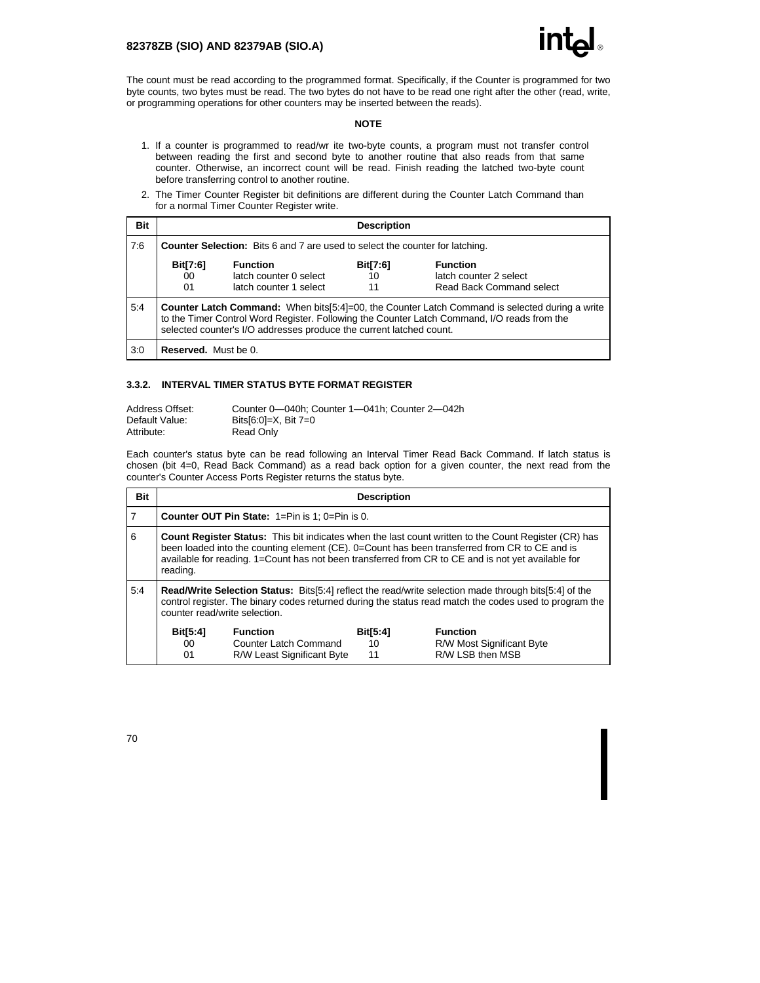

The count must be read according to the programmed format. Specifically, if the Counter is programmed for two byte counts, two bytes must be read. The two bytes do not have to be read one right after the other (read, write, or programming operations for other counters may be inserted between the reads).

#### **NOTE**

- 1. If a counter is programmed to read/wr ite two-byte counts, a program must not transfer control between reading the first and second byte to another routine that also reads from that same counter. Otherwise, an incorrect count will be read. Finish reading the latched two-byte count before transferring control to another routine.
- 2. The Timer Counter Register bit definitions are different during the Counter Latch Command than for a normal Timer Counter Register write.

| Bit | <b>Description</b>                                                                                                                                                                                                                                                          |                                                                     |                      |                                                                              |
|-----|-----------------------------------------------------------------------------------------------------------------------------------------------------------------------------------------------------------------------------------------------------------------------------|---------------------------------------------------------------------|----------------------|------------------------------------------------------------------------------|
| 7:6 | <b>Counter Selection:</b> Bits 6 and 7 are used to select the counter for latching.                                                                                                                                                                                         |                                                                     |                      |                                                                              |
|     | <b>Bit[7:6]</b><br>00<br>01                                                                                                                                                                                                                                                 | <b>Function</b><br>latch counter 0 select<br>latch counter 1 select | Bit[7:6]<br>10<br>11 | <b>Function</b><br>latch counter 2 select<br><b>Read Back Command select</b> |
| 5:4 | <b>Counter Latch Command:</b> When bits[5:4]=00, the Counter Latch Command is selected during a write<br>to the Timer Control Word Register. Following the Counter Latch Command, I/O reads from the<br>selected counter's I/O addresses produce the current latched count. |                                                                     |                      |                                                                              |
| 3:0 | <b>Reserved.</b> Must be 0.                                                                                                                                                                                                                                                 |                                                                     |                      |                                                                              |

# **3.3.2. INTERVAL TIMER STATUS BYTE FORMAT REGISTER**

| Address Offset: | Counter 0-040h: Counter 1-041h: Counter 2-042h |
|-----------------|------------------------------------------------|
| Default Value:  | Bits $[6:0]=X$ , Bit $7=0$                     |
| Attribute:      | Read Only                                      |

Each counter's status byte can be read following an Interval Timer Read Back Command. If latch status is chosen (bit 4=0, Read Back Command) as a read back option for a given counter, the next read from the counter's Counter Access Ports Register returns the status byte.

| Bit            |                                          |                                                                        | <b>Description</b>          |                                                                                                                                                                                                                                                                                                                    |
|----------------|------------------------------------------|------------------------------------------------------------------------|-----------------------------|--------------------------------------------------------------------------------------------------------------------------------------------------------------------------------------------------------------------------------------------------------------------------------------------------------------------|
| $\overline{7}$ |                                          | Counter OUT Pin State: 1=Pin is 1; 0=Pin is 0.                         |                             |                                                                                                                                                                                                                                                                                                                    |
| 6              | reading.                                 |                                                                        |                             | <b>Count Register Status:</b> This bit indicates when the last count written to the Count Register (CR) has<br>been loaded into the counting element (CE). 0=Count has been transferred from CR to CE and is<br>available for reading. 1=Count has not been transferred from CR to CE and is not yet available for |
| 5:4            | counter read/write selection.            |                                                                        |                             | <b>Read/Write Selection Status:</b> Bits[5:4] reflect the read/write selection made through bits[5:4] of the<br>control register. The binary codes returned during the status read match the codes used to program the                                                                                             |
|                | <b>Bit[5:4]</b><br>00 <sup>°</sup><br>01 | <b>Function</b><br>Counter Latch Command<br>R/W Least Significant Byte | <b>Bit[5:4]</b><br>10<br>11 | <b>Function</b><br>R/W Most Significant Byte<br>R/W LSB then MSB                                                                                                                                                                                                                                                   |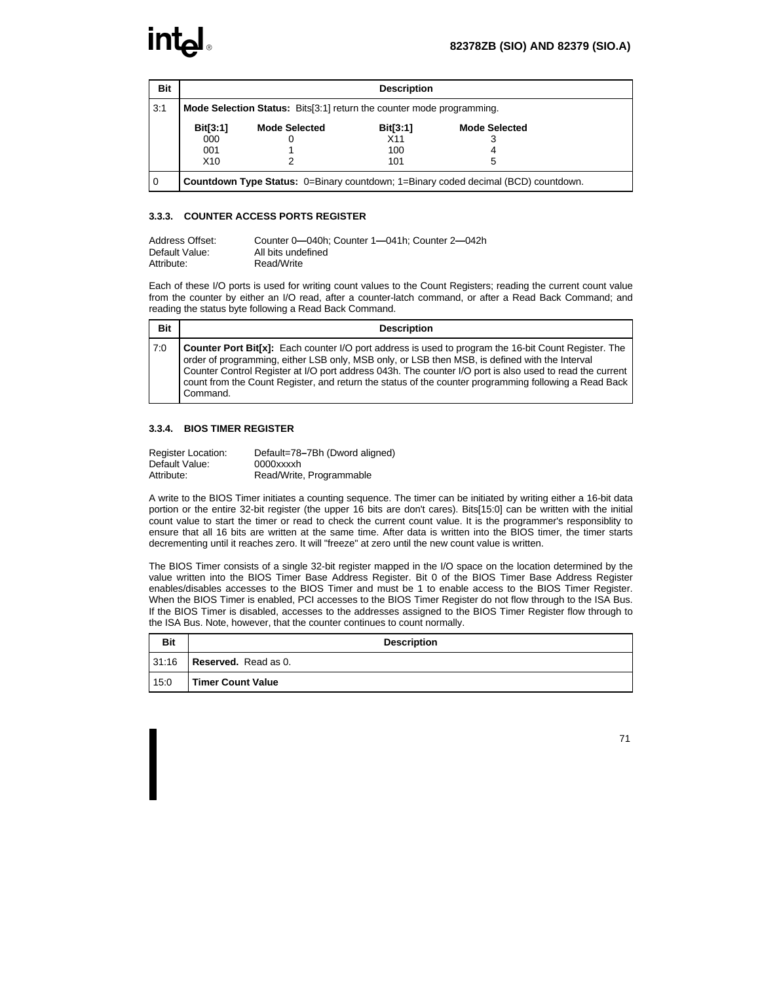| <b>Bit</b> |                 |                                                                              | <b>Description</b> |                                                                                           |  |
|------------|-----------------|------------------------------------------------------------------------------|--------------------|-------------------------------------------------------------------------------------------|--|
| 3:1        |                 | <b>Mode Selection Status:</b> Bits[3:1] return the counter mode programming. |                    |                                                                                           |  |
|            | Bit[3:1]        | <b>Mode Selected</b>                                                         | Bit[3:1]           | <b>Mode Selected</b>                                                                      |  |
|            | 000             |                                                                              | X11                |                                                                                           |  |
|            | 001             |                                                                              | 100                |                                                                                           |  |
|            | X <sub>10</sub> |                                                                              | 101                |                                                                                           |  |
| l 0        |                 |                                                                              |                    | <b>Countdown Type Status:</b> 0=Binary countdown; 1=Binary coded decimal (BCD) countdown. |  |

# **3.3.3. COUNTER ACCESS PORTS REGISTER**

| Address Offset: | Counter 0-040h: Counter 1-041h: Counter 2-042h |
|-----------------|------------------------------------------------|
| Default Value:  | All bits undefined                             |
| Attribute:      | Read/Write                                     |

Each of these I/O ports is used for writing count values to the Count Registers; reading the current count value from the counter by either an I/O read, after a counter-latch command, or after a Read Back Command; and reading the status byte following a Read Back Command.

| Bit  | <b>Description</b>                                                                                                                                                                                                                                                                                                                                                                                                                             |
|------|------------------------------------------------------------------------------------------------------------------------------------------------------------------------------------------------------------------------------------------------------------------------------------------------------------------------------------------------------------------------------------------------------------------------------------------------|
| 17:0 | <b>Counter Port Bit[x]:</b> Each counter I/O port address is used to program the 16-bit Count Register. The<br>order of programming, either LSB only, MSB only, or LSB then MSB, is defined with the Interval<br>Counter Control Register at I/O port address 043h. The counter I/O port is also used to read the current<br>count from the Count Register, and return the status of the counter programming following a Read Back<br>Command. |

### **3.3.4. BIOS TIMER REGISTER**

| <b>Register Location:</b> | Default=78-7Bh (Dword aligned) |
|---------------------------|--------------------------------|
| Default Value:            | 0000xxxxh                      |
| Attribute:                | Read/Write, Programmable       |

A write to the BIOS Timer initiates a counting sequence. The timer can be initiated by writing either a 16-bit data portion or the entire 32-bit register (the upper 16 bits are don't cares). Bits[15:0] can be written with the initial count value to start the timer or read to check the current count value. It is the programmer's responsiblity to ensure that all 16 bits are written at the same time. After data is written into the BIOS timer, the timer starts decrementing until it reaches zero. It will "freeze" at zero until the new count value is written.

The BIOS Timer consists of a single 32-bit register mapped in the I/O space on the location determined by the value written into the BIOS Timer Base Address Register. Bit 0 of the BIOS Timer Base Address Register enables/disables accesses to the BIOS Timer and must be 1 to enable access to the BIOS Timer Register. When the BIOS Timer is enabled, PCI accesses to the BIOS Timer Register do not flow through to the ISA Bus. If the BIOS Timer is disabled, accesses to the addresses assigned to the BIOS Timer Register flow through to the ISA Bus. Note, however, that the counter continues to count normally.

| <b>Bit</b> | <b>Description</b>          |
|------------|-----------------------------|
| 31:16      | <b>Reserved.</b> Read as 0. |
| 15:0       | <b>Timer Count Value</b>    |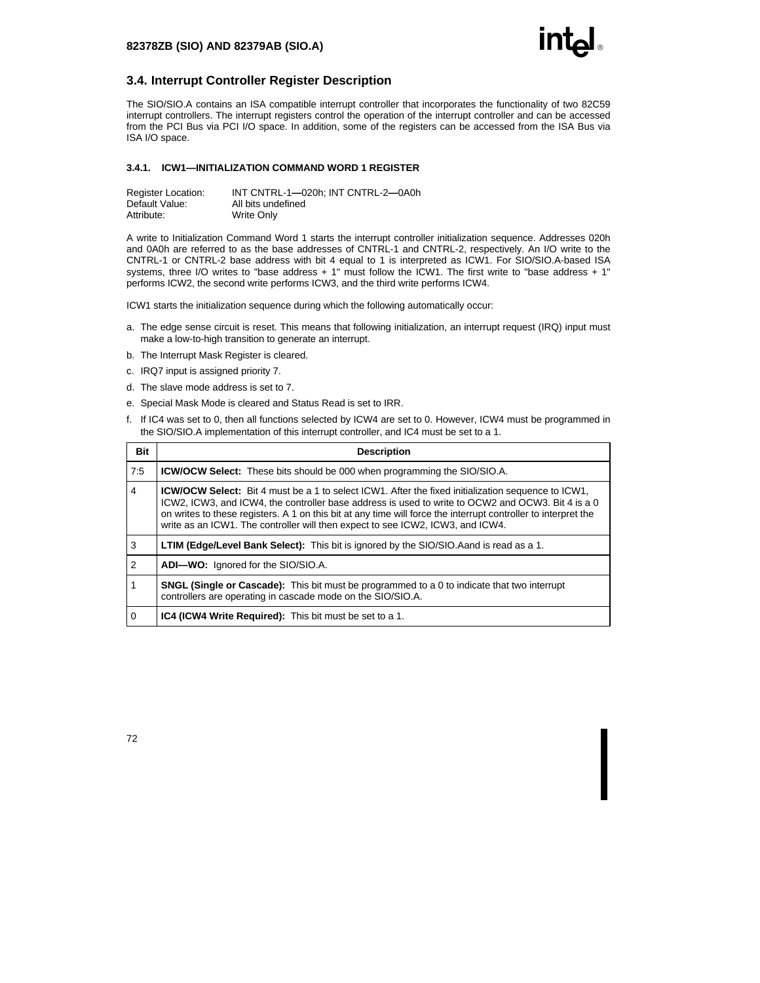

# **3.4. Interrupt Controller Register Description**

The SIO/SIO.A contains an ISA compatible interrupt controller that incorporates the functionality of two 82C59 interrupt controllers. The interrupt registers control the operation of the interrupt controller and can be accessed from the PCI Bus via PCI I/O space. In addition, some of the registers can be accessed from the ISA Bus via ISA I/O space.

### **3.4.1. ICW1—INITIALIZATION COMMAND WORD 1 REGISTER**

| <b>Register Location:</b> | INT CNTRL-1-020h; INT CNTRL-2-0A0h |
|---------------------------|------------------------------------|
| Default Value:            | All bits undefined                 |
| Attribute:                | Write Only                         |

A write to Initialization Command Word 1 starts the interrupt controller initialization sequence. Addresses 020h and 0A0h are referred to as the base addresses of CNTRL-1 and CNTRL-2, respectively. An I/O write to the CNTRL-1 or CNTRL-2 base address with bit 4 equal to 1 is interpreted as ICW1. For SIO/SIO.A-based ISA systems, three I/O writes to "base address + 1" must follow the ICW1. The first write to "base address + 1" performs ICW2, the second write performs ICW3, and the third write performs ICW4.

ICW1 starts the initialization sequence during which the following automatically occur:

- a. The edge sense circuit is reset. This means that following initialization, an interrupt request (IRQ) input must make a low-to-high transition to generate an interrupt.
- b. The Interrupt Mask Register is cleared.
- c. IRQ7 input is assigned priority 7.
- d. The slave mode address is set to 7.
- e. Special Mask Mode is cleared and Status Read is set to IRR.
- f. If IC4 was set to 0, then all functions selected by ICW4 are set to 0. However, ICW4 must be programmed in the SIO/SIO.A implementation of this interrupt controller, and IC4 must be set to a 1.

| Bit | <b>Description</b>                                                                                                                                                                                                                                                                                                                                                                                                 |
|-----|--------------------------------------------------------------------------------------------------------------------------------------------------------------------------------------------------------------------------------------------------------------------------------------------------------------------------------------------------------------------------------------------------------------------|
| 7:5 | <b>ICW/OCW Select:</b> These bits should be 000 when programming the SIO/SIO.A.                                                                                                                                                                                                                                                                                                                                    |
| 4   | <b>ICW/OCW Select:</b> Bit 4 must be a 1 to select ICW1. After the fixed initialization sequence to ICW1,<br>ICW2, ICW3, and ICW4, the controller base address is used to write to OCW2 and OCW3. Bit 4 is a 0<br>on writes to these registers. A 1 on this bit at any time will force the interrupt controller to interpret the<br>write as an ICW1. The controller will then expect to see ICW2, ICW3, and ICW4. |
| 3   | <b>LTIM (Edge/Level Bank Select):</b> This bit is ignored by the SIO/SIO. Aand is read as a 1.                                                                                                                                                                                                                                                                                                                     |
| 2   | ADI-WO: Ignored for the SIO/SIO.A.                                                                                                                                                                                                                                                                                                                                                                                 |
|     | <b>SNGL (Single or Cascade):</b> This bit must be programmed to a 0 to indicate that two interrupt<br>controllers are operating in cascade mode on the SIO/SIO.A.                                                                                                                                                                                                                                                  |
| 0   | <b>IC4 (ICW4 Write Required):</b> This bit must be set to a 1.                                                                                                                                                                                                                                                                                                                                                     |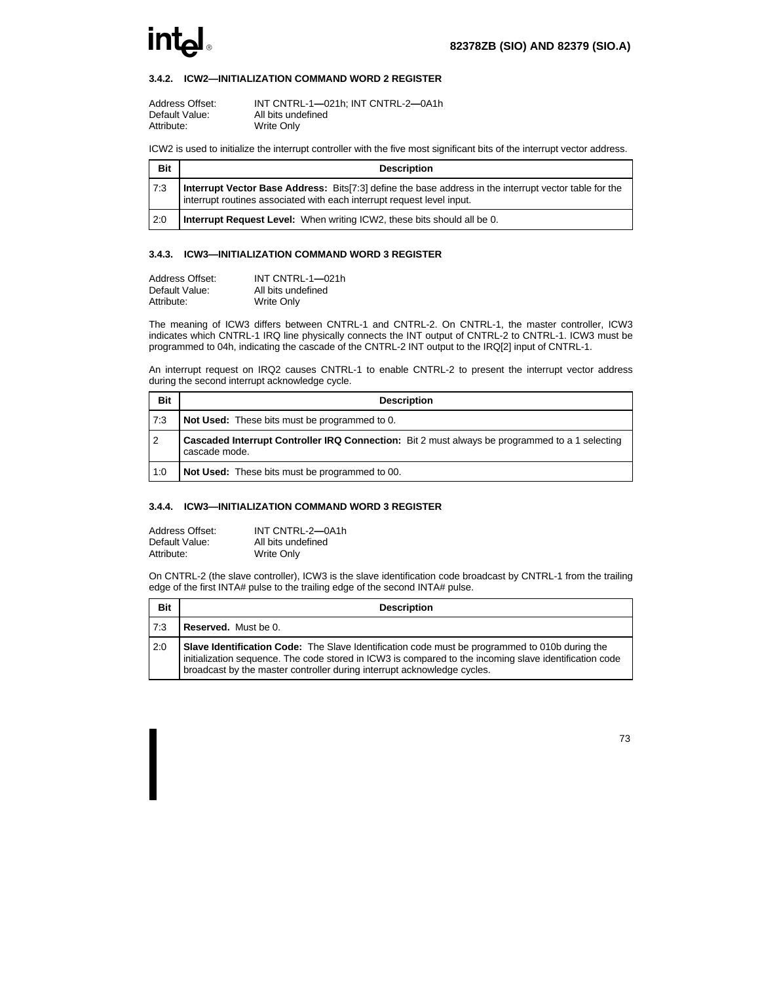

## **3.4.2. ICW2—INITIALIZATION COMMAND WORD 2 REGISTER**

| Address Offset: | INT CNTRL-1-021h: INT CNTRL-2-0A1h |
|-----------------|------------------------------------|
| Default Value:  | All bits undefined                 |
| Attribute:      | Write Only                         |

ICW2 is used to initialize the interrupt controller with the five most significant bits of the interrupt vector address.

| <b>Bit</b> | <b>Description</b>                                                                                                                                                                      |
|------------|-----------------------------------------------------------------------------------------------------------------------------------------------------------------------------------------|
| 7:3        | <b>Interrupt Vector Base Address:</b> Bits[7:3] define the base address in the interrupt vector table for the<br>interrupt routines associated with each interrupt request level input. |
| 2:0        | <b>Interrupt Request Level:</b> When writing ICW2, these bits should all be 0.                                                                                                          |

#### **3.4.3. ICW3—INITIALIZATION COMMAND WORD 3 REGISTER**

| Address Offset: | INT CNTRL-1-021h   |
|-----------------|--------------------|
| Default Value:  | All bits undefined |
| Attribute:      | <b>Write Only</b>  |

The meaning of ICW3 differs between CNTRL-1 and CNTRL-2. On CNTRL-1, the master controller, ICW3 indicates which CNTRL-1 IRQ line physically connects the INT output of CNTRL-2 to CNTRL-1. ICW3 must be programmed to 04h, indicating the cascade of the CNTRL-2 INT output to the IRQ[2] input of CNTRL-1.

An interrupt request on IRQ2 causes CNTRL-1 to enable CNTRL-2 to present the interrupt vector address during the second interrupt acknowledge cycle.

| <b>Bit</b>     | <b>Description</b>                                                                                              |  |  |
|----------------|-----------------------------------------------------------------------------------------------------------------|--|--|
| 17:3           | Not Used: These bits must be programmed to 0.                                                                   |  |  |
| $\overline{2}$ | Cascaded Interrupt Controller IRQ Connection: Bit 2 must always be programmed to a 1 selecting<br>cascade mode. |  |  |
| 1:0            | Not Used: These bits must be programmed to 00.                                                                  |  |  |

#### **3.4.4. ICW3—INITIALIZATION COMMAND WORD 3 REGISTER**

| Address Offset: | INT CNTRL-2-0A1h   |
|-----------------|--------------------|
| Default Value:  | All bits undefined |
| Attribute:      | Write Only         |

On CNTRL-2 (the slave controller), ICW3 is the slave identification code broadcast by CNTRL-1 from the trailing edge of the first INTA# pulse to the trailing edge of the second INTA# pulse.

| <b>Bit</b> | <b>Description</b>                                                                                                                                                                                                                                                                         |
|------------|--------------------------------------------------------------------------------------------------------------------------------------------------------------------------------------------------------------------------------------------------------------------------------------------|
| 17:3       | <b>Reserved.</b> Must be 0.                                                                                                                                                                                                                                                                |
| 2:0        | <b>Slave Identification Code:</b> The Slave Identification code must be programmed to 010b during the<br>initialization sequence. The code stored in ICW3 is compared to the incoming slave identification code<br>broadcast by the master controller during interrupt acknowledge cycles. |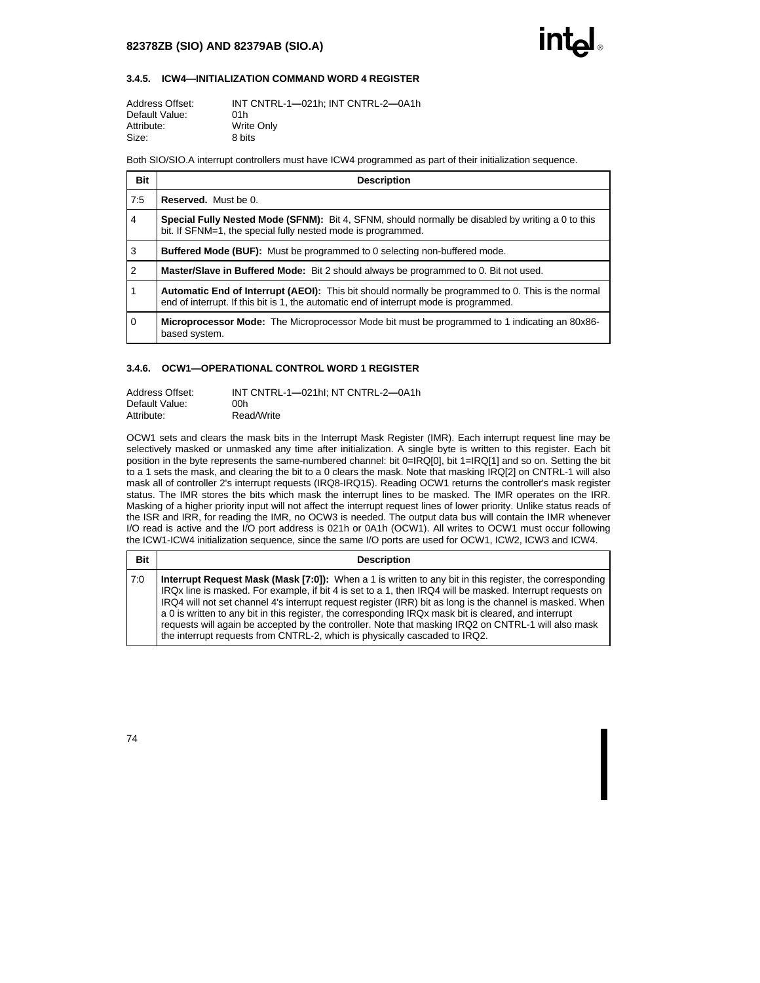

## **3.4.5. ICW4—INITIALIZATION COMMAND WORD 4 REGISTER**

| Address Offset: | INT CNTRL-1-021h: INT CNTRL-2-0A1h |
|-----------------|------------------------------------|
| Default Value:  | 01h                                |
| Attribute:      | Write Only                         |
| Size:           | 8 bits                             |

Both SIO/SIO.A interrupt controllers must have ICW4 programmed as part of their initialization sequence.

| <b>Bit</b> | <b>Description</b>                                                                                                                                                                                  |
|------------|-----------------------------------------------------------------------------------------------------------------------------------------------------------------------------------------------------|
| 7:5        | <b>Reserved.</b> Must be 0.                                                                                                                                                                         |
| 4          | Special Fully Nested Mode (SFNM): Bit 4, SFNM, should normally be disabled by writing a 0 to this<br>bit. If SFNM=1, the special fully nested mode is programmed.                                   |
| 3          | <b>Buffered Mode (BUF):</b> Must be programmed to 0 selecting non-buffered mode.                                                                                                                    |
| 2          | <b>Master/Slave in Buffered Mode:</b> Bit 2 should always be programmed to 0. Bit not used.                                                                                                         |
|            | <b>Automatic End of Interrupt (AEOI):</b> This bit should normally be programmed to 0. This is the normal<br>end of interrupt. If this bit is 1, the automatic end of interrupt mode is programmed. |
| 0          | <b>Microprocessor Mode:</b> The Microprocessor Mode bit must be programmed to 1 indicating an 80x86-<br>based system.                                                                               |

# **3.4.6. OCW1—OPERATIONAL CONTROL WORD 1 REGISTER**

| Address Offset: | INT CNTRL-1-021hl: NT CNTRL-2-0A1h |
|-----------------|------------------------------------|
| Default Value:  | 00h                                |
| Attribute:      | Read/Write                         |

OCW1 sets and clears the mask bits in the Interrupt Mask Register (IMR). Each interrupt request line may be selectively masked or unmasked any time after initialization. A single byte is written to this register. Each bit position in the byte represents the same-numbered channel: bit 0=IRQ[0], bit 1=IRQ[1] and so on. Setting the bit to a 1 sets the mask, and clearing the bit to a 0 clears the mask. Note that masking IRQ[2] on CNTRL-1 will also mask all of controller 2's interrupt requests (IRQ8-IRQ15). Reading OCW1 returns the controller's mask register status. The IMR stores the bits which mask the interrupt lines to be masked. The IMR operates on the IRR. Masking of a higher priority input will not affect the interrupt request lines of lower priority. Unlike status reads of the ISR and IRR, for reading the IMR, no OCW3 is needed. The output data bus will contain the IMR whenever I/O read is active and the I/O port address is 021h or 0A1h (OCW1). All writes to OCW1 must occur following the ICW1-ICW4 initialization sequence, since the same I/O ports are used for OCW1, ICW2, ICW3 and ICW4.

| Bit | <b>Description</b>                                                                                                                                                                                                                                                                                                                                                                                                                                                                                                                                                                                                                     |
|-----|----------------------------------------------------------------------------------------------------------------------------------------------------------------------------------------------------------------------------------------------------------------------------------------------------------------------------------------------------------------------------------------------------------------------------------------------------------------------------------------------------------------------------------------------------------------------------------------------------------------------------------------|
| 7:0 | <b>Interrupt Request Mask (Mask [7:0]):</b> When a 1 is written to any bit in this register, the corresponding<br>IRQx line is masked. For example, if bit 4 is set to a 1, then IRQ4 will be masked. Interrupt requests on<br>IRQ4 will not set channel 4's interrupt request register (IRR) bit as long is the channel is masked. When<br>a 0 is written to any bit in this register, the corresponding IRQx mask bit is cleared, and interrupt<br>requests will again be accepted by the controller. Note that masking IRQ2 on CNTRL-1 will also mask<br>the interrupt requests from CNTRL-2, which is physically cascaded to IRQ2. |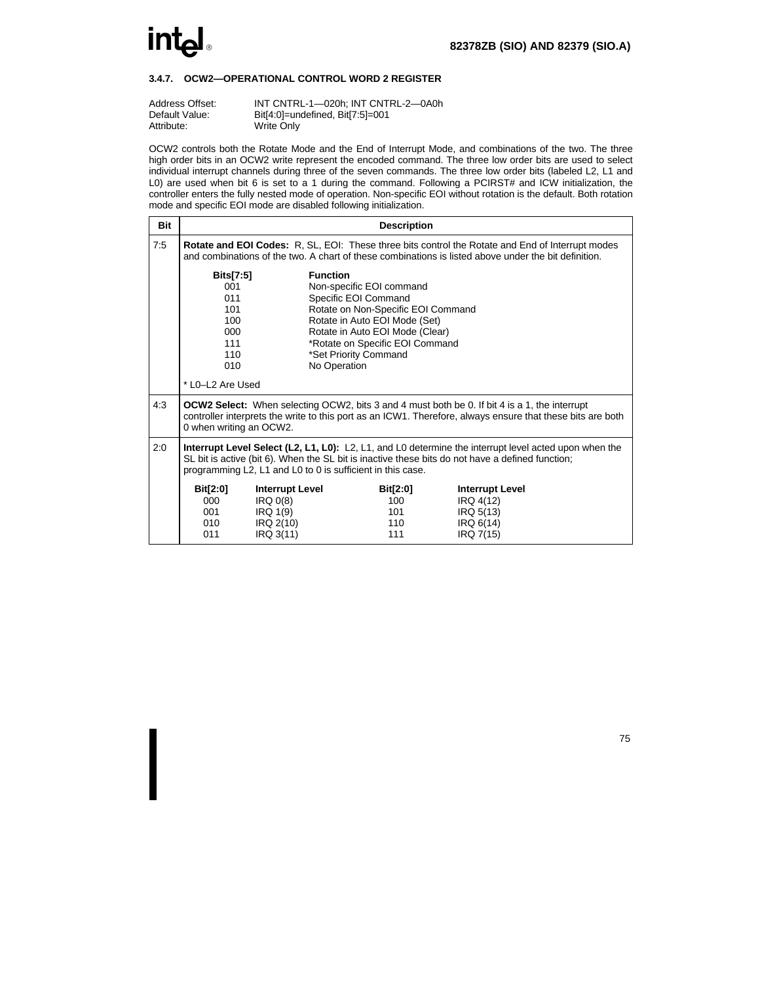

# **3.4.7. OCW2—OPERATIONAL CONTROL WORD 2 REGISTER**

| Address Offset: | INT CNTRL-1-020h; INT CNTRL-2-0A0h |
|-----------------|------------------------------------|
| Default Value:  | Bit[4:0]=undefined, Bit[7:5]=001   |
| Attribute:      | Write Only                         |

OCW2 controls both the Rotate Mode and the End of Interrupt Mode, and combinations of the two. The three high order bits in an OCW2 write represent the encoded command. The three low order bits are used to select individual interrupt channels during three of the seven commands. The three low order bits (labeled L2, L1 and L0) are used when bit 6 is set to a 1 during the command. Following a PCIRST# and ICW initialization, the controller enters the fully nested mode of operation. Non-specific EOI without rotation is the default. Both rotation mode and specific EOI mode are disabled following initialization.

| Bit | <b>Description</b>                                                                                                                                                                                                                                                             |                                                                         |                                                                                                                                                                                                                        |                                                                            |  |
|-----|--------------------------------------------------------------------------------------------------------------------------------------------------------------------------------------------------------------------------------------------------------------------------------|-------------------------------------------------------------------------|------------------------------------------------------------------------------------------------------------------------------------------------------------------------------------------------------------------------|----------------------------------------------------------------------------|--|
| 7:5 | <b>Rotate and EOI Codes:</b> R, SL, EOI: These three bits control the Rotate and End of Interrupt modes<br>and combinations of the two. A chart of these combinations is listed above under the bit definition.                                                                |                                                                         |                                                                                                                                                                                                                        |                                                                            |  |
|     | Bits[7:5]<br>001<br>011<br>101<br>100<br>000<br>111<br>110<br>010<br>* L0-L2 Are Used                                                                                                                                                                                          | <b>Function</b><br>No Operation                                         | Non-specific EOI command<br>Specific EOI Command<br>Rotate on Non-Specific EOI Command<br>Rotate in Auto EOI Mode (Set)<br>Rotate in Auto EOI Mode (Clear)<br>*Rotate on Specific EOI Command<br>*Set Priority Command |                                                                            |  |
| 4:3 | <b>OCW2 Select:</b> When selecting OCW2, bits 3 and 4 must both be 0. If bit 4 is a 1, the interrupt<br>controller interprets the write to this port as an ICW1. Therefore, always ensure that these bits are both<br>0 when writing an OCW2.                                  |                                                                         |                                                                                                                                                                                                                        |                                                                            |  |
| 2:0 | <b>Interrupt Level Select (L2, L1, L0):</b> L2, L1, and L0 determine the interrupt level acted upon when the<br>SL bit is active (bit 6). When the SL bit is inactive these bits do not have a defined function;<br>programming L2, L1 and L0 to 0 is sufficient in this case. |                                                                         |                                                                                                                                                                                                                        |                                                                            |  |
|     | Bit[2:0]<br>000<br>001<br>010<br>011                                                                                                                                                                                                                                           | <b>Interrupt Level</b><br>IRQ(08)<br>IRQ 1(9)<br>IRQ 2(10)<br>IRQ 3(11) | Bit[2:0]<br>100<br>101<br>110<br>111                                                                                                                                                                                   | <b>Interrupt Level</b><br>IRQ 4(12)<br>IRQ 5(13)<br>IRQ 6(14)<br>IRQ 7(15) |  |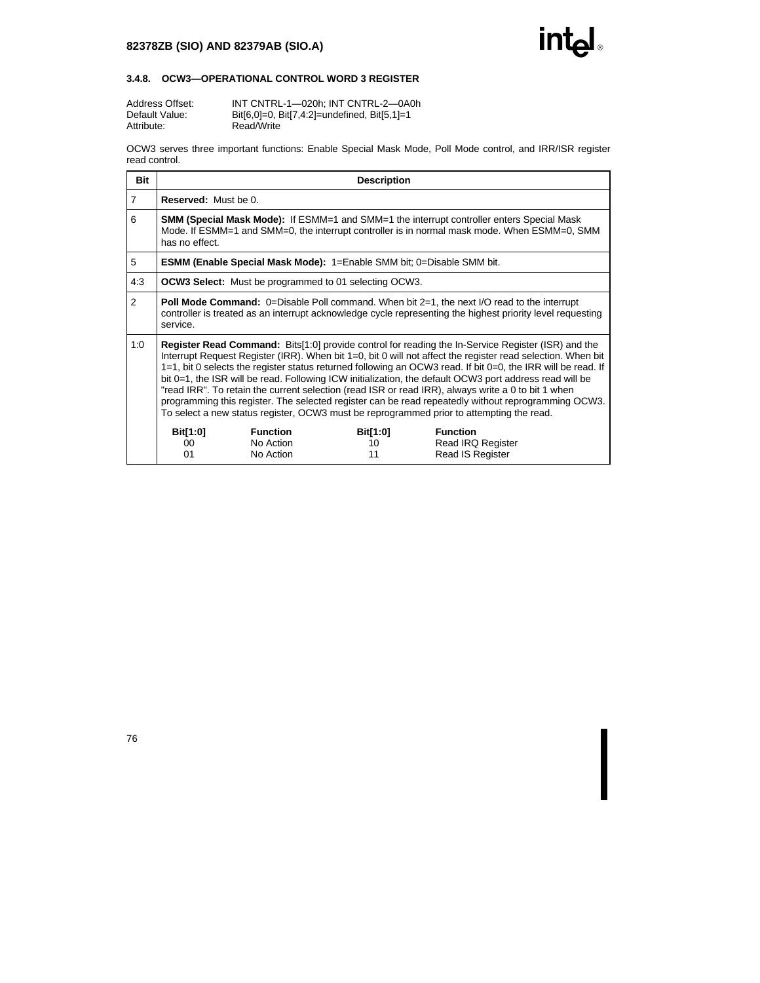

# **3.4.8. OCW3—OPERATIONAL CONTROL WORD 3 REGISTER**

| Address Offset: | INT CNTRL-1-020h; INT CNTRL-2-0A0h           |
|-----------------|----------------------------------------------|
| Default Value:  | Bit[6,0]=0, Bit[7,4:2]=undefined, Bit[5,1]=1 |
| Attribute:      | Read/Write                                   |

OCW3 serves three important functions: Enable Special Mask Mode, Poll Mode control, and IRR/ISR register read control.

| <b>Bit</b>     |                             |                                                                              | <b>Description</b>   |                                                                                                                                                                                                                                                                                                                                                                                                                                                                                                                                                                                                                                                                                                                                                                                                                          |
|----------------|-----------------------------|------------------------------------------------------------------------------|----------------------|--------------------------------------------------------------------------------------------------------------------------------------------------------------------------------------------------------------------------------------------------------------------------------------------------------------------------------------------------------------------------------------------------------------------------------------------------------------------------------------------------------------------------------------------------------------------------------------------------------------------------------------------------------------------------------------------------------------------------------------------------------------------------------------------------------------------------|
| $\overline{7}$ | <b>Reserved: Must be 0.</b> |                                                                              |                      |                                                                                                                                                                                                                                                                                                                                                                                                                                                                                                                                                                                                                                                                                                                                                                                                                          |
| 6              | has no effect.              |                                                                              |                      | <b>SMM (Special Mask Mode):</b> If ESMM=1 and SMM=1 the interrupt controller enters Special Mask<br>Mode. If ESMM=1 and SMM=0, the interrupt controller is in normal mask mode. When ESMM=0, SMM                                                                                                                                                                                                                                                                                                                                                                                                                                                                                                                                                                                                                         |
| 5              |                             | <b>ESMM (Enable Special Mask Mode):</b> 1=Enable SMM bit; 0=Disable SMM bit. |                      |                                                                                                                                                                                                                                                                                                                                                                                                                                                                                                                                                                                                                                                                                                                                                                                                                          |
| 4:3            |                             | OCW3 Select: Must be programmed to 01 selecting OCW3.                        |                      |                                                                                                                                                                                                                                                                                                                                                                                                                                                                                                                                                                                                                                                                                                                                                                                                                          |
| $\overline{2}$ | service.                    |                                                                              |                      | <b>Poll Mode Command:</b> 0=Disable Poll command. When bit $2=1$ , the next I/O read to the interrupt<br>controller is treated as an interrupt acknowledge cycle representing the highest priority level requesting                                                                                                                                                                                                                                                                                                                                                                                                                                                                                                                                                                                                      |
| 1:0            | Bit[1:0]<br>$00 \,$<br>01   | <b>Function</b><br>No Action<br>No Action                                    | Bit[1:0]<br>10<br>11 | <b>Register Read Command:</b> Bits[1:0] provide control for reading the In-Service Register (ISR) and the<br>Interrupt Request Register (IRR). When bit 1=0, bit 0 will not affect the register read selection. When bit<br>1=1, bit 0 selects the register status returned following an OCW3 read. If bit 0=0, the IRR will be read. If<br>bit 0=1, the ISR will be read. Following ICW initialization, the default OCW3 port address read will be<br>"read IRR". To retain the current selection (read ISR or read IRR), always write a 0 to bit 1 when<br>programming this register. The selected register can be read repeatedly without reprogramming OCW3.<br>To select a new status register, OCW3 must be reprogrammed prior to attempting the read.<br><b>Function</b><br>Read IRQ Register<br>Read IS Register |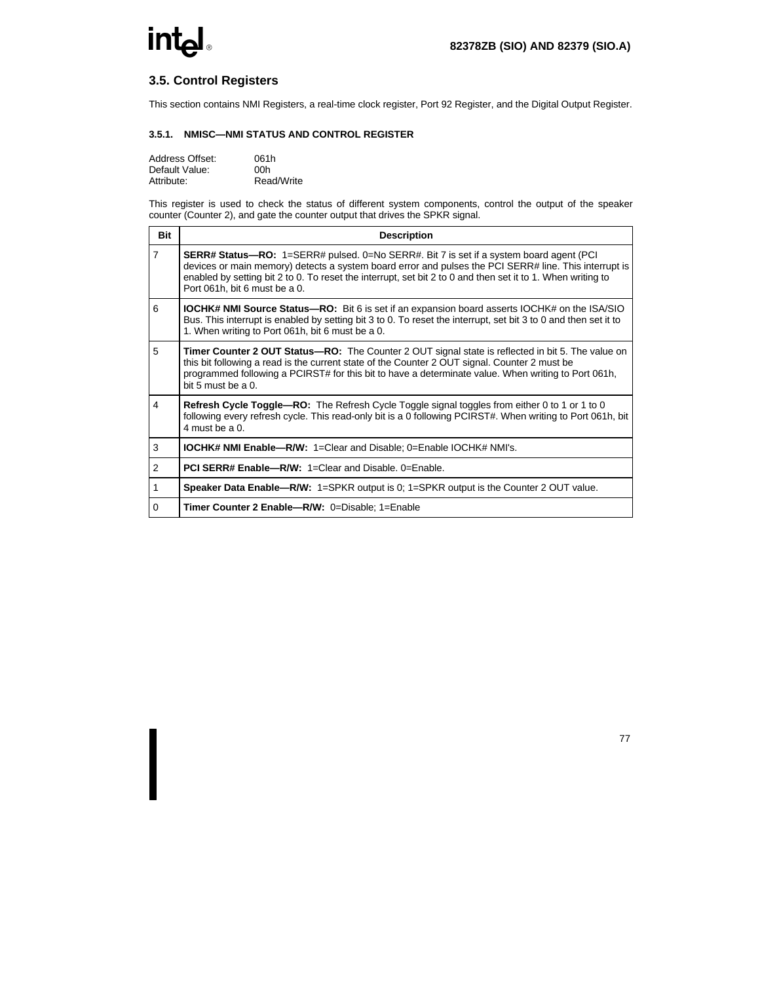

# **3.5. Control Registers**

This section contains NMI Registers, a real-time clock register, Port 92 Register, and the Digital Output Register.

## **3.5.1. NMISC—NMI STATUS AND CONTROL REGISTER**

| Address Offset: | 061h       |
|-----------------|------------|
| Default Value:  | 00h        |
| Attribute:      | Read/Write |

This register is used to check the status of different system components, control the output of the speaker counter (Counter 2), and gate the counter output that drives the SPKR signal.

| Bit            | <b>Description</b>                                                                                                                                                                                                                                                                                                                                      |
|----------------|---------------------------------------------------------------------------------------------------------------------------------------------------------------------------------------------------------------------------------------------------------------------------------------------------------------------------------------------------------|
| $\overline{7}$ | <b>SERR# Status—RO:</b> 1=SERR# pulsed. 0=No SERR#. Bit 7 is set if a system board agent (PCI)<br>devices or main memory) detects a system board error and pulses the PCI SERR# line. This interrupt is<br>enabled by setting bit 2 to 0. To reset the interrupt, set bit 2 to 0 and then set it to 1. When writing to<br>Port 061h, bit 6 must be a 0. |
| 6              | <b>IOCHK# NMI Source Status—RO:</b> Bit 6 is set if an expansion board asserts IOCHK# on the ISA/SIO<br>Bus. This interrupt is enabled by setting bit 3 to 0. To reset the interrupt, set bit 3 to 0 and then set it to<br>1. When writing to Port 061h, bit 6 must be a 0.                                                                             |
| 5              | Timer Counter 2 OUT Status-RO: The Counter 2 OUT signal state is reflected in bit 5. The value on<br>this bit following a read is the current state of the Counter 2 OUT signal. Counter 2 must be<br>programmed following a PCIRST# for this bit to have a determinate value. When writing to Port 061h,<br>bit 5 must be a 0.                         |
| 4              | <b>Refresh Cycle Toggle—RO:</b> The Refresh Cycle Toggle signal toggles from either 0 to 1 or 1 to 0<br>following every refresh cycle. This read-only bit is a 0 following PCIRST#. When writing to Port 061h, bit<br>4 must be a $0$ .                                                                                                                 |
| 3              | <b>IOCHK# NMI Enable—R/W: 1=Clear and Disable: 0=Enable IOCHK# NMI's.</b>                                                                                                                                                                                                                                                                               |
| $\mathcal{P}$  | <b>PCI SERR# Enable—R/W: 1=Clear and Disable, 0=Enable,</b>                                                                                                                                                                                                                                                                                             |
| 1              | <b>Speaker Data Enable—R/W:</b> 1=SPKR output is 0; 1=SPKR output is the Counter 2 OUT value.                                                                                                                                                                                                                                                           |
| 0              | Timer Counter 2 Enable-R/W: 0=Disable; 1=Enable                                                                                                                                                                                                                                                                                                         |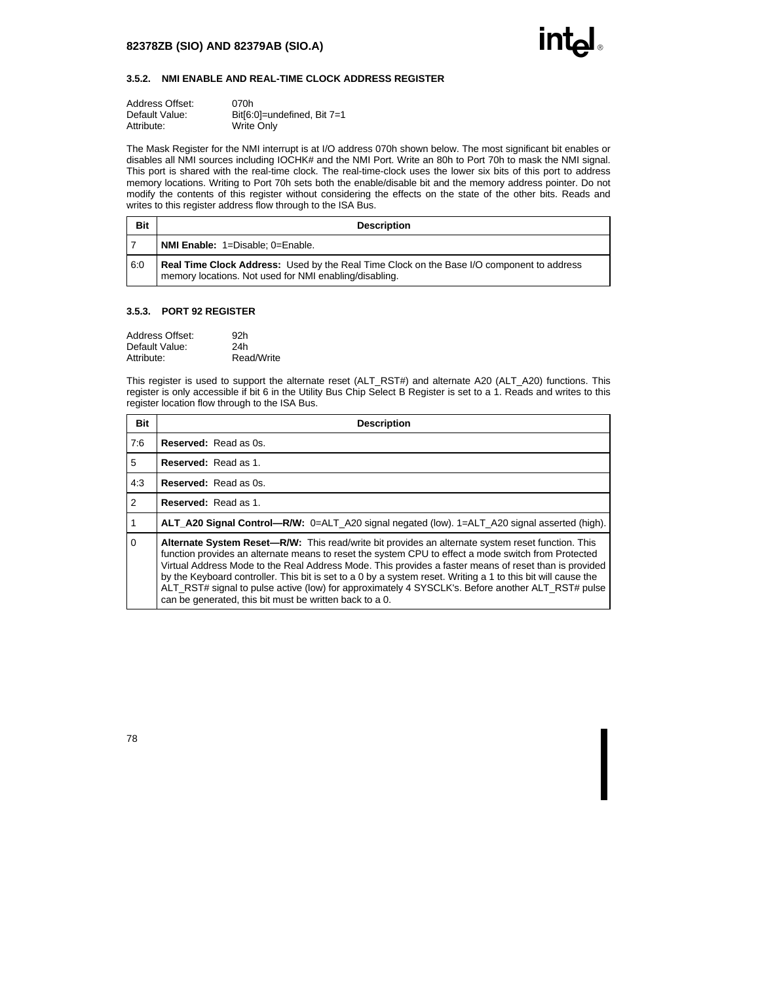

## **3.5.2. NMI ENABLE AND REAL-TIME CLOCK ADDRESS REGISTER**

| Address Offset: | 070h                        |
|-----------------|-----------------------------|
| Default Value:  | Bit[6:0]=undefined, Bit 7=1 |
| Attribute:      | Write Only                  |

The Mask Register for the NMI interrupt is at I/O address 070h shown below. The most significant bit enables or disables all NMI sources including IOCHK# and the NMI Port. Write an 80h to Port 70h to mask the NMI signal. This port is shared with the real-time clock. The real-time-clock uses the lower six bits of this port to address memory locations. Writing to Port 70h sets both the enable/disable bit and the memory address pointer. Do not modify the contents of this register without considering the effects on the state of the other bits. Reads and writes to this register address flow through to the ISA Bus.

| <b>Bit</b> | <b>Description</b>                                                                                                                                  |
|------------|-----------------------------------------------------------------------------------------------------------------------------------------------------|
|            | <b>NMI Enable: 1=Disable: 0=Enable.</b>                                                                                                             |
| 6:0        | Real Time Clock Address: Used by the Real Time Clock on the Base I/O component to address<br>memory locations. Not used for NMI enabling/disabling. |

#### **3.5.3. PORT 92 REGISTER**

| Address Offset: | 92h        |
|-----------------|------------|
| Default Value:  | 24h        |
| Attribute:      | Read/Write |

This register is used to support the alternate reset (ALT\_RST#) and alternate A20 (ALT\_A20) functions. This register is only accessible if bit 6 in the Utility Bus Chip Select B Register is set to a 1. Reads and writes to this register location flow through to the ISA Bus.

| Bit            | <b>Description</b>                                                                                                                                                                                                                                                                                                                                                                                                                                                                                                                                                                                |
|----------------|---------------------------------------------------------------------------------------------------------------------------------------------------------------------------------------------------------------------------------------------------------------------------------------------------------------------------------------------------------------------------------------------------------------------------------------------------------------------------------------------------------------------------------------------------------------------------------------------------|
| 7:6            | <b>Reserved:</b> Read as 0s.                                                                                                                                                                                                                                                                                                                                                                                                                                                                                                                                                                      |
| 5              | <b>Reserved:</b> Read as 1.                                                                                                                                                                                                                                                                                                                                                                                                                                                                                                                                                                       |
| 4:3            | <b>Reserved:</b> Read as 0s.                                                                                                                                                                                                                                                                                                                                                                                                                                                                                                                                                                      |
| 2              | <b>Reserved:</b> Read as 1.                                                                                                                                                                                                                                                                                                                                                                                                                                                                                                                                                                       |
|                | ALT A20 Signal Control—R/W: 0=ALT A20 signal negated (low). 1=ALT A20 signal asserted (high).                                                                                                                                                                                                                                                                                                                                                                                                                                                                                                     |
| $\overline{0}$ | Alternate System Reset—R/W: This read/write bit provides an alternate system reset function. This<br>function provides an alternate means to reset the system CPU to effect a mode switch from Protected<br>Virtual Address Mode to the Real Address Mode. This provides a faster means of reset than is provided<br>by the Keyboard controller. This bit is set to a 0 by a system reset. Writing a 1 to this bit will cause the<br>ALT_RST# signal to pulse active (low) for approximately 4 SYSCLK's. Before another ALT_RST# pulse<br>can be generated, this bit must be written back to a 0. |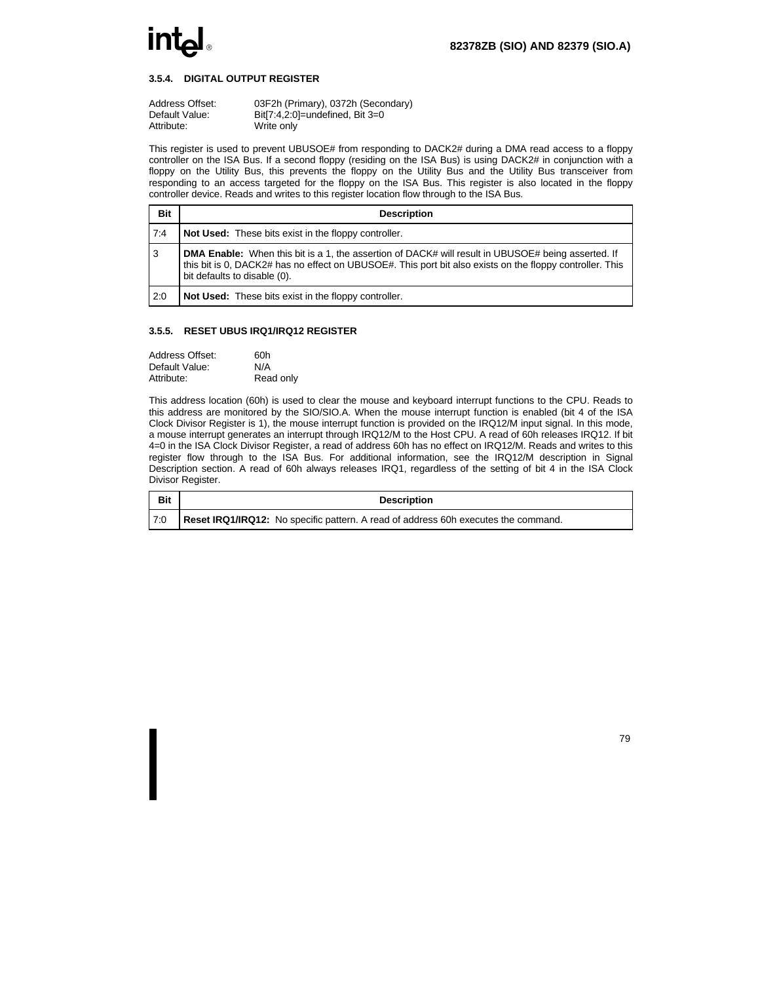

# **3.5.4. DIGITAL OUTPUT REGISTER**

| Address Offset: | 03F2h (Primary), 0372h (Secondary) |
|-----------------|------------------------------------|
| Default Value:  | Bit[7:4,2:0]=undefined, Bit $3=0$  |
| Attribute:      | Write only                         |

This register is used to prevent UBUSOE# from responding to DACK2# during a DMA read access to a floppy controller on the ISA Bus. If a second floppy (residing on the ISA Bus) is using DACK2# in conjunction with a floppy on the Utility Bus, this prevents the floppy on the Utility Bus and the Utility Bus transceiver from responding to an access targeted for the floppy on the ISA Bus. This register is also located in the floppy controller device. Reads and writes to this register location flow through to the ISA Bus.

| Bit | <b>Description</b>                                                                                                                                                                                                                                    |
|-----|-------------------------------------------------------------------------------------------------------------------------------------------------------------------------------------------------------------------------------------------------------|
| 7:4 | <b>Not Used:</b> These bits exist in the floppy controller.                                                                                                                                                                                           |
| 3   | <b>DMA Enable:</b> When this bit is a 1, the assertion of DACK# will result in UBUSOE# being asserted. If<br>this bit is 0, DACK2# has no effect on UBUSOE#. This port bit also exists on the floppy controller. This<br>bit defaults to disable (0). |
| 2:0 | Not Used: These bits exist in the floppy controller.                                                                                                                                                                                                  |

#### **3.5.5. RESET UBUS IRQ1/IRQ12 REGISTER**

| Address Offset: | 60h       |
|-----------------|-----------|
| Default Value:  | N/A       |
| Attribute:      | Read only |

This address location (60h) is used to clear the mouse and keyboard interrupt functions to the CPU. Reads to this address are monitored by the SIO/SIO.A. When the mouse interrupt function is enabled (bit 4 of the ISA Clock Divisor Register is 1), the mouse interrupt function is provided on the IRQ12/M input signal. In this mode, a mouse interrupt generates an interrupt through IRQ12/M to the Host CPU. A read of 60h releases IRQ12. If bit 4=0 in the ISA Clock Divisor Register, a read of address 60h has no effect on IRQ12/M. Reads and writes to this register flow through to the ISA Bus. For additional information, see the IRQ12/M description in Signal Description section. A read of 60h always releases IRQ1, regardless of the setting of bit 4 in the ISA Clock Divisor Register.

| Bit | <b>Description</b>                                                                 |
|-----|------------------------------------------------------------------------------------|
| 7:0 | Reset IRQ1/IRQ12: No specific pattern. A read of address 60h executes the command. |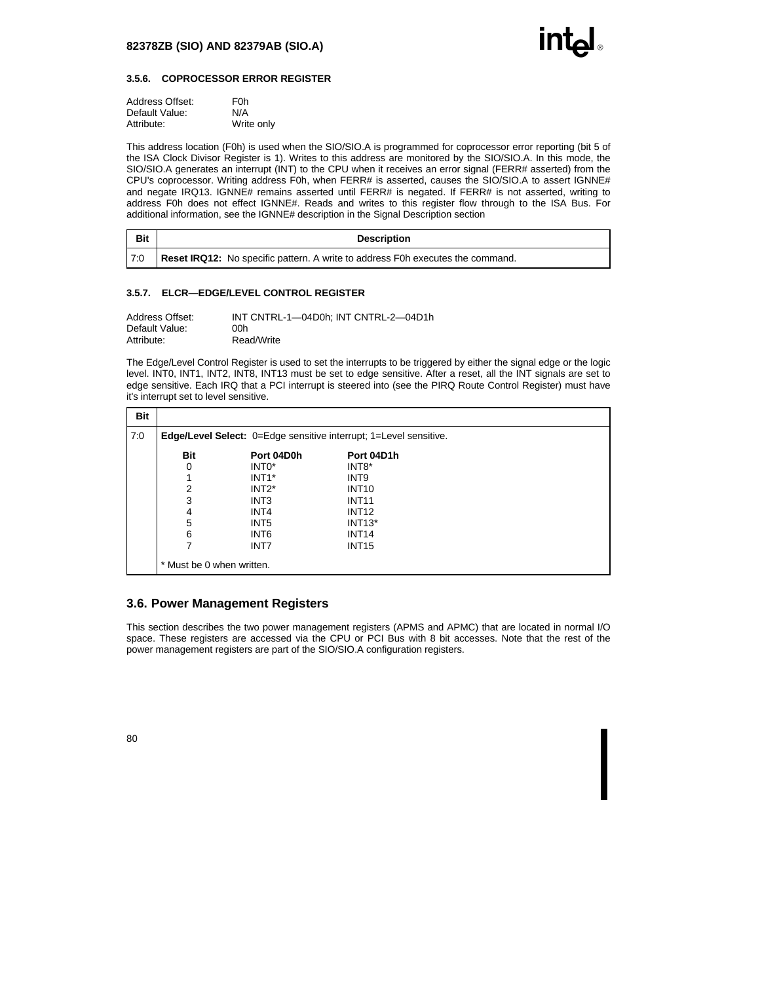

#### **3.5.6. COPROCESSOR ERROR REGISTER**

| Address Offset: | F0h        |
|-----------------|------------|
| Default Value:  | N/A        |
| Attribute:      | Write only |

This address location (F0h) is used when the SIO/SIO.A is programmed for coprocessor error reporting (bit 5 of the ISA Clock Divisor Register is 1). Writes to this address are monitored by the SIO/SIO.A. In this mode, the SIO/SIO.A generates an interrupt (INT) to the CPU when it receives an error signal (FERR# asserted) from the CPU's coprocessor. Writing address F0h, when FERR# is asserted, causes the SIO/SIO.A to assert IGNNE# and negate IRQ13. IGNNE# remains asserted until FERR# is negated. If FERR# is not asserted, writing to address F0h does not effect IGNNE#. Reads and writes to this register flow through to the ISA Bus. For additional information, see the IGNNE# description in the Signal Description section

| <b>Bit</b> | <b>Description</b>                                                                    |
|------------|---------------------------------------------------------------------------------------|
| 17:0       | <b>Reset IRQ12:</b> No specific pattern. A write to address F0h executes the command. |

#### **3.5.7. ELCR—EDGE/LEVEL CONTROL REGISTER**

| Address Offset: | INT CNTRL-1-04D0h: INT CNTRL-2-04D1h |
|-----------------|--------------------------------------|
| Default Value:  | 00h                                  |
| Attribute:      | Read/Write                           |

The Edge/Level Control Register is used to set the interrupts to be triggered by either the signal edge or the logic level. INT0, INT1, INT2, INT8, INT13 must be set to edge sensitive. After a reset, all the INT signals are set to edge sensitive. Each IRQ that a PCI interrupt is steered into (see the PIRQ Route Control Register) must have it's interrupt set to level sensitive.

| Bit |                           |                                                                   |                   |
|-----|---------------------------|-------------------------------------------------------------------|-------------------|
| 7:0 |                           | Edge/Level Select: 0=Edge sensitive interrupt; 1=Level sensitive. |                   |
|     | Bit                       | Port 04D0h                                                        | Port 04D1h        |
|     | $\Omega$                  | $INT0*$                                                           | INT8*             |
|     |                           | INT <sub>1</sub> *                                                | INT <sub>9</sub>  |
|     | 2                         | $INT2*$                                                           | <b>INT10</b>      |
|     | 3                         | INT <sub>3</sub>                                                  | <b>INT11</b>      |
|     | 4                         | INT4                                                              | <b>INT12</b>      |
|     | 5                         | INT <sub>5</sub>                                                  | <b>INT13*</b>     |
|     | 6                         | INT <sub>6</sub>                                                  | INT <sub>14</sub> |
|     | 7                         | <b>INT7</b>                                                       | INT <sub>15</sub> |
|     | * Must be 0 when written. |                                                                   |                   |

# **3.6. Power Management Registers**

This section describes the two power management registers (APMS and APMC) that are located in normal I/O space. These registers are accessed via the CPU or PCI Bus with 8 bit accesses. Note that the rest of the power management registers are part of the SIO/SIO.A configuration registers.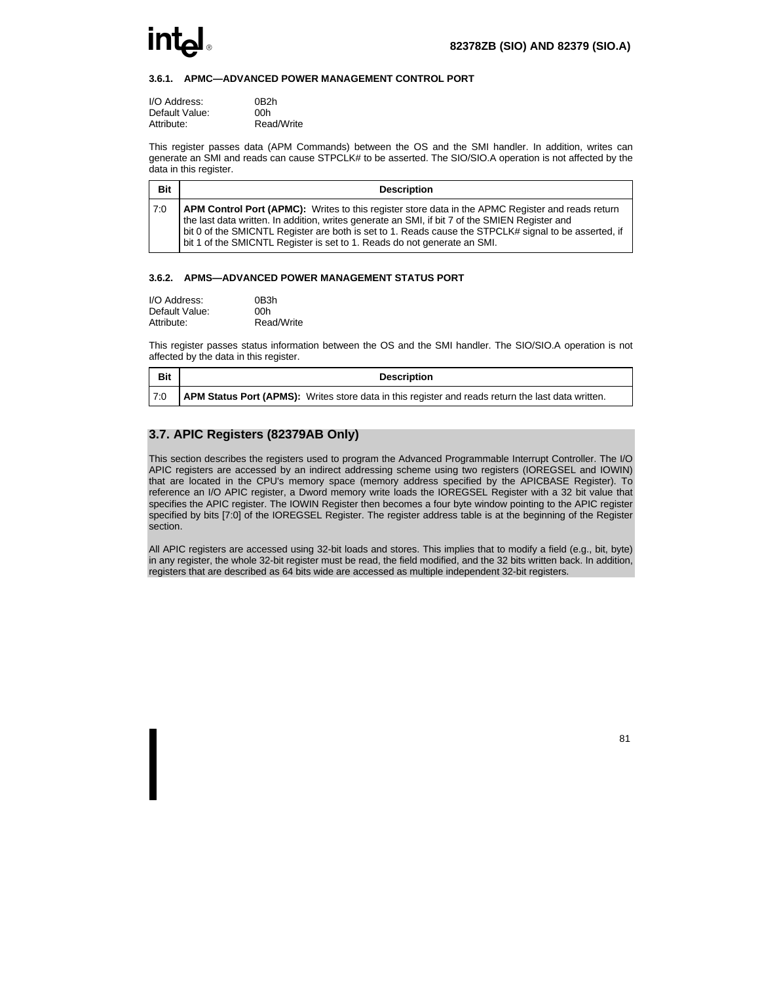## **3.6.1. APMC—ADVANCED POWER MANAGEMENT CONTROL PORT**

| I/O Address:   | 0B2h       |
|----------------|------------|
| Default Value: | 00h        |
| Attribute:     | Read/Write |

This register passes data (APM Commands) between the OS and the SMI handler. In addition, writes can generate an SMI and reads can cause STPCLK# to be asserted. The SIO/SIO.A operation is not affected by the data in this register.

| <b>Bit</b> | <b>Description</b>                                                                                                                                                                                                                                                                                                                                                                              |
|------------|-------------------------------------------------------------------------------------------------------------------------------------------------------------------------------------------------------------------------------------------------------------------------------------------------------------------------------------------------------------------------------------------------|
| 7:0        | <b>APM Control Port (APMC):</b> Writes to this register store data in the APMC Register and reads return<br>the last data written. In addition, writes generate an SMI, if bit 7 of the SMIEN Register and<br>bit 0 of the SMICNTL Register are both is set to 1. Reads cause the STPCLK# signal to be asserted, if<br>bit 1 of the SMICNTL Register is set to 1. Reads do not generate an SMI. |

#### **3.6.2. APMS—ADVANCED POWER MANAGEMENT STATUS PORT**

| I/O Address:   | 0B3h       |
|----------------|------------|
| Default Value: | 00h        |
| Attribute:     | Read/Write |

This register passes status information between the OS and the SMI handler. The SIO/SIO.A operation is not affected by the data in this register.

| <b>Bit</b> | <b>Description</b>                                                                                        |
|------------|-----------------------------------------------------------------------------------------------------------|
| 7:0        | <b>APM Status Port (APMS):</b> Writes store data in this register and reads return the last data written. |

# **3.7. APIC Registers (82379AB Only)**

This section describes the registers used to program the Advanced Programmable Interrupt Controller. The I/O APIC registers are accessed by an indirect addressing scheme using two registers (IOREGSEL and IOWIN) that are located in the CPU's memory space (memory address specified by the APICBASE Register). To reference an I/O APIC register, a Dword memory write loads the IOREGSEL Register with a 32 bit value that specifies the APIC register. The IOWIN Register then becomes a four byte window pointing to the APIC register specified by bits [7:0] of the IOREGSEL Register. The register address table is at the beginning of the Register section.

All APIC registers are accessed using 32-bit loads and stores. This implies that to modify a field (e.g., bit, byte) in any register, the whole 32-bit register must be read, the field modified, and the 32 bits written back. In addition, registers that are described as 64 bits wide are accessed as multiple independent 32-bit registers.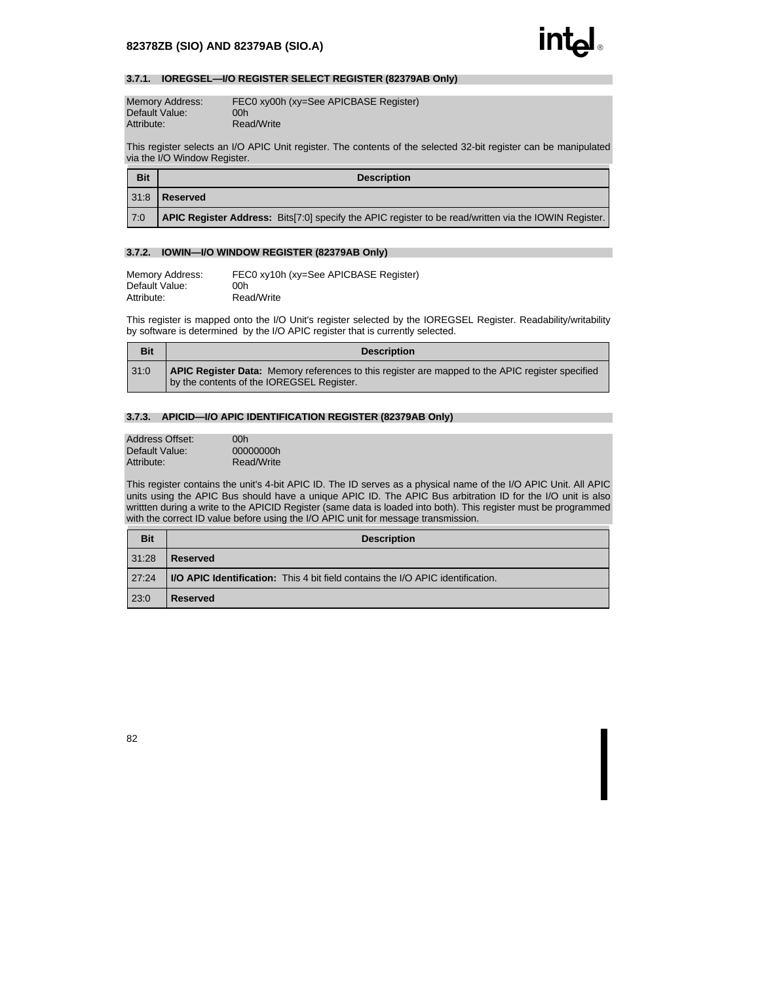

#### **3.7.1. IOREGSEL—I/O REGISTER SELECT REGISTER (82379AB Only)**

Memory Address: FEC0 xy00h (xy=See APICBASE Register) Default Value: 00h Attribute: Read/Write

This register selects an I/O APIC Unit register. The contents of the selected 32-bit register can be manipulated via the I/O Window Register.

| <b>Bit</b> | <b>Description</b>                                                                                    |
|------------|-------------------------------------------------------------------------------------------------------|
| 31:8       | <b>Reserved</b>                                                                                       |
| 7:0        | APIC Register Address: Bits[7:0] specify the APIC register to be read/written via the IOWIN Register. |

## **3.7.2. IOWIN—I/O WINDOW REGISTER (82379AB Only)**

| Memory Address: | FEC0 xy10h (xy=See APICBASE Register) |
|-----------------|---------------------------------------|
| Default Value:  | 00h                                   |
| Attribute:      | Read/Write                            |

This register is mapped onto the I/O Unit's register selected by the IOREGSEL Register. Readability/writability by software is determined by the I/O APIC register that is currently selected.

| <b>Bit</b> | <b>Description</b>                                                                                                                                   |
|------------|------------------------------------------------------------------------------------------------------------------------------------------------------|
| 31:0       | <b>APIC Register Data:</b> Memory references to this register are mapped to the APIC register specified<br>by the contents of the IOREGSEL Register. |

#### **3.7.3. APICID—I/O APIC IDENTIFICATION REGISTER (82379AB Only)**

| Address Offset: | 00h        |
|-----------------|------------|
| Default Value:  | 00000000h  |
| Attribute:      | Read/Write |

This register contains the unit's 4-bit APIC ID. The ID serves as a physical name of the I/O APIC Unit. All APIC units using the APIC Bus should have a unique APIC ID. The APIC Bus arbitration ID for the I/O unit is also writtten during a write to the APICID Register (same data is loaded into both). This register must be programmed with the correct ID value before using the I/O APIC unit for message transmission.

| <b>Bit</b> | <b>Description</b>                                                                     |
|------------|----------------------------------------------------------------------------------------|
| 31:28      | <b>Reserved</b>                                                                        |
| 27:24      | <b>I/O APIC Identification:</b> This 4 bit field contains the I/O APIC identification. |
| 23:0       | <b>Reserved</b>                                                                        |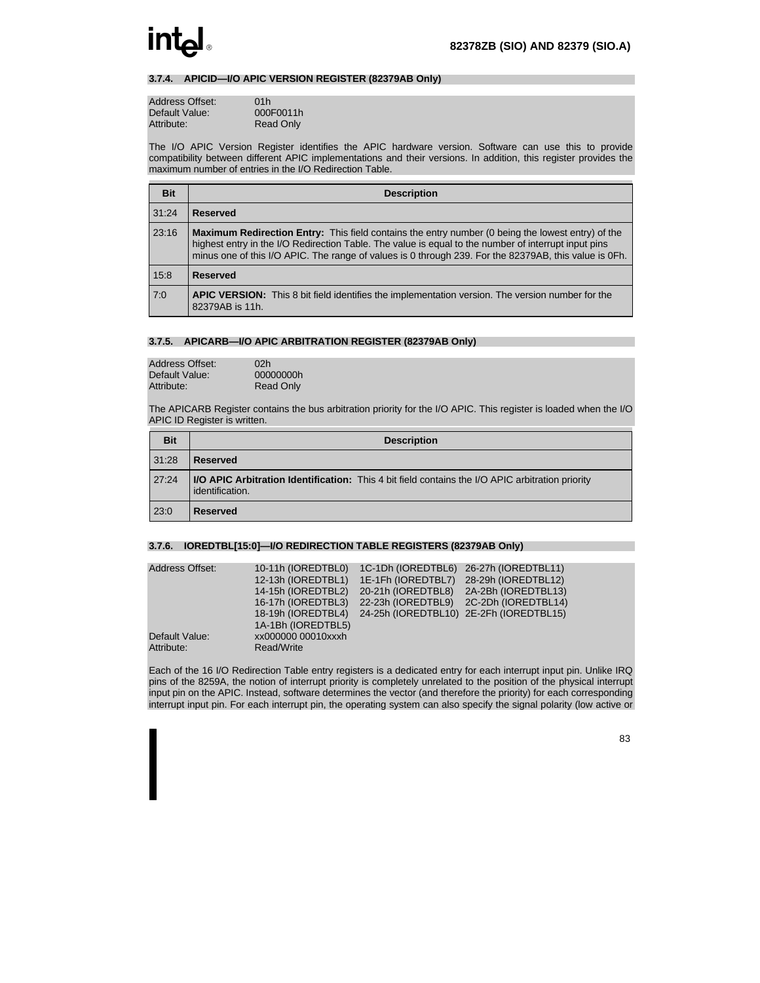## **3.7.4. APICID—I/O APIC VERSION REGISTER (82379AB Only)**

| Address Offset: | 01h       |
|-----------------|-----------|
| Default Value:  | 000F0011h |
| Attribute:      | Read Only |

The I/O APIC Version Register identifies the APIC hardware version. Software can use this to provide compatibility between different APIC implementations and their versions. In addition, this register provides the maximum number of entries in the I/O Redirection Table.

| <b>Bit</b> | <b>Description</b>                                                                                                                                                                                                                                                                                                        |
|------------|---------------------------------------------------------------------------------------------------------------------------------------------------------------------------------------------------------------------------------------------------------------------------------------------------------------------------|
| 31:24      | <b>Reserved</b>                                                                                                                                                                                                                                                                                                           |
| 23:16      | <b>Maximum Redirection Entry:</b> This field contains the entry number (0 being the lowest entry) of the<br>highest entry in the I/O Redirection Table. The value is equal to the number of interrupt input pins<br>minus one of this I/O APIC. The range of values is 0 through 239. For the 82379AB, this value is 0Fh. |
| 15:8       | <b>Reserved</b>                                                                                                                                                                                                                                                                                                           |
| 7:0        | <b>APIC VERSION:</b> This 8 bit field identifies the implementation version. The version number for the<br>82379AB is 11h.                                                                                                                                                                                                |

# **3.7.5. APICARB—I/O APIC ARBITRATION REGISTER (82379AB Only)**

| Address Offset: | 02h       |
|-----------------|-----------|
| Default Value:  | 00000000h |
| Attribute:      | Read Only |

The APICARB Register contains the bus arbitration priority for the I/O APIC. This register is loaded when the I/O APIC ID Register is written.

| <b>Bit</b> | <b>Description</b>                                                                                                         |
|------------|----------------------------------------------------------------------------------------------------------------------------|
| 31:28      | <b>Reserved</b>                                                                                                            |
| 27:24      | <b>I/O APIC Arbitration Identification:</b> This 4 bit field contains the I/O APIC arbitration priority<br>identification. |
| 23:0       | <b>Reserved</b>                                                                                                            |

# **3.7.6. IOREDTBL[15:0]—I/O REDIRECTION TABLE REGISTERS (82379AB Only)**

| <b>Address Offset:</b>       | 10-11h (IOREDTBL0)<br>12-13h (IOREDTBL1)<br>14-15h (IOREDTBL2)                                     | 1C-1Dh (IOREDTBL6) 26-27h (IOREDTBL11)<br>1E-1Fh (IOREDTBL7) 28-29h (IOREDTBL12) | 20-21h (IOREDTBL8) 2A-2Bh (IOREDTBL13)<br>22-23h (IOREDTBL9) 2C-2Dh (IOREDTBL14) |
|------------------------------|----------------------------------------------------------------------------------------------------|----------------------------------------------------------------------------------|----------------------------------------------------------------------------------|
| Default Value:<br>Attribute: | 16-17h (IOREDTBL3)<br>18-19h (IOREDTBL4)<br>1A-1Bh (IOREDTBL5)<br>xx000000 00010xxxh<br>Read/Write |                                                                                  | 24-25h (IOREDTBL10) 2E-2Fh (IOREDTBL15)                                          |

Each of the 16 I/O Redirection Table entry registers is a dedicated entry for each interrupt input pin. Unlike IRQ pins of the 8259A, the notion of interrupt priority is completely unrelated to the position of the physical interrupt input pin on the APIC. Instead, software determines the vector (and therefore the priority) for each corresponding interrupt input pin. For each interrupt pin, the operating system can also specify the signal polarity (low active or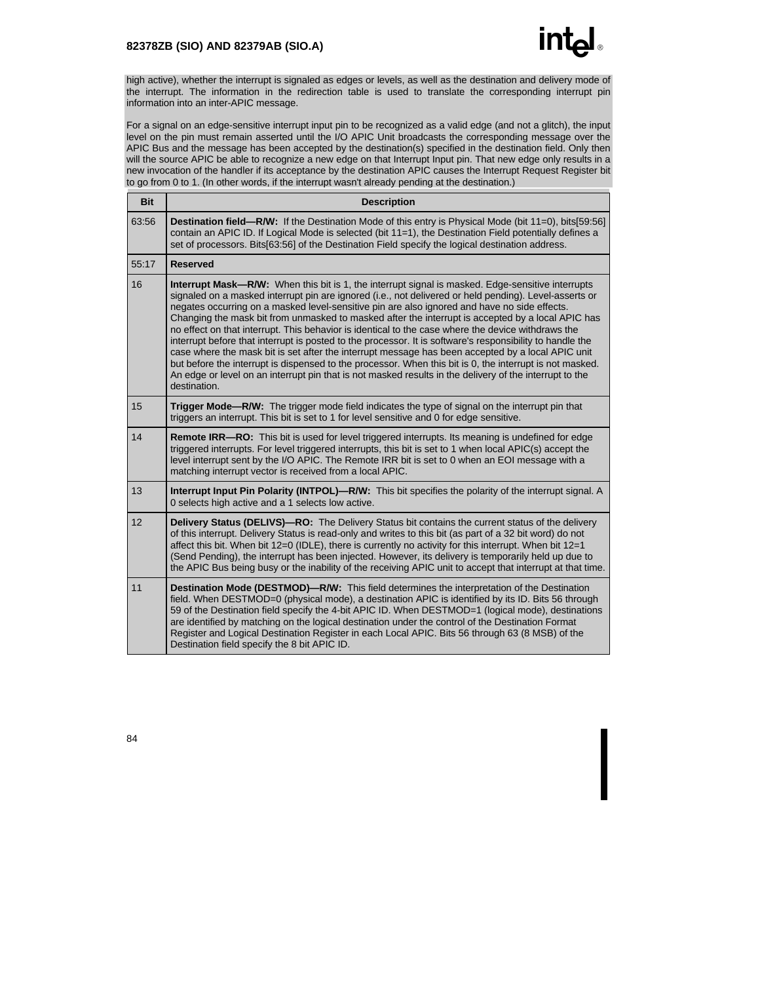

high active), whether the interrupt is signaled as edges or levels, as well as the destination and delivery mode of the interrupt. The information in the redirection table is used to translate the corresponding interrupt pin information into an inter-APIC message.

For a signal on an edge-sensitive interrupt input pin to be recognized as a valid edge (and not a glitch), the input level on the pin must remain asserted until the I/O APIC Unit broadcasts the corresponding message over the APIC Bus and the message has been accepted by the destination(s) specified in the destination field. Only then will the source APIC be able to recognize a new edge on that Interrupt Input pin. That new edge only results in a new invocation of the handler if its acceptance by the destination APIC causes the Interrupt Request Register bit to go from 0 to 1. (In other words, if the interrupt wasn't already pending at the destination.)

| <b>Bit</b> | <b>Description</b>                                                                                                                                                                                                                                                                                                                                                                                                                                                                                                                                                                                                                                                                                                                                                                                                                                                                                                                                                                    |
|------------|---------------------------------------------------------------------------------------------------------------------------------------------------------------------------------------------------------------------------------------------------------------------------------------------------------------------------------------------------------------------------------------------------------------------------------------------------------------------------------------------------------------------------------------------------------------------------------------------------------------------------------------------------------------------------------------------------------------------------------------------------------------------------------------------------------------------------------------------------------------------------------------------------------------------------------------------------------------------------------------|
| 63:56      | <b>Destination field—R/W:</b> If the Destination Mode of this entry is Physical Mode (bit 11=0), bits[59:56]<br>contain an APIC ID. If Logical Mode is selected (bit 11=1), the Destination Field potentially defines a<br>set of processors. Bits[63:56] of the Destination Field specify the logical destination address.                                                                                                                                                                                                                                                                                                                                                                                                                                                                                                                                                                                                                                                           |
| 55:17      | <b>Reserved</b>                                                                                                                                                                                                                                                                                                                                                                                                                                                                                                                                                                                                                                                                                                                                                                                                                                                                                                                                                                       |
| 16         | <b>Interrupt Mask—RW:</b> When this bit is 1, the interrupt signal is masked. Edge-sensitive interrupts<br>signaled on a masked interrupt pin are ignored (i.e., not delivered or held pending). Level-asserts or<br>negates occurring on a masked level-sensitive pin are also ignored and have no side effects.<br>Changing the mask bit from unmasked to masked after the interrupt is accepted by a local APIC has<br>no effect on that interrupt. This behavior is identical to the case where the device withdraws the<br>interrupt before that interrupt is posted to the processor. It is software's responsibility to handle the<br>case where the mask bit is set after the interrupt message has been accepted by a local APIC unit<br>but before the interrupt is dispensed to the processor. When this bit is 0, the interrupt is not masked.<br>An edge or level on an interrupt pin that is not masked results in the delivery of the interrupt to the<br>destination. |
| 15         | Trigger Mode—R/W: The trigger mode field indicates the type of signal on the interrupt pin that<br>triggers an interrupt. This bit is set to 1 for level sensitive and 0 for edge sensitive.                                                                                                                                                                                                                                                                                                                                                                                                                                                                                                                                                                                                                                                                                                                                                                                          |
| 14         | <b>Remote IRR—RO:</b> This bit is used for level triggered interrupts. Its meaning is undefined for edge<br>triggered interrupts. For level triggered interrupts, this bit is set to 1 when local APIC(s) accept the<br>level interrupt sent by the I/O APIC. The Remote IRR bit is set to 0 when an EOI message with a<br>matching interrupt vector is received from a local APIC.                                                                                                                                                                                                                                                                                                                                                                                                                                                                                                                                                                                                   |
| 13         | <b>Interrupt Input Pin Polarity (INTPOL)—R/W:</b> This bit specifies the polarity of the interrupt signal. A<br>0 selects high active and a 1 selects low active.                                                                                                                                                                                                                                                                                                                                                                                                                                                                                                                                                                                                                                                                                                                                                                                                                     |
| 12         | <b>Delivery Status (DELIVS)—RO:</b> The Delivery Status bit contains the current status of the delivery<br>of this interrupt. Delivery Status is read-only and writes to this bit (as part of a 32 bit word) do not<br>affect this bit. When bit 12=0 (IDLE), there is currently no activity for this interrupt. When bit 12=1<br>(Send Pending), the interrupt has been injected. However, its delivery is temporarily held up due to<br>the APIC Bus being busy or the inability of the receiving APIC unit to accept that interrupt at that time.                                                                                                                                                                                                                                                                                                                                                                                                                                  |
| 11         | <b>Destination Mode (DESTMOD)-R/W:</b> This field determines the interpretation of the Destination<br>field. When DESTMOD=0 (physical mode), a destination APIC is identified by its ID. Bits 56 through<br>59 of the Destination field specify the 4-bit APIC ID. When DESTMOD=1 (logical mode), destinations<br>are identified by matching on the logical destination under the control of the Destination Format<br>Register and Logical Destination Register in each Local APIC. Bits 56 through 63 (8 MSB) of the<br>Destination field specify the 8 bit APIC ID.                                                                                                                                                                                                                                                                                                                                                                                                                |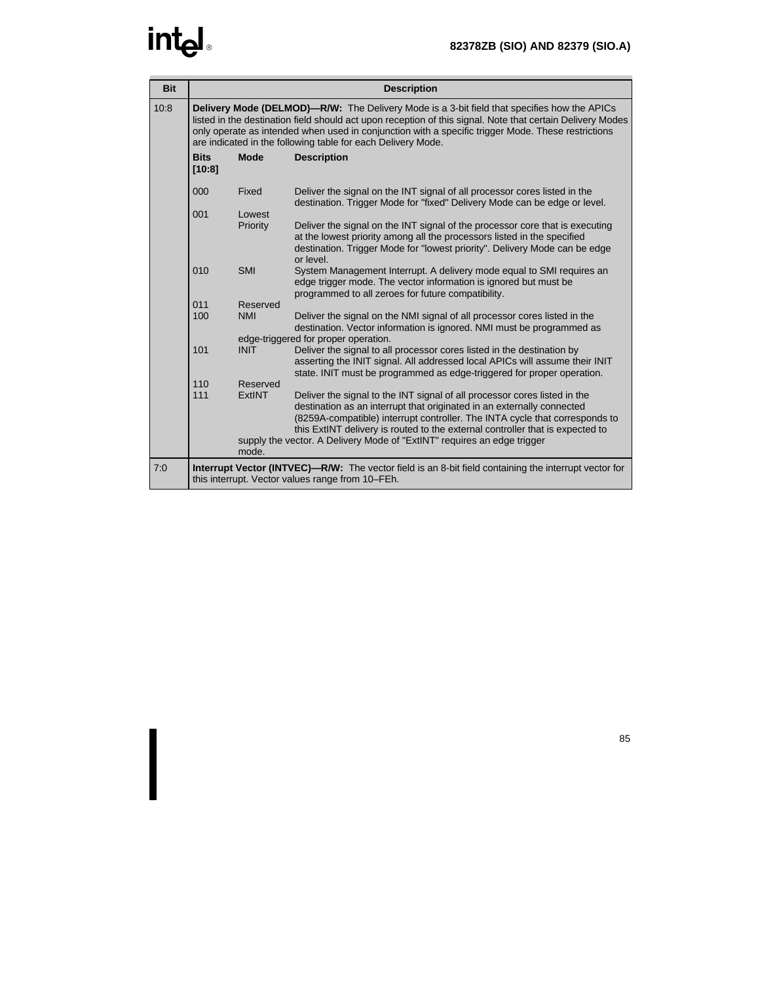| <b>Bit</b> |                                                                                                                                                                                                                                                                                                                                                                                        |                    | <b>Description</b>                                                                                                                                                                                                                                                                                                                                                                             |
|------------|----------------------------------------------------------------------------------------------------------------------------------------------------------------------------------------------------------------------------------------------------------------------------------------------------------------------------------------------------------------------------------------|--------------------|------------------------------------------------------------------------------------------------------------------------------------------------------------------------------------------------------------------------------------------------------------------------------------------------------------------------------------------------------------------------------------------------|
| 10:8       | <b>Delivery Mode (DELMOD)—R/W:</b> The Delivery Mode is a 3-bit field that specifies how the APICs<br>listed in the destination field should act upon reception of this signal. Note that certain Delivery Modes<br>only operate as intended when used in conjunction with a specific trigger Mode. These restrictions<br>are indicated in the following table for each Delivery Mode. |                    |                                                                                                                                                                                                                                                                                                                                                                                                |
|            | <b>Bits</b><br>[10:8]                                                                                                                                                                                                                                                                                                                                                                  | <b>Mode</b>        | <b>Description</b>                                                                                                                                                                                                                                                                                                                                                                             |
|            | 000                                                                                                                                                                                                                                                                                                                                                                                    | Fixed              | Deliver the signal on the INT signal of all processor cores listed in the<br>destination. Trigger Mode for "fixed" Delivery Mode can be edge or level.                                                                                                                                                                                                                                         |
|            | 001                                                                                                                                                                                                                                                                                                                                                                                    | Lowest<br>Priority | Deliver the signal on the INT signal of the processor core that is executing<br>at the lowest priority among all the processors listed in the specified<br>destination. Trigger Mode for "lowest priority". Delivery Mode can be edge<br>or level.                                                                                                                                             |
|            | 010                                                                                                                                                                                                                                                                                                                                                                                    | <b>SMI</b>         | System Management Interrupt. A delivery mode equal to SMI requires an<br>edge trigger mode. The vector information is ignored but must be<br>programmed to all zeroes for future compatibility.                                                                                                                                                                                                |
|            | 011                                                                                                                                                                                                                                                                                                                                                                                    | Reserved           |                                                                                                                                                                                                                                                                                                                                                                                                |
|            | 100                                                                                                                                                                                                                                                                                                                                                                                    | <b>NMI</b>         | Deliver the signal on the NMI signal of all processor cores listed in the<br>destination. Vector information is ignored. NMI must be programmed as<br>edge-triggered for proper operation.                                                                                                                                                                                                     |
|            | 101                                                                                                                                                                                                                                                                                                                                                                                    | <b>INIT</b>        | Deliver the signal to all processor cores listed in the destination by<br>asserting the INIT signal. All addressed local APICs will assume their INIT<br>state. INIT must be programmed as edge-triggered for proper operation.                                                                                                                                                                |
|            | 110                                                                                                                                                                                                                                                                                                                                                                                    | Reserved           |                                                                                                                                                                                                                                                                                                                                                                                                |
|            | 111                                                                                                                                                                                                                                                                                                                                                                                    | ExtINT             | Deliver the signal to the INT signal of all processor cores listed in the<br>destination as an interrupt that originated in an externally connected<br>(8259A-compatible) interrupt controller. The INTA cycle that corresponds to<br>this ExtINT delivery is routed to the external controller that is expected to<br>supply the vector. A Delivery Mode of "ExtINT" requires an edge trigger |
|            |                                                                                                                                                                                                                                                                                                                                                                                        | mode.              |                                                                                                                                                                                                                                                                                                                                                                                                |
| 7:0        | <b>Interrupt Vector (INTVEC)—R/W:</b> The vector field is an 8-bit field containing the interrupt vector for<br>this interrupt. Vector values range from 10–FEh.                                                                                                                                                                                                                       |                    |                                                                                                                                                                                                                                                                                                                                                                                                |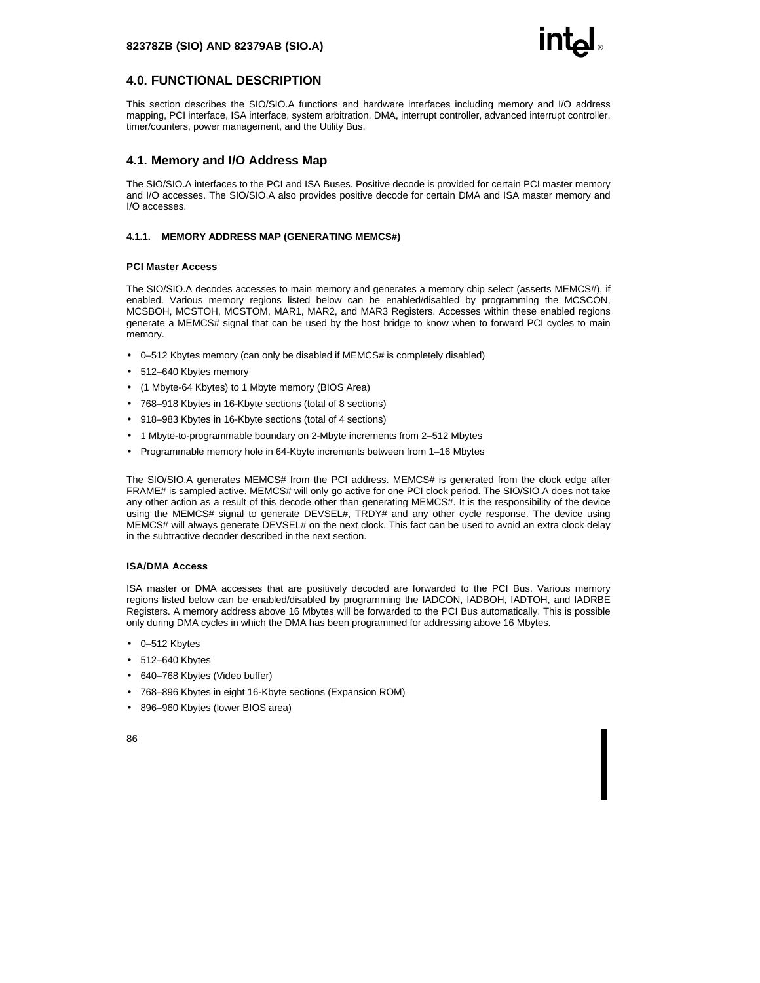

# **4.0. FUNCTIONAL DESCRIPTION**

This section describes the SIO/SIO.A functions and hardware interfaces including memory and I/O address mapping, PCI interface, ISA interface, system arbitration, DMA, interrupt controller, advanced interrupt controller, timer/counters, power management, and the Utility Bus.

# **4.1. Memory and I/O Address Map**

The SIO/SIO.A interfaces to the PCI and ISA Buses. Positive decode is provided for certain PCI master memory and I/O accesses. The SIO/SIO.A also provides positive decode for certain DMA and ISA master memory and I/O accesses.

## **4.1.1. MEMORY ADDRESS MAP (GENERATING MEMCS#)**

#### **PCI Master Access**

The SIO/SIO.A decodes accesses to main memory and generates a memory chip select (asserts MEMCS#), if enabled. Various memory regions listed below can be enabled/disabled by programming the MCSCON, MCSBOH, MCSTOH, MCSTOM, MAR1, MAR2, and MAR3 Registers. Accesses within these enabled regions generate a MEMCS# signal that can be used by the host bridge to know when to forward PCI cycles to main memory.

- 0–512 Kbytes memory (can only be disabled if MEMCS# is completely disabled)
- 512–640 Kbytes memory
- (1 Mbyte-64 Kbytes) to 1 Mbyte memory (BIOS Area)
- 768–918 Kbytes in 16-Kbyte sections (total of 8 sections)
- 918–983 Kbytes in 16-Kbyte sections (total of 4 sections)
- 1 Mbyte-to-programmable boundary on 2-Mbyte increments from 2–512 Mbytes
- Programmable memory hole in 64-Kbyte increments between from 1–16 Mbytes

The SIO/SIO.A generates MEMCS# from the PCI address. MEMCS# is generated from the clock edge after FRAME# is sampled active. MEMCS# will only go active for one PCI clock period. The SIO/SIO.A does not take any other action as a result of this decode other than generating MEMCS#. It is the responsibility of the device using the MEMCS# signal to generate DEVSEL#, TRDY# and any other cycle response. The device using MEMCS# will always generate DEVSEL# on the next clock. This fact can be used to avoid an extra clock delay in the subtractive decoder described in the next section.

#### **ISA/DMA Access**

ISA master or DMA accesses that are positively decoded are forwarded to the PCI Bus. Various memory regions listed below can be enabled/disabled by programming the IADCON, IADBOH, IADTOH, and IADRBE Registers. A memory address above 16 Mbytes will be forwarded to the PCI Bus automatically. This is possible only during DMA cycles in which the DMA has been programmed for addressing above 16 Mbytes.

- 0–512 Kbytes
- 512–640 Kbytes
- 640–768 Kbytes (Video buffer)
- 768–896 Kbytes in eight 16-Kbyte sections (Expansion ROM)
- 896–960 Kbytes (lower BIOS area)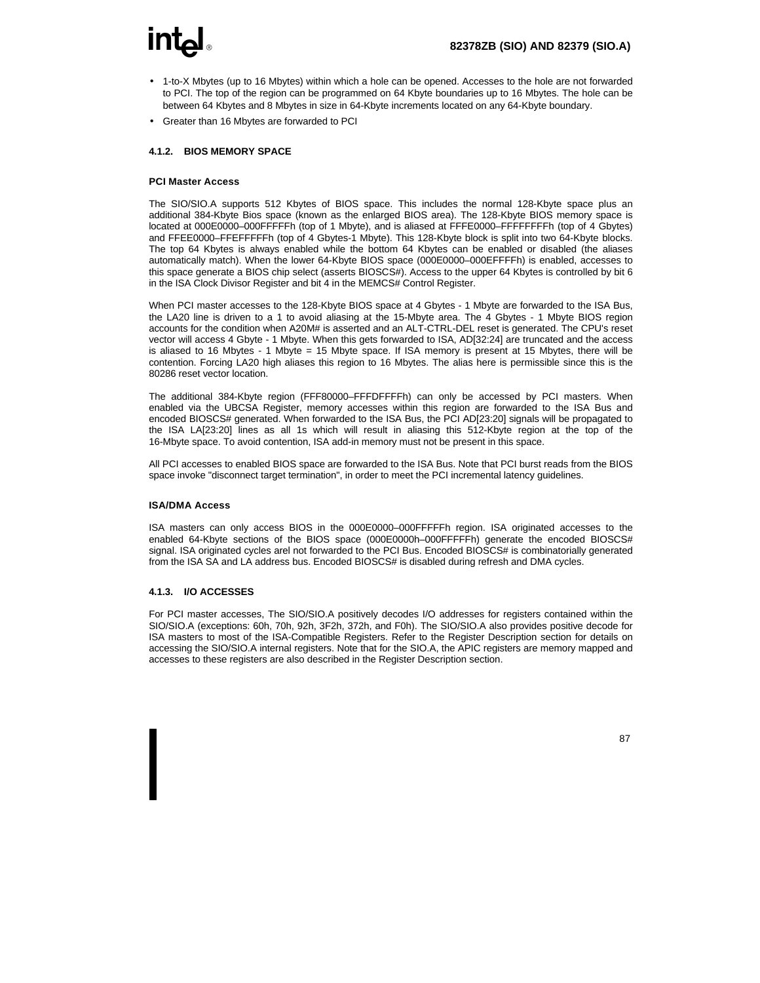- 1-to-X Mbytes (up to 16 Mbytes) within which a hole can be opened. Accesses to the hole are not forwarded to PCI. The top of the region can be programmed on 64 Kbyte boundaries up to 16 Mbytes. The hole can be between 64 Kbytes and 8 Mbytes in size in 64-Kbyte increments located on any 64-Kbyte boundary.
- Greater than 16 Mbytes are forwarded to PCI

## **4.1.2. BIOS MEMORY SPACE**

#### **PCI Master Access**

The SIO/SIO.A supports 512 Kbytes of BIOS space. This includes the normal 128-Kbyte space plus an additional 384-Kbyte Bios space (known as the enlarged BIOS area). The 128-Kbyte BIOS memory space is located at 000E0000–000FFFFFh (top of 1 Mbyte), and is aliased at FFFE0000–FFFFFFFFh (top of 4 Gbytes) and FFEE0000–FFEFFFFFh (top of 4 Gbytes-1 Mbyte). This 128-Kbyte block is split into two 64-Kbyte blocks. The top 64 Kbytes is always enabled while the bottom 64 Kbytes can be enabled or disabled (the aliases automatically match). When the lower 64-Kbyte BIOS space (000E0000–000EFFFFh) is enabled, accesses to this space generate a BIOS chip select (asserts BIOSCS#). Access to the upper 64 Kbytes is controlled by bit 6 in the ISA Clock Divisor Register and bit 4 in the MEMCS# Control Register.

When PCI master accesses to the 128-Kbyte BIOS space at 4 Gbytes - 1 Mbyte are forwarded to the ISA Bus, the LA20 line is driven to a 1 to avoid aliasing at the 15-Mbyte area. The 4 Gbytes - 1 Mbyte BIOS region accounts for the condition when A20M# is asserted and an ALT-CTRL-DEL reset is generated. The CPU's reset vector will access 4 Gbyte - 1 Mbyte. When this gets forwarded to ISA, AD[32:24] are truncated and the access is aliased to 16 Mbytes - 1 Mbyte = 15 Mbyte space. If ISA memory is present at 15 Mbytes, there will be contention. Forcing LA20 high aliases this region to 16 Mbytes. The alias here is permissible since this is the 80286 reset vector location.

The additional 384-Kbyte region (FFF80000–FFFDFFFFh) can only be accessed by PCI masters. When enabled via the UBCSA Register, memory accesses within this region are forwarded to the ISA Bus and encoded BIOSCS# generated. When forwarded to the ISA Bus, the PCI AD[23:20] signals will be propagated to the ISA LA[23:20] lines as all 1s which will result in aliasing this 512-Kbyte region at the top of the 16-Mbyte space. To avoid contention, ISA add-in memory must not be present in this space.

All PCI accesses to enabled BIOS space are forwarded to the ISA Bus. Note that PCI burst reads from the BIOS space invoke "disconnect target termination", in order to meet the PCI incremental latency guidelines.

#### **ISA/DMA Access**

ISA masters can only access BIOS in the 000E0000–000FFFFFh region. ISA originated accesses to the enabled 64-Kbyte sections of the BIOS space (000E0000h–000FFFFFh) generate the encoded BIOSCS# signal. ISA originated cycles arel not forwarded to the PCI Bus. Encoded BIOSCS# is combinatorially generated from the ISA SA and LA address bus. Encoded BIOSCS# is disabled during refresh and DMA cycles.

## **4.1.3. I/O ACCESSES**

For PCI master accesses, The SIO/SIO.A positively decodes I/O addresses for registers contained within the SIO/SIO.A (exceptions: 60h, 70h, 92h, 3F2h, 372h, and F0h). The SIO/SIO.A also provides positive decode for ISA masters to most of the ISA-Compatible Registers. Refer to the Register Description section for details on accessing the SIO/SIO.A internal registers. Note that for the SIO.A, the APIC registers are memory mapped and accesses to these registers are also described in the Register Description section.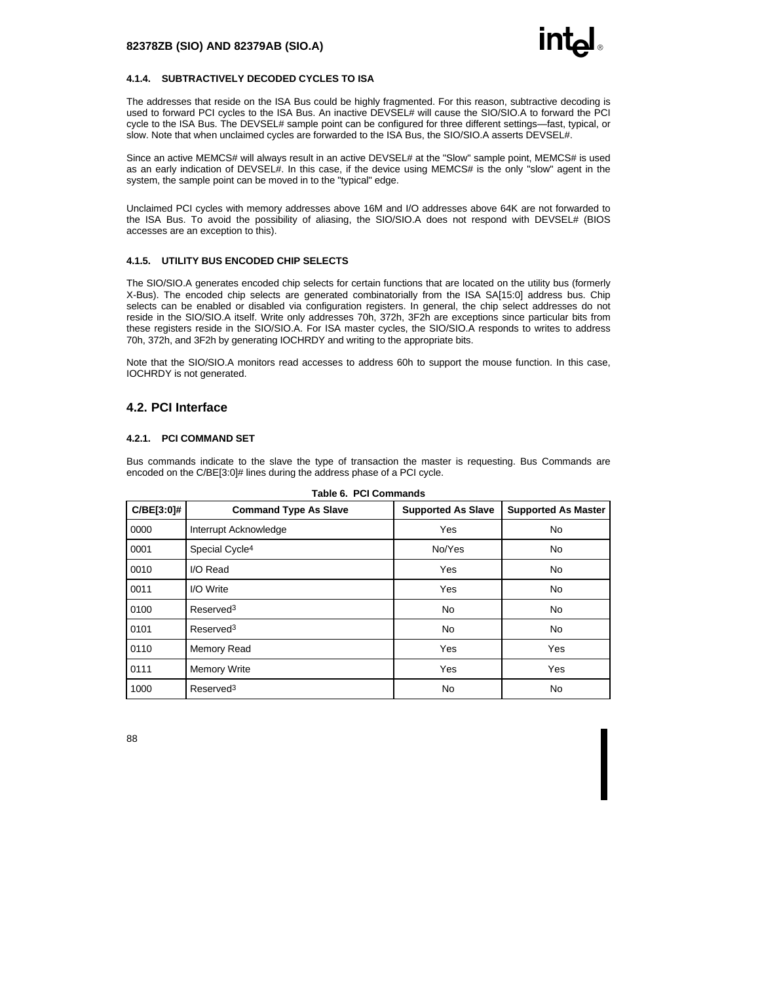

#### **4.1.4. SUBTRACTIVELY DECODED CYCLES TO ISA**

The addresses that reside on the ISA Bus could be highly fragmented. For this reason, subtractive decoding is used to forward PCI cycles to the ISA Bus. An inactive DEVSEL# will cause the SIO/SIO.A to forward the PCI cycle to the ISA Bus. The DEVSEL# sample point can be configured for three different settings—fast, typical, or slow. Note that when unclaimed cycles are forwarded to the ISA Bus, the SIO/SIO.A asserts DEVSEL#.

Since an active MEMCS# will always result in an active DEVSEL# at the "Slow" sample point, MEMCS# is used as an early indication of DEVSEL#. In this case, if the device using MEMCS# is the only "slow" agent in the system, the sample point can be moved in to the "typical" edge.

Unclaimed PCI cycles with memory addresses above 16M and I/O addresses above 64K are not forwarded to the ISA Bus. To avoid the possibility of aliasing, the SIO/SIO.A does not respond with DEVSEL# (BIOS accesses are an exception to this).

#### **4.1.5. UTILITY BUS ENCODED CHIP SELECTS**

The SIO/SIO.A generates encoded chip selects for certain functions that are located on the utility bus (formerly X-Bus). The encoded chip selects are generated combinatorially from the ISA SA[15:0] address bus. Chip selects can be enabled or disabled via configuration registers. In general, the chip select addresses do not reside in the SIO/SIO.A itself. Write only addresses 70h, 372h, 3F2h are exceptions since particular bits from these registers reside in the SIO/SIO.A. For ISA master cycles, the SIO/SIO.A responds to writes to address 70h, 372h, and 3F2h by generating IOCHRDY and writing to the appropriate bits.

Note that the SIO/SIO.A monitors read accesses to address 60h to support the mouse function. In this case, IOCHRDY is not generated.

# **4.2. PCI Interface**

#### **4.2.1. PCI COMMAND SET**

Bus commands indicate to the slave the type of transaction the master is requesting. Bus Commands are encoded on the C/BE[3:0]# lines during the address phase of a PCI cycle.

| $C/BE[3:0]$ # | <b>Command Type As Slave</b> | <b>Supported As Slave</b> | <b>Supported As Master</b> |
|---------------|------------------------------|---------------------------|----------------------------|
| 0000          | Interrupt Acknowledge        | Yes                       | No                         |
| 0001          | Special Cycle <sup>4</sup>   | No/Yes                    | <b>No</b>                  |
| 0010          | I/O Read                     | Yes                       | <b>No</b>                  |
| 0011          | I/O Write                    | Yes                       | <b>No</b>                  |
| 0100          | Reserved <sup>3</sup>        | <b>No</b>                 | <b>No</b>                  |
| 0101          | Reserved <sup>3</sup>        | <b>No</b>                 | <b>No</b>                  |
| 0110          | Memory Read                  | Yes                       | Yes                        |
| 0111          | <b>Memory Write</b>          | Yes                       | Yes                        |
| 1000          | Reserved <sup>3</sup>        | <b>No</b>                 | No                         |

**Table 6. PCI Commands**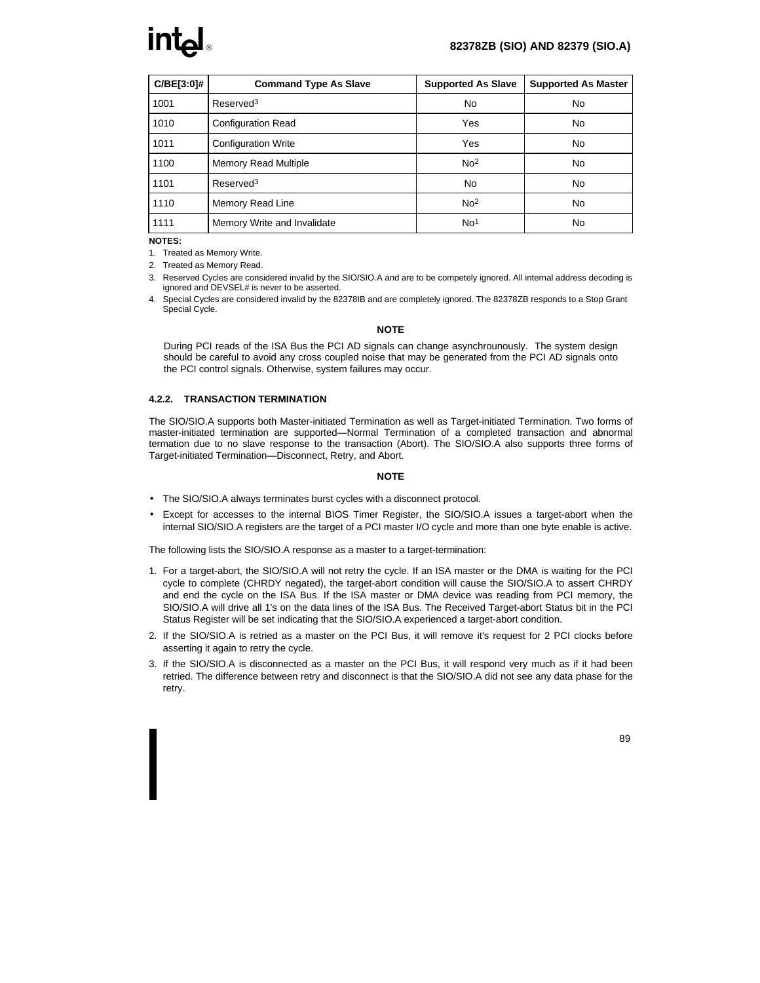| $C/BE[3:0]$ # | <b>Command Type As Slave</b> | <b>Supported As Slave</b> | <b>Supported As Master</b> |
|---------------|------------------------------|---------------------------|----------------------------|
| 1001          | Reserved <sup>3</sup>        | No.                       | No                         |
| 1010          | <b>Configuration Read</b>    | Yes                       | No                         |
| 1011          | <b>Configuration Write</b>   | Yes                       | No                         |
| 1100          | <b>Memory Read Multiple</b>  | No <sup>2</sup>           | No                         |
| 1101          | Reserved <sup>3</sup>        | <b>No</b>                 | No                         |
| 1110          | Memory Read Line             | No <sup>2</sup>           | No                         |
| 1111          | Memory Write and Invalidate  | No <sup>1</sup>           | No                         |

**NOTES:**

1. Treated as Memory Write.

2. Treated as Memory Read.

3. Reserved Cycles are considered invalid by the SIO/SIO.A and are to be competely ignored. All internal address decoding is ignored and DEVSEL# is never to be asserted.

4. Special Cycles are considered invalid by the 82378IB and are completely ignored. The 82378ZB responds to a Stop Grant Special Cycle.

## **NOTE**

During PCI reads of the ISA Bus the PCI AD signals can change asynchrounously. The system design should be careful to avoid any cross coupled noise that may be generated from the PCI AD signals onto the PCI control signals. Otherwise, system failures may occur.

## **4.2.2. TRANSACTION TERMINATION**

The SIO/SIO.A supports both Master-initiated Termination as well as Target-initiated Termination. Two forms of master-initiated termination are supported—Normal Termination of a completed transaction and abnormal termation due to no slave response to the transaction (Abort). The SIO/SIO.A also supports three forms of Target-initiated Termination—Disconnect, Retry, and Abort.

## **NOTE**

- The SIO/SIO.A always terminates burst cycles with a disconnect protocol.
- Except for accesses to the internal BIOS Timer Register, the SIO/SIO.A issues a target-abort when the internal SIO/SIO.A registers are the target of a PCI master I/O cycle and more than one byte enable is active.

The following lists the SIO/SIO.A response as a master to a target-termination:

- 1. For a target-abort, the SIO/SIO.A will not retry the cycle. If an ISA master or the DMA is waiting for the PCI cycle to complete (CHRDY negated), the target-abort condition will cause the SIO/SIO.A to assert CHRDY and end the cycle on the ISA Bus. If the ISA master or DMA device was reading from PCI memory, the SIO/SIO.A will drive all 1's on the data lines of the ISA Bus. The Received Target-abort Status bit in the PCI Status Register will be set indicating that the SIO/SIO.A experienced a target-abort condition.
- 2. If the SIO/SIO.A is retried as a master on the PCI Bus, it will remove it's request for 2 PCI clocks before asserting it again to retry the cycle.
- 3. If the SIO/SIO.A is disconnected as a master on the PCI Bus, it will respond very much as if it had been retried. The difference between retry and disconnect is that the SIO/SIO.A did not see any data phase for the retry.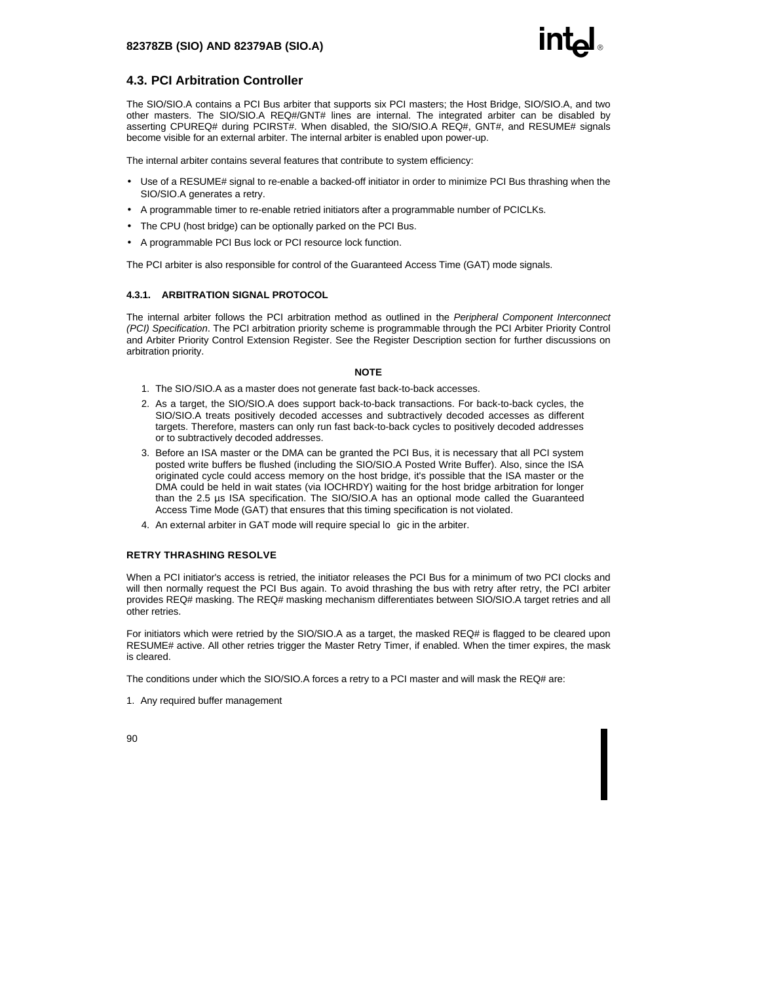

# **4.3. PCI Arbitration Controller**

The SIO/SIO.A contains a PCI Bus arbiter that supports six PCI masters; the Host Bridge, SIO/SIO.A, and two other masters. The SIO/SIO.A REQ#/GNT# lines are internal. The integrated arbiter can be disabled by asserting CPUREQ# during PCIRST#. When disabled, the SIO/SIO.A REQ#, GNT#, and RESUME# signals become visible for an external arbiter. The internal arbiter is enabled upon power-up.

The internal arbiter contains several features that contribute to system efficiency:

- Use of a RESUME# signal to re-enable a backed-off initiator in order to minimize PCI Bus thrashing when the SIO/SIO.A generates a retry.
- A programmable timer to re-enable retried initiators after a programmable number of PCICLKs.
- The CPU (host bridge) can be optionally parked on the PCI Bus.
- A programmable PCI Bus lock or PCI resource lock function.

The PCI arbiter is also responsible for control of the Guaranteed Access Time (GAT) mode signals.

## **4.3.1. ARBITRATION SIGNAL PROTOCOL**

The internal arbiter follows the PCI arbitration method as outlined in the Peripheral Component Interconnect (PCI) Specification. The PCI arbitration priority scheme is programmable through the PCI Arbiter Priority Control and Arbiter Priority Control Extension Register. See the Register Description section for further discussions on arbitration priority.

#### **NOTE**

- 1. The SIO/SIO.A as a master does not generate fast back-to-back accesses.
- 2. As a target, the SIO/SIO.A does support back-to-back transactions. For back-to-back cycles, the SIO/SIO.A treats positively decoded accesses and subtractively decoded accesses as different targets. Therefore, masters can only run fast back-to-back cycles to positively decoded addresses or to subtractively decoded addresses.
- 3. Before an ISA master or the DMA can be granted the PCI Bus, it is necessary that all PCI system posted write buffers be flushed (including the SIO/SIO.A Posted Write Buffer). Also, since the ISA originated cycle could access memory on the host bridge, it's possible that the ISA master or the DMA could be held in wait states (via IOCHRDY) waiting for the host bridge arbitration for longer than the 2.5 µs ISA specification. The SIO/SIO.A has an optional mode called the Guaranteed Access Time Mode (GAT) that ensures that this timing specification is not violated.
- 4. An external arbiter in GAT mode will require special lo gic in the arbiter.

#### **RETRY THRASHING RESOLVE**

When a PCI initiator's access is retried, the initiator releases the PCI Bus for a minimum of two PCI clocks and will then normally request the PCI Bus again. To avoid thrashing the bus with retry after retry, the PCI arbiter provides REQ# masking. The REQ# masking mechanism differentiates between SIO/SIO.A target retries and all other retries.

For initiators which were retried by the SIO/SIO.A as a target, the masked REQ# is flagged to be cleared upon RESUME# active. All other retries trigger the Master Retry Timer, if enabled. When the timer expires, the mask is cleared.

The conditions under which the SIO/SIO.A forces a retry to a PCI master and will mask the REQ# are:

1. Any required buffer management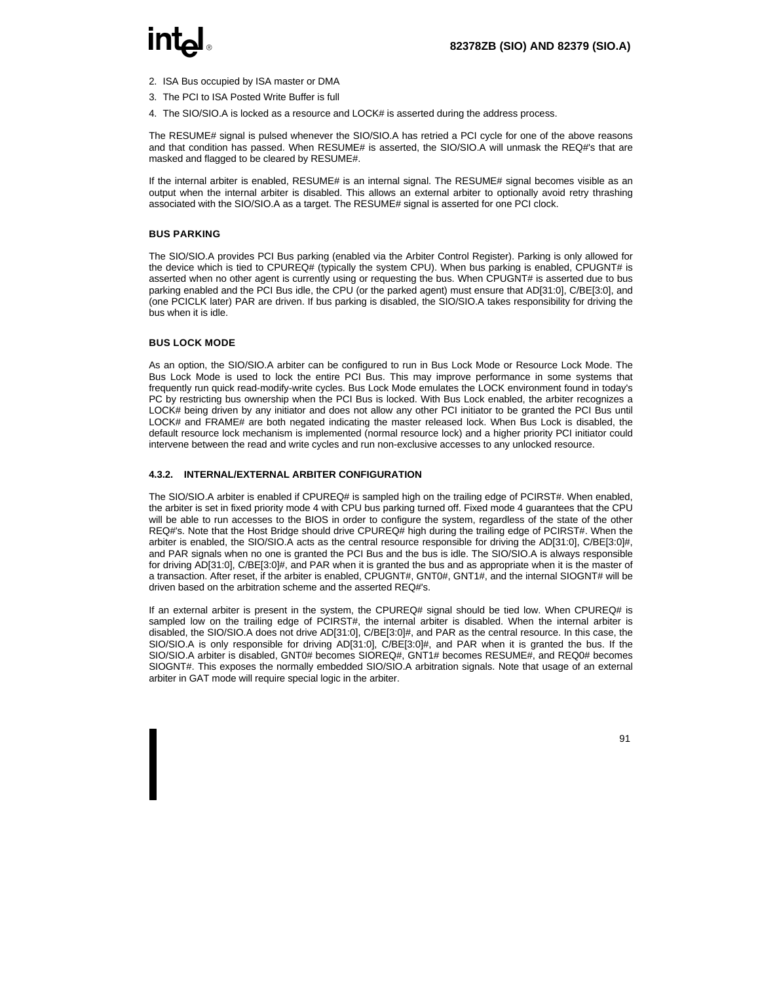# E **82378ZB (SIO) AND 82379 (SIO.A)**

- 2. ISA Bus occupied by ISA master or DMA
- 3. The PCI to ISA Posted Write Buffer is full
- 4. The SIO/SIO.A is locked as a resource and LOCK# is asserted during the address process.

The RESUME# signal is pulsed whenever the SIO/SIO.A has retried a PCI cycle for one of the above reasons and that condition has passed. When RESUME# is asserted, the SIO/SIO.A will unmask the REQ#'s that are masked and flagged to be cleared by RESUME#.

If the internal arbiter is enabled, RESUME# is an internal signal. The RESUME# signal becomes visible as an output when the internal arbiter is disabled. This allows an external arbiter to optionally avoid retry thrashing associated with the SIO/SIO.A as a target. The RESUME# signal is asserted for one PCI clock.

#### **BUS PARKING**

The SIO/SIO.A provides PCI Bus parking (enabled via the Arbiter Control Register). Parking is only allowed for the device which is tied to CPUREQ# (typically the system CPU). When bus parking is enabled, CPUGNT# is asserted when no other agent is currently using or requesting the bus. When CPUGNT# is asserted due to bus parking enabled and the PCI Bus idle, the CPU (or the parked agent) must ensure that AD[31:0], C/BE[3:0], and (one PCICLK later) PAR are driven. If bus parking is disabled, the SIO/SIO.A takes responsibility for driving the bus when it is idle.

## **BUS LOCK MODE**

As an option, the SIO/SIO.A arbiter can be configured to run in Bus Lock Mode or Resource Lock Mode. The Bus Lock Mode is used to lock the entire PCI Bus. This may improve performance in some systems that frequently run quick read-modify-write cycles. Bus Lock Mode emulates the LOCK environment found in today's PC by restricting bus ownership when the PCI Bus is locked. With Bus Lock enabled, the arbiter recognizes a LOCK# being driven by any initiator and does not allow any other PCI initiator to be granted the PCI Bus until LOCK# and FRAME# are both negated indicating the master released lock. When Bus Lock is disabled, the default resource lock mechanism is implemented (normal resource lock) and a higher priority PCI initiator could intervene between the read and write cycles and run non-exclusive accesses to any unlocked resource.

#### **4.3.2. INTERNAL/EXTERNAL ARBITER CONFIGURATION**

The SIO/SIO.A arbiter is enabled if CPUREQ# is sampled high on the trailing edge of PCIRST#. When enabled, the arbiter is set in fixed priority mode 4 with CPU bus parking turned off. Fixed mode 4 guarantees that the CPU will be able to run accesses to the BIOS in order to configure the system, regardless of the state of the other REQ#'s. Note that the Host Bridge should drive CPUREQ# high during the trailing edge of PCIRST#. When the arbiter is enabled, the SIO/SIO.A acts as the central resource responsible for driving the AD[31:0], C/BE[3:0]#, and PAR signals when no one is granted the PCI Bus and the bus is idle. The SIO/SIO.A is always responsible for driving AD[31:0], C/BE[3:0]#, and PAR when it is granted the bus and as appropriate when it is the master of a transaction. After reset, if the arbiter is enabled, CPUGNT#, GNT0#, GNT1#, and the internal SIOGNT# will be driven based on the arbitration scheme and the asserted REQ#'s.

If an external arbiter is present in the system, the CPUREQ# signal should be tied low. When CPUREQ# is sampled low on the trailing edge of PCIRST#, the internal arbiter is disabled. When the internal arbiter is disabled, the SIO/SIO.A does not drive AD[31:0], C/BE[3:0]#, and PAR as the central resource. In this case, the SIO/SIO.A is only responsible for driving AD[31:0], C/BE[3:0]#, and PAR when it is granted the bus. If the SIO/SIO.A arbiter is disabled, GNT0# becomes SIOREQ#, GNT1# becomes RESUME#, and REQ0# becomes SIOGNT#. This exposes the normally embedded SIO/SIO.A arbitration signals. Note that usage of an external arbiter in GAT mode will require special logic in the arbiter.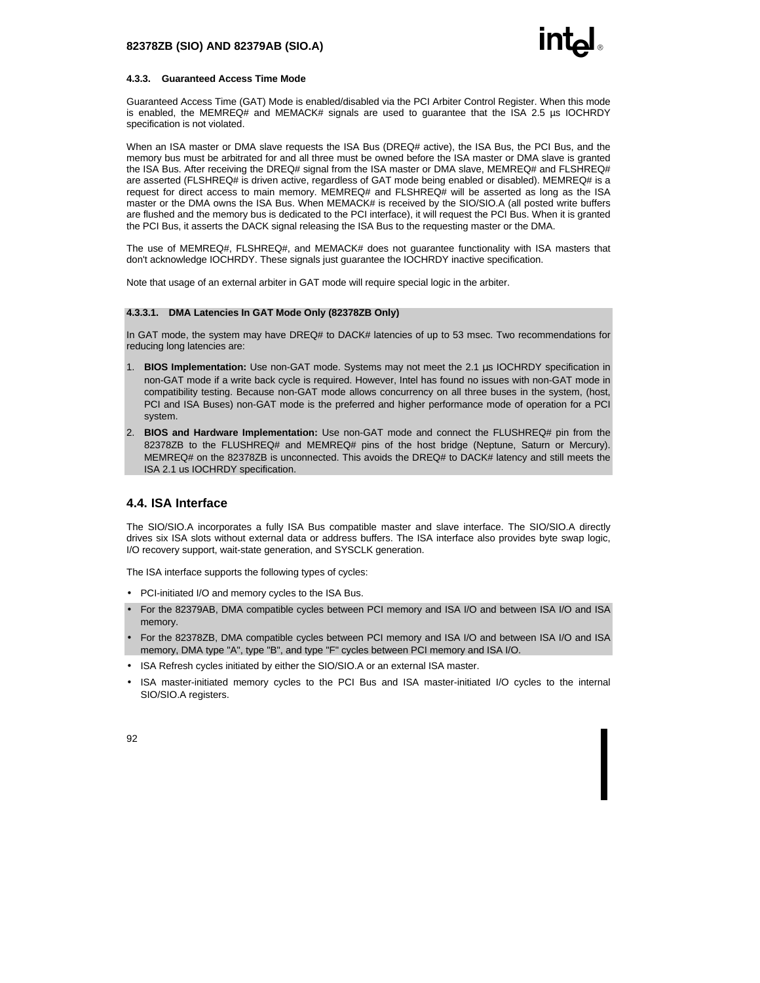

#### **4.3.3. Guaranteed Access Time Mode**

Guaranteed Access Time (GAT) Mode is enabled/disabled via the PCI Arbiter Control Register. When this mode is enabled, the MEMREQ# and MEMACK# signals are used to guarantee that the ISA 2.5 µs IOCHRDY specification is not violated.

When an ISA master or DMA slave requests the ISA Bus (DREQ# active), the ISA Bus, the PCI Bus, and the memory bus must be arbitrated for and all three must be owned before the ISA master or DMA slave is granted the ISA Bus. After receiving the DREQ# signal from the ISA master or DMA slave, MEMREQ# and FLSHREQ# are asserted (FLSHREQ# is driven active, regardless of GAT mode being enabled or disabled). MEMREQ# is a request for direct access to main memory. MEMREQ# and FLSHREQ# will be asserted as long as the ISA master or the DMA owns the ISA Bus. When MEMACK# is received by the SIO/SIO.A (all posted write buffers are flushed and the memory bus is dedicated to the PCI interface), it will request the PCI Bus. When it is granted the PCI Bus, it asserts the DACK signal releasing the ISA Bus to the requesting master or the DMA.

The use of MEMREQ#, FLSHREQ#, and MEMACK# does not guarantee functionality with ISA masters that don't acknowledge IOCHRDY. These signals just guarantee the IOCHRDY inactive specification.

Note that usage of an external arbiter in GAT mode will require special logic in the arbiter.

#### **4.3.3.1. DMA Latencies In GAT Mode Only (82378ZB Only)**

In GAT mode, the system may have DREQ# to DACK# latencies of up to 53 msec. Two recommendations for reducing long latencies are:

- 1. **BIOS Implementation:** Use non-GAT mode. Systems may not meet the 2.1 μs IOCHRDY specification in non-GAT mode if a write back cycle is required. However, Intel has found no issues with non-GAT mode in compatibility testing. Because non-GAT mode allows concurrency on all three buses in the system, (host, PCI and ISA Buses) non-GAT mode is the preferred and higher performance mode of operation for a PCI system.
- 2. **BIOS and Hardware Implementation:** Use non-GAT mode and connect the FLUSHREQ# pin from the 82378ZB to the FLUSHREQ# and MEMREQ# pins of the host bridge (Neptune, Saturn or Mercury). MEMREQ# on the 82378ZB is unconnected. This avoids the DREQ# to DACK# latency and still meets the ISA 2.1 us IOCHRDY specification.

# **4.4. ISA Interface**

The SIO/SIO.A incorporates a fully ISA Bus compatible master and slave interface. The SIO/SIO.A directly drives six ISA slots without external data or address buffers. The ISA interface also provides byte swap logic, I/O recovery support, wait-state generation, and SYSCLK generation.

The ISA interface supports the following types of cycles:

- PCI-initiated I/O and memory cycles to the ISA Bus.
- For the 82379AB, DMA compatible cycles between PCI memory and ISA I/O and between ISA I/O and ISA memory.
- For the 82378ZB, DMA compatible cycles between PCI memory and ISA I/O and between ISA I/O and ISA memory, DMA type "A", type "B", and type "F" cycles between PCI memory and ISA I/O.
- ISA Refresh cycles initiated by either the SIO/SIO.A or an external ISA master.
- ISA master-initiated memory cycles to the PCI Bus and ISA master-initiated I/O cycles to the internal SIO/SIO.A registers.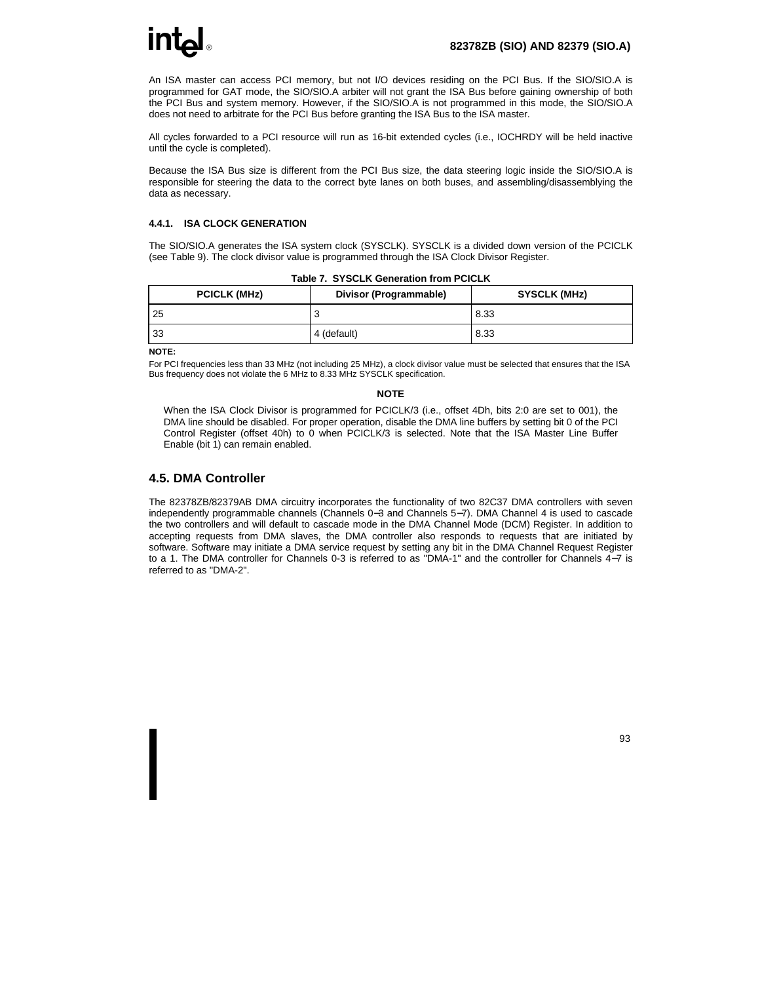An ISA master can access PCI memory, but not I/O devices residing on the PCI Bus. If the SIO/SIO.A is programmed for GAT mode, the SIO/SIO.A arbiter will not grant the ISA Bus before gaining ownership of both the PCI Bus and system memory. However, if the SIO/SIO.A is not programmed in this mode, the SIO/SIO.A does not need to arbitrate for the PCI Bus before granting the ISA Bus to the ISA master.

All cycles forwarded to a PCI resource will run as 16-bit extended cycles (i.e., IOCHRDY will be held inactive until the cycle is completed).

Because the ISA Bus size is different from the PCI Bus size, the data steering logic inside the SIO/SIO.A is responsible for steering the data to the correct byte lanes on both buses, and assembling/disassemblying the data as necessary.

## **4.4.1. ISA CLOCK GENERATION**

The SIO/SIO.A generates the ISA system clock (SYSCLK). SYSCLK is a divided down version of the PCICLK (see Table 9). The clock divisor value is programmed through the ISA Clock Divisor Register.

| <b>PCICLK (MHz)</b> | Divisor (Programmable) | <b>SYSCLK (MHz)</b> |
|---------------------|------------------------|---------------------|
| 25                  | u                      | 8.33                |
| 33                  | 4 (default)            | 8.33                |

**Table 7. SYSCLK Generation from PCICLK**

**NOTE:**

For PCI frequencies less than 33 MHz (not including 25 MHz), a clock divisor value must be selected that ensures that the ISA Bus frequency does not violate the 6 MHz to 8.33 MHz SYSCLK specification.

## **NOTE**

When the ISA Clock Divisor is programmed for PCICLK/3 (i.e., offset 4Dh, bits 2:0 are set to 001), the DMA line should be disabled. For proper operation, disable the DMA line buffers by setting bit 0 of the PCI Control Register (offset 40h) to 0 when PCICLK/3 is selected. Note that the ISA Master Line Buffer Enable (bit 1) can remain enabled.

# **4.5. DMA Controller**

The 82378ZB/82379AB DMA circuitry incorporates the functionality of two 82C37 DMA controllers with seven independently programmable channels (Channels 0−3 and Channels 5−7). DMA Channel 4 is used to cascade the two controllers and will default to cascade mode in the DMA Channel Mode (DCM) Register. In addition to accepting requests from DMA slaves, the DMA controller also responds to requests that are initiated by software. Software may initiate a DMA service request by setting any bit in the DMA Channel Request Register to a 1. The DMA controller for Channels 0-3 is referred to as "DMA-1" and the controller for Channels 4−7 is referred to as "DMA-2".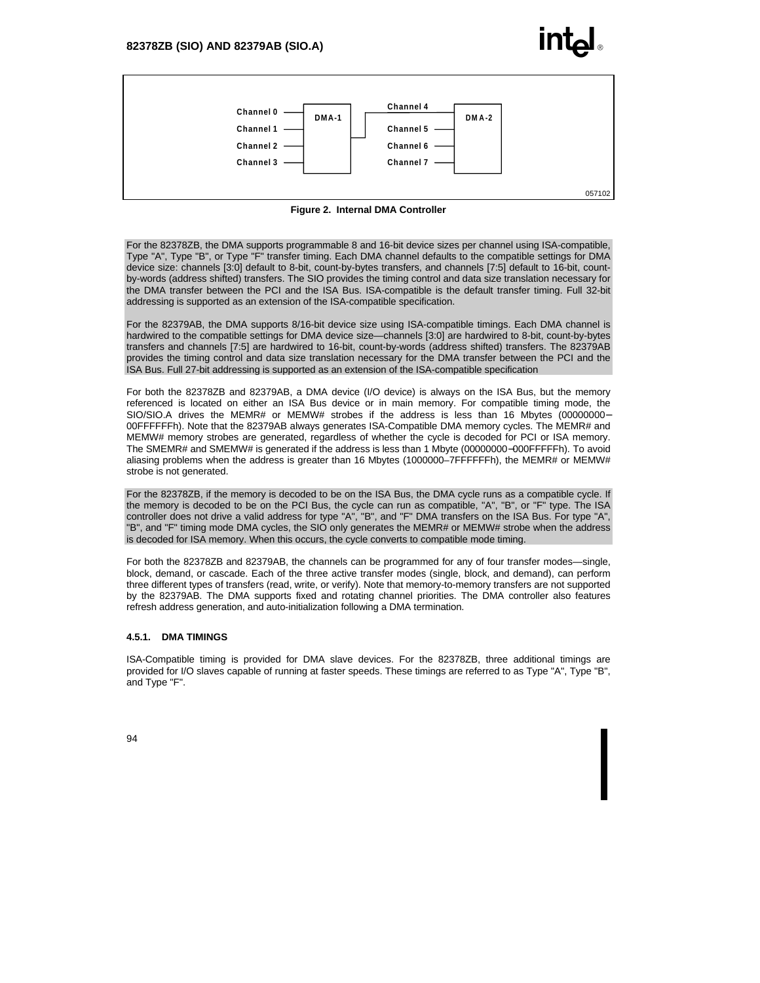



**Figure 2. Internal DMA Controller**

For the 82378ZB, the DMA supports programmable 8 and 16-bit device sizes per channel using ISA-compatible, Type "A", Type "B", or Type "F" transfer timing. Each DMA channel defaults to the compatible settings for DMA device size: channels [3:0] default to 8-bit, count-by-bytes transfers, and channels [7:5] default to 16-bit, countby-words (address shifted) transfers. The SIO provides the timing control and data size translation necessary for the DMA transfer between the PCI and the ISA Bus. ISA-compatible is the default transfer timing. Full 32-bit addressing is supported as an extension of the ISA-compatible specification.

For the 82379AB, the DMA supports 8/16-bit device size using ISA-compatible timings. Each DMA channel is hardwired to the compatible settings for DMA device size—channels [3:0] are hardwired to 8-bit, count-by-bytes transfers and channels [7:5] are hardwired to 16-bit, count-by-words (address shifted) transfers. The 82379AB provides the timing control and data size translation necessary for the DMA transfer between the PCI and the ISA Bus. Full 27-bit addressing is supported as an extension of the ISA-compatible specification

For both the 82378ZB and 82379AB, a DMA device (I/O device) is always on the ISA Bus, but the memory referenced is located on either an ISA Bus device or in main memory. For compatible timing mode, the SIO/SIO.A drives the MEMR# or MEMW# strobes if the address is less than 16 Mbytes (00000000− 00FFFFFFh). Note that the 82379AB always generates ISA-Compatible DMA memory cycles. The MEMR# and MEMW# memory strobes are generated, regardless of whether the cycle is decoded for PCI or ISA memory. The SMEMR# and SMEMW# is generated if the address is less than 1 Mbyte (00000000−000FFFFFh). To avoid aliasing problems when the address is greater than 16 Mbytes (1000000-7FFFFFFh), the MEMR# or MEMW# strobe is not generated.

For the 82378ZB, if the memory is decoded to be on the ISA Bus, the DMA cycle runs as a compatible cycle. If the memory is decoded to be on the PCI Bus, the cycle can run as compatible, "A", "B", or "F" type. The ISA controller does not drive a valid address for type "A", "B", and "F" DMA transfers on the ISA Bus. For type "A", "B", and "F" timing mode DMA cycles, the SIO only generates the MEMR# or MEMW# strobe when the address is decoded for ISA memory. When this occurs, the cycle converts to compatible mode timing.

For both the 82378ZB and 82379AB, the channels can be programmed for any of four transfer modes—single, block, demand, or cascade. Each of the three active transfer modes (single, block, and demand), can perform three different types of transfers (read, write, or verify). Note that memory-to-memory transfers are not supported by the 82379AB. The DMA supports fixed and rotating channel priorities. The DMA controller also features refresh address generation, and auto-initialization following a DMA termination.

#### **4.5.1. DMA TIMINGS**

ISA-Compatible timing is provided for DMA slave devices. For the 82378ZB, three additional timings are provided for I/O slaves capable of running at faster speeds. These timings are referred to as Type "A", Type "B", and Type "F".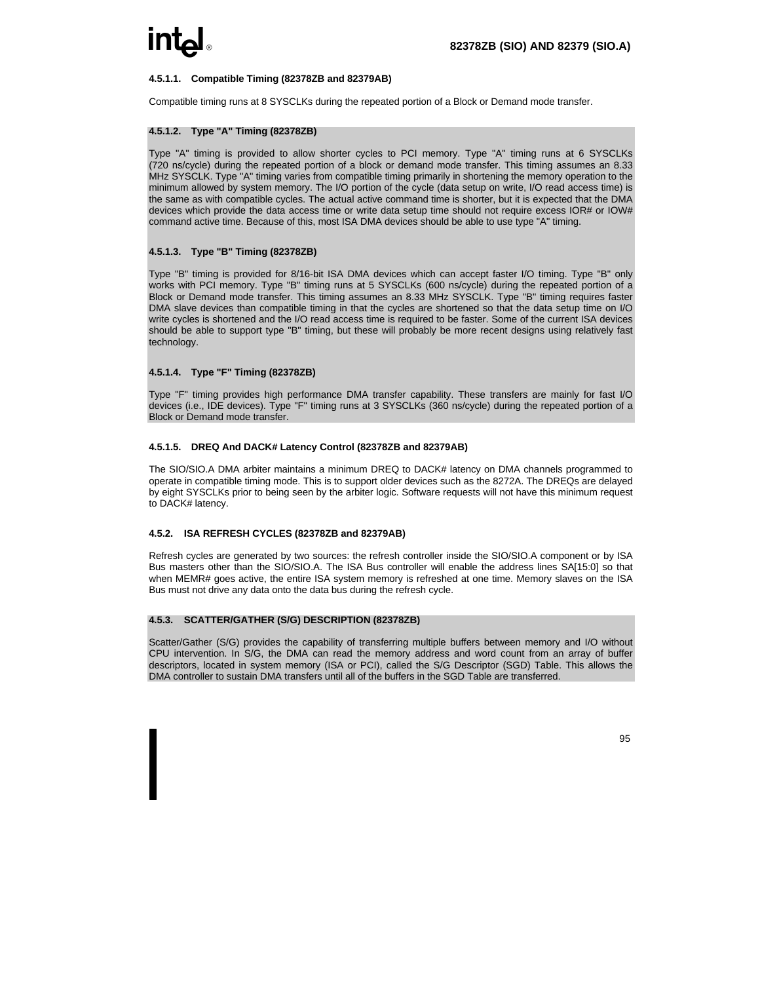

#### **4.5.1.1. Compatible Timing (82378ZB and 82379AB)**

Compatible timing runs at 8 SYSCLKs during the repeated portion of a Block or Demand mode transfer.

#### **4.5.1.2. Type "A" Timing (82378ZB)**

Type "A" timing is provided to allow shorter cycles to PCI memory. Type "A" timing runs at 6 SYSCLKs (720 ns/cycle) during the repeated portion of a block or demand mode transfer. This timing assumes an 8.33 MHz SYSCLK. Type "A" timing varies from compatible timing primarily in shortening the memory operation to the minimum allowed by system memory. The I/O portion of the cycle (data setup on write, I/O read access time) is the same as with compatible cycles. The actual active command time is shorter, but it is expected that the DMA devices which provide the data access time or write data setup time should not require excess IOR# or IOW# command active time. Because of this, most ISA DMA devices should be able to use type "A" timing.

#### **4.5.1.3. Type "B" Timing (82378ZB)**

Type "B" timing is provided for 8/16-bit ISA DMA devices which can accept faster I/O timing. Type "B" only works with PCI memory. Type "B" timing runs at 5 SYSCLKs (600 ns/cycle) during the repeated portion of a Block or Demand mode transfer. This timing assumes an 8.33 MHz SYSCLK. Type "B" timing requires faster DMA slave devices than compatible timing in that the cycles are shortened so that the data setup time on I/O write cycles is shortened and the I/O read access time is required to be faster. Some of the current ISA devices should be able to support type "B" timing, but these will probably be more recent designs using relatively fast technology.

#### **4.5.1.4. Type "F" Timing (82378ZB)**

Type "F" timing provides high performance DMA transfer capability. These transfers are mainly for fast I/O devices (i.e., IDE devices). Type "F" timing runs at 3 SYSCLKs (360 ns/cycle) during the repeated portion of a Block or Demand mode transfer.

#### **4.5.1.5. DREQ And DACK# Latency Control (82378ZB and 82379AB)**

The SIO/SIO.A DMA arbiter maintains a minimum DREQ to DACK# latency on DMA channels programmed to operate in compatible timing mode. This is to support older devices such as the 8272A. The DREQs are delayed by eight SYSCLKs prior to being seen by the arbiter logic. Software requests will not have this minimum request to DACK# latency.

#### **4.5.2. ISA REFRESH CYCLES (82378ZB and 82379AB)**

Refresh cycles are generated by two sources: the refresh controller inside the SIO/SIO.A component or by ISA Bus masters other than the SIO/SIO.A. The ISA Bus controller will enable the address lines SA[15:0] so that when MEMR# goes active, the entire ISA system memory is refreshed at one time. Memory slaves on the ISA Bus must not drive any data onto the data bus during the refresh cycle.

## **4.5.3. SCATTER/GATHER (S/G) DESCRIPTION (82378ZB)**

Scatter/Gather (S/G) provides the capability of transferring multiple buffers between memory and I/O without CPU intervention. In S/G, the DMA can read the memory address and word count from an array of buffer descriptors, located in system memory (ISA or PCI), called the S/G Descriptor (SGD) Table. This allows the DMA controller to sustain DMA transfers until all of the buffers in the SGD Table are transferred.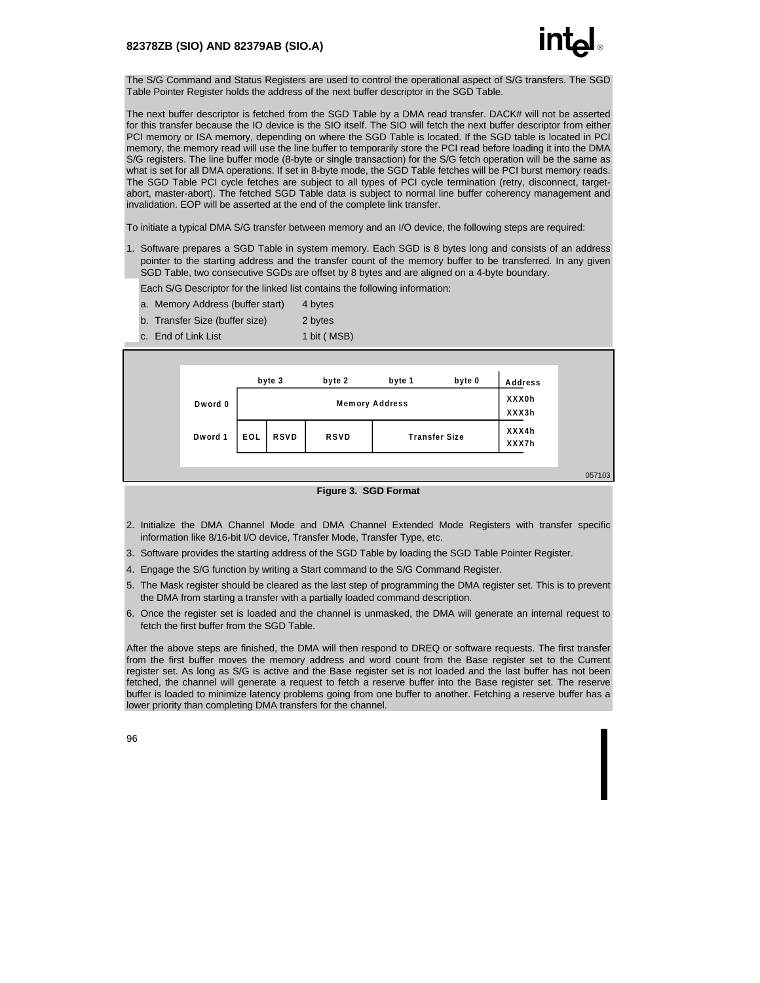

The S/G Command and Status Registers are used to control the operational aspect of S/G transfers. The SGD Table Pointer Register holds the address of the next buffer descriptor in the SGD Table.

The next buffer descriptor is fetched from the SGD Table by a DMA read transfer. DACK# will not be asserted for this transfer because the IO device is the SIO itself. The SIO will fetch the next buffer descriptor from either PCI memory or ISA memory, depending on where the SGD Table is located. If the SGD table is located in PCI memory, the memory read will use the line buffer to temporarily store the PCI read before loading it into the DMA S/G registers. The line buffer mode (8-byte or single transaction) for the S/G fetch operation will be the same as what is set for all DMA operations. If set in 8-byte mode, the SGD Table fetches will be PCI burst memory reads. The SGD Table PCI cycle fetches are subject to all types of PCI cycle termination (retry, disconnect, targetabort, master-abort). The fetched SGD Table data is subject to normal line buffer coherency management and invalidation. EOP will be asserted at the end of the complete link transfer.

To initiate a typical DMA S/G transfer between memory and an I/O device, the following steps are required:

1. Software prepares a SGD Table in system memory. Each SGD is 8 bytes long and consists of an address pointer to the starting address and the transfer count of the memory buffer to be transferred. In any given SGD Table, two consecutive SGDs are offset by 8 bytes and are aligned on a 4-byte boundary.

Each S/G Descriptor for the linked list contains the following information:

- a. Memory Address (buffer start) 4 bytes
- b. Transfer Size (buffer size) 2 bytes
- c. End of Link List 1 bit (MSB)



## **Figure 3. SGD Format**

- 2. Initialize the DMA Channel Mode and DMA Channel Extended Mode Registers with transfer specific information like 8/16-bit I/O device, Transfer Mode, Transfer Type, etc.
- 3. Software provides the starting address of the SGD Table by loading the SGD Table Pointer Register.
- 4. Engage the S/G function by writing a Start command to the S/G Command Register.
- 5. The Mask register should be cleared as the last step of programming the DMA register set. This is to prevent the DMA from starting a transfer with a partially loaded command description.
- 6. Once the register set is loaded and the channel is unmasked, the DMA will generate an internal request to fetch the first buffer from the SGD Table.

After the above steps are finished, the DMA will then respond to DREQ or software requests. The first transfer from the first buffer moves the memory address and word count from the Base register set to the Current register set. As long as S/G is active and the Base register set is not loaded and the last buffer has not been fetched, the channel will generate a request to fetch a reserve buffer into the Base register set. The reserve buffer is loaded to minimize latency problems going from one buffer to another. Fetching a reserve buffer has a lower priority than completing DMA transfers for the channel.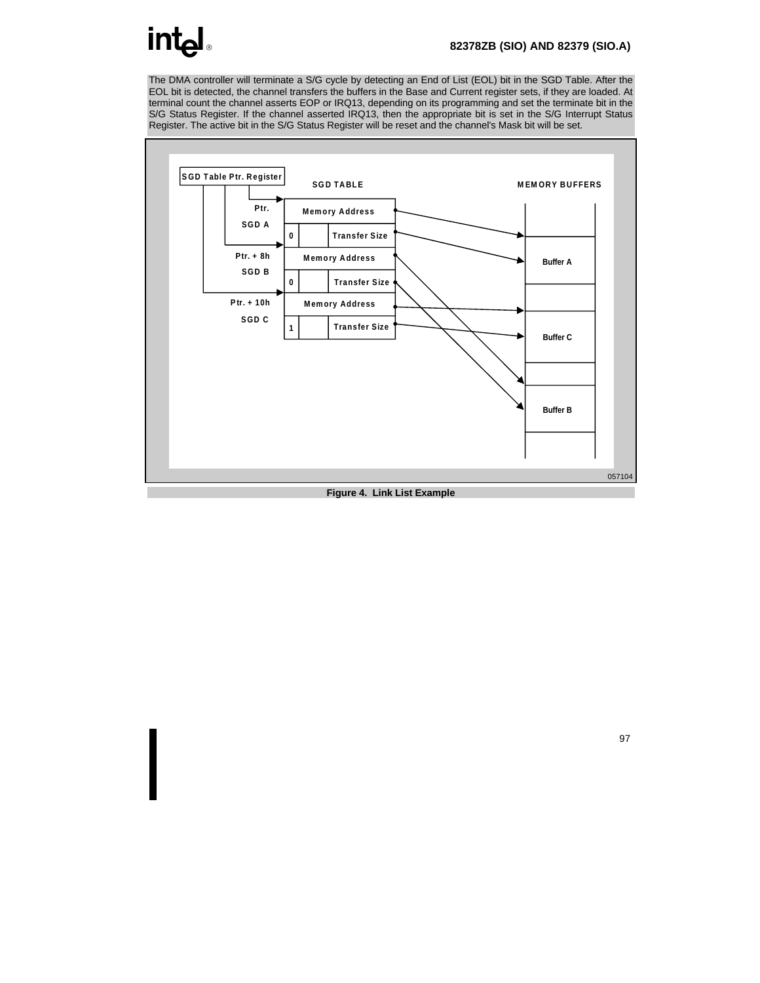# E **82378ZB (SIO) AND 82379 (SIO.A)**

The DMA controller will terminate a S/G cycle by detecting an End of List (EOL) bit in the SGD Table. After the EOL bit is detected, the channel transfers the buffers in the Base and Current register sets, if they are loaded. At terminal count the channel asserts EOP or IRQ13, depending on its programming and set the terminate bit in the S/G Status Register. If the channel asserted IRQ13, then the appropriate bit is set in the S/G Interrupt Status Register. The active bit in the S/G Status Register will be reset and the channel's Mask bit will be set.



97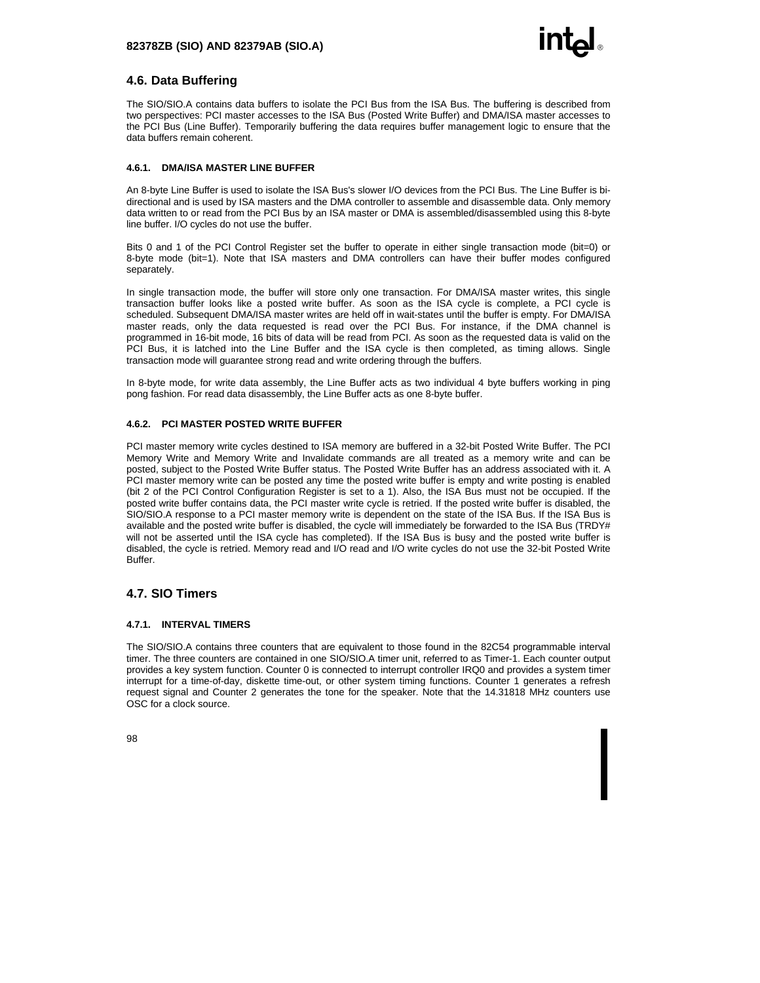

# **4.6. Data Buffering**

The SIO/SIO.A contains data buffers to isolate the PCI Bus from the ISA Bus. The buffering is described from two perspectives: PCI master accesses to the ISA Bus (Posted Write Buffer) and DMA/ISA master accesses to the PCI Bus (Line Buffer). Temporarily buffering the data requires buffer management logic to ensure that the data buffers remain coherent.

#### **4.6.1. DMA/ISA MASTER LINE BUFFER**

An 8-byte Line Buffer is used to isolate the ISA Bus's slower I/O devices from the PCI Bus. The Line Buffer is bidirectional and is used by ISA masters and the DMA controller to assemble and disassemble data. Only memory data written to or read from the PCI Bus by an ISA master or DMA is assembled/disassembled using this 8-byte line buffer. I/O cycles do not use the buffer.

Bits 0 and 1 of the PCI Control Register set the buffer to operate in either single transaction mode (bit=0) or 8-byte mode (bit=1). Note that ISA masters and DMA controllers can have their buffer modes configured separately.

In single transaction mode, the buffer will store only one transaction. For DMA/ISA master writes, this single transaction buffer looks like a posted write buffer. As soon as the ISA cycle is complete, a PCI cycle is scheduled. Subsequent DMA/ISA master writes are held off in wait-states until the buffer is empty. For DMA/ISA master reads, only the data requested is read over the PCI Bus. For instance, if the DMA channel is programmed in 16-bit mode, 16 bits of data will be read from PCI. As soon as the requested data is valid on the PCI Bus, it is latched into the Line Buffer and the ISA cycle is then completed, as timing allows. Single transaction mode will guarantee strong read and write ordering through the buffers.

In 8-byte mode, for write data assembly, the Line Buffer acts as two individual 4 byte buffers working in ping pong fashion. For read data disassembly, the Line Buffer acts as one 8-byte buffer.

## **4.6.2. PCI MASTER POSTED WRITE BUFFER**

PCI master memory write cycles destined to ISA memory are buffered in a 32-bit Posted Write Buffer. The PCI Memory Write and Memory Write and Invalidate commands are all treated as a memory write and can be posted, subject to the Posted Write Buffer status. The Posted Write Buffer has an address associated with it. A PCI master memory write can be posted any time the posted write buffer is empty and write posting is enabled (bit 2 of the PCI Control Configuration Register is set to a 1). Also, the ISA Bus must not be occupied. If the posted write buffer contains data, the PCI master write cycle is retried. If the posted write buffer is disabled, the SIO/SIO.A response to a PCI master memory write is dependent on the state of the ISA Bus. If the ISA Bus is available and the posted write buffer is disabled, the cycle will immediately be forwarded to the ISA Bus (TRDY# will not be asserted until the ISA cycle has completed). If the ISA Bus is busy and the posted write buffer is disabled, the cycle is retried. Memory read and I/O read and I/O write cycles do not use the 32-bit Posted Write Buffer.

# **4.7. SIO Timers**

#### **4.7.1. INTERVAL TIMERS**

The SIO/SIO.A contains three counters that are equivalent to those found in the 82C54 programmable interval timer. The three counters are contained in one SIO/SIO.A timer unit, referred to as Timer-1. Each counter output provides a key system function. Counter 0 is connected to interrupt controller IRQ0 and provides a system timer interrupt for a time-of-day, diskette time-out, or other system timing functions. Counter 1 generates a refresh request signal and Counter 2 generates the tone for the speaker. Note that the 14.31818 MHz counters use OSC for a clock source.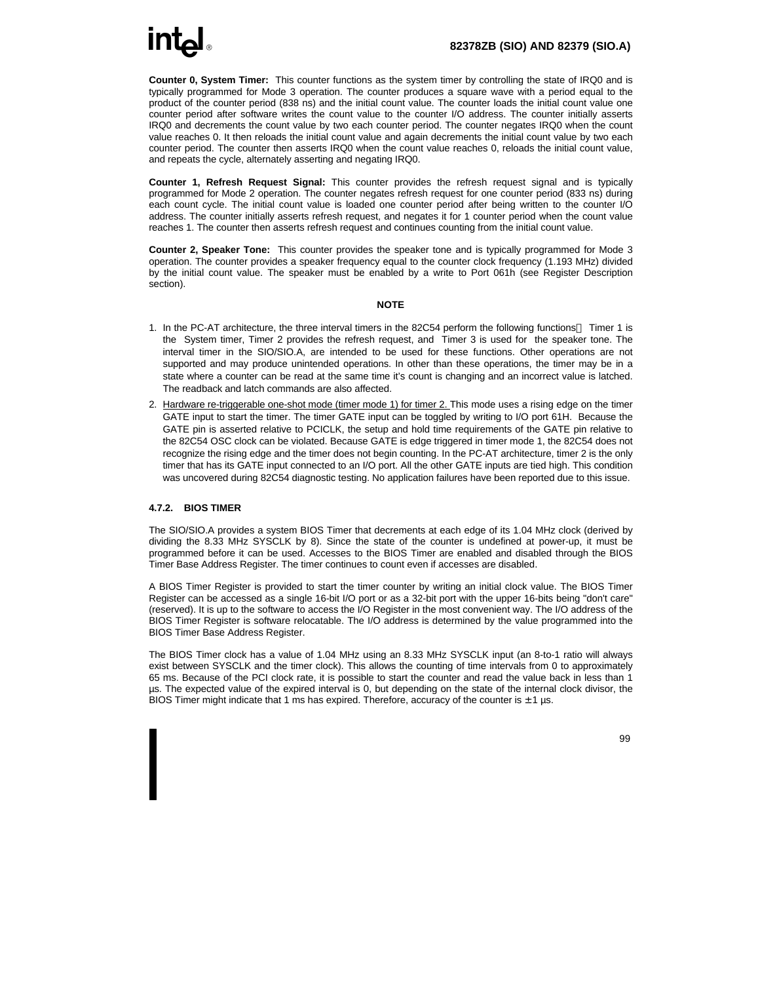**Counter 0, System Timer:** This counter functions as the system timer by controlling the state of IRQ0 and is typically programmed for Mode 3 operation. The counter produces a square wave with a period equal to the product of the counter period (838 ns) and the initial count value. The counter loads the initial count value one counter period after software writes the count value to the counter I/O address. The counter initially asserts IRQ0 and decrements the count value by two each counter period. The counter negates IRQ0 when the count value reaches 0. It then reloads the initial count value and again decrements the initial count value by two each counter period. The counter then asserts IRQ0 when the count value reaches 0, reloads the initial count value, and repeats the cycle, alternately asserting and negating IRQ0.

**Counter 1, Refresh Request Signal:** This counter provides the refresh request signal and is typically programmed for Mode 2 operation. The counter negates refresh request for one counter period (833 ns) during each count cycle. The initial count value is loaded one counter period after being written to the counter I/O address. The counter initially asserts refresh request, and negates it for 1 counter period when the count value reaches 1. The counter then asserts refresh request and continues counting from the initial count value.

**Counter 2, Speaker Tone:** This counter provides the speaker tone and is typically programmed for Mode 3 operation. The counter provides a speaker frequency equal to the counter clock frequency (1.193 MHz) divided by the initial count value. The speaker must be enabled by a write to Port 061h (see Register Description section).

# **NOTE**

- 1. In the PC-AT architecture, the three interval timers in the 82C54 perform the following functions- Timer 1 is the System timer, Timer 2 provides the refresh request, and Timer 3 is used for the speaker tone. The interval timer in the SIO/SIO.A, are intended to be used for these functions. Other operations are not supported and may produce unintended operations. In other than these operations, the timer may be in a state where a counter can be read at the same time it's count is changing and an incorrect value is latched. The readback and latch commands are also affected.
- 2. Hardware re-triggerable one-shot mode (timer mode 1) for timer 2. This mode uses a rising edge on the timer GATE input to start the timer. The timer GATE input can be toggled by writing to I/O port 61H. Because the GATE pin is asserted relative to PCICLK, the setup and hold time requirements of the GATE pin relative to the 82C54 OSC clock can be violated. Because GATE is edge triggered in timer mode 1, the 82C54 does not recognize the rising edge and the timer does not begin counting. In the PC-AT architecture, timer 2 is the only timer that has its GATE input connected to an I/O port. All the other GATE inputs are tied high. This condition was uncovered during 82C54 diagnostic testing. No application failures have been reported due to this issue.

# **4.7.2. BIOS TIMER**

The SIO/SIO.A provides a system BIOS Timer that decrements at each edge of its 1.04 MHz clock (derived by dividing the 8.33 MHz SYSCLK by 8). Since the state of the counter is undefined at power-up, it must be programmed before it can be used. Accesses to the BIOS Timer are enabled and disabled through the BIOS Timer Base Address Register. The timer continues to count even if accesses are disabled.

A BIOS Timer Register is provided to start the timer counter by writing an initial clock value. The BIOS Timer Register can be accessed as a single 16-bit I/O port or as a 32-bit port with the upper 16-bits being "don't care" (reserved). It is up to the software to access the I/O Register in the most convenient way. The I/O address of the BIOS Timer Register is software relocatable. The I/O address is determined by the value programmed into the BIOS Timer Base Address Register.

The BIOS Timer clock has a value of 1.04 MHz using an 8.33 MHz SYSCLK input (an 8-to-1 ratio will always exist between SYSCLK and the timer clock). This allows the counting of time intervals from 0 to approximately 65 ms. Because of the PCI clock rate, it is possible to start the counter and read the value back in less than 1 µs. The expected value of the expired interval is 0, but depending on the state of the internal clock divisor, the BIOS Timer might indicate that 1 ms has expired. Therefore, accuracy of the counter is  $\pm$  1 µs.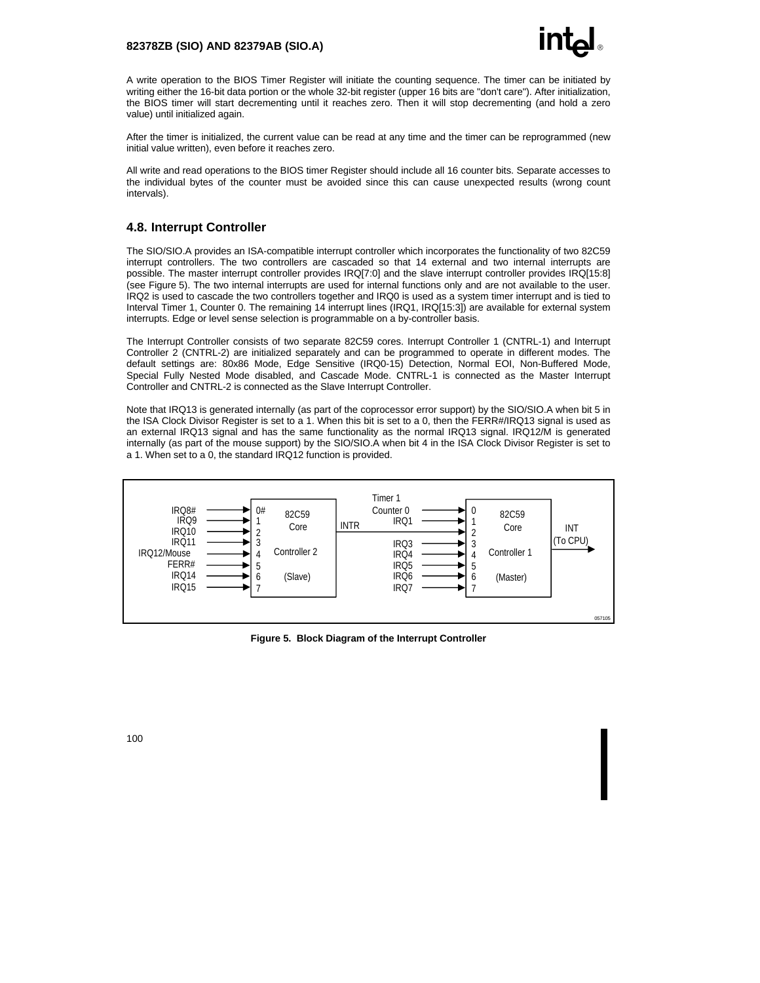

A write operation to the BIOS Timer Register will initiate the counting sequence. The timer can be initiated by writing either the 16-bit data portion or the whole 32-bit register (upper 16 bits are "don't care"). After initialization, the BIOS timer will start decrementing until it reaches zero. Then it will stop decrementing (and hold a zero value) until initialized again.

After the timer is initialized, the current value can be read at any time and the timer can be reprogrammed (new initial value written), even before it reaches zero.

All write and read operations to the BIOS timer Register should include all 16 counter bits. Separate accesses to the individual bytes of the counter must be avoided since this can cause unexpected results (wrong count intervals).

# **4.8. Interrupt Controller**

The SIO/SIO.A provides an ISA-compatible interrupt controller which incorporates the functionality of two 82C59 interrupt controllers. The two controllers are cascaded so that 14 external and two internal interrupts are possible. The master interrupt controller provides IRQ[7:0] and the slave interrupt controller provides IRQ[15:8] (see Figure 5). The two internal interrupts are used for internal functions only and are not available to the user. IRQ2 is used to cascade the two controllers together and IRQ0 is used as a system timer interrupt and is tied to Interval Timer 1, Counter 0. The remaining 14 interrupt lines (IRQ1, IRQ[15:3]) are available for external system interrupts. Edge or level sense selection is programmable on a by-controller basis.

The Interrupt Controller consists of two separate 82C59 cores. Interrupt Controller 1 (CNTRL-1) and Interrupt Controller 2 (CNTRL-2) are initialized separately and can be programmed to operate in different modes. The default settings are: 80x86 Mode, Edge Sensitive (IRQ0-15) Detection, Normal EOI, Non-Buffered Mode, Special Fully Nested Mode disabled, and Cascade Mode. CNTRL-1 is connected as the Master Interrupt Controller and CNTRL-2 is connected as the Slave Interrupt Controller.

Note that IRQ13 is generated internally (as part of the coprocessor error support) by the SIO/SIO.A when bit 5 in the ISA Clock Divisor Register is set to a 1. When this bit is set to a 0, then the FERR#/IRQ13 signal is used as an external IRQ13 signal and has the same functionality as the normal IRQ13 signal. IRQ12/M is generated internally (as part of the mouse support) by the SIO/SIO.A when bit 4 in the ISA Clock Divisor Register is set to a 1. When set to a 0, the standard IRQ12 function is provided.



**Figure 5. Block Diagram of the Interrupt Controller**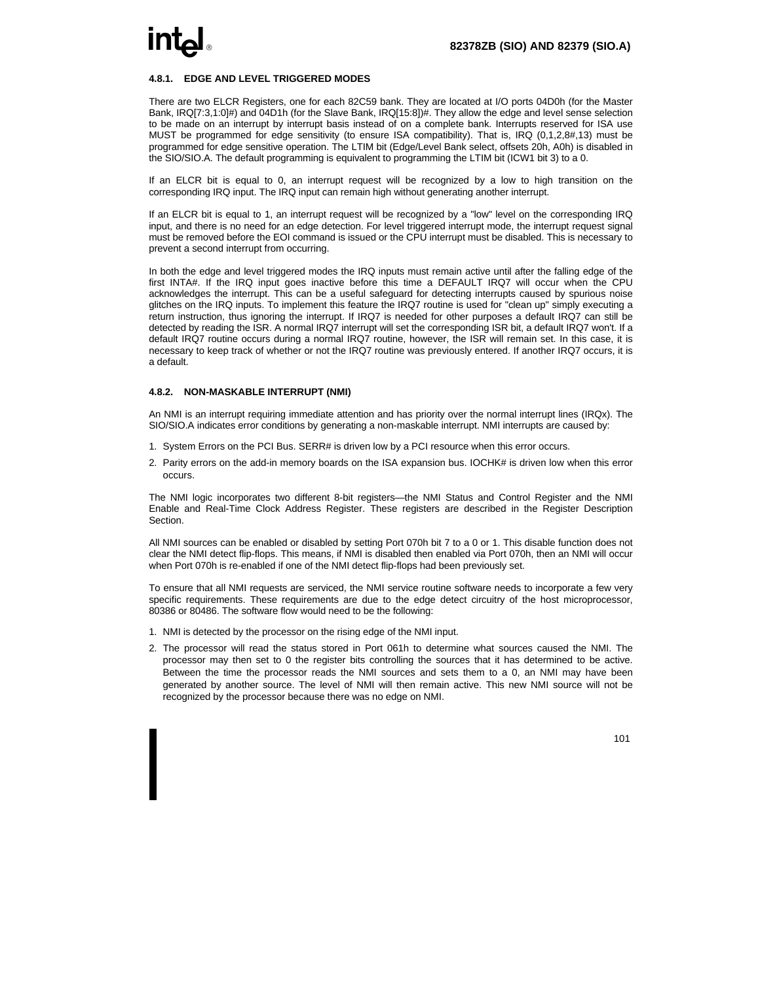#### **4.8.1. EDGE AND LEVEL TRIGGERED MODES**

There are two ELCR Registers, one for each 82C59 bank. They are located at I/O ports 04D0h (for the Master Bank, IRQ[7:3,1:0]#) and 04D1h (for the Slave Bank, IRQ[15:8])#. They allow the edge and level sense selection to be made on an interrupt by interrupt basis instead of on a complete bank. Interrupts reserved for ISA use MUST be programmed for edge sensitivity (to ensure ISA compatibility). That is, IRQ (0,1,2,8#,13) must be programmed for edge sensitive operation. The LTIM bit (Edge/Level Bank select, offsets 20h, A0h) is disabled in the SIO/SIO.A. The default programming is equivalent to programming the LTIM bit (ICW1 bit 3) to a 0.

If an ELCR bit is equal to 0, an interrupt request will be recognized by a low to high transition on the corresponding IRQ input. The IRQ input can remain high without generating another interrupt.

If an ELCR bit is equal to 1, an interrupt request will be recognized by a "low" level on the corresponding IRQ input, and there is no need for an edge detection. For level triggered interrupt mode, the interrupt request signal must be removed before the EOI command is issued or the CPU interrupt must be disabled. This is necessary to prevent a second interrupt from occurring.

In both the edge and level triggered modes the IRQ inputs must remain active until after the falling edge of the first INTA#. If the IRQ input goes inactive before this time a DEFAULT IRQ7 will occur when the CPU acknowledges the interrupt. This can be a useful safeguard for detecting interrupts caused by spurious noise glitches on the IRQ inputs. To implement this feature the IRQ7 routine is used for "clean up" simply executing a return instruction, thus ignoring the interrupt. If IRQ7 is needed for other purposes a default IRQ7 can still be detected by reading the ISR. A normal IRQ7 interrupt will set the corresponding ISR bit, a default IRQ7 won't. If a default IRQ7 routine occurs during a normal IRQ7 routine, however, the ISR will remain set. In this case, it is necessary to keep track of whether or not the IRQ7 routine was previously entered. If another IRQ7 occurs, it is a default.

#### **4.8.2. NON-MASKABLE INTERRUPT (NMI)**

An NMI is an interrupt requiring immediate attention and has priority over the normal interrupt lines (IRQx). The SIO/SIO.A indicates error conditions by generating a non-maskable interrupt. NMI interrupts are caused by:

- 1. System Errors on the PCI Bus. SERR# is driven low by a PCI resource when this error occurs.
- 2. Parity errors on the add-in memory boards on the ISA expansion bus. IOCHK# is driven low when this error occurs.

The NMI logic incorporates two different 8-bit registers—the NMI Status and Control Register and the NMI Enable and Real-Time Clock Address Register. These registers are described in the Register Description Section.

All NMI sources can be enabled or disabled by setting Port 070h bit 7 to a 0 or 1. This disable function does not clear the NMI detect flip-flops. This means, if NMI is disabled then enabled via Port 070h, then an NMI will occur when Port 070h is re-enabled if one of the NMI detect flip-flops had been previously set.

To ensure that all NMI requests are serviced, the NMI service routine software needs to incorporate a few very specific requirements. These requirements are due to the edge detect circuitry of the host microprocessor, 80386 or 80486. The software flow would need to be the following:

- 1. NMI is detected by the processor on the rising edge of the NMI input.
- 2. The processor will read the status stored in Port 061h to determine what sources caused the NMI. The processor may then set to 0 the register bits controlling the sources that it has determined to be active. Between the time the processor reads the NMI sources and sets them to a 0, an NMI may have been generated by another source. The level of NMI will then remain active. This new NMI source will not be recognized by the processor because there was no edge on NMI.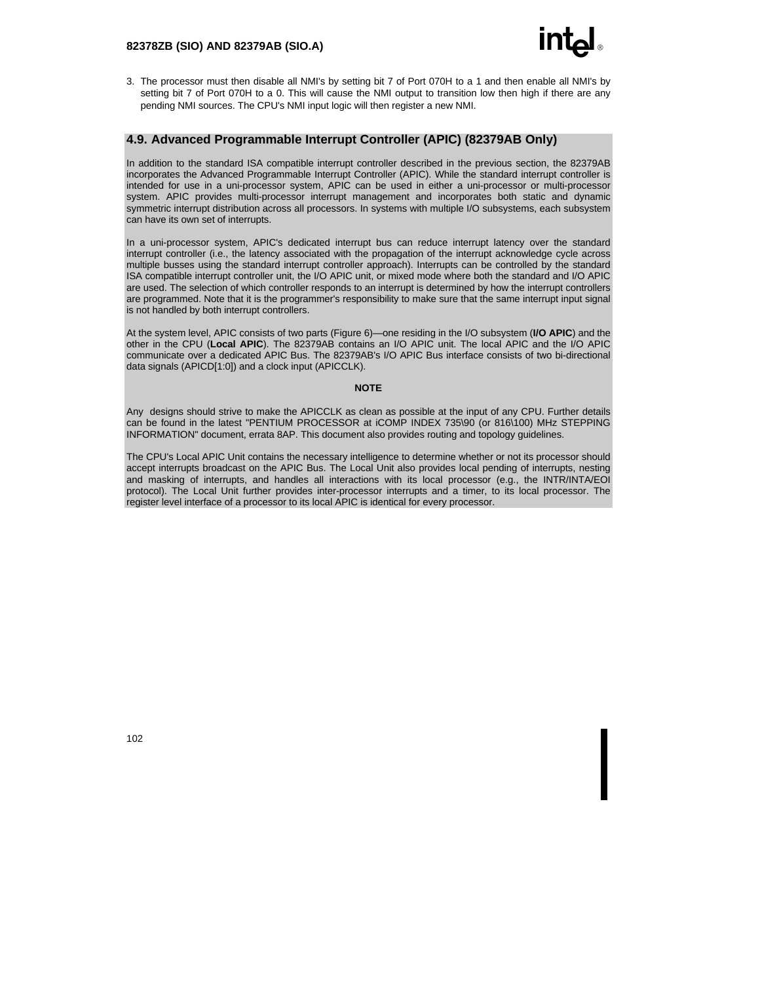

3. The processor must then disable all NMI's by setting bit 7 of Port 070H to a 1 and then enable all NMI's by setting bit 7 of Port 070H to a 0. This will cause the NMI output to transition low then high if there are any pending NMI sources. The CPU's NMI input logic will then register a new NMI.

# **4.9. Advanced Programmable Interrupt Controller (APIC) (82379AB Only)**

In addition to the standard ISA compatible interrupt controller described in the previous section, the 82379AB incorporates the Advanced Programmable Interrupt Controller (APIC). While the standard interrupt controller is intended for use in a uni-processor system, APIC can be used in either a uni-processor or multi-processor system. APIC provides multi-processor interrupt management and incorporates both static and dynamic symmetric interrupt distribution across all processors. In systems with multiple I/O subsystems, each subsystem can have its own set of interrupts.

In a uni-processor system, APIC's dedicated interrupt bus can reduce interrupt latency over the standard interrupt controller (i.e., the latency associated with the propagation of the interrupt acknowledge cycle across multiple busses using the standard interrupt controller approach). Interrupts can be controlled by the standard ISA compatible interrupt controller unit, the I/O APIC unit, or mixed mode where both the standard and I/O APIC are used. The selection of which controller responds to an interrupt is determined by how the interrupt controllers are programmed. Note that it is the programmer's responsibility to make sure that the same interrupt input signal is not handled by both interrupt controllers.

At the system level, APIC consists of two parts (Figure 6)—one residing in the I/O subsystem (**I/O APIC**) and the other in the CPU (**Local APIC**). The 82379AB contains an I/O APIC unit. The local APIC and the I/O APIC communicate over a dedicated APIC Bus. The 82379AB's I/O APIC Bus interface consists of two bi-directional data signals (APICD[1:0]) and a clock input (APICCLK).

#### **NOTE**

Any designs should strive to make the APICCLK as clean as possible at the input of any CPU. Further details can be found in the latest "PENTIUM PROCESSOR at iCOMP INDEX 735\90 (or 816\100) MHz STEPPING INFORMATION" document, errata 8AP. This document also provides routing and topology guidelines.

The CPU's Local APIC Unit contains the necessary intelligence to determine whether or not its processor should accept interrupts broadcast on the APIC Bus. The Local Unit also provides local pending of interrupts, nesting and masking of interrupts, and handles all interactions with its local processor (e.g., the INTR/INTA/EOI protocol). The Local Unit further provides inter-processor interrupts and a timer, to its local processor. The register level interface of a processor to its local APIC is identical for every processor.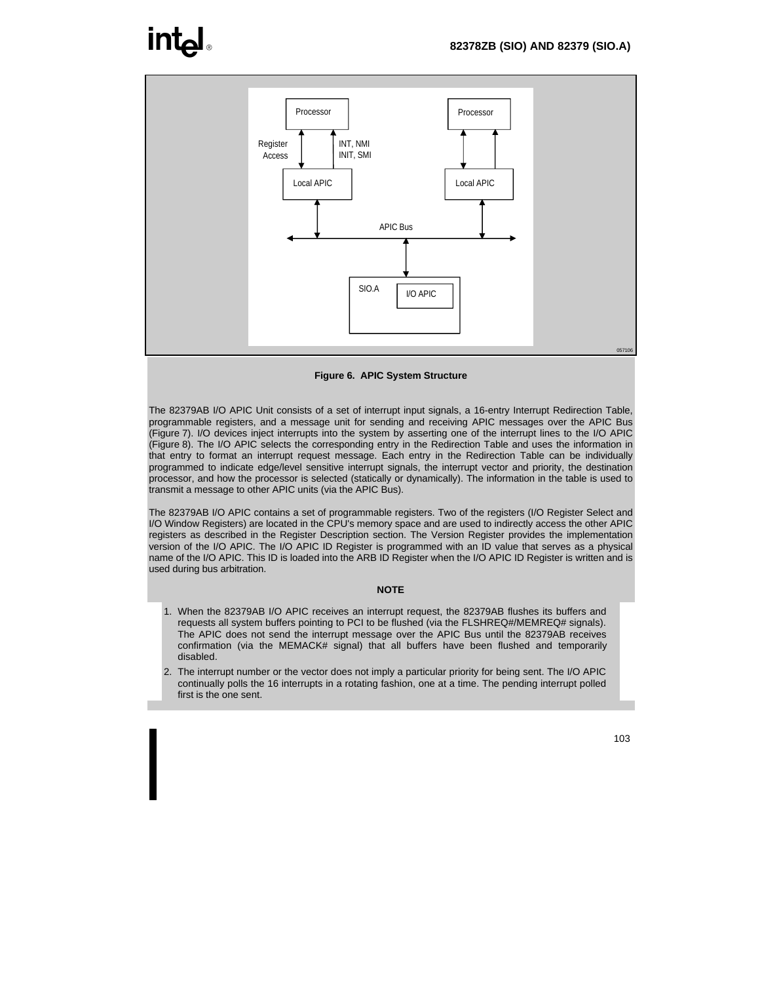

**Figure 6. APIC System Structure**

The 82379AB I/O APIC Unit consists of a set of interrupt input signals, a 16-entry Interrupt Redirection Table, programmable registers, and a message unit for sending and receiving APIC messages over the APIC Bus (Figure 7). I/O devices inject interrupts into the system by asserting one of the interrupt lines to the I/O APIC (Figure 8). The I/O APIC selects the corresponding entry in the Redirection Table and uses the information in that entry to format an interrupt request message. Each entry in the Redirection Table can be individually programmed to indicate edge/level sensitive interrupt signals, the interrupt vector and priority, the destination processor, and how the processor is selected (statically or dynamically). The information in the table is used to transmit a message to other APIC units (via the APIC Bus).

The 82379AB I/O APIC contains a set of programmable registers. Two of the registers (I/O Register Select and I/O Window Registers) are located in the CPU's memory space and are used to indirectly access the other APIC registers as described in the Register Description section. The Version Register provides the implementation version of the I/O APIC. The I/O APIC ID Register is programmed with an ID value that serves as a physical name of the I/O APIC. This ID is loaded into the ARB ID Register when the I/O APIC ID Register is written and is used during bus arbitration.

#### **NOTE**

- 1. When the 82379AB I/O APIC receives an interrupt request, the 82379AB flushes its buffers and requests all system buffers pointing to PCI to be flushed (via the FLSHREQ#/MEMREQ# signals). The APIC does not send the interrupt message over the APIC Bus until the 82379AB receives confirmation (via the MEMACK# signal) that all buffers have been flushed and temporarily disabled.
- 2. The interrupt number or the vector does not imply a particular priority for being sent. The I/O APIC continually polls the 16 interrupts in a rotating fashion, one at a time. The pending interrupt polled first is the one sent.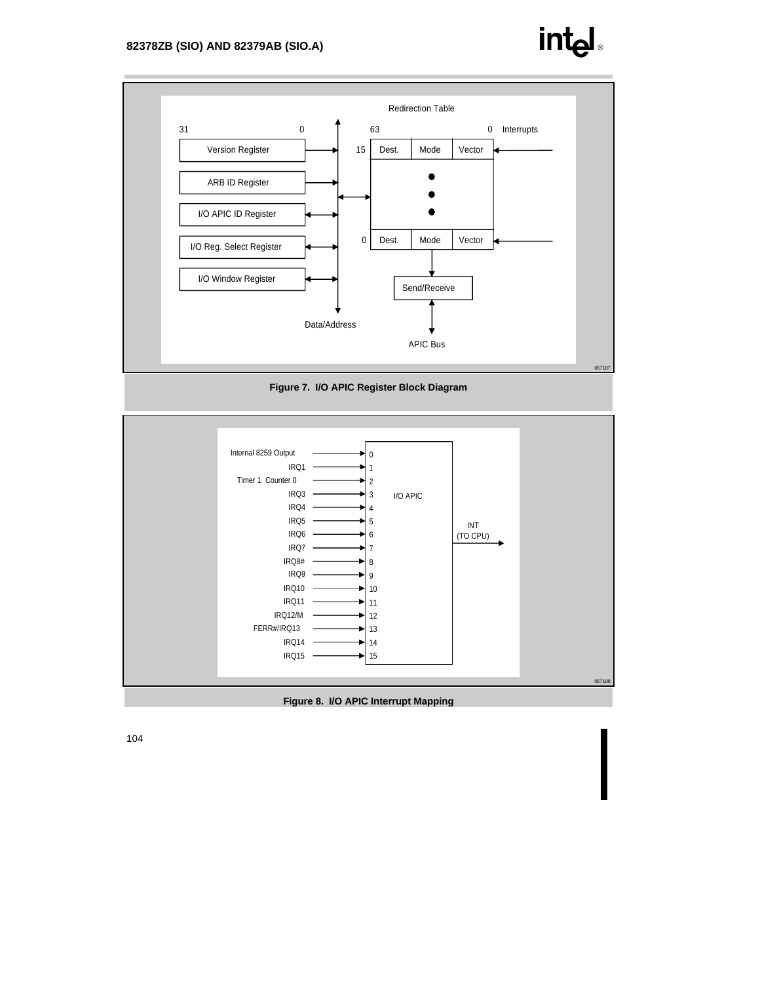



**Figure 7. I/O APIC Register Block Diagram**





104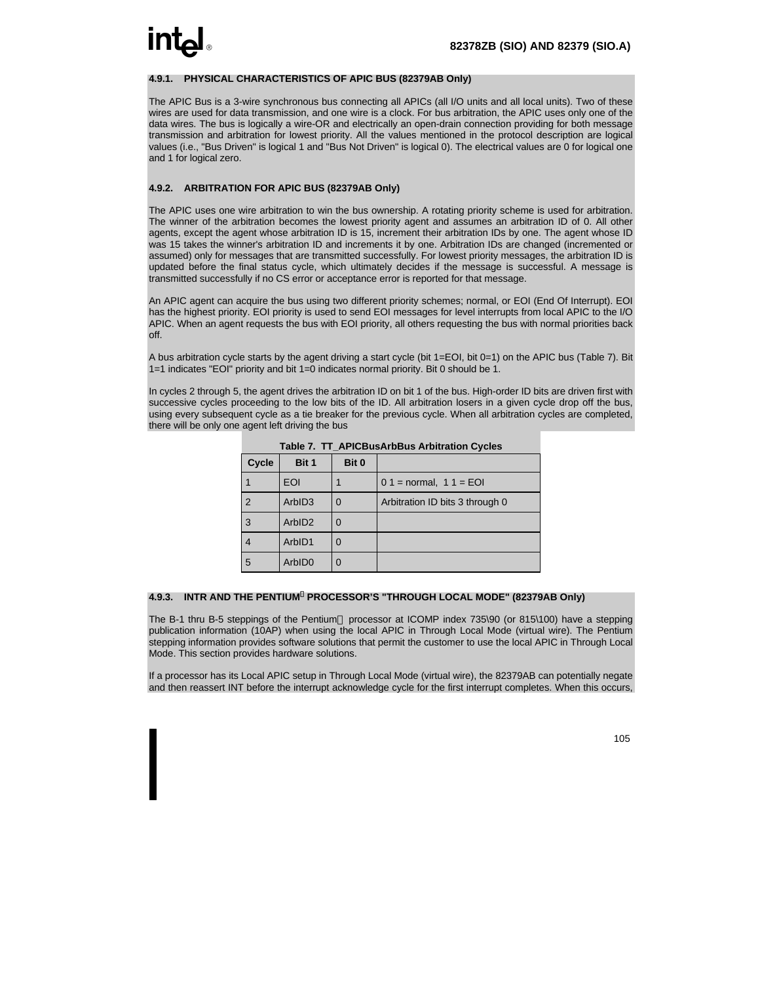## **4.9.1. PHYSICAL CHARACTERISTICS OF APIC BUS (82379AB Only)**

The APIC Bus is a 3-wire synchronous bus connecting all APICs (all I/O units and all local units). Two of these wires are used for data transmission, and one wire is a clock. For bus arbitration, the APIC uses only one of the data wires. The bus is logically a wire-OR and electrically an open-drain connection providing for both message transmission and arbitration for lowest priority. All the values mentioned in the protocol description are logical values (i.e., "Bus Driven" is logical 1 and "Bus Not Driven" is logical 0). The electrical values are 0 for logical one and 1 for logical zero.

#### **4.9.2. ARBITRATION FOR APIC BUS (82379AB Only)**

The APIC uses one wire arbitration to win the bus ownership. A rotating priority scheme is used for arbitration. The winner of the arbitration becomes the lowest priority agent and assumes an arbitration ID of 0. All other agents, except the agent whose arbitration ID is 15, increment their arbitration IDs by one. The agent whose ID was 15 takes the winner's arbitration ID and increments it by one. Arbitration IDs are changed (incremented or assumed) only for messages that are transmitted successfully. For lowest priority messages, the arbitration ID is updated before the final status cycle, which ultimately decides if the message is successful. A message is transmitted successfully if no CS error or acceptance error is reported for that message.

An APIC agent can acquire the bus using two different priority schemes; normal, or EOI (End Of Interrupt). EOI has the highest priority. EOI priority is used to send EOI messages for level interrupts from local APIC to the I/O APIC. When an agent requests the bus with EOI priority, all others requesting the bus with normal priorities back off.

A bus arbitration cycle starts by the agent driving a start cycle (bit 1=EOI, bit 0=1) on the APIC bus (Table 7). Bit 1=1 indicates "EOI" priority and bit 1=0 indicates normal priority. Bit 0 should be 1.

In cycles 2 through 5, the agent drives the arbitration ID on bit 1 of the bus. High-order ID bits are driven first with successive cycles proceeding to the low bits of the ID. All arbitration losers in a given cycle drop off the bus, using every subsequent cycle as a tie breaker for the previous cycle. When all arbitration cycles are completed, there will be only one agent left driving the bus

|                | Table 7. IT AFIC DUSATIONS AND THE LOCKES |          |                                 |  |
|----------------|-------------------------------------------|----------|---------------------------------|--|
| Cycle          | Bit 1                                     | Bit 0    |                                 |  |
|                | <b>EOI</b>                                |          | $01 = normal, 11 = EOI$         |  |
| $\overline{2}$ | ArbID <sub>3</sub>                        | $\Omega$ | Arbitration ID bits 3 through 0 |  |
| 3              | ArbID <sub>2</sub>                        | $\Omega$ |                                 |  |
| 4              | ArbID1                                    | 0        |                                 |  |
| 5              | ArbID <sub>0</sub>                        | 0        |                                 |  |

**Table 7. TT\_APICBusArbBus Arbitration Cycles**

#### **4.9.3. INTR AND THE PENTIUM PROCESSOR'S "THROUGH LOCAL MODE" (82379AB Only)**

The B-1 thru B-5 steppings of the Pentium® processor at ICOMP index 735\90 (or 815\100) have a stepping publication information (10AP) when using the local APIC in Through Local Mode (virtual wire). The Pentium stepping information provides software solutions that permit the customer to use the local APIC in Through Local Mode. This section provides hardware solutions.

If a processor has its Local APIC setup in Through Local Mode (virtual wire), the 82379AB can potentially negate and then reassert INT before the interrupt acknowledge cycle for the first interrupt completes. When this occurs,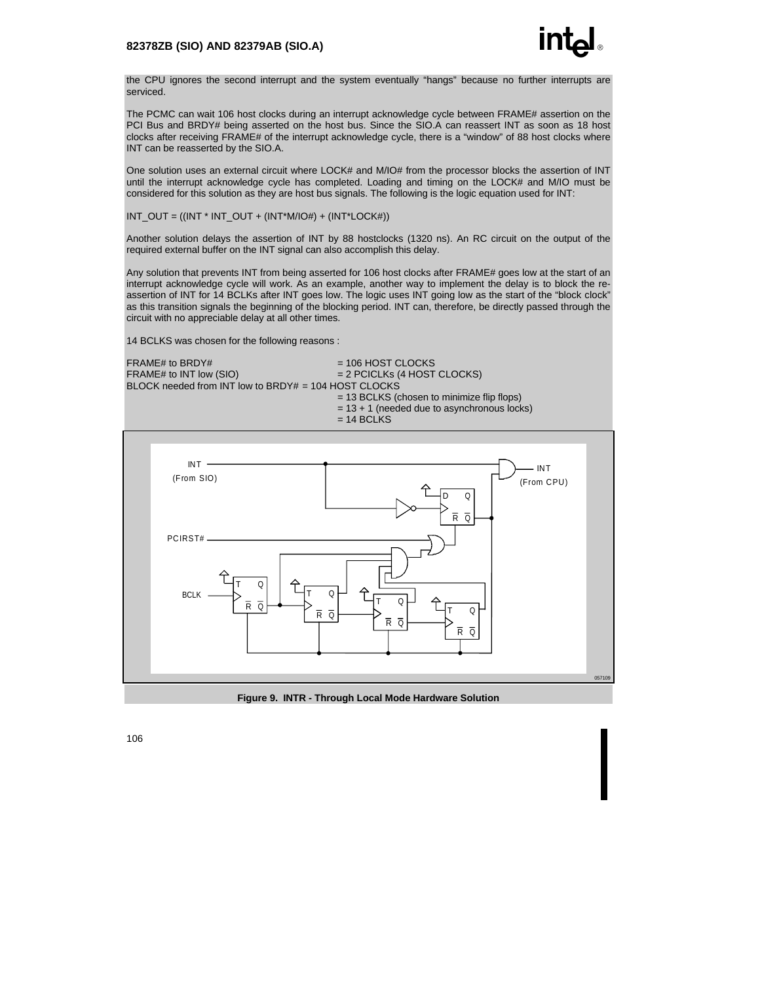

the CPU ignores the second interrupt and the system eventually "hangs" because no further interrupts are serviced.

The PCMC can wait 106 host clocks during an interrupt acknowledge cycle between FRAME# assertion on the PCI Bus and BRDY# being asserted on the host bus. Since the SIO.A can reassert INT as soon as 18 host clocks after receiving FRAME# of the interrupt acknowledge cycle, there is a "window" of 88 host clocks where INT can be reasserted by the SIO.A.

One solution uses an external circuit where LOCK# and M/IO# from the processor blocks the assertion of INT until the interrupt acknowledge cycle has completed. Loading and timing on the LOCK# and M/IO must be considered for this solution as they are host bus signals. The following is the logic equation used for INT:

 $INT\_OUT = ((INT * INT\_OUT + (INT*M/IO#) + (INT*LOCK#))$ 

Another solution delays the assertion of INT by 88 hostclocks (1320 ns). An RC circuit on the output of the required external buffer on the INT signal can also accomplish this delay.

Any solution that prevents INT from being asserted for 106 host clocks after FRAME# goes low at the start of an interrupt acknowledge cycle will work. As an example, another way to implement the delay is to block the reassertion of INT for 14 BCLKs after INT goes low. The logic uses INT going low as the start of the "block clock" as this transition signals the beginning of the blocking period. INT can, therefore, be directly passed through the circuit with no appreciable delay at all other times.

14 BCLKS was chosen for the following reasons :

FRAME# to BRDY#  $= 106$  HOST CLOCKS<br>FRAME# to INT low (SIO)  $= 2$  PCICLKs (4 HOST  $= 2$  PCICLKs (4 HOST CLOCKS) BLOCK needed from INT low to BRDY# = 104 HOST CLOCKS = 13 BCLKS (chosen to minimize flip flops)  $= 13 + 1$  (needed due to asynchronous locks)  $= 14$  BCLKS



**Figure 9. INTR - Through Local Mode Hardware Solution**

106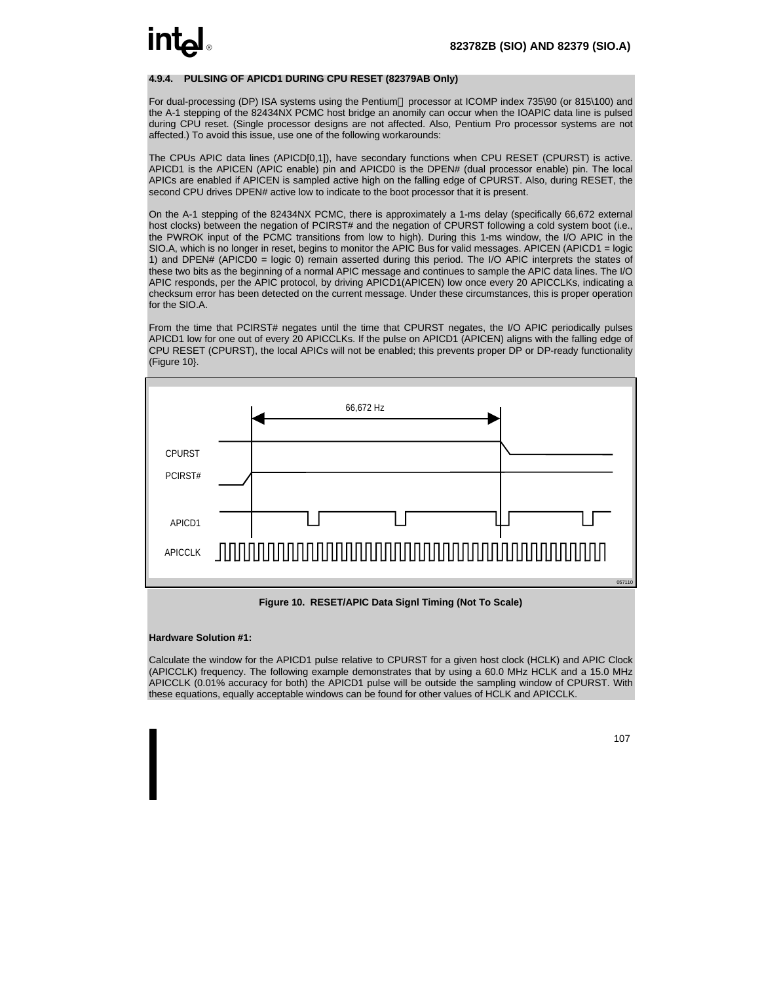## **4.9.4. PULSING OF APICD1 DURING CPU RESET (82379AB Only)**

For dual-processing (DP) ISA systems using the Pentium® processor at ICOMP index 735\90 (or 815\100) and the A-1 stepping of the 82434NX PCMC host bridge an anomily can occur when the IOAPIC data line is pulsed during CPU reset. (Single processor designs are not affected. Also, Pentium Pro processor systems are not affected.) To avoid this issue, use one of the following workarounds:

The CPUs APIC data lines (APICD[0,1]), have secondary functions when CPU RESET (CPURST) is active. APICD1 is the APICEN (APIC enable) pin and APICD0 is the DPEN# (dual processor enable) pin. The local APICs are enabled if APICEN is sampled active high on the falling edge of CPURST. Also, during RESET, the second CPU drives DPEN# active low to indicate to the boot processor that it is present.

On the A-1 stepping of the 82434NX PCMC, there is approximately a 1-ms delay (specifically 66,672 external host clocks) between the negation of PCIRST# and the negation of CPURST following a cold system boot (i.e., the PWROK input of the PCMC transitions from low to high). During this 1-ms window, the I/O APIC in the SIO.A, which is no longer in reset, begins to monitor the APIC Bus for valid messages. APICEN (APICD1 = logic 1) and DPEN# (APICD0 = logic 0) remain asserted during this period. The I/O APIC interprets the states of these two bits as the beginning of a normal APIC message and continues to sample the APIC data lines. The I/O APIC responds, per the APIC protocol, by driving APICD1(APICEN) low once every 20 APICCLKs, indicating a checksum error has been detected on the current message. Under these circumstances, this is proper operation for the SIO.A.

From the time that PCIRST# negates until the time that CPURST negates, the I/O APIC periodically pulses APICD1 low for one out of every 20 APICCLKs. If the pulse on APICD1 (APICEN) aligns with the falling edge of CPU RESET (CPURST), the local APICs will not be enabled; this prevents proper DP or DP-ready functionality (Figure 10}.



## **Figure 10. RESET/APIC Data Signl Timing (Not To Scale)**

#### **Hardware Solution #1:**

Calculate the window for the APICD1 pulse relative to CPURST for a given host clock (HCLK) and APIC Clock (APICCLK) frequency. The following example demonstrates that by using a 60.0 MHz HCLK and a 15.0 MHz APICCLK (0.01% accuracy for both) the APICD1 pulse will be outside the sampling window of CPURST. With these equations, equally acceptable windows can be found for other values of HCLK and APICCLK.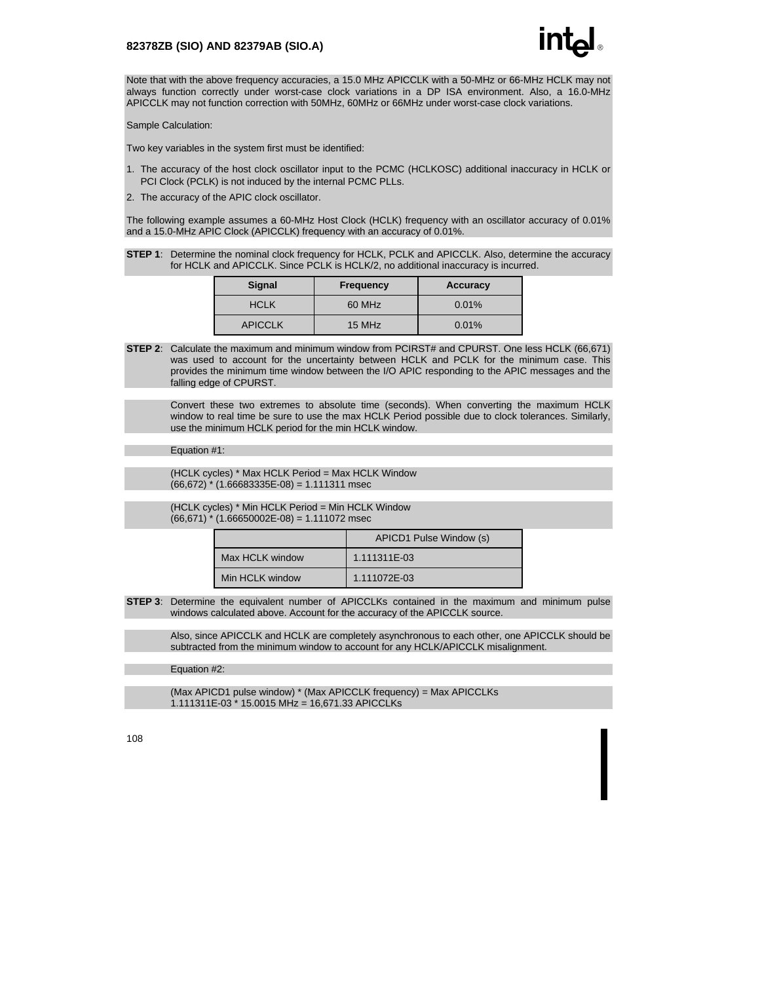

Note that with the above frequency accuracies, a 15.0 MHz APICCLK with a 50-MHz or 66-MHz HCLK may not always function correctly under worst-case clock variations in a DP ISA environment. Also, a 16.0-MHz APICCLK may not function correction with 50MHz, 60MHz or 66MHz under worst-case clock variations.

Sample Calculation:

Two key variables in the system first must be identified:

- 1. The accuracy of the host clock oscillator input to the PCMC (HCLKOSC) additional inaccuracy in HCLK or PCI Clock (PCLK) is not induced by the internal PCMC PLLs.
- 2. The accuracy of the APIC clock oscillator.

The following example assumes a 60-MHz Host Clock (HCLK) frequency with an oscillator accuracy of 0.01% and a 15.0-MHz APIC Clock (APICCLK) frequency with an accuracy of 0.01%.

**STEP 1:** Determine the nominal clock frequency for HCLK, PCLK and APICCLK. Also, determine the accuracy for HCLK and APICCLK. Since PCLK is HCLK/2, no additional inaccuracy is incurred.

| <b>Signal</b>  | <b>Frequency</b> | Accuracy |
|----------------|------------------|----------|
| <b>HCLK</b>    | 60 MHz           | 0.01%    |
| <b>APICCLK</b> | 15 MHz           | 0.01%    |

**STEP 2**: Calculate the maximum and minimum window from PCIRST# and CPURST. One less HCLK (66,671) was used to account for the uncertainty between HCLK and PCLK for the minimum case. This provides the minimum time window between the I/O APIC responding to the APIC messages and the falling edge of CPURST.

Convert these two extremes to absolute time (seconds). When converting the maximum HCLK window to real time be sure to use the max HCLK Period possible due to clock tolerances. Similarly, use the minimum HCLK period for the min HCLK window.

Equation #1:

(HCLK cycles) \* Max HCLK Period = Max HCLK Window  $(66,672)$  \*  $(1.66683335E-08) = 1.111311$  msec

(HCLK cycles) \* Min HCLK Period = Min HCLK Window  $(66,671)$  \*  $(1.66650002E-08) = 1.111072$  msec

|                 | APICD1 Pulse Window (s) |
|-----------------|-------------------------|
| Max HCLK window | 1.111311E-03            |
| Min HCLK window | 1.111072E-03            |

**STEP 3**: Determine the equivalent number of APICCLKs contained in the maximum and minimum pulse windows calculated above. Account for the accuracy of the APICCLK source.

Also, since APICCLK and HCLK are completely asynchronous to each other, one APICCLK should be subtracted from the minimum window to account for any HCLK/APICCLK misalignment.

| Equation #2:                                                         |
|----------------------------------------------------------------------|
|                                                                      |
| (Max APICD1 pulse window) $*$ (Max APICCLK frequency) = Max APICCLKs |
| $1.111311E-03 * 15.0015 MHz = 16.671.33 A PICCLKs$                   |
|                                                                      |

108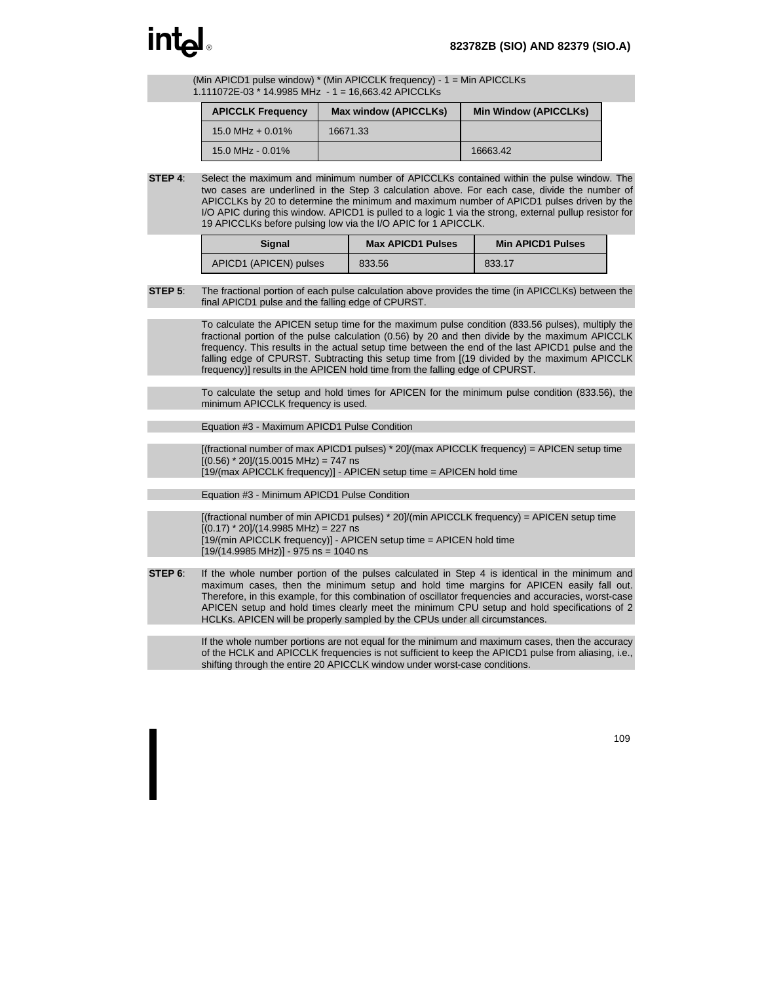# E **82378ZB (SIO) AND 82379 (SIO.A)**

| (Min APICD1 pulse window) * (Min APICCLK frequency) - 1 = Min APICCLKs |  |
|------------------------------------------------------------------------|--|
|                                                                        |  |

| <b>APICCLK Frequency</b> | <b>Max window (APICCLKs)</b> | <b>Min Window (APICCLKs)</b> |
|--------------------------|------------------------------|------------------------------|
| 15.0 MHz + 0.01%         | 16671.33                     |                              |
| $15.0$ MHz - 0.01%       |                              | 16663.42                     |

**STEP 4**: Select the maximum and minimum number of APICCLKs contained within the pulse window. The two cases are underlined in the Step 3 calculation above. For each case, divide the number of APICCLKs by 20 to determine the minimum and maximum number of APICD1 pulses driven by the I/O APIC during this window. APICD1 is pulled to a logic 1 via the strong, external pullup resistor for 19 APICCLKs before pulsing low via the I/O APIC for 1 APICCLK.

| Signal                 | <b>Max APICD1 Pulses</b> | Min APICD1 Pulses |
|------------------------|--------------------------|-------------------|
| APICD1 (APICEN) pulses | 833.56                   | 833.17            |

**STEP 5**: The fractional portion of each pulse calculation above provides the time (in APICCLKs) between the final APICD1 pulse and the falling edge of CPURST.

> To calculate the APICEN setup time for the maximum pulse condition (833.56 pulses), multiply the fractional portion of the pulse calculation (0.56) by 20 and then divide by the maximum APICCLK frequency. This results in the actual setup time between the end of the last APICD1 pulse and the falling edge of CPURST. Subtracting this setup time from [(19 divided by the maximum APICCLK frequency)] results in the APICEN hold time from the falling edge of CPURST.

To calculate the setup and hold times for APICEN for the minimum pulse condition (833.56), the minimum APICCLK frequency is used.

Equation #3 - Maximum APICD1 Pulse Condition

[(fractional number of max APICD1 pulses) \* 20]/(max APICCLK frequency) = APICEN setup time  $[(0.56) * 20] / (15.0015 \text{ MHz}) = 747 \text{ ns}$ [19/(max APICCLK frequency)] - APICEN setup time = APICEN hold time

Equation #3 - Minimum APICD1 Pulse Condition

[(fractional number of min APICD1 pulses) \* 20]/(min APICCLK frequency) = APICEN setup time  $[(0.17) * 20]/(14.9985 \text{ MHz}) = 227 \text{ ns}$ [19/(min APICCLK frequency)] - APICEN setup time = APICEN hold time  $[19/(14.9985 \text{ MHz})] - 975 \text{ ns} = 1040 \text{ ns}$ 

**STEP 6**: If the whole number portion of the pulses calculated in Step 4 is identical in the minimum and maximum cases, then the minimum setup and hold time margins for APICEN easily fall out. Therefore, in this example, for this combination of oscillator frequencies and accuracies, worst-case APICEN setup and hold times clearly meet the minimum CPU setup and hold specifications of 2 HCLKs. APICEN will be properly sampled by the CPUs under all circumstances.

> If the whole number portions are not equal for the minimum and maximum cases, then the accuracy of the HCLK and APICCLK frequencies is not sufficient to keep the APICD1 pulse from aliasing, i.e., shifting through the entire 20 APICCLK window under worst-case conditions.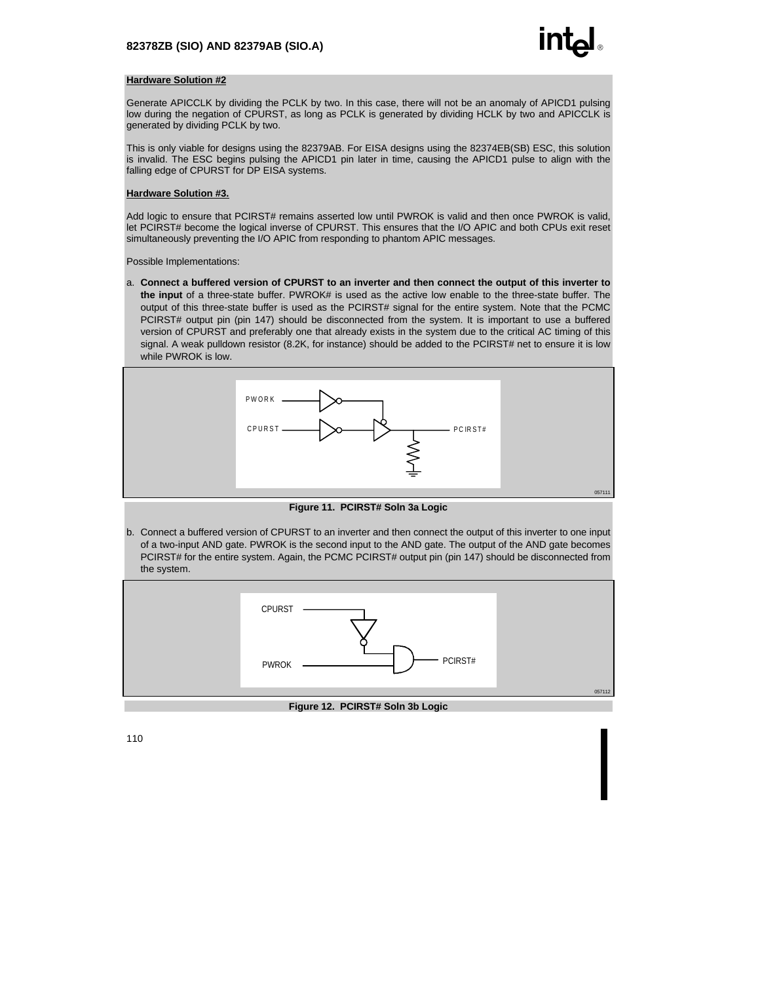

### **Hardware Solution #2**

Generate APICCLK by dividing the PCLK by two. In this case, there will not be an anomaly of APICD1 pulsing low during the negation of CPURST, as long as PCLK is generated by dividing HCLK by two and APICCLK is generated by dividing PCLK by two.

This is only viable for designs using the 82379AB. For EISA designs using the 82374EB(SB) ESC, this solution is invalid. The ESC begins pulsing the APICD1 pin later in time, causing the APICD1 pulse to align with the falling edge of CPURST for DP EISA systems.

### **Hardware Solution #3.**

Add logic to ensure that PCIRST# remains asserted low until PWROK is valid and then once PWROK is valid, let PCIRST# become the logical inverse of CPURST. This ensures that the I/O APIC and both CPUs exit reset simultaneously preventing the I/O APIC from responding to phantom APIC messages.

Possible Implementations:

a. **Connect a buffered version of CPURST to an inverter and then connect the output of this inverter to the input** of a three-state buffer. PWROK# is used as the active low enable to the three-state buffer. The output of this three-state buffer is used as the PCIRST# signal for the entire system. Note that the PCMC PCIRST# output pin (pin 147) should be disconnected from the system. It is important to use a buffered version of CPURST and preferably one that already exists in the system due to the critical AC timing of this signal. A weak pulldown resistor (8.2K, for instance) should be added to the PCIRST# net to ensure it is low while PWROK is low.



**Figure 11. PCIRST# Soln 3a Logic**

b. Connect a buffered version of CPURST to an inverter and then connect the output of this inverter to one input of a two-input AND gate. PWROK is the second input to the AND gate. The output of the AND gate becomes PCIRST# for the entire system. Again, the PCMC PCIRST# output pin (pin 147) should be disconnected from the system.



**Figure 12. PCIRST# Soln 3b Logic**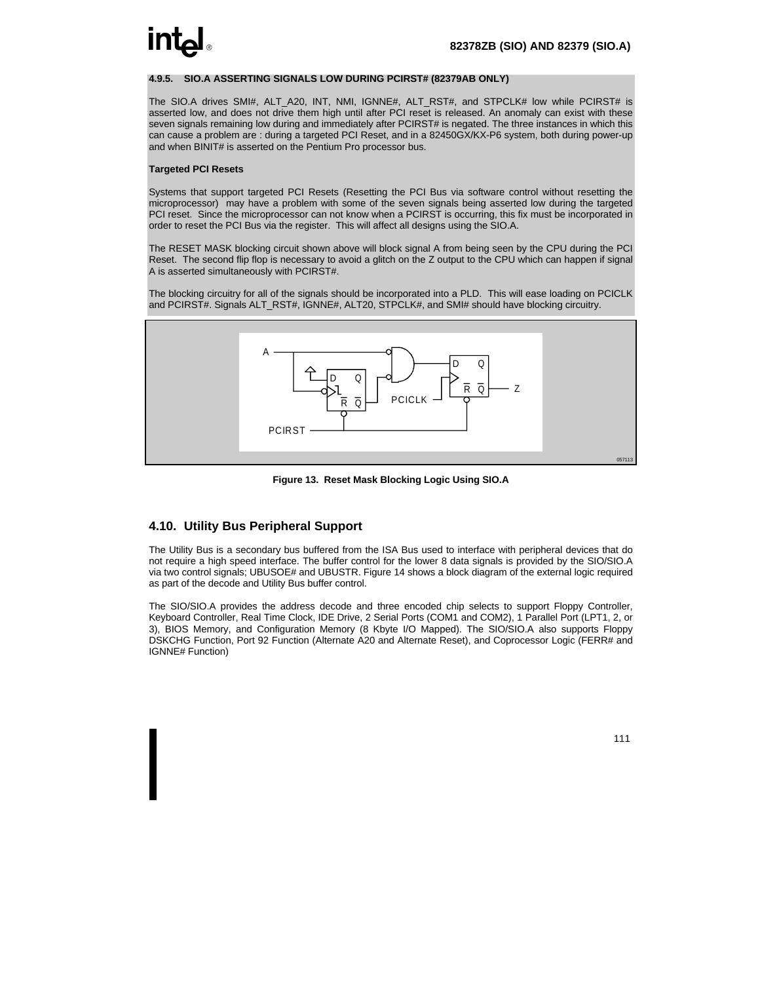## **4.9.5. SIO.A ASSERTING SIGNALS LOW DURING PCIRST# (82379AB ONLY)**

The SIO.A drives SMI#, ALT\_A20, INT, NMI, IGNNE#, ALT\_RST#, and STPCLK# low while PCIRST# is asserted low, and does not drive them high until after PCI reset is released. An anomaly can exist with these seven signals remaining low during and immediately after PCIRST# is negated. The three instances in which this can cause a problem are : during a targeted PCI Reset, and in a 82450GX/KX-P6 system, both during power-up and when BINIT# is asserted on the Pentium Pro processor bus.

#### **Targeted PCI Resets**

Systems that support targeted PCI Resets (Resetting the PCI Bus via software control without resetting the microprocessor) may have a problem with some of the seven signals being asserted low during the targeted PCI reset. Since the microprocessor can not know when a PCIRST is occurring, this fix must be incorporated in order to reset the PCI Bus via the register. This will affect all designs using the SIO.A.

The RESET MASK blocking circuit shown above will block signal A from being seen by the CPU during the PCI Reset. The second flip flop is necessary to avoid a glitch on the Z output to the CPU which can happen if signal A is asserted simultaneously with PCIRST#.

The blocking circuitry for all of the signals should be incorporated into a PLD. This will ease loading on PCICLK and PCIRST#. Signals ALT\_RST#, IGNNE#, ALT20, STPCLK#, and SMI# should have blocking circuitry.



**Figure 13. Reset Mask Blocking Logic Using SIO.A**

# **4.10. Utility Bus Peripheral Support**

The Utility Bus is a secondary bus buffered from the ISA Bus used to interface with peripheral devices that do not require a high speed interface. The buffer control for the lower 8 data signals is provided by the SIO/SIO.A via two control signals; UBUSOE# and UBUSTR. Figure 14 shows a block diagram of the external logic required as part of the decode and Utility Bus buffer control.

The SIO/SIO.A provides the address decode and three encoded chip selects to support Floppy Controller, Keyboard Controller, Real Time Clock, IDE Drive, 2 Serial Ports (COM1 and COM2), 1 Parallel Port (LPT1, 2, or 3), BIOS Memory, and Configuration Memory (8 Kbyte I/O Mapped). The SIO/SIO.A also supports Floppy DSKCHG Function, Port 92 Function (Alternate A20 and Alternate Reset), and Coprocessor Logic (FERR# and IGNNE# Function)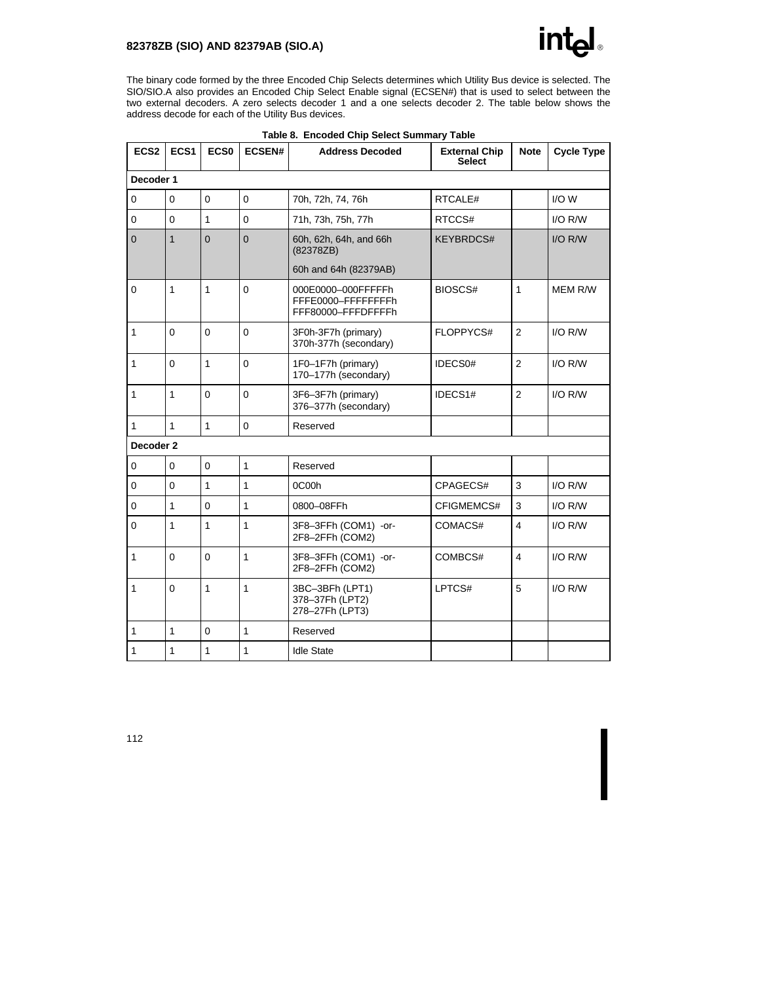

The binary code formed by the three Encoded Chip Selects determines which Utility Bus device is selected. The SIO/SIO.A also provides an Encoded Chip Select Enable signal (ECSEN#) that is used to select between the two external decoders. A zero selects decoder 1 and a one selects decoder 2. The table below shows the address decode for each of the Utility Bus devices.

| ECS <sub>2</sub> | ECS <sub>1</sub> | ECS <sub>0</sub> | <b>ECSEN#</b>  | <b>Address Decoded</b>                                         | <b>External Chip</b><br><b>Select</b> | <b>Note</b>    | <b>Cycle Type</b> |
|------------------|------------------|------------------|----------------|----------------------------------------------------------------|---------------------------------------|----------------|-------------------|
|                  | Decoder 1        |                  |                |                                                                |                                       |                |                   |
| $\mathbf 0$      | $\mathbf 0$      | $\Omega$         | $\Omega$       | 70h, 72h, 74, 76h                                              | RTCALE#                               |                | I/O W             |
| $\mathbf 0$      | $\mathbf 0$      | $\mathbf{1}$     | $\mathbf 0$    | 71h, 73h, 75h, 77h                                             | RTCCS#                                |                | I/O R/W           |
| $\mathbf 0$      | $\overline{1}$   | $\overline{0}$   | $\overline{0}$ | 60h, 62h, 64h, and 66h<br>(82378ZB)                            | KEYBRDCS#                             |                | I/O R/W           |
|                  |                  |                  |                | 60h and 64h (82379AB)                                          |                                       |                |                   |
| $\overline{0}$   | 1                | $\mathbf{1}$     | $\mathbf{0}$   | 000E0000-000FFFFFh<br>FFFE0000-FFFFFFFFh<br>FFF80000-FFFDFFFFh | BIOSCS#                               | $\mathbf{1}$   | MEM R/W           |
| 1                | 0                | $\Omega$         | $\Omega$       | 3F0h-3F7h (primary)<br>370h-377h (secondary)                   | FLOPPYCS#                             | $\overline{2}$ | $I/O$ R/W         |
| $\mathbf{1}$     | $\Omega$         | $\mathbf{1}$     | $\overline{0}$ | 1F0-1F7h (primary)<br>170-177h (secondary)                     | IDECS0#                               | $\overline{2}$ | I/O R/W           |
| $\mathbf{1}$     | $\mathbf{1}$     | $\overline{0}$   | $\overline{0}$ | 3F6-3F7h (primary)<br>376-377h (secondary)                     | IDECS1#                               | $\overline{2}$ | I/O R/W           |
| $\mathbf{1}$     | $\mathbf{1}$     | $\mathbf{1}$     | $\Omega$       | Reserved                                                       |                                       |                |                   |
| Decoder 2        |                  |                  |                |                                                                |                                       |                |                   |
| 0                | 0                | 0                | $\mathbf{1}$   | Reserved                                                       |                                       |                |                   |
| $\overline{0}$   | $\mathbf 0$      | $\mathbf{1}$     | 1              | 0C00h                                                          | CPAGECS#                              | 3              | I/O R/W           |
| $\mathbf 0$      | $\mathbf{1}$     | $\mathbf 0$      | $\mathbf{1}$   | 0800-08FFh                                                     | CFIGMEMCS#                            | 3              | I/O R/W           |
| $\Omega$         | $\mathbf{1}$     | $\mathbf{1}$     | 1              | 3F8-3FFh (COM1) -or-<br>2F8-2FFh (COM2)                        | COMACS#                               | $\overline{4}$ | I/O R/W           |
| $\mathbf{1}$     | $\mathbf 0$      | $\overline{0}$   | 1              | 3F8-3FFh (COM1) -or-<br>2F8-2FFh (COM2)                        | COMBCS#                               | $\overline{4}$ | I/O R/W           |
| $\mathbf{1}$     | $\overline{0}$   | 1                | 1              | 3BC-3BFh (LPT1)<br>378-37Fh (LPT2)<br>278-27Fh (LPT3)          | LPTCS#                                | 5              | I/O R/W           |
| $\mathbf{1}$     | $\mathbf{1}$     | $\Omega$         | $\mathbf{1}$   | Reserved                                                       |                                       |                |                   |
| $\mathbf{1}$     | $\mathbf{1}$     | $\mathbf{1}$     | 1              | <b>Idle State</b>                                              |                                       |                |                   |

#### **Table 8. Encoded Chip Select Summary Table**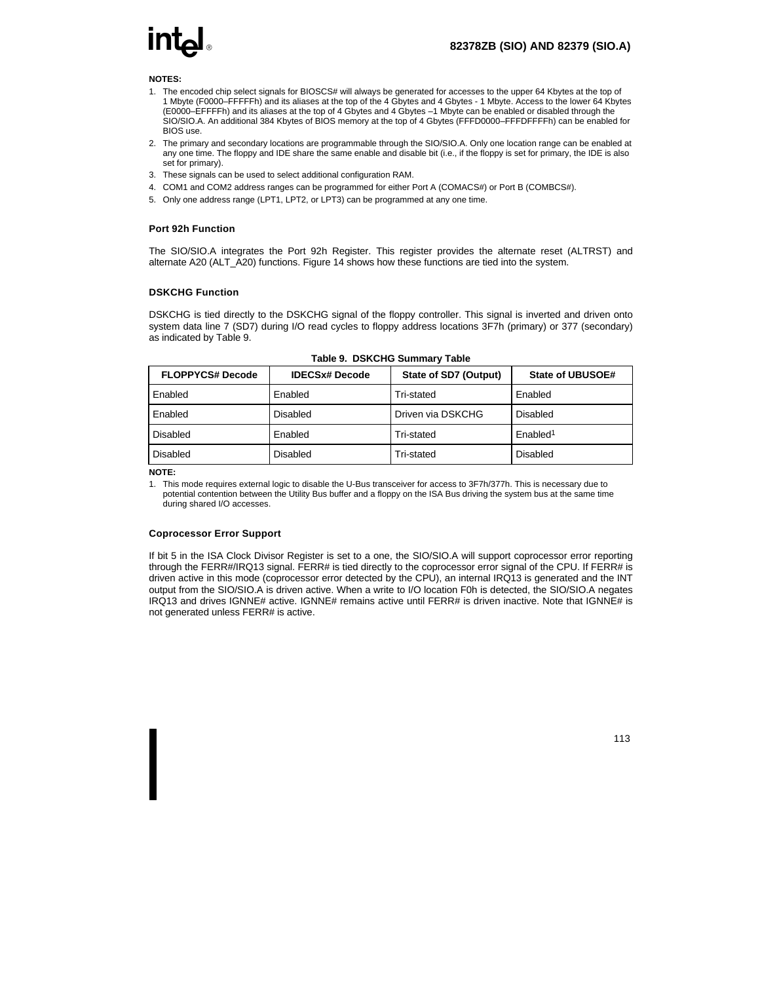#### **NOTES:**

- 1. The encoded chip select signals for BIOSCS# will always be generated for accesses to the upper 64 Kbytes at the top of 1 Mbyte (F0000–FFFFFh) and its aliases at the top of the 4 Gbytes and 4 Gbytes - 1 Mbyte. Access to the lower 64 Kbytes (E0000–EFFFFh) and its aliases at the top of 4 Gbytes and 4 Gbytes –1 Mbyte can be enabled or disabled through the SIO/SIO.A. An additional 384 Kbytes of BIOS memory at the top of 4 Gbytes (FFFD0000–FFFDFFFFh) can be enabled for BIOS use.
- 2. The primary and secondary locations are programmable through the SIO/SIO.A. Only one location range can be enabled at any one time. The floppy and IDE share the same enable and disable bit (i.e., if the floppy is set for primary, the IDE is also set for primary).
- 3. These signals can be used to select additional configuration RAM.
- 4. COM1 and COM2 address ranges can be programmed for either Port A (COMACS#) or Port B (COMBCS#).
- 5. Only one address range (LPT1, LPT2, or LPT3) can be programmed at any one time.

#### **Port 92h Function**

The SIO/SIO.A integrates the Port 92h Register. This register provides the alternate reset (ALTRST) and alternate A20 (ALT\_A20) functions. Figure 14 shows how these functions are tied into the system.

### **DSKCHG Function**

DSKCHG is tied directly to the DSKCHG signal of the floppy controller. This signal is inverted and driven onto system data line 7 (SD7) during I/O read cycles to floppy address locations 3F7h (primary) or 377 (secondary) as indicated by Table 9.

| <b>FLOPPYCS# Decode</b> | <b>IDECSx# Decode</b> | State of SD7 (Output) | State of UBUSOE#     |
|-------------------------|-----------------------|-----------------------|----------------------|
| Enabled                 | Enabled               | Tri-stated            | Enabled              |
| Enabled                 | Disabled              | Driven via DSKCHG     | Disabled             |
| <b>Disabled</b>         | Enabled               | Tri-stated            | Enabled <sup>1</sup> |
| <b>Disabled</b>         | Disabled              | Tri-stated            | <b>Disabled</b>      |

#### **Table 9. DSKCHG Summary Table**

**NOTE:**

1. This mode requires external logic to disable the U-Bus transceiver for access to 3F7h/377h. This is necessary due to potential contention between the Utility Bus buffer and a floppy on the ISA Bus driving the system bus at the same time during shared I/O accesses.

#### **Coprocessor Error Support**

If bit 5 in the ISA Clock Divisor Register is set to a one, the SIO/SIO.A will support coprocessor error reporting through the FERR#/IRQ13 signal. FERR# is tied directly to the coprocessor error signal of the CPU. If FERR# is driven active in this mode (coprocessor error detected by the CPU), an internal IRQ13 is generated and the INT output from the SIO/SIO.A is driven active. When a write to I/O location F0h is detected, the SIO/SIO.A negates IRQ13 and drives IGNNE# active. IGNNE# remains active until FERR# is driven inactive. Note that IGNNE# is not generated unless FERR# is active.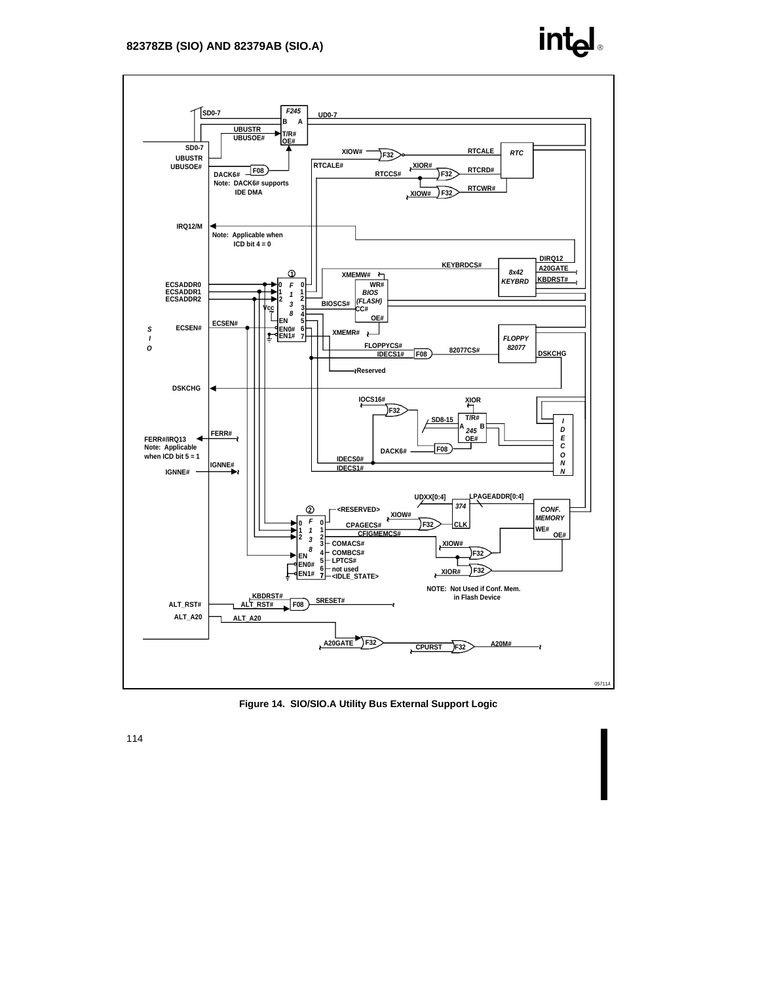



**Figure 14. SIO/SIO.A Utility Bus External Support Logic**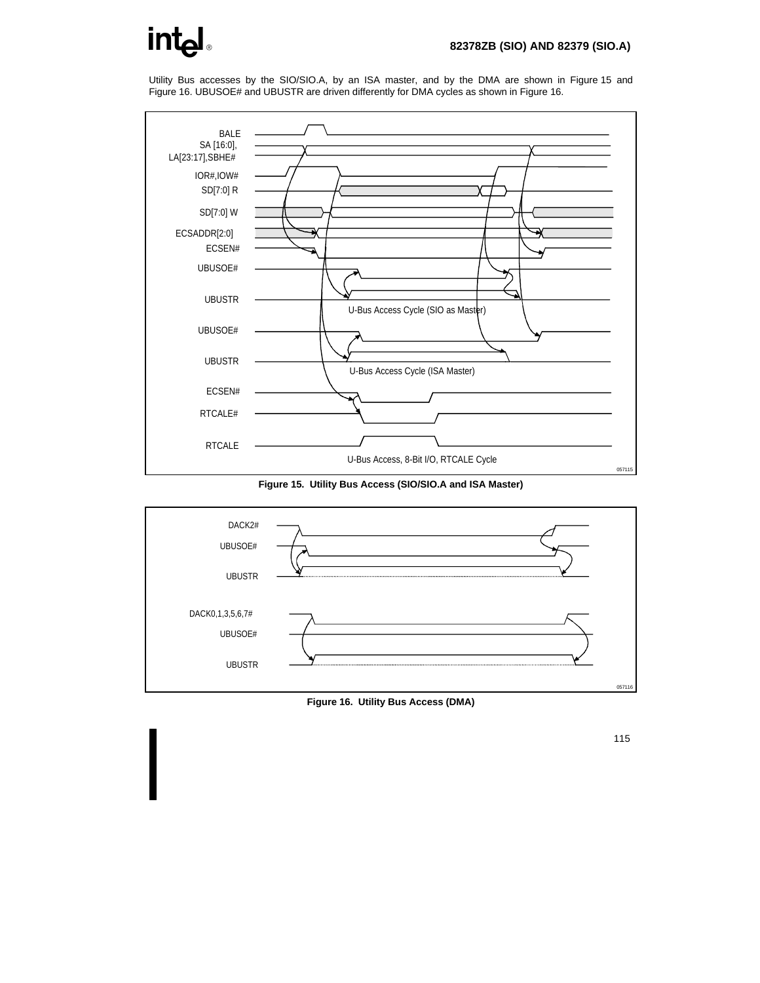Utility Bus accesses by the SIO/SIO.A, by an ISA master, and by the DMA are shown in Figure 15 and Figure 16. UBUSOE# and UBUSTR are driven differently for DMA cycles as shown in Figure 16.



**Figure 15. Utility Bus Access (SIO/SIO.A and ISA Master)**



**Figure 16. Utility Bus Access (DMA)**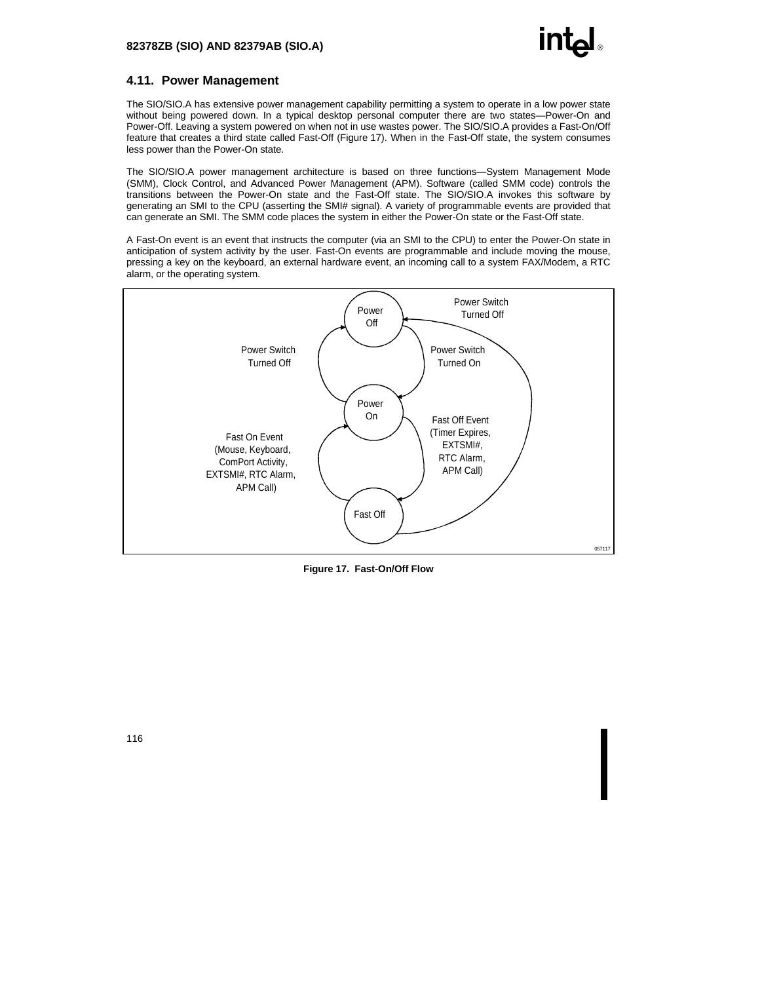## **4.11. Power Management**

The SIO/SIO.A has extensive power management capability permitting a system to operate in a low power state without being powered down. In a typical desktop personal computer there are two states—Power-On and Power-Off. Leaving a system powered on when not in use wastes power. The SIO/SIO.A provides a Fast-On/Off feature that creates a third state called Fast-Off (Figure 17). When in the Fast-Off state, the system consumes less power than the Power-On state.

The SIO/SIO.A power management architecture is based on three functions—System Management Mode (SMM), Clock Control, and Advanced Power Management (APM). Software (called SMM code) controls the transitions between the Power-On state and the Fast-Off state. The SIO/SIO.A invokes this software by generating an SMI to the CPU (asserting the SMI# signal). A variety of programmable events are provided that can generate an SMI. The SMM code places the system in either the Power-On state or the Fast-Off state.

A Fast-On event is an event that instructs the computer (via an SMI to the CPU) to enter the Power-On state in anticipation of system activity by the user. Fast-On events are programmable and include moving the mouse, pressing a key on the keyboard, an external hardware event, an incoming call to a system FAX/Modem, a RTC alarm, or the operating system.



**Figure 17. Fast-On/Off Flow**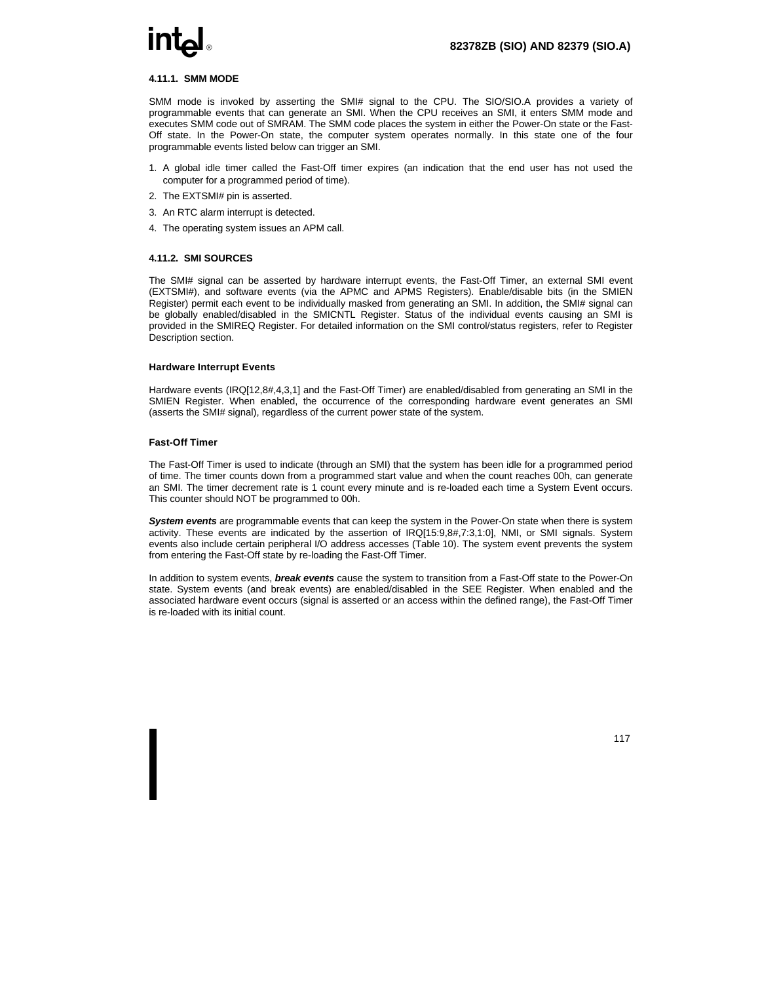

#### **4.11.1. SMM MODE**

SMM mode is invoked by asserting the SMI# signal to the CPU. The SIO/SIO.A provides a variety of programmable events that can generate an SMI. When the CPU receives an SMI, it enters SMM mode and executes SMM code out of SMRAM. The SMM code places the system in either the Power-On state or the Fast-Off state. In the Power-On state, the computer system operates normally. In this state one of the four programmable events listed below can trigger an SMI.

- 1. A global idle timer called the Fast-Off timer expires (an indication that the end user has not used the computer for a programmed period of time).
- 2. The EXTSMI# pin is asserted.
- 3. An RTC alarm interrupt is detected.
- 4. The operating system issues an APM call.

#### **4.11.2. SMI SOURCES**

The SMI# signal can be asserted by hardware interrupt events, the Fast-Off Timer, an external SMI event (EXTSMI#), and software events (via the APMC and APMS Registers). Enable/disable bits (in the SMIEN Register) permit each event to be individually masked from generating an SMI. In addition, the SMI# signal can be globally enabled/disabled in the SMICNTL Register. Status of the individual events causing an SMI is provided in the SMIREQ Register. For detailed information on the SMI control/status registers, refer to Register Description section.

## **Hardware Interrupt Events**

Hardware events (IRQ[12,8#,4,3,1] and the Fast-Off Timer) are enabled/disabled from generating an SMI in the SMIEN Register. When enabled, the occurrence of the corresponding hardware event generates an SMI (asserts the SMI# signal), regardless of the current power state of the system.

#### **Fast-Off Timer**

The Fast-Off Timer is used to indicate (through an SMI) that the system has been idle for a programmed period of time. The timer counts down from a programmed start value and when the count reaches 00h, can generate an SMI. The timer decrement rate is 1 count every minute and is re-loaded each time a System Event occurs. This counter should NOT be programmed to 00h.

**System events** are programmable events that can keep the system in the Power-On state when there is system activity. These events are indicated by the assertion of IRQ[15:9,8#,7:3,1:0], NMI, or SMI signals. System events also include certain peripheral I/O address accesses (Table 10). The system event prevents the system from entering the Fast-Off state by re-loading the Fast-Off Timer.

In addition to system events, **break events** cause the system to transition from a Fast-Off state to the Power-On state. System events (and break events) are enabled/disabled in the SEE Register. When enabled and the associated hardware event occurs (signal is asserted or an access within the defined range), the Fast-Off Timer is re-loaded with its initial count.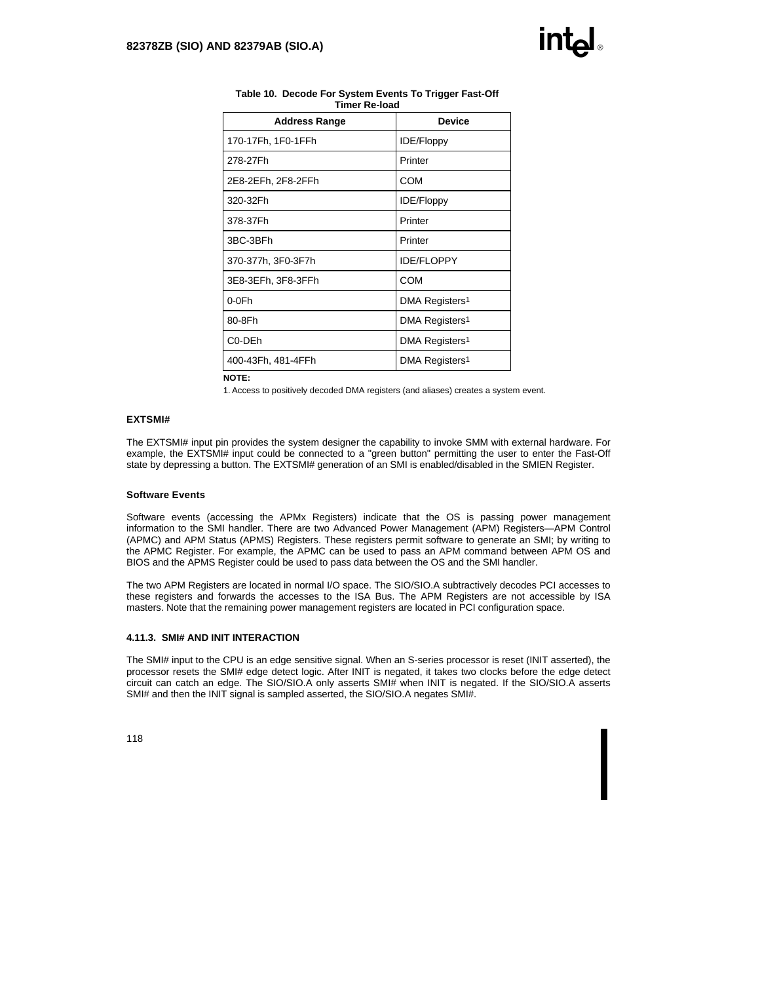

|                      | Tillel Re-Ivau             |  |  |  |  |
|----------------------|----------------------------|--|--|--|--|
| <b>Address Range</b> | <b>Device</b>              |  |  |  |  |
| 170-17Fh, 1F0-1FFh   | IDE/Floppy                 |  |  |  |  |
| 278-27Fh             | Printer                    |  |  |  |  |
| 2E8-2EFh, 2F8-2FFh   | COM                        |  |  |  |  |
| 320-32Fh             | IDE/Floppy                 |  |  |  |  |
| 378-37Fh             | Printer                    |  |  |  |  |
| 3BC-3BFh             | Printer                    |  |  |  |  |
| 370-377h, 3F0-3F7h   | <b>IDE/FLOPPY</b>          |  |  |  |  |
| 3E8-3EFh, 3F8-3FFh   | <b>COM</b>                 |  |  |  |  |
| 0-0Fh                | DMA Registers <sup>1</sup> |  |  |  |  |
| 80-8Fh               | DMA Registers <sup>1</sup> |  |  |  |  |
| C <sub>0</sub> -DEh  | DMA Registers <sup>1</sup> |  |  |  |  |
| 400-43Fh, 481-4FFh   | DMA Registers <sup>1</sup> |  |  |  |  |

#### **Table 10. Decode For System Events To Trigger Fast-Off Timer Re-load**

**NOTE:**

1. Access to positively decoded DMA registers (and aliases) creates a system event.

### **EXTSMI#**

The EXTSMI# input pin provides the system designer the capability to invoke SMM with external hardware. For example, the EXTSMI# input could be connected to a "green button" permitting the user to enter the Fast-Off state by depressing a button. The EXTSMI# generation of an SMI is enabled/disabled in the SMIEN Register.

#### **Software Events**

Software events (accessing the APMx Registers) indicate that the OS is passing power management information to the SMI handler. There are two Advanced Power Management (APM) Registers—APM Control (APMC) and APM Status (APMS) Registers. These registers permit software to generate an SMI; by writing to the APMC Register. For example, the APMC can be used to pass an APM command between APM OS and BIOS and the APMS Register could be used to pass data between the OS and the SMI handler.

The two APM Registers are located in normal I/O space. The SIO/SIO.A subtractively decodes PCI accesses to these registers and forwards the accesses to the ISA Bus. The APM Registers are not accessible by ISA masters. Note that the remaining power management registers are located in PCI configuration space.

#### **4.11.3. SMI# AND INIT INTERACTION**

The SMI# input to the CPU is an edge sensitive signal. When an S-series processor is reset (INIT asserted), the processor resets the SMI# edge detect logic. After INIT is negated, it takes two clocks before the edge detect circuit can catch an edge. The SIO/SIO.A only asserts SMI# when INIT is negated. If the SIO/SIO.A asserts SMI# and then the INIT signal is sampled asserted, the SIO/SIO.A negates SMI#.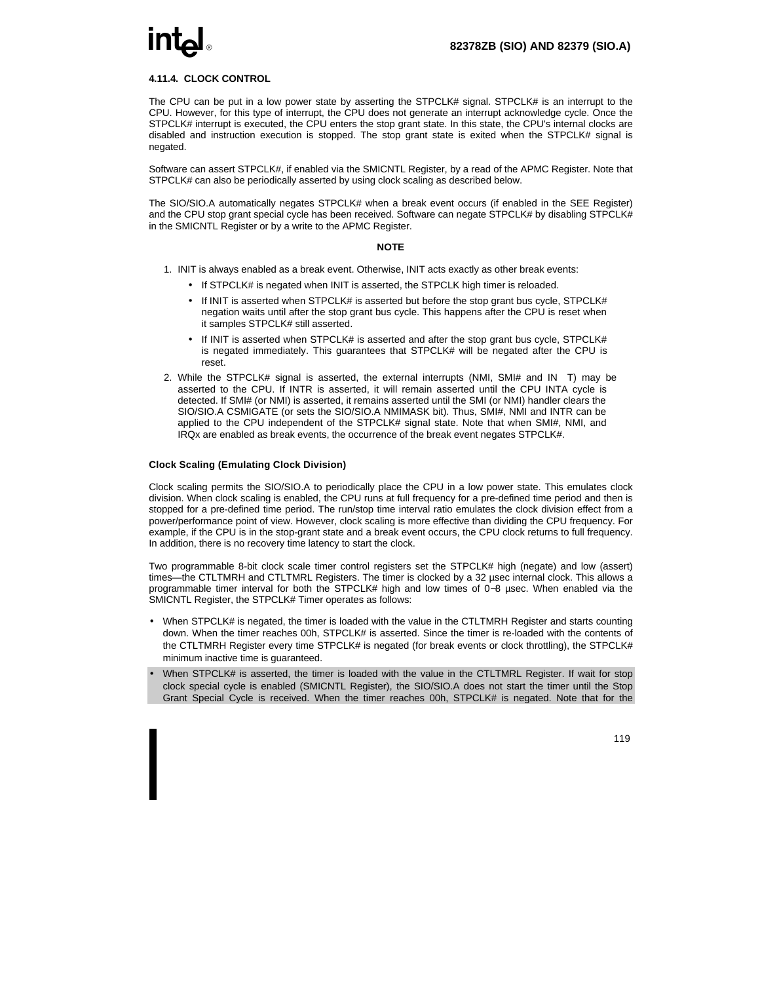## **4.11.4. CLOCK CONTROL**

The CPU can be put in a low power state by asserting the STPCLK# signal. STPCLK# is an interrupt to the CPU. However, for this type of interrupt, the CPU does not generate an interrupt acknowledge cycle. Once the STPCLK# interrupt is executed, the CPU enters the stop grant state. In this state, the CPU's internal clocks are disabled and instruction execution is stopped. The stop grant state is exited when the STPCLK# signal is negated.

Software can assert STPCLK#, if enabled via the SMICNTL Register, by a read of the APMC Register. Note that STPCLK# can also be periodically asserted by using clock scaling as described below.

The SIO/SIO.A automatically negates STPCLK# when a break event occurs (if enabled in the SEE Register) and the CPU stop grant special cycle has been received. Software can negate STPCLK# by disabling STPCLK# in the SMICNTL Register or by a write to the APMC Register.

#### **NOTE**

- 1. INIT is always enabled as a break event. Otherwise, INIT acts exactly as other break events:
	- If STPCLK# is negated when INIT is asserted, the STPCLK high timer is reloaded.
	- If INIT is asserted when STPCLK# is asserted but before the stop grant bus cycle, STPCLK# negation waits until after the stop grant bus cycle. This happens after the CPU is reset when it samples STPCLK# still asserted.
	- If INIT is asserted when STPCLK# is asserted and after the stop grant bus cycle, STPCLK# is negated immediately. This guarantees that STPCLK# will be negated after the CPU is reset.
- 2. While the STPCLK# signal is asserted, the external interrupts (NMI, SMI# and IN T) may be asserted to the CPU. If INTR is asserted, it will remain asserted until the CPU INTA cycle is detected. If SMI# (or NMI) is asserted, it remains asserted until the SMI (or NMI) handler clears the SIO/SIO.A CSMIGATE (or sets the SIO/SIO.A NMIMASK bit). Thus, SMI#, NMI and INTR can be applied to the CPU independent of the STPCLK# signal state. Note that when SMI#, NMI, and IRQx are enabled as break events, the occurrence of the break event negates STPCLK#.

#### **Clock Scaling (Emulating Clock Division)**

Clock scaling permits the SIO/SIO.A to periodically place the CPU in a low power state. This emulates clock division. When clock scaling is enabled, the CPU runs at full frequency for a pre-defined time period and then is stopped for a pre-defined time period. The run/stop time interval ratio emulates the clock division effect from a power/performance point of view. However, clock scaling is more effective than dividing the CPU frequency. For example, if the CPU is in the stop-grant state and a break event occurs, the CPU clock returns to full frequency. In addition, there is no recovery time latency to start the clock.

Two programmable 8-bit clock scale timer control registers set the STPCLK# high (negate) and low (assert) times—the CTLTMRH and CTLTMRL Registers. The timer is clocked by a 32 µsec internal clock. This allows a programmable timer interval for both the STPCLK# high and low times of 0−8 µsec. When enabled via the SMICNTL Register, the STPCLK# Timer operates as follows:

- When STPCLK# is negated, the timer is loaded with the value in the CTLTMRH Register and starts counting down. When the timer reaches 00h, STPCLK# is asserted. Since the timer is re-loaded with the contents of the CTLTMRH Register every time STPCLK# is negated (for break events or clock throttling), the STPCLK# minimum inactive time is guaranteed.
- When STPCLK# is asserted, the timer is loaded with the value in the CTLTMRL Register. If wait for stop clock special cycle is enabled (SMICNTL Register), the SIO/SIO.A does not start the timer until the Stop Grant Special Cycle is received. When the timer reaches 00h, STPCLK# is negated. Note that for the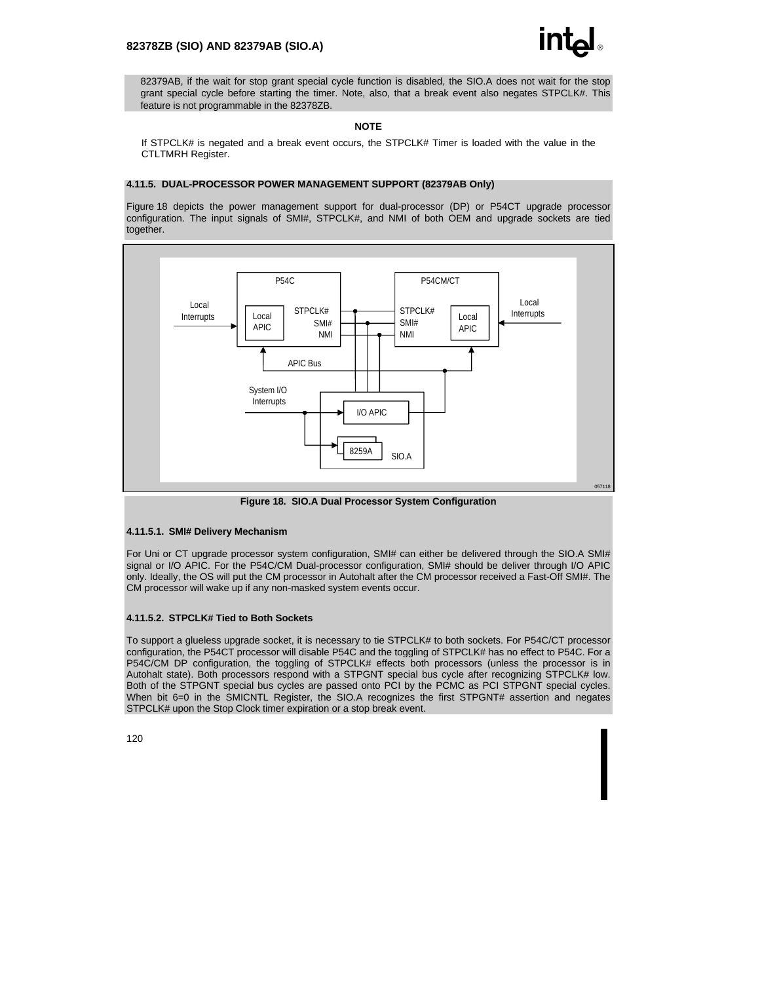

82379AB, if the wait for stop grant special cycle function is disabled, the SIO.A does not wait for the stop grant special cycle before starting the timer. Note, also, that a break event also negates STPCLK#. This feature is not programmable in the 82378ZB.

#### **NOTE**

If STPCLK# is negated and a break event occurs, the STPCLK# Timer is loaded with the value in the CTLTMRH Register.

## **4.11.5. DUAL-PROCESSOR POWER MANAGEMENT SUPPORT (82379AB Only)**

Figure 18 depicts the power management support for dual-processor (DP) or P54CT upgrade processor configuration. The input signals of SMI#, STPCLK#, and NMI of both OEM and upgrade sockets are tied together.



**Figure 18. SIO.A Dual Processor System Configuration**

## **4.11.5.1. SMI# Delivery Mechanism**

For Uni or CT upgrade processor system configuration, SMI# can either be delivered through the SIO.A SMI# signal or I/O APIC. For the P54C/CM Dual-processor configuration, SMI# should be deliver through I/O APIC only. Ideally, the OS will put the CM processor in Autohalt after the CM processor received a Fast-Off SMI#. The CM processor will wake up if any non-masked system events occur.

## **4.11.5.2. STPCLK# Tied to Both Sockets**

To support a glueless upgrade socket, it is necessary to tie STPCLK# to both sockets. For P54C/CT processor configuration, the P54CT processor will disable P54C and the toggling of STPCLK# has no effect to P54C. For a P54C/CM DP configuration, the toggling of STPCLK# effects both processors (unless the processor is in Autohalt state). Both processors respond with a STPGNT special bus cycle after recognizing STPCLK# low. Both of the STPGNT special bus cycles are passed onto PCI by the PCMC as PCI STPGNT special cycles. When bit 6=0 in the SMICNTL Register, the SIO.A recognizes the first STPGNT# assertion and negates STPCLK# upon the Stop Clock timer expiration or a stop break event.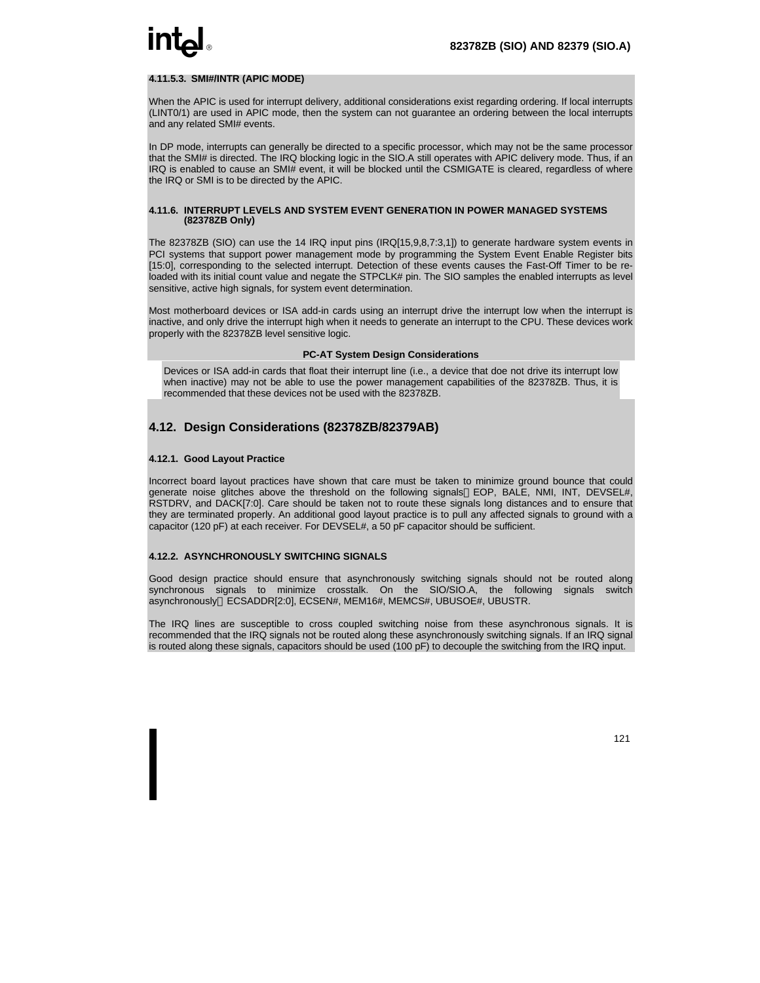## **4.11.5.3. SMI#/INTR (APIC MODE)**

When the APIC is used for interrupt delivery, additional considerations exist regarding ordering. If local interrupts (LINT0/1) are used in APIC mode, then the system can not guarantee an ordering between the local interrupts and any related SMI# events.

In DP mode, interrupts can generally be directed to a specific processor, which may not be the same processor that the SMI# is directed. The IRQ blocking logic in the SIO.A still operates with APIC delivery mode. Thus, if an IRQ is enabled to cause an SMI# event, it will be blocked until the CSMIGATE is cleared, regardless of where the IRQ or SMI is to be directed by the APIC.

#### **4.11.6. INTERRUPT LEVELS AND SYSTEM EVENT GENERATION IN POWER MANAGED SYSTEMS (82378ZB Only)**

The 82378ZB (SIO) can use the 14 IRQ input pins (IRQ[15,9,8,7:3,1]) to generate hardware system events in PCI systems that support power management mode by programming the System Event Enable Register bits [15:0], corresponding to the selected interrupt. Detection of these events causes the Fast-Off Timer to be reloaded with its initial count value and negate the STPCLK# pin. The SIO samples the enabled interrupts as level sensitive, active high signals, for system event determination.

Most motherboard devices or ISA add-in cards using an interrupt drive the interrupt low when the interrupt is inactive, and only drive the interrupt high when it needs to generate an interrupt to the CPU. These devices work properly with the 82378ZB level sensitive logic.

#### **PC-AT System Design Considerations**

Devices or ISA add-in cards that float their interrupt line (i.e., a device that doe not drive its interrupt low when inactive) may not be able to use the power management capabilities of the 82378ZB. Thus, it is recommended that these devices not be used with the 82378ZB.

# **4.12. Design Considerations (82378ZB/82379AB)**

## **4.12.1. Good Layout Practice**

Incorrect board layout practices have shown that care must be taken to minimize ground bounce that could generate noise glitches above the threshold on the following signals-EOP, BALE, NMI, INT, DEVSEL#, RSTDRV, and DACK[7:0]. Care should be taken not to route these signals long distances and to ensure that they are terminated properly. An additional good layout practice is to pull any affected signals to ground with a capacitor (120 pF) at each receiver. For DEVSEL#, a 50 pF capacitor should be sufficient.

## **4.12.2. ASYNCHRONOUSLY SWITCHING SIGNALS**

Good design practice should ensure that asynchronously switching signals should not be routed along synchronous signals to minimize crosstalk. On the SIO/SIO.A, the following signals switch asynchronously-ECSADDR[2:0], ECSEN#, MEM16#, MEMCS#, UBUSOE#, UBUSTR.

The IRQ lines are susceptible to cross coupled switching noise from these asynchronous signals. It is recommended that the IRQ signals not be routed along these asynchronously switching signals. If an IRQ signal is routed along these signals, capacitors should be used (100 pF) to decouple the switching from the IRQ input.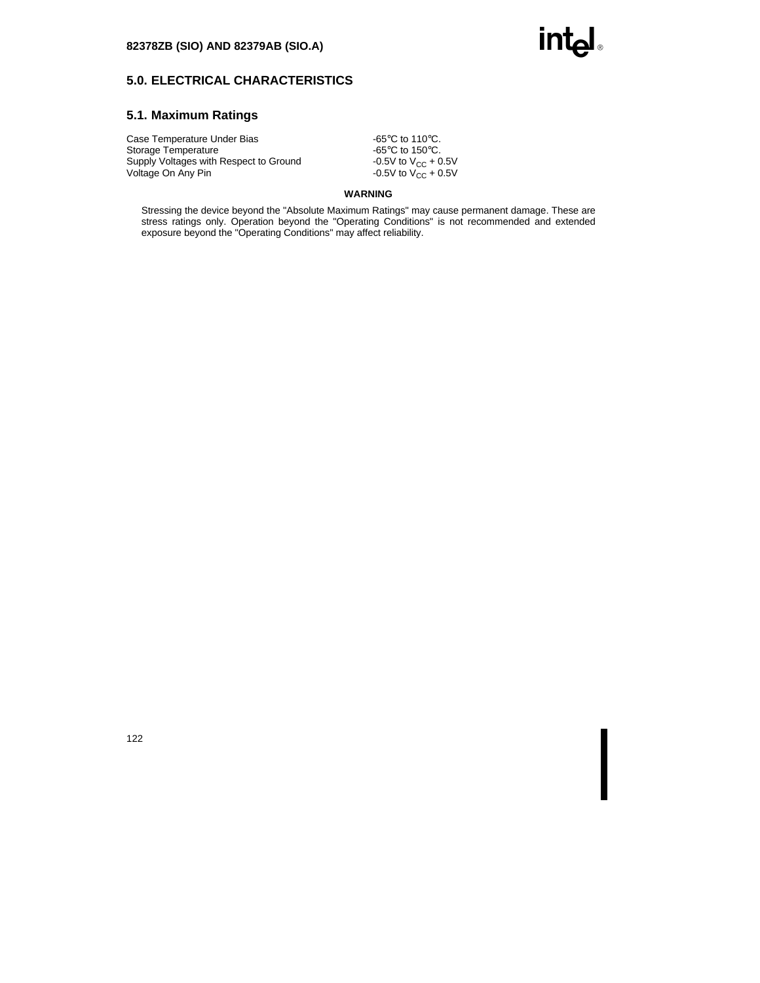

# **5.0. ELECTRICAL CHARACTERISTICS**

# **5.1. Maximum Ratings**

Case Temperature Under Bias<br>Storage Temperature  $-65^{\circ}$ C to 110°C.<br>-65°C to 150°C. Storage Temperature Supply Voltages with Respect to Ground<br>Voltage On Any Pin

-0.5V to V<sub>CC</sub> + 0.5V<br>-0.5V to V<sub>CC</sub> + 0.5V

## **WARNING**

Stressing the device beyond the "Absolute Maximum Ratings" may cause permanent damage. These are stress ratings only. Operation beyond the "Operating Conditions" is not recommended and extended exposure beyond the "Operating Conditions" may affect reliability.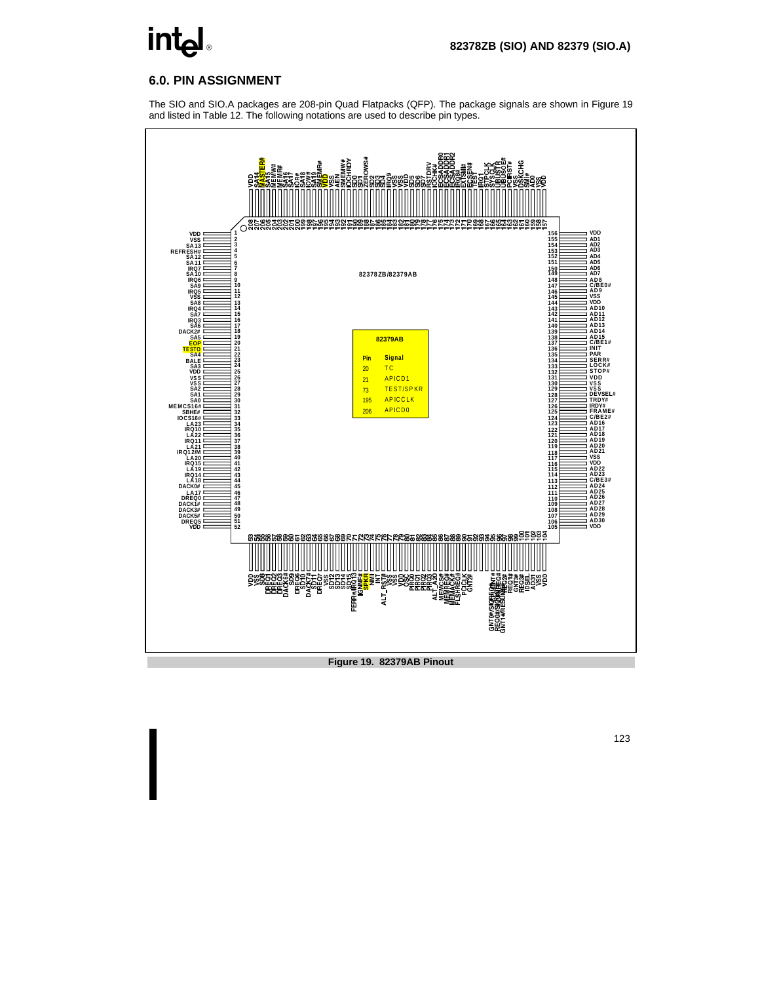

# **6.0. PIN ASSIGNMENT**

The SIO and SIO.A packages are 208-pin Quad Flatpacks (QFP). The package signals are shown in Figure 19 and listed in Table 12. The following notations are used to describe pin types.

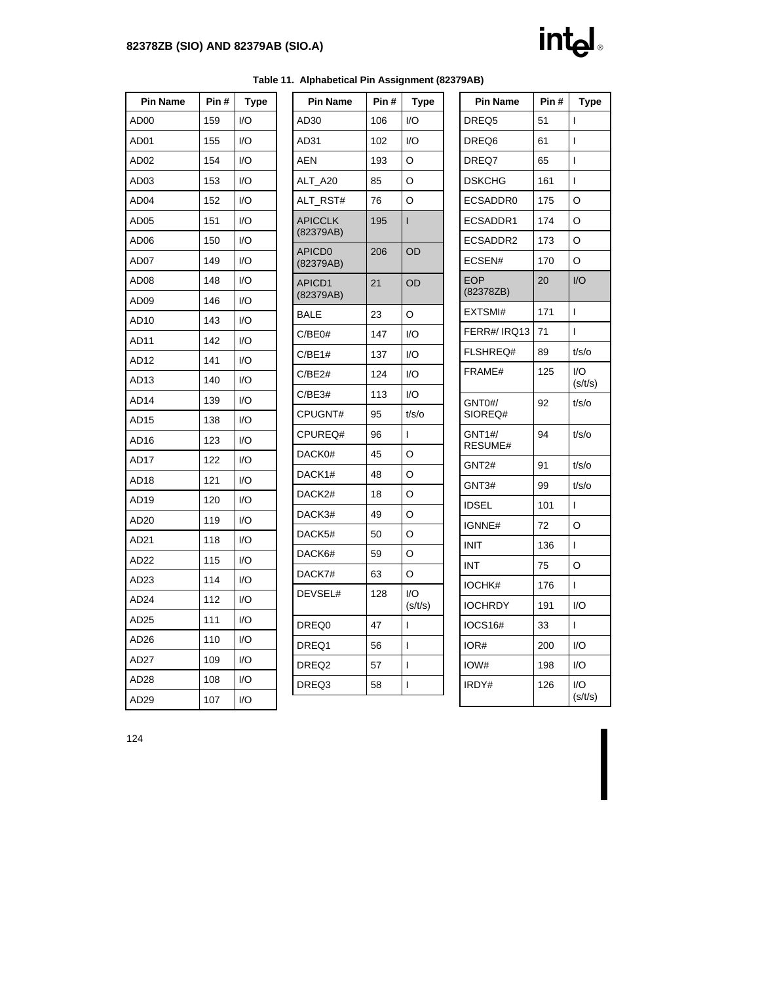| <b>Pin Name</b>  | Pin # | Type |
|------------------|-------|------|
| AD00             | 159   | I/O  |
| AD01             | 155   | I/O  |
| AD02             | 154   | I/O  |
| AD03             | 153   | l/O  |
| AD04             | 152   | 1/O  |
| AD05             | 151   | I/O  |
| AD06             | 150   | I/O  |
| AD07             | 149   | I/O  |
| AD08             | 148   | I/O  |
| AD09             | 146   | I/O  |
| AD10             | 143   | I/O  |
| AD11             | 142   | l/O  |
| AD12             | 141   | I/O  |
| AD13             | 140   | I/O  |
| AD14             | 139   | l/O  |
| AD15             | 138   | I/O  |
| AD16             | 123   | I/O  |
| AD17             | 122   | I/O  |
| AD18             | 121   | 1/O  |
| AD19             | 120   | I/O  |
| AD20             | 119   | I/O  |
| AD21             | 118   | I/O  |
| AD22             | 115   | I/O  |
| AD23             | 114   | I/O  |
| AD24             | 112   | I/O  |
| AD <sub>25</sub> | 111   | I/O  |
| AD26             | 110   | I/O  |
| AD27             | 109   | I/O  |
| AD28             | 108   | I/O  |
| AD29             | 107   | I/O  |

## **Table 11. Alphabetical Pin Assignment (82379AB)**

| <b>Pin Name</b>                 | Pin # | <b>Type</b>    |
|---------------------------------|-------|----------------|
| AD30                            | 106   | I/O            |
| AD31                            | 102   | I/O            |
| AEN                             | 193   | O              |
| ALT A20                         | 85    | O              |
| ALT RST#                        | 76    | O              |
| <b>APICCLK</b><br>(82379AB)     | 195   | ı              |
| APICD <sub>0</sub><br>(82379AB) | 206   | OD             |
| APICD1<br>(82379AB)             | 21    | OD             |
| BALE                            | 23    | O              |
| C/BE0#                          | 147   | I/O            |
| C/BE1#                          | 137   | I/O            |
| C/BE2#                          | 124   | I/O            |
| C/BE3#                          | 113   | I/O            |
| CPUGNT#                         | 95    | t/s/o          |
| CPUREQ#                         | 96    | I              |
| DACK0#                          | 45    | Ő              |
| DACK1#                          | 48    | O              |
| DACK2#                          | 18    | O              |
| DACK3#                          | 49    | O              |
| DACK5#                          | 50    | O              |
| DACK6#                          | 59    | O              |
| DACK7#                          | 63    | O              |
| DEVSEL#                         | 128   | I/O<br>(s/t/s) |
| DREQ0                           | 47    | I              |
| DREQ1                           | 56    | ı              |
| DREQ2                           | 57    | I              |
| DREQ3                           | 58    | I              |

| <b>Pin Name</b>         | Pin# | <b>Type</b>    |
|-------------------------|------|----------------|
| DREQ5                   | 51   | I              |
| DREQ6                   | 61   | ı              |
| DREQ7                   | 65   | ı              |
| <b>DSKCHG</b>           | 161  | ı              |
| ECSADDR0                | 175  | O              |
| ECSADDR1                | 174  | O              |
| ECSADDR2                | 173  | O              |
| ECSEN#                  | 170  | O              |
| <b>EOP</b><br>(82378ZB) | 20   | $U$            |
| EXTSMI#                 | 171  | ı              |
| FERR#/IRQ13             | 71   | I              |
| FLSHREQ#                | 89   | t/s/o          |
| FRAME#                  | 125  | 1/O<br>(s/t/s) |
| GNT0#/<br>SIOREQ#       | 92   | t/s/o          |
| GNT1#/<br>RESUME#       | 94   | t/s/o          |
| GNT2#                   | 91   | t/s/o          |
| GNT3#                   | 99   | t/s/o          |
| <b>IDSEL</b>            | 101  | ı              |
| IGNNE#                  | 72   | O              |
| INIT                    | 136  | I              |
| INT                     | 75   | O              |
| IOCHK#                  | 176  | I              |
| IOCHRDY                 | 191  | I/O            |
| <b>IOCS16#</b>          | 33   | I              |
| IOR#                    | 200  | I/O            |
| IOW#                    | 198  | I/O            |
| IRDY#                   | 126  | I/O<br>(s/t/s) |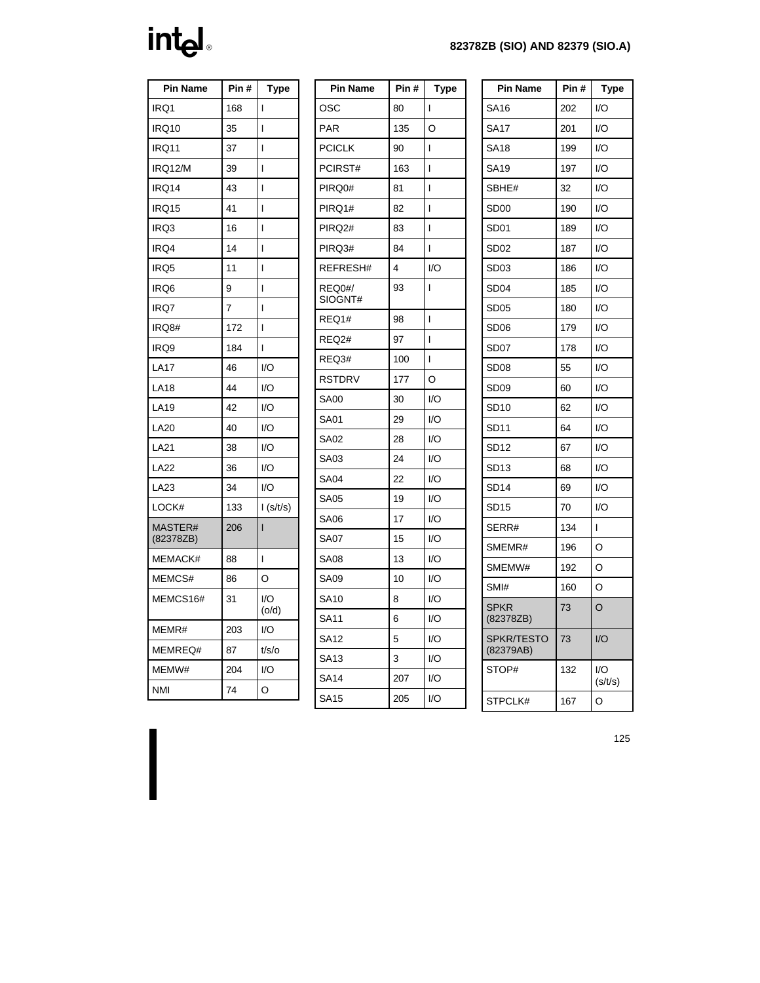# E **82378ZB (SIO) AND 82379 (SIO.A)**

| <b>Pin Name</b>      | Pin# | Type               |
|----------------------|------|--------------------|
| IRQ1                 | 168  | ı                  |
| <b>IRQ10</b>         | 35   | I                  |
| IRQ11                | 37   | I                  |
| <b>IRQ12/M</b>       | 39   | ı                  |
| IRQ14                | 43   | I                  |
| IRQ15                | 41   | I                  |
| IRQ3                 | 16   | I                  |
| IRQ4                 | 14   | ı                  |
| IRQ5                 | 11   | I                  |
| IRQ6                 | 9    | ı                  |
| IRQ7                 | 7    | I                  |
| IRQ8#                | 172  | I                  |
| IRQ9                 | 184  | I                  |
| <b>LA17</b>          | 46   | I/O                |
| LA18                 | 44   | I/O                |
| LA19                 | 42   | I/O                |
| LA20                 | 40   | I/O                |
| LA21                 | 38   | I/O                |
| LA22                 | 36   | I/O                |
| LA23                 | 34   | I/O                |
| LOCK#                | 133  | $l$ (s/t/s)        |
| MASTER#<br>(82378ZB) | 206  | Ī                  |
| MEMACK#              | 88   | I                  |
| MEMCS#               | 86   | O                  |
| MEMCS16#             | 31   | 1/O<br>$($ o/d $)$ |
| MEMR#                | 203  | 1/O                |
| MEMREQ#              | 87   | t/s/o              |
| MEMW#                | 204  | I/O                |
| NMI                  | 74   | O                  |

| <b>Pin Name</b>    | Pin# | <b>Type</b> |
|--------------------|------|-------------|
| osc                | 80   | I           |
| <b>PAR</b>         | 135  | O           |
| <b>PCICLK</b>      | 90   | I           |
| PCIRST#            | 163  | ı           |
| PIRQ0#             | 81   | ı           |
| PIRQ1#             | 82   | I           |
| PIRQ2#             | 83   | I           |
| PIRQ3#             | 84   | I           |
| REFRESH#           | 4    | I/O         |
| REQ0#/<br>SIOGNT#  | 93   | I           |
| REQ1#              | 98   | ı           |
| REQ <sub>2</sub> # | 97   | ı           |
| REQ3#              | 100  | I           |
| RSTDRV             | 177  | O           |
| SA00               | 30   | I/O         |
| <b>SA01</b>        | 29   | I/O         |
| SA02               | 28   | I/O         |
| SA03               | 24   | I/O         |
| SA04               | 22   | I/O         |
| SA05               | 19   | I/O         |
| <b>SA06</b>        | 17   | 1/O         |
| SA07               | 15   | I/O         |
| SA08               | 13   | I/O         |
| SA09               | 10   | I/O         |
| SA10               | 8    | 1/O         |
| SA11               | 6    | I/O         |
| SA12               | 5    | I/O         |
| SA13               | 3    | I/O         |
| SA <sub>14</sub>   | 207  | I/O         |
| <b>SA15</b>        | 205  | I/O         |

| <b>Pin Name</b>          | Pin# | <b>Type</b>    |
|--------------------------|------|----------------|
| <b>SA16</b>              | 202  | I/O            |
| SA17                     | 201  | I/O            |
| <b>SA18</b>              | 199  | I/O            |
| <b>SA19</b>              | 197  | I/O            |
| SBHE#                    | 32   | I/O            |
| SD <sub>00</sub>         | 190  | 1/O            |
| SD <sub>01</sub>         | 189  | I/O            |
| SD <sub>02</sub>         | 187  | I/O            |
| SD <sub>03</sub>         | 186  | I/O            |
| SD <sub>04</sub>         | 185  | I/O            |
| SD <sub>05</sub>         | 180  | I/O            |
| SD <sub>06</sub>         | 179  | I/O            |
| SD07                     | 178  | I/O            |
| SD <sub>08</sub>         | 55   | I/O            |
| SD <sub>09</sub>         | 60   | I/O            |
| SD <sub>10</sub>         | 62   | I/O            |
| SD <sub>11</sub>         | 64   | I/O            |
| SD12                     | 67   | I/O            |
| SD13                     | 68   | I/O            |
| SD <sub>14</sub>         | 69   | 1/O            |
| <b>SD15</b>              | 70   | I/O            |
| SERR#                    | 134  | ı              |
| SMEMR#                   | 196  | O              |
| SMEMW#                   | 192  | O              |
| SMI#                     | 160  | O              |
| <b>SPKR</b><br>(82378ZB) | 73   | O              |
| SPKR/TESTO<br>(82379AB)  | 73   | I/O            |
| STOP#                    | 132  | I/O<br>(s/t/s) |
| STPCLK#                  | 167  | O              |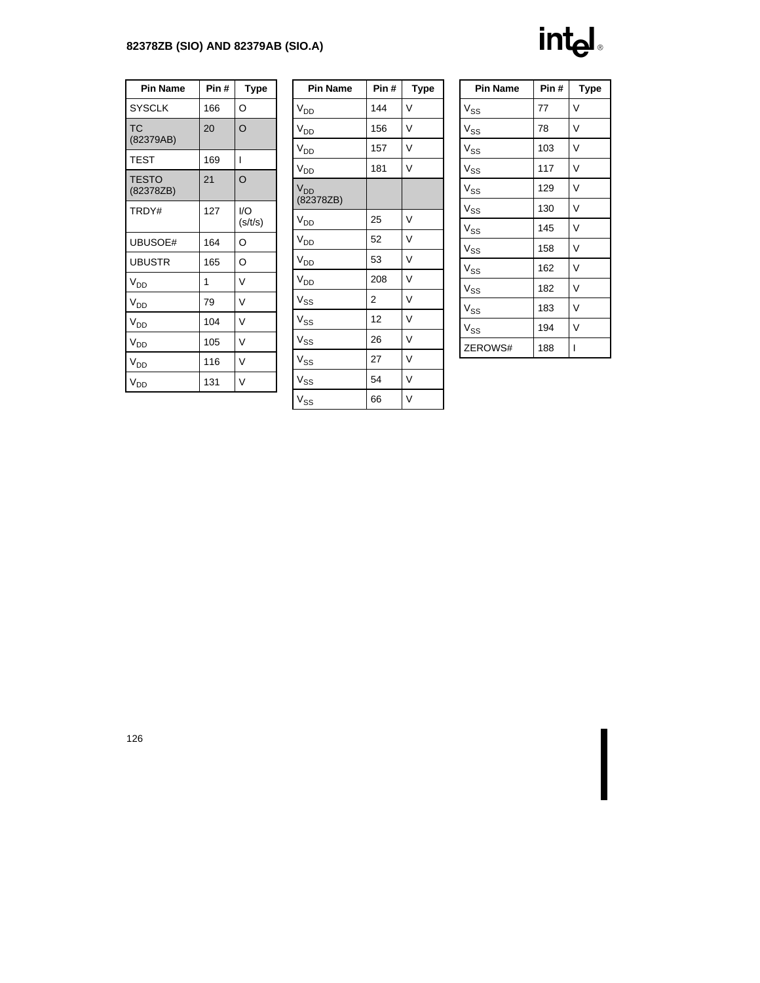# 82378ZB (SIO) AND 82379AB (SIO.A) Exercise the set of the set of the set of the set of the set of the set of the set of the set of the set of the set of the set of the set of the set of the set of the set of the set of the

| Pin Name                  | Pin # | <b>Type</b>    |
|---------------------------|-------|----------------|
| <b>SYSCLK</b>             | 166   | O              |
| TC<br>(82379AB)           | 20    | O              |
| <b>TEST</b>               | 169   | ı              |
| <b>TESTO</b><br>(82378ZB) | 21    | O              |
| TRDY#                     | 127   | 1/O<br>(s/t/s) |
| UBUSOE#                   | 164   | O              |
| <b>UBUSTR</b>             | 165   | O              |
| V <sub>DD</sub>           | 1     | V              |
| $V_{DD}$                  | 79    | V              |
| <b>V<sub>DD</sub></b>     | 104   | V              |
| $V_{DD}$                  | 105   | $\vee$         |
| $V_{DD}$                  | 116   | V              |
| V <sub>DD</sub>           | 131   | V              |
|                           |       |                |

| Pin Name                     | Pin # | <b>Type</b> |
|------------------------------|-------|-------------|
| $V_{DD}$                     | 144   | ٧           |
| $V_{DD}$                     | 156   | V           |
| $V_{DD}$                     | 157   | V           |
| $V_{DD}$                     | 181   | V           |
| V <sub>DD</sub><br>(82378ZB) |       |             |
| $V_{DD}$                     | 25    | V           |
| $V_{DD}$                     | 52    | V           |
| V <sub>DD</sub>              | 53    | V           |
| $V_{DD}$                     | 208   | V           |
| $V_{SS}$                     | 2     | V           |
| $V_{SS}$                     | 12    | V           |
| $V_{SS}$                     | 26    | V           |
| $V_{SS}$                     | 27    | $\vee$      |
| $V_{SS}$                     | 54    | V           |
| $V_{SS}$                     | 66    | V           |

| <b>Pin Name</b> | Pin# | <b>Type</b> |
|-----------------|------|-------------|
| $V_{SS}$        | 77   | V           |
| $V_{SS}$        | 78   | V           |
| $V_{SS}$        | 103  | V           |
| $V_{SS}$        | 117  | V           |
| $V_{SS}$        | 129  | V           |
| $V_{SS}$        | 130  | V           |
| $V_{SS}$        | 145  | V           |
| $V_{SS}$        | 158  | V           |
| $V_{SS}$        | 162  | V           |
| $V_{SS}$        | 182  | V           |
| $V_{SS}$        | 183  | V           |
| $V_{SS}$        | 194  | V           |
| ZEROWS#         | 188  | I           |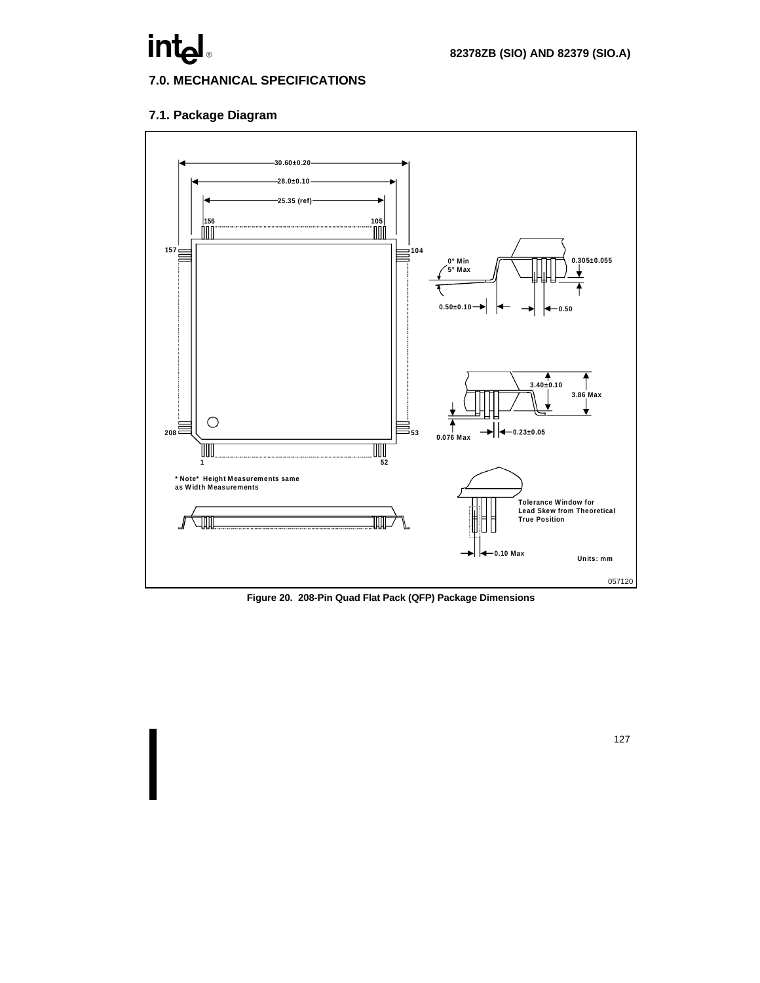

# **7.0. MECHANICAL SPECIFICATIONS**

# **7.1. Package Diagram**



**Figure 20. 208-Pin Quad Flat Pack (QFP) Package Dimensions**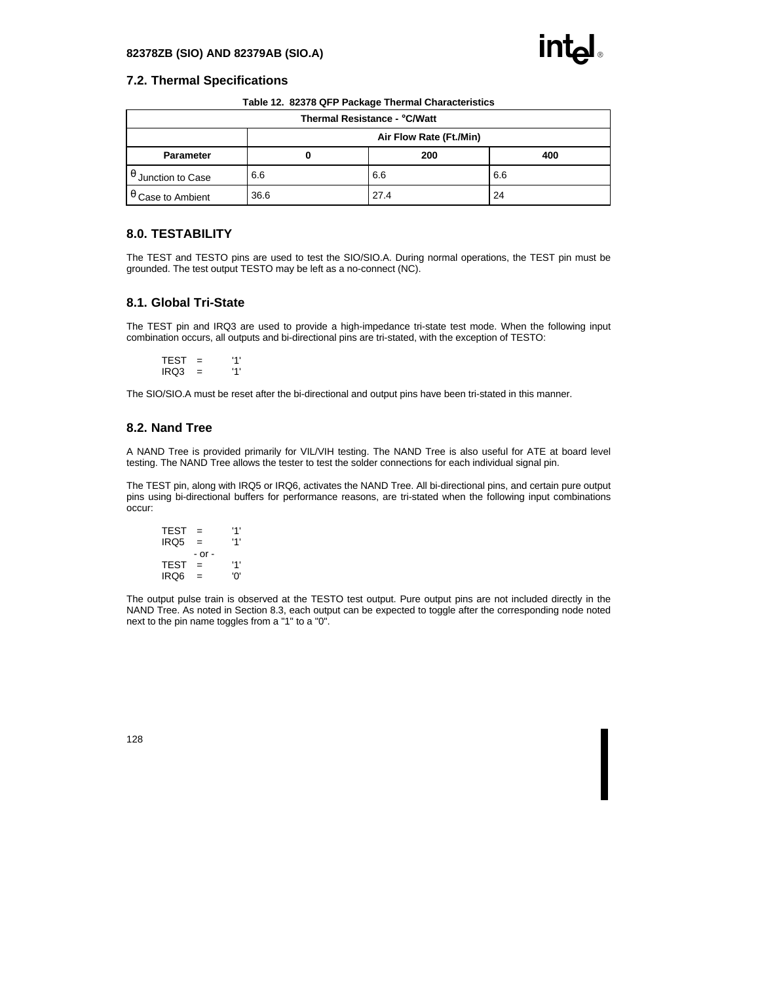

## **7.2. Thermal Specifications**

**Table 12. 82378 QFP Package Thermal Characteristics**

| Thermal Resistance - °C/Watt  |                         |      |     |
|-------------------------------|-------------------------|------|-----|
|                               | Air Flow Rate (Ft./Min) |      |     |
| <b>Parameter</b>              | o                       | 200  | 400 |
| $1^{\theta}$ Junction to Case | 6.6                     | 6.6  | 6.6 |
| $\theta$ Case to Ambient      | 36.6                    | 27.4 | 24  |

# **8.0. TESTABILITY**

The TEST and TESTO pins are used to test the SIO/SIO.A. During normal operations, the TEST pin must be grounded. The test output TESTO may be left as a no-connect (NC).

## **8.1. Global Tri-State**

The TEST pin and IRQ3 are used to provide a high-impedance tri-state test mode. When the following input combination occurs, all outputs and bi-directional pins are tri-stated, with the exception of TESTO:

 $TEST = '1'$ <br> $IRQ3 = '1'$  $IRO3 =$ 

The SIO/SIO.A must be reset after the bi-directional and output pins have been tri-stated in this manner.

## **8.2. Nand Tree**

A NAND Tree is provided primarily for VIL/VIH testing. The NAND Tree is also useful for ATE at board level testing. The NAND Tree allows the tester to test the solder connections for each individual signal pin.

The TEST pin, along with IRQ5 or IRQ6, activates the NAND Tree. All bi-directional pins, and certain pure output pins using bi-directional buffers for performance reasons, are tri-stated when the following input combinations occur:

| TEST | =      | '1' |
|------|--------|-----|
| IRQ5 | =      | '1' |
|      | - or - |     |
| TEST | =      | '1' |
| IRQ6 | =      | 'ח' |

The output pulse train is observed at the TESTO test output. Pure output pins are not included directly in the NAND Tree. As noted in Section 8.3, each output can be expected to toggle after the corresponding node noted next to the pin name toggles from a "1" to a "0".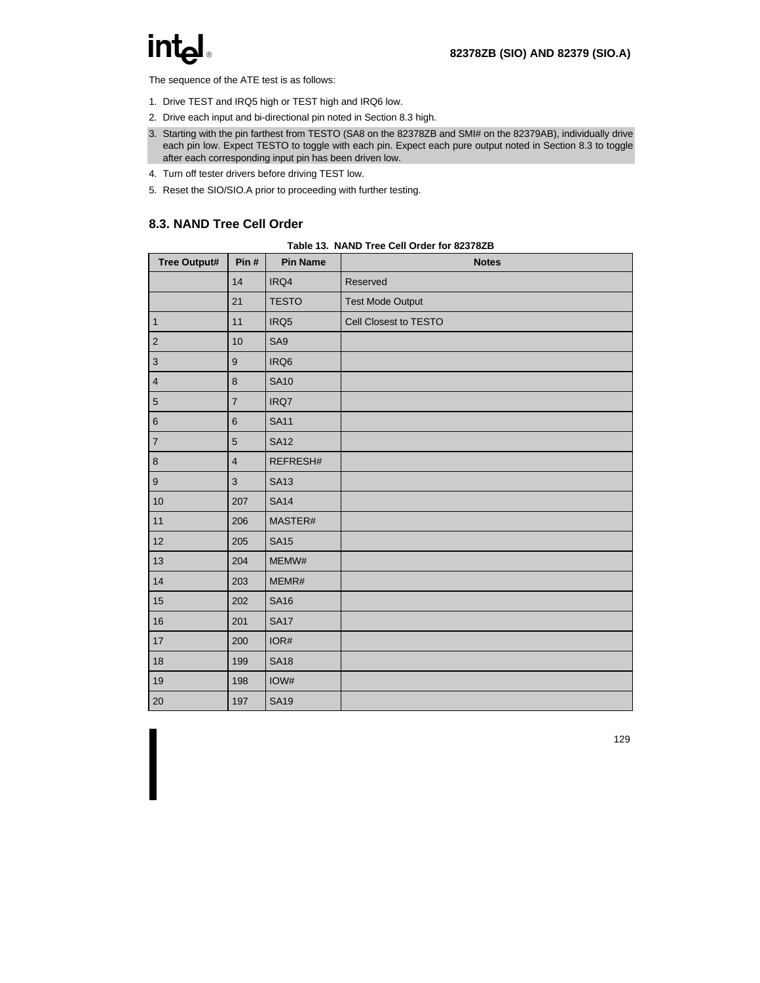The sequence of the ATE test is as follows:

- 1. Drive TEST and IRQ5 high or TEST high and IRQ6 low.
- 2. Drive each input and bi-directional pin noted in Section 8.3 high.
- 3. Starting with the pin farthest from TESTO (SA8 on the 82378ZB and SMI# on the 82379AB), individually drive each pin low. Expect TESTO to toggle with each pin. Expect each pure output noted in Section 8.3 to toggle after each corresponding input pin has been driven low.
- 4. Turn off tester drivers before driving TEST low.
- 5. Reset the SIO/SIO.A prior to proceeding with further testing.

## **8.3. NAND Tree Cell Order**

### **Table 13. NAND Tree Cell Order for 82378ZB**

| <b>Tree Output#</b> | Pin#             | <b>Pin Name</b> | <b>Notes</b>            |
|---------------------|------------------|-----------------|-------------------------|
|                     | 14               | IRQ4            | Reserved                |
|                     | 21               | <b>TESTO</b>    | <b>Test Mode Output</b> |
| $\mathbf{1}$        | 11               | IRQ5            | Cell Closest to TESTO   |
| $\overline{2}$      | 10               | SA9             |                         |
| $\mathbf{3}$        | $\boldsymbol{9}$ | IRQ6            |                         |
| $\sqrt{4}$          | $\bf 8$          | <b>SA10</b>     |                         |
| 5                   | $\overline{7}$   | IRQ7            |                         |
| $\,6$               | $\,$ 6 $\,$      | <b>SA11</b>     |                         |
| $\overline{7}$      | $\sqrt{5}$       | <b>SA12</b>     |                         |
| $\bf 8$             | $\overline{4}$   | REFRESH#        |                         |
| $\boldsymbol{9}$    | $\mathbf{3}$     | <b>SA13</b>     |                         |
| 10                  | 207              | <b>SA14</b>     |                         |
| 11                  | 206              | MASTER#         |                         |
| 12                  | 205              | <b>SA15</b>     |                         |
| 13                  | 204              | MEMW#           |                         |
| 14                  | 203              | MEMR#           |                         |
| 15                  | 202              | <b>SA16</b>     |                         |
| 16                  | 201              | <b>SA17</b>     |                         |
| 17                  | 200              | IOR#            |                         |
| 18                  | 199              | <b>SA18</b>     |                         |
| 19                  | 198              | IOW#            |                         |
| 20                  | 197              | <b>SA19</b>     |                         |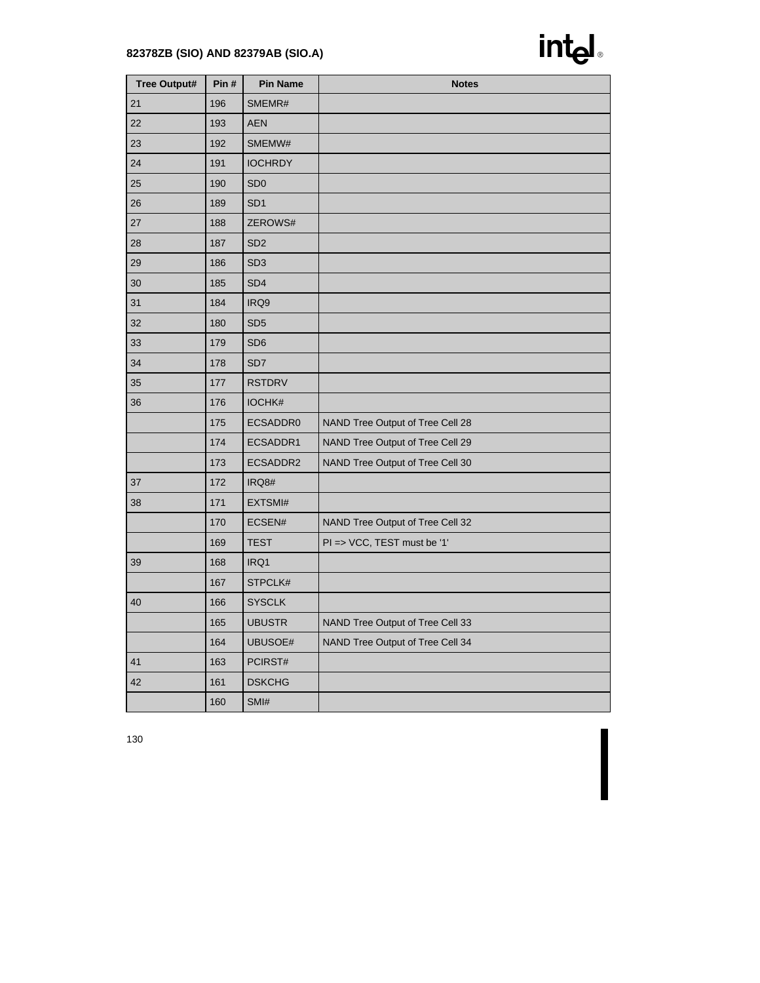

| <b>Tree Output#</b> | Pin# | <b>Pin Name</b> | <b>Notes</b>                     |
|---------------------|------|-----------------|----------------------------------|
| 21                  | 196  | SMEMR#          |                                  |
| 22                  | 193  | <b>AEN</b>      |                                  |
| 23                  | 192  | SMEMW#          |                                  |
| 24                  | 191  | <b>IOCHRDY</b>  |                                  |
| 25                  | 190  | SD <sub>0</sub> |                                  |
| 26                  | 189  | SD <sub>1</sub> |                                  |
| 27                  | 188  | ZEROWS#         |                                  |
| 28                  | 187  | SD <sub>2</sub> |                                  |
| 29                  | 186  | SD <sub>3</sub> |                                  |
| 30                  | 185  | SD <sub>4</sub> |                                  |
| 31                  | 184  | IRQ9            |                                  |
| 32                  | 180  | SD <sub>5</sub> |                                  |
| 33                  | 179  | SD <sub>6</sub> |                                  |
| 34                  | 178  | SD <sub>7</sub> |                                  |
| 35                  | 177  | <b>RSTDRV</b>   |                                  |
| 36                  | 176  | IOCHK#          |                                  |
|                     | 175  | ECSADDR0        | NAND Tree Output of Tree Cell 28 |
|                     | 174  | ECSADDR1        | NAND Tree Output of Tree Cell 29 |
|                     | 173  | ECSADDR2        | NAND Tree Output of Tree Cell 30 |
| 37                  | 172  | IRQ8#           |                                  |
| 38                  | 171  | EXTSMI#         |                                  |
|                     | 170  | ECSEN#          | NAND Tree Output of Tree Cell 32 |
|                     | 169  | <b>TEST</b>     | PI => VCC, TEST must be '1'      |
| 39                  | 168  | IRQ1            |                                  |
|                     | 167  | STPCLK#         |                                  |
| 40                  | 166  | <b>SYSCLK</b>   |                                  |
|                     | 165  | <b>UBUSTR</b>   | NAND Tree Output of Tree Cell 33 |
|                     | 164  | UBUSOE#         | NAND Tree Output of Tree Cell 34 |
| 41                  | 163  | PCIRST#         |                                  |
| 42                  | 161  | <b>DSKCHG</b>   |                                  |
|                     | 160  | SMI#            |                                  |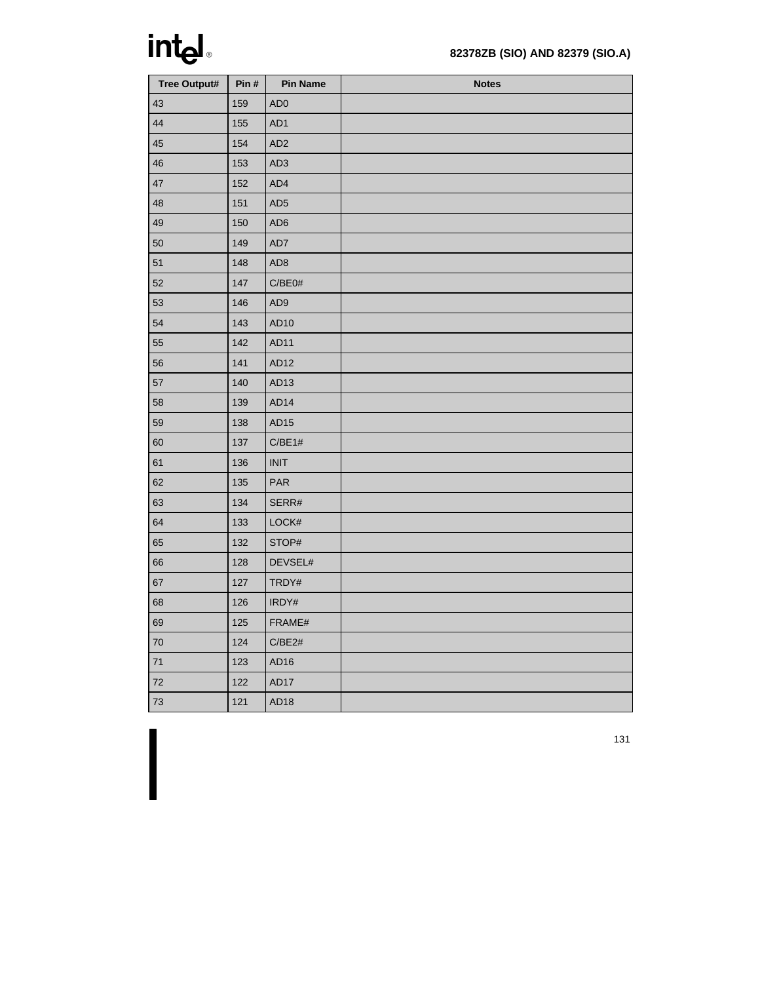# E **82378ZB (SIO) AND 82379 (SIO.A)**

| <b>Tree Output#</b> | Pin $#$ | <b>Pin Name</b>   | <b>Notes</b> |
|---------------------|---------|-------------------|--------------|
| 43                  | 159     | AD <sub>0</sub>   |              |
| 44                  | 155     | AD1               |              |
| 45                  | 154     | AD <sub>2</sub>   |              |
| 46                  | 153     | AD <sub>3</sub>   |              |
| 47                  | 152     | AD4               |              |
| 48                  | 151     | AD <sub>5</sub>   |              |
| 49                  | 150     | AD <sub>6</sub>   |              |
| 50                  | 149     | AD7               |              |
| 51                  | 148     | AD <sub>8</sub>   |              |
| 52                  | 147     | C/BE0#            |              |
| 53                  | 146     | AD9               |              |
| 54                  | 143     | AD10              |              |
| 55                  | 142     | AD11              |              |
| 56                  | 141     | AD12              |              |
| 57                  | 140     | AD <sub>13</sub>  |              |
| 58                  | 139     | AD <sub>14</sub>  |              |
| 59                  | 138     | AD15              |              |
| 60                  | 137     | C/BE1#            |              |
| 61                  | 136     | $\textsf{INIT}{}$ |              |
| 62                  | 135     | <b>PAR</b>        |              |
| 63                  | 134     | SERR#             |              |
| 64                  | 133     | LOCK#             |              |
| 65                  | 132     | STOP#             |              |
| 66                  | 128     | DEVSEL#           |              |
| 67                  | 127     | TRDY#             |              |
| 68                  | 126     | IRDY#             |              |
| 69                  | 125     | FRAME#            |              |
| $70\,$              | 124     | C/BE2#            |              |
| $\bf 71$            | 123     | AD16              |              |
| 72                  | 122     | AD17              |              |
| 73                  | 121     | AD <sub>18</sub>  |              |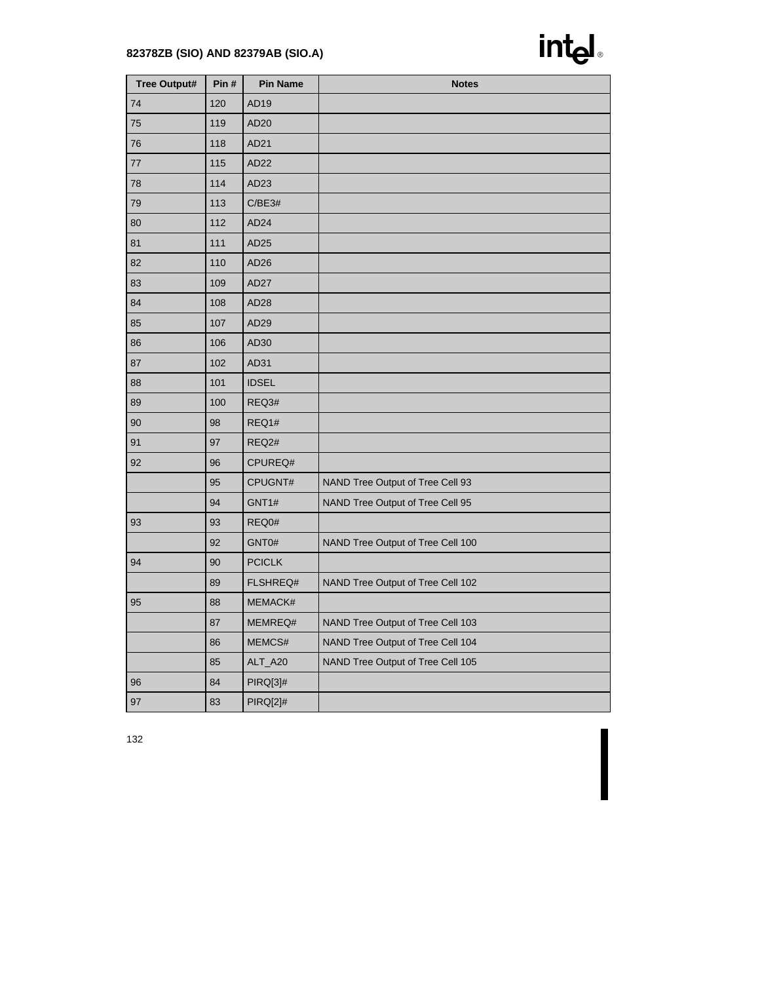

| <b>Tree Output#</b> | Pin# | <b>Pin Name</b>  | <b>Notes</b>                      |
|---------------------|------|------------------|-----------------------------------|
| 74                  | 120  | AD <sub>19</sub> |                                   |
| 75                  | 119  | AD20             |                                   |
| 76                  | 118  | AD21             |                                   |
| 77                  | 115  | AD22             |                                   |
| 78                  | 114  | AD23             |                                   |
| 79                  | 113  | C/BE3#           |                                   |
| 80                  | 112  | AD <sub>24</sub> |                                   |
| 81                  | 111  | AD25             |                                   |
| 82                  | 110  | AD26             |                                   |
| 83                  | 109  | <b>AD27</b>      |                                   |
| 84                  | 108  | AD28             |                                   |
| 85                  | 107  | AD29             |                                   |
| 86                  | 106  | AD30             |                                   |
| 87                  | 102  | AD31             |                                   |
| 88                  | 101  | <b>IDSEL</b>     |                                   |
| 89                  | 100  | REQ3#            |                                   |
| 90                  | 98   | REQ1#            |                                   |
| 91                  | 97   | REQ2#            |                                   |
| 92                  | 96   | CPUREQ#          |                                   |
|                     | 95   | CPUGNT#          | NAND Tree Output of Tree Cell 93  |
|                     | 94   | GNT1#            | NAND Tree Output of Tree Cell 95  |
| 93                  | 93   | REQ0#            |                                   |
|                     | 92   | GNT0#            | NAND Tree Output of Tree Cell 100 |
| 94                  | 90   | <b>PCICLK</b>    |                                   |
|                     | 89   | FLSHREQ#         | NAND Tree Output of Tree Cell 102 |
| 95                  | 88   | MEMACK#          |                                   |
|                     | 87   | MEMREQ#          | NAND Tree Output of Tree Cell 103 |
|                     | 86   | MEMCS#           | NAND Tree Output of Tree Cell 104 |
|                     | 85   | ALT_A20          | NAND Tree Output of Tree Cell 105 |
| 96                  | 84   | PIRQ[3]#         |                                   |
| 97                  | 83   | PIRQ[2]#         |                                   |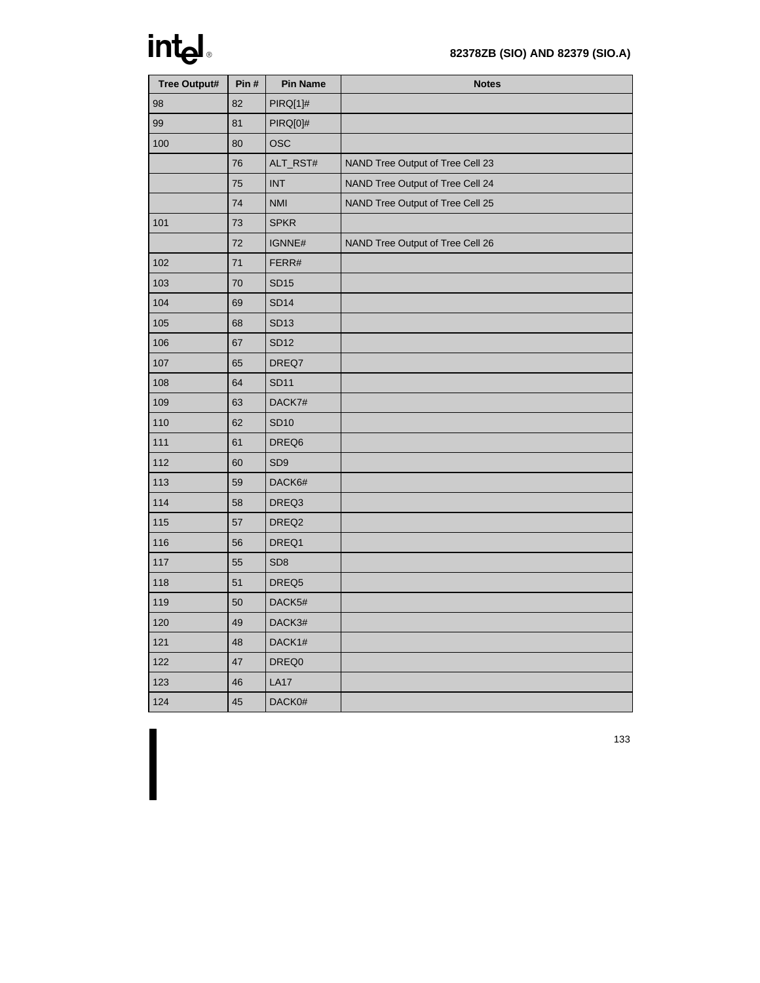# E **82378ZB (SIO) AND 82379 (SIO.A)**

| <b>Tree Output#</b> | Pin# | <b>Pin Name</b>   | <b>Notes</b>                     |
|---------------------|------|-------------------|----------------------------------|
| 98                  | 82   | PIRQ[1]#          |                                  |
| 99                  | 81   | PIRQ[0]#          |                                  |
| 100                 | 80   | <b>OSC</b>        |                                  |
|                     | 76   | ALT_RST#          | NAND Tree Output of Tree Cell 23 |
|                     | 75   | <b>INT</b>        | NAND Tree Output of Tree Cell 24 |
|                     | 74   | <b>NMI</b>        | NAND Tree Output of Tree Cell 25 |
| 101                 | 73   | <b>SPKR</b>       |                                  |
|                     | 72   | IGNNE#            | NAND Tree Output of Tree Cell 26 |
| 102                 | 71   | FERR#             |                                  |
| 103                 | 70   | <b>SD15</b>       |                                  |
| 104                 | 69   | <b>SD14</b>       |                                  |
| 105                 | 68   | <b>SD13</b>       |                                  |
| 106                 | 67   | <b>SD12</b>       |                                  |
| 107                 | 65   | DREQ7             |                                  |
| 108                 | 64   | <b>SD11</b>       |                                  |
| 109                 | 63   | DACK7#            |                                  |
| 110                 | 62   | <b>SD10</b>       |                                  |
| 111                 | 61   | DREQ6             |                                  |
| 112                 | 60   | SD <sub>9</sub>   |                                  |
| 113                 | 59   | DACK6#            |                                  |
| 114                 | 58   | DREQ3             |                                  |
| 115                 | 57   | DREQ <sub>2</sub> |                                  |
| 116                 | 56   | DREQ1             |                                  |
| 117                 | 55   | SD <sub>8</sub>   |                                  |
| 118                 | 51   | DREQ5             |                                  |
| 119                 | 50   | DACK5#            |                                  |
| 120                 | 49   | DACK3#            |                                  |
| 121                 | 48   | DACK1#            |                                  |
| 122                 | 47   | DREQ0             |                                  |
| 123                 | 46   | <b>LA17</b>       |                                  |
| 124                 | 45   | DACK0#            |                                  |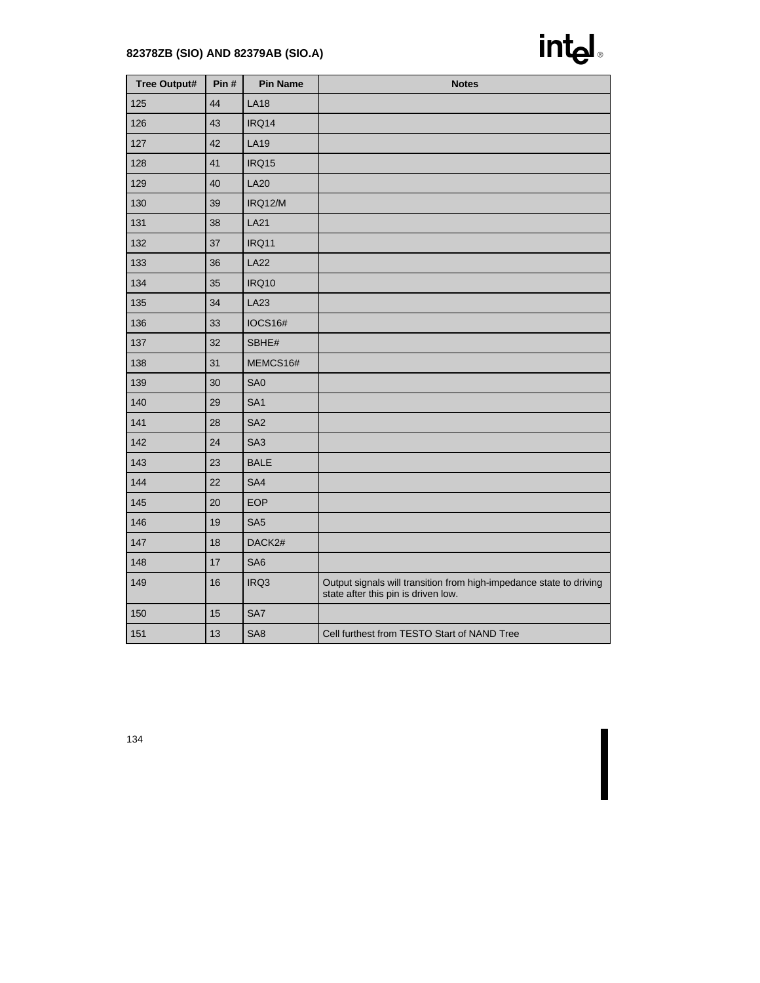

| <b>Tree Output#</b> | Pin# | <b>Pin Name</b> | <b>Notes</b>                                                                                               |
|---------------------|------|-----------------|------------------------------------------------------------------------------------------------------------|
| 125                 | 44   | <b>LA18</b>     |                                                                                                            |
| 126                 | 43   | IRQ14           |                                                                                                            |
| 127                 | 42   | <b>LA19</b>     |                                                                                                            |
| 128                 | 41   | <b>IRQ15</b>    |                                                                                                            |
| 129                 | 40   | <b>LA20</b>     |                                                                                                            |
| 130                 | 39   | IRQ12/M         |                                                                                                            |
| 131                 | 38   | LA21            |                                                                                                            |
| 132                 | 37   | IRQ11           |                                                                                                            |
| 133                 | 36   | <b>LA22</b>     |                                                                                                            |
| 134                 | 35   | <b>IRQ10</b>    |                                                                                                            |
| 135                 | 34   | <b>LA23</b>     |                                                                                                            |
| 136                 | 33   | <b>IOCS16#</b>  |                                                                                                            |
| 137                 | 32   | SBHE#           |                                                                                                            |
| 138                 | 31   | MEMCS16#        |                                                                                                            |
| 139                 | 30   | SA <sub>0</sub> |                                                                                                            |
| 140                 | 29   | SA <sub>1</sub> |                                                                                                            |
| 141                 | 28   | SA <sub>2</sub> |                                                                                                            |
| 142                 | 24   | SA <sub>3</sub> |                                                                                                            |
| 143                 | 23   | <b>BALE</b>     |                                                                                                            |
| 144                 | 22   | SA4             |                                                                                                            |
| 145                 | 20   | <b>EOP</b>      |                                                                                                            |
| 146                 | 19   | SA <sub>5</sub> |                                                                                                            |
| 147                 | 18   | DACK2#          |                                                                                                            |
| 148                 | 17   | SA6             |                                                                                                            |
| 149                 | 16   | IRQ3            | Output signals will transition from high-impedance state to driving<br>state after this pin is driven low. |
| 150                 | 15   | SA7             |                                                                                                            |
| 151                 | 13   | SA <sub>8</sub> | Cell furthest from TESTO Start of NAND Tree                                                                |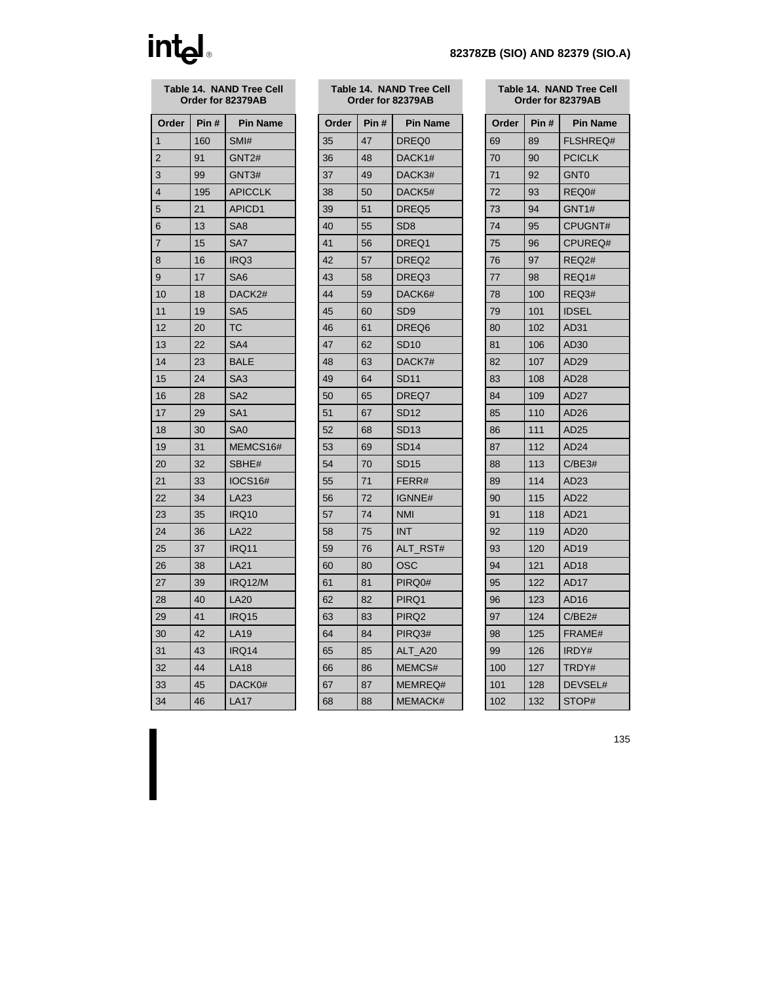# E **82378ZB (SIO) AND 82379 (SIO.A)**

| Table 14. NAND Tree Cell<br>Order for 82379AB |      |                   |  |  |  |
|-----------------------------------------------|------|-------------------|--|--|--|
| Order                                         | Pin# | <b>Pin Name</b>   |  |  |  |
| 1                                             | 160  | SMI#              |  |  |  |
| 2                                             | 91   | GNT <sub>2#</sub> |  |  |  |
| 3                                             | 99   | GNT3#             |  |  |  |
| 4                                             | 195  | APICCLK           |  |  |  |
| 5                                             | 21   | APICD1            |  |  |  |
| 6                                             | 13   | SA8               |  |  |  |
| $\overline{7}$                                | 15   | SA7               |  |  |  |
| 8                                             | 16   | IRQ3              |  |  |  |
| 9                                             | 17   | SA <sub>6</sub>   |  |  |  |
| 10                                            | 18   | DACK2#            |  |  |  |
| 11                                            | 19   | SA <sub>5</sub>   |  |  |  |
| 12                                            | 20   | ТC                |  |  |  |
| 13                                            | 22   | SA4               |  |  |  |
| 14                                            | 23   | <b>BALE</b>       |  |  |  |
| 15                                            | 24   | SA3               |  |  |  |
| 16                                            | 28   | SA <sub>2</sub>   |  |  |  |
| 17                                            | 29   | SA1               |  |  |  |
| 18                                            | 30   | SA0               |  |  |  |
| 19                                            | 31   | MEMCS16#          |  |  |  |
| 20                                            | 32   | SBHE#             |  |  |  |
| 21                                            | 33   | <b>IOCS16#</b>    |  |  |  |
| 22                                            | 34   | LA23              |  |  |  |
| 23                                            | 35   | IRQ10             |  |  |  |
| 24                                            | 36   | <b>LA22</b>       |  |  |  |
| 25                                            | 37   | IRQ11             |  |  |  |
| 26                                            | 38   | <b>LA21</b>       |  |  |  |
| 27                                            | 39   | <b>IRQ12/M</b>    |  |  |  |
| 28                                            | 40   | <b>LA20</b>       |  |  |  |
| 29                                            | 41   | IRQ15             |  |  |  |
| 30                                            | 42   | <b>LA19</b>       |  |  |  |
| 31                                            | 43   | IRQ14             |  |  |  |
| 32                                            | 44   | <b>LA18</b>       |  |  |  |
| 33                                            | 45   | DACK0#            |  |  |  |
| 34                                            | 46   | <b>LA17</b>       |  |  |  |

## **Table 14. NAND Tree Cell Order for 82379AB**

| Order | Pin# | <b>Pin Name</b>   |
|-------|------|-------------------|
| 35    | 47   | DREQ0             |
| 36    | 48   | DACK1#            |
| 37    | 49   | DACK3#            |
| 38    | 50   | DACK5#            |
| 39    | 51   | DREQ <sub>5</sub> |
| 40    | 55   | SD8               |
| 41    | 56   | DREQ1             |
| 42    | 57   | DREQ2             |
| 43    | 58   | DREQ3             |
| 44    | 59   | DACK6#            |
| 45    | 60   | SD <sub>9</sub>   |
| 46    | 61   | DREQ6             |
| 47    | 62   | SD <sub>10</sub>  |
| 48    | 63   | DACK7#            |
| 49    | 64   | <b>SD11</b>       |
| 50    | 65   | DREQ7             |
| 51    | 67   | SD12              |
| 52    | 68   | SD13              |
| 53    | 69   | SD <sub>14</sub>  |
| 54    | 70   | SD <sub>15</sub>  |
| 55    | 71   | FERR#             |
| 56    | 72   | IGNNE#            |
| 57    | 74   | <b>NMI</b>        |
| 58    | 75   | <b>INT</b>        |
| 59    | 76   | ALT_RST#          |
| 60    | 80   | OSC               |
| 61    | 81   | PIRQ0#            |
| 62    | 82   | PIRQ1             |
| 63    | 83   | PIRQ2             |
| 64    | 84   | PIRQ3#            |
| 65    | 85   | ALT_A20           |
| 66    | 86   | MEMCS#            |
| 67    | 87   | MEMREQ#           |
| 68    | 88   | MEMACK#           |

**Table 14. NAND Tree Cell Order for 82379AB**

| Order | Pin# | <b>Pin Name</b>   |
|-------|------|-------------------|
| 69    | 89   | <b>FLSHREQ#</b>   |
| 70    | 90   | <b>PCICLK</b>     |
| 71    | 92   | GNT0              |
| 72    | 93   | REQ0#             |
| 73    | 94   | GNT <sub>1#</sub> |
| 74    | 95   | CPUGNT#           |
| 75    | 96   | CPUREQ#           |
| 76    | 97   | REQ2#             |
| 77    | 98   | REQ1#             |
| 78    | 100  | REQ3#             |
| 79    | 101  | IDSEL             |
| 80    | 102  | AD31              |
| 81    | 106  | AD30              |
| 82    | 107  | AD29              |
| 83    | 108  | AD28              |
| 84    | 109  | AD27              |
| 85    | 110  | AD26              |
| 86    | 111  | AD25              |
| 87    | 112  | AD <sub>24</sub>  |
| 88    | 113  | C/BE3#            |
| 89    | 114  | AD23              |
| 90    | 115  | AD22              |
| 91    | 118  | AD21              |
| 92    | 119  | AD20              |
| 93    | 120  | AD19              |
| 94    | 121  | AD <sub>18</sub>  |
| 95    | 122  | AD17              |
| 96    | 123  | AD16              |
| 97    | 124  | C/BE2#            |
| 98    | 125  | FRAME#            |
| 99    | 126  | IRDY#             |
| 100   | 127  | TRDY#             |
| 101   | 128  | DEVSEL#           |
| 102   | 132  | STOP#             |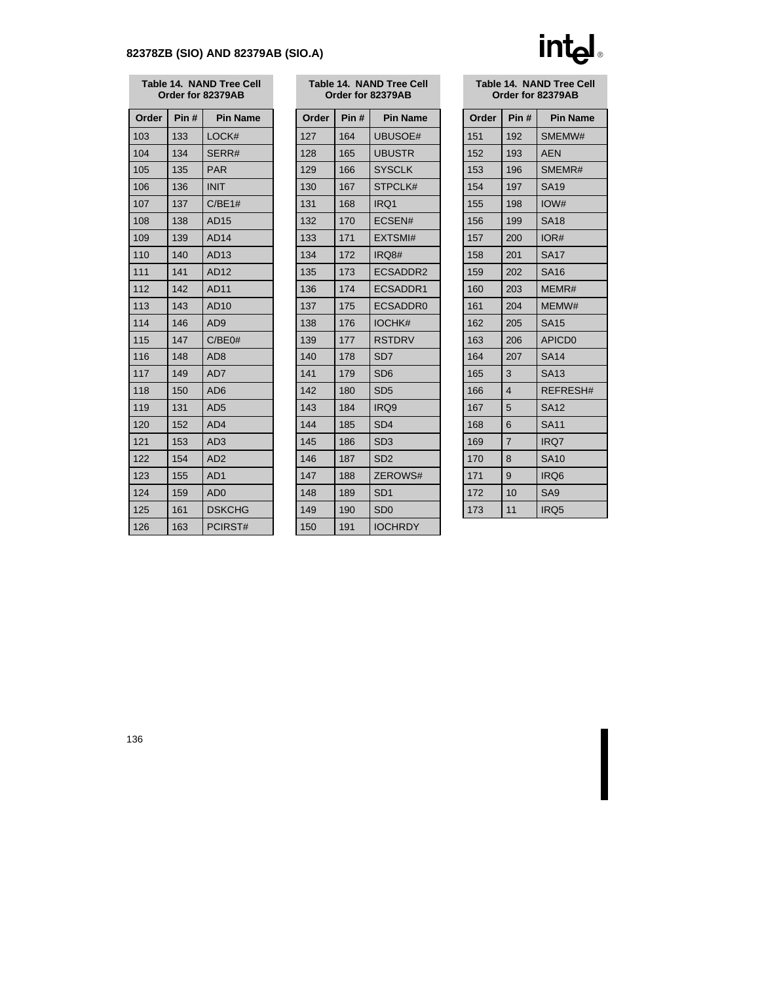| 82378ZB (SIO) AND 82379AB (SIO.A) | <b>intel</b> |
|-----------------------------------|--------------|

| Table 14. NAND Tree Cell<br>Order for 82379AB |      |                  |
|-----------------------------------------------|------|------------------|
| Order                                         | Pin# | <b>Pin Name</b>  |
| 103                                           | 133  | LOCK#            |
| 104                                           | 134  | SERR#            |
| 105                                           | 135  | <b>PAR</b>       |
| 106                                           | 136  | <b>INIT</b>      |
| 107                                           | 137  | C/BE1#           |
| 108                                           | 138  | AD <sub>15</sub> |
| 109                                           | 139  | AD <sub>14</sub> |
| 110                                           | 140  | AD <sub>13</sub> |
| 111                                           | 141  | AD12             |
| 112                                           | 142  | <b>AD11</b>      |
| 113                                           | 143  | AD10             |
| 114                                           | 146  | AD9              |
| 115                                           | 147  | C/BE0#           |
| 116                                           | 148  | AD8              |
| 117                                           | 149  | AD7              |
| 118                                           | 150  | AD6              |
| 119                                           | 131  | AD5              |
| 120                                           | 152  | AD4              |
| 121                                           | 153  | AD3              |
| 122                                           | 154  | AD <sub>2</sub>  |
| 123                                           | 155  | AD1              |
| 124                                           | 159  | AD <sub>0</sub>  |
| 125                                           | 161  | <b>DSKCHG</b>    |
| 126                                           | 163  | PCIRST#          |

| Table 14. NAND Tree Cell<br>Order for 82379AB |      |                 |
|-----------------------------------------------|------|-----------------|
| Order                                         | Pin# | <b>Pin Name</b> |
| 127                                           | 164  | UBUSOE#         |
| 128                                           | 165  | UBUSTR          |
| 129                                           | 166  | <b>SYSCLK</b>   |
| 130                                           | 167  | STPCLK#         |
| 131                                           | 168  | IRQ1            |
| 132                                           | 170  | ECSEN#          |
| 133                                           | 171  | EXTSMI#         |
| 134                                           | 172  | IRQ8#           |
| 135                                           | 173  | ECSADDR2        |
| 136                                           | 174  | ECSADDR1        |
| 137                                           | 175  | ECSADDR0        |
| 138                                           | 176  | IOCHK#          |
| 139                                           | 177  | RSTDRV          |
| 140                                           | 178  | SD7             |
| 141                                           | 179  | SD6             |
| 142                                           | 180  | SD5             |
| 143                                           | 184  | IRQ9            |
| 144                                           | 185  | SD4             |
| 145                                           | 186  | SD3             |
| 146                                           | 187  | SD <sub>2</sub> |
| 147                                           | 188  | ZEROWS#         |
| 148                                           | 189  | SD1             |
| 149                                           | 190  | SD0             |
| 150                                           | 191  | <b>IOCHRDY</b>  |

| Table 14.  NAND Tree Cell |                   |  |
|---------------------------|-------------------|--|
|                           | Order for 82379AB |  |

| Order | Pin#           | <b>Pin Name</b>    |
|-------|----------------|--------------------|
| 151   | 192            | SMEMW#             |
| 152   | 193            | <b>AEN</b>         |
| 153   | 196            | SMEMR#             |
| 154   | 197            | <b>SA19</b>        |
| 155   | 198            | IOW#               |
| 156   | 199            | <b>SA18</b>        |
| 157   | 200            | IOR#               |
| 158   | 201            | <b>SA17</b>        |
| 159   | 202            | <b>SA16</b>        |
| 160   | 203            | MEMR#              |
| 161   | 204            | MEMW#              |
| 162   | 205            | <b>SA15</b>        |
| 163   | 206            | APICD <sub>0</sub> |
| 164   | 207            | <b>SA14</b>        |
| 165   | 3              | <b>SA13</b>        |
| 166   | 4              | REFRESH#           |
| 167   | 5              | <b>SA12</b>        |
| 168   | 6              | <b>SA11</b>        |
| 169   | $\overline{7}$ | IRQ7               |
| 170   | 8              | <b>SA10</b>        |
| 171   | 9              | IRQ6               |
| 172   | 10             | SA <sub>9</sub>    |
| 173   | 11             | IRQ5               |